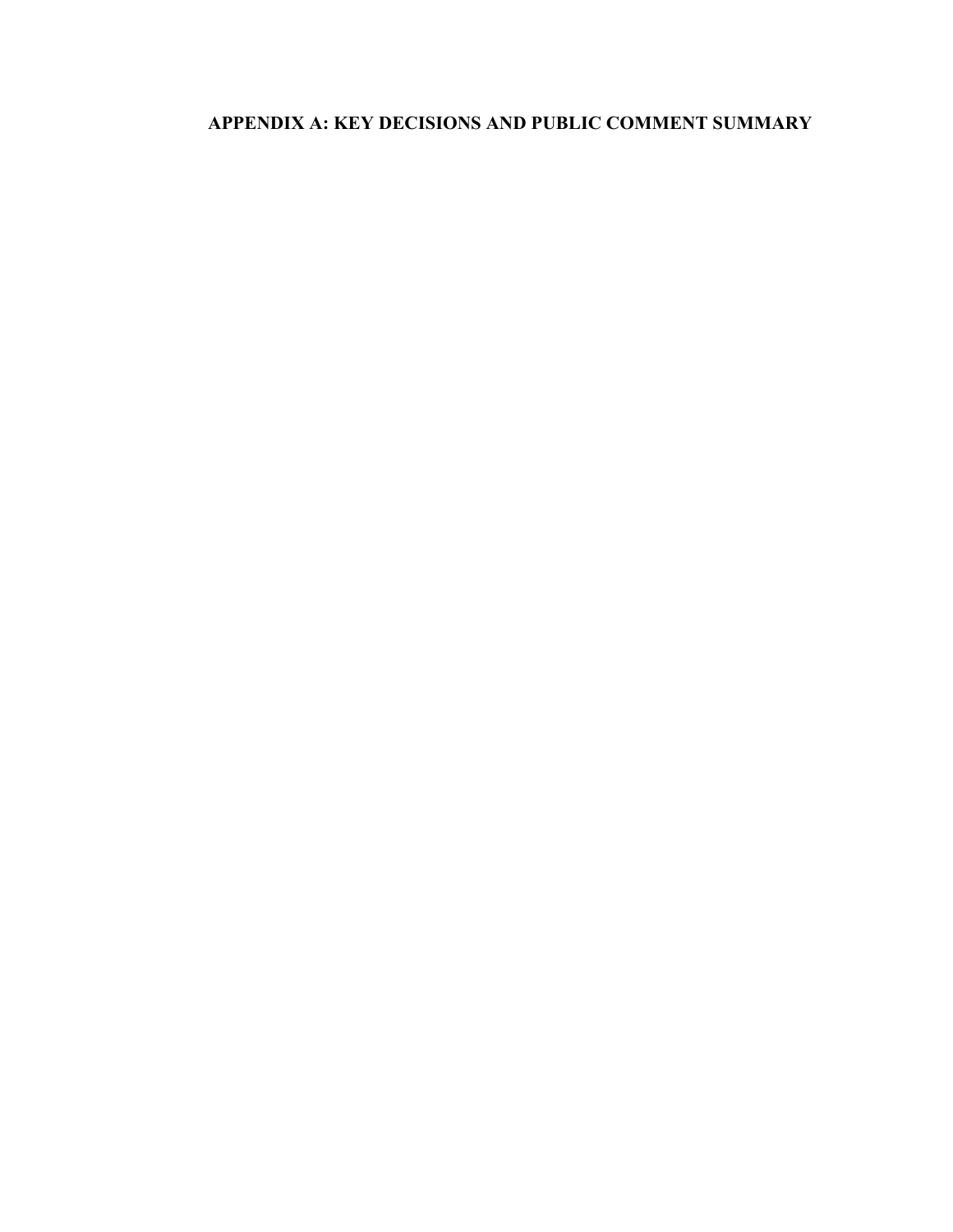# **APPENDIX A: KEY DECISIONS AND PUBLIC COMMENT SUMMARY**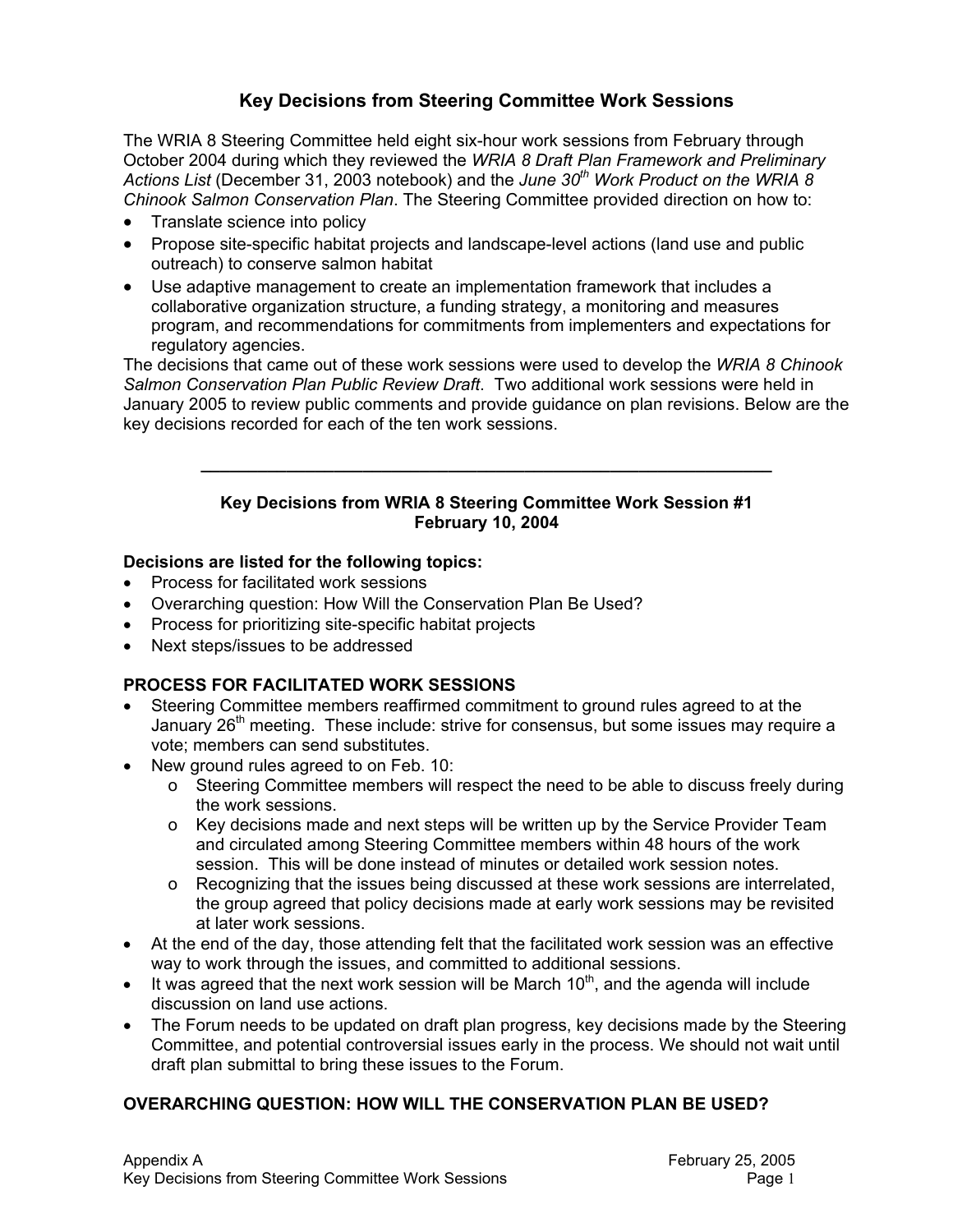# **Key Decisions from Steering Committee Work Sessions**

The WRIA 8 Steering Committee held eight six-hour work sessions from February through October 2004 during which they reviewed the *WRIA 8 Draft Plan Framework and Preliminary Actions List* (December 31, 2003 notebook) and the *June 30th Work Product on the WRIA 8 Chinook Salmon Conservation Plan*. The Steering Committee provided direction on how to:

- Translate science into policy
- Propose site-specific habitat projects and landscape-level actions (land use and public outreach) to conserve salmon habitat
- Use adaptive management to create an implementation framework that includes a collaborative organization structure, a funding strategy, a monitoring and measures program, and recommendations for commitments from implementers and expectations for regulatory agencies.

The decisions that came out of these work sessions were used to develop the *WRIA 8 Chinook Salmon Conservation Plan Public Review Draft*. Two additional work sessions were held in January 2005 to review public comments and provide guidance on plan revisions. Below are the key decisions recorded for each of the ten work sessions.

#### **Key Decisions from WRIA 8 Steering Committee Work Session #1 February 10, 2004**

**\_\_\_\_\_\_\_\_\_\_\_\_\_\_\_\_\_\_\_\_\_\_\_\_\_\_\_\_\_\_\_\_\_\_\_\_\_\_\_\_\_\_\_\_\_\_\_\_\_\_\_\_\_\_\_\_\_\_\_\_** 

#### **Decisions are listed for the following topics:**

- Process for facilitated work sessions
- Overarching question: How Will the Conservation Plan Be Used?
- Process for prioritizing site-specific habitat projects
- Next steps/issues to be addressed

## **PROCESS FOR FACILITATED WORK SESSIONS**

- Steering Committee members reaffirmed commitment to ground rules agreed to at the January  $26<sup>th</sup>$  meeting. These include: strive for consensus, but some issues may require a vote; members can send substitutes.
- New ground rules agreed to on Feb. 10:
	- o Steering Committee members will respect the need to be able to discuss freely during the work sessions.
	- o Key decisions made and next steps will be written up by the Service Provider Team and circulated among Steering Committee members within 48 hours of the work session. This will be done instead of minutes or detailed work session notes.
	- o Recognizing that the issues being discussed at these work sessions are interrelated, the group agreed that policy decisions made at early work sessions may be revisited at later work sessions.
- At the end of the day, those attending felt that the facilitated work session was an effective way to work through the issues, and committed to additional sessions.
- It was agreed that the next work session will be March  $10<sup>th</sup>$ , and the agenda will include discussion on land use actions.
- The Forum needs to be updated on draft plan progress, key decisions made by the Steering Committee, and potential controversial issues early in the process. We should not wait until draft plan submittal to bring these issues to the Forum.

## **OVERARCHING QUESTION: HOW WILL THE CONSERVATION PLAN BE USED?**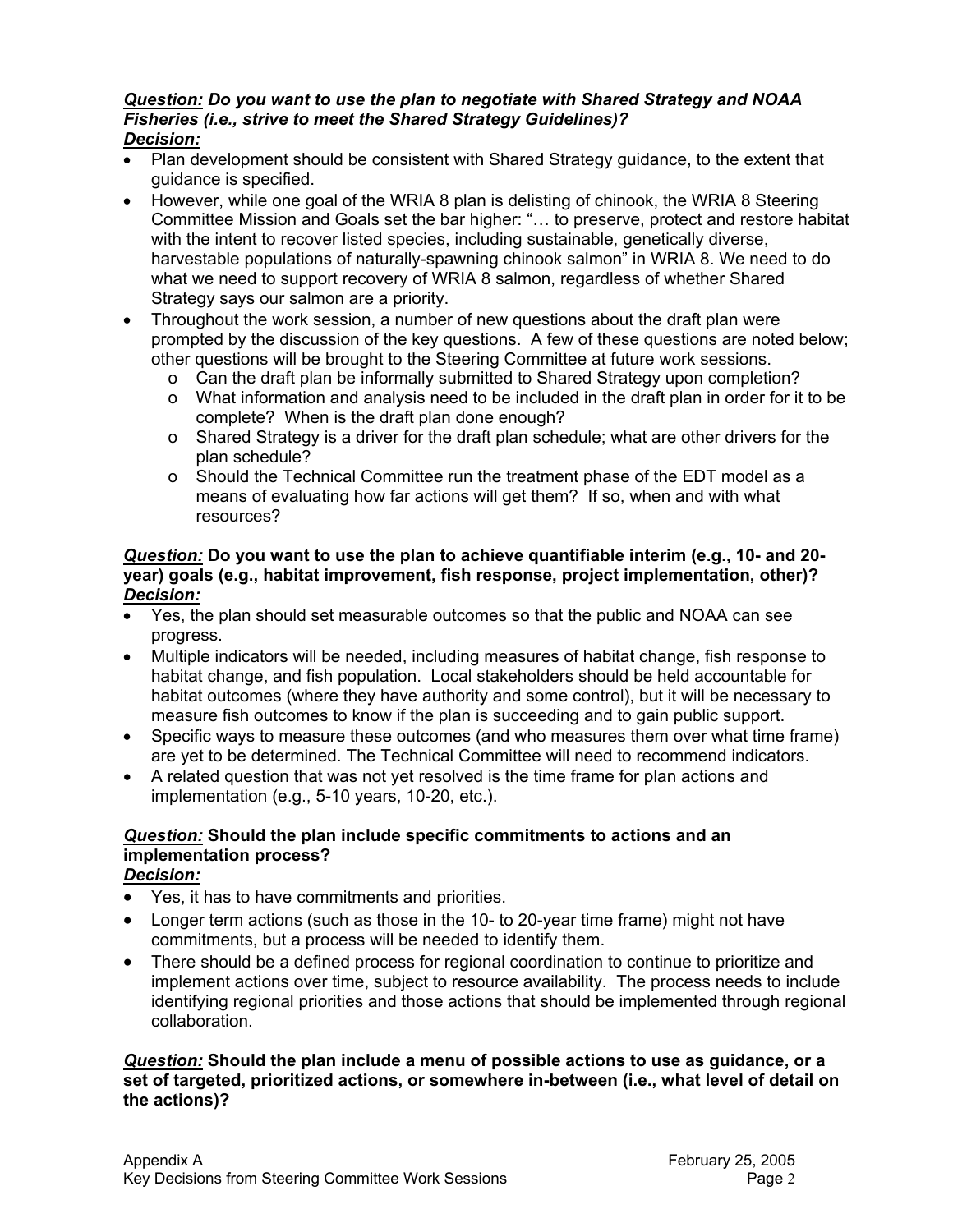#### *Question: Do you want to use the plan to negotiate with Shared Strategy and NOAA Fisheries (i.e., strive to meet the Shared Strategy Guidelines)? Decision:*

- Plan development should be consistent with Shared Strategy guidance, to the extent that guidance is specified.
- However, while one goal of the WRIA 8 plan is delisting of chinook, the WRIA 8 Steering Committee Mission and Goals set the bar higher: "… to preserve, protect and restore habitat with the intent to recover listed species, including sustainable, genetically diverse, harvestable populations of naturally-spawning chinook salmon" in WRIA 8. We need to do what we need to support recovery of WRIA 8 salmon, regardless of whether Shared Strategy says our salmon are a priority.
- Throughout the work session, a number of new questions about the draft plan were prompted by the discussion of the key questions. A few of these questions are noted below; other questions will be brought to the Steering Committee at future work sessions.
	- o Can the draft plan be informally submitted to Shared Strategy upon completion?
	- o What information and analysis need to be included in the draft plan in order for it to be complete? When is the draft plan done enough?
	- o Shared Strategy is a driver for the draft plan schedule; what are other drivers for the plan schedule?
	- o Should the Technical Committee run the treatment phase of the EDT model as a means of evaluating how far actions will get them? If so, when and with what resources?

#### *Question:* **Do you want to use the plan to achieve quantifiable interim (e.g., 10- and 20 year) goals (e.g., habitat improvement, fish response, project implementation, other)?**  *Decision:*

- Yes, the plan should set measurable outcomes so that the public and NOAA can see progress.
- Multiple indicators will be needed, including measures of habitat change, fish response to habitat change, and fish population. Local stakeholders should be held accountable for habitat outcomes (where they have authority and some control), but it will be necessary to measure fish outcomes to know if the plan is succeeding and to gain public support.
- Specific ways to measure these outcomes (and who measures them over what time frame) are yet to be determined. The Technical Committee will need to recommend indicators.
- A related question that was not yet resolved is the time frame for plan actions and implementation (e.g., 5-10 years, 10-20, etc.).

# *Question:* **Should the plan include specific commitments to actions and an implementation process?**

*Decision:*

- Yes, it has to have commitments and priorities.
- Longer term actions (such as those in the 10- to 20-year time frame) might not have commitments, but a process will be needed to identify them.
- There should be a defined process for regional coordination to continue to prioritize and implement actions over time, subject to resource availability. The process needs to include identifying regional priorities and those actions that should be implemented through regional collaboration.

*Question:* **Should the plan include a menu of possible actions to use as guidance, or a set of targeted, prioritized actions, or somewhere in-between (i.e., what level of detail on the actions)?**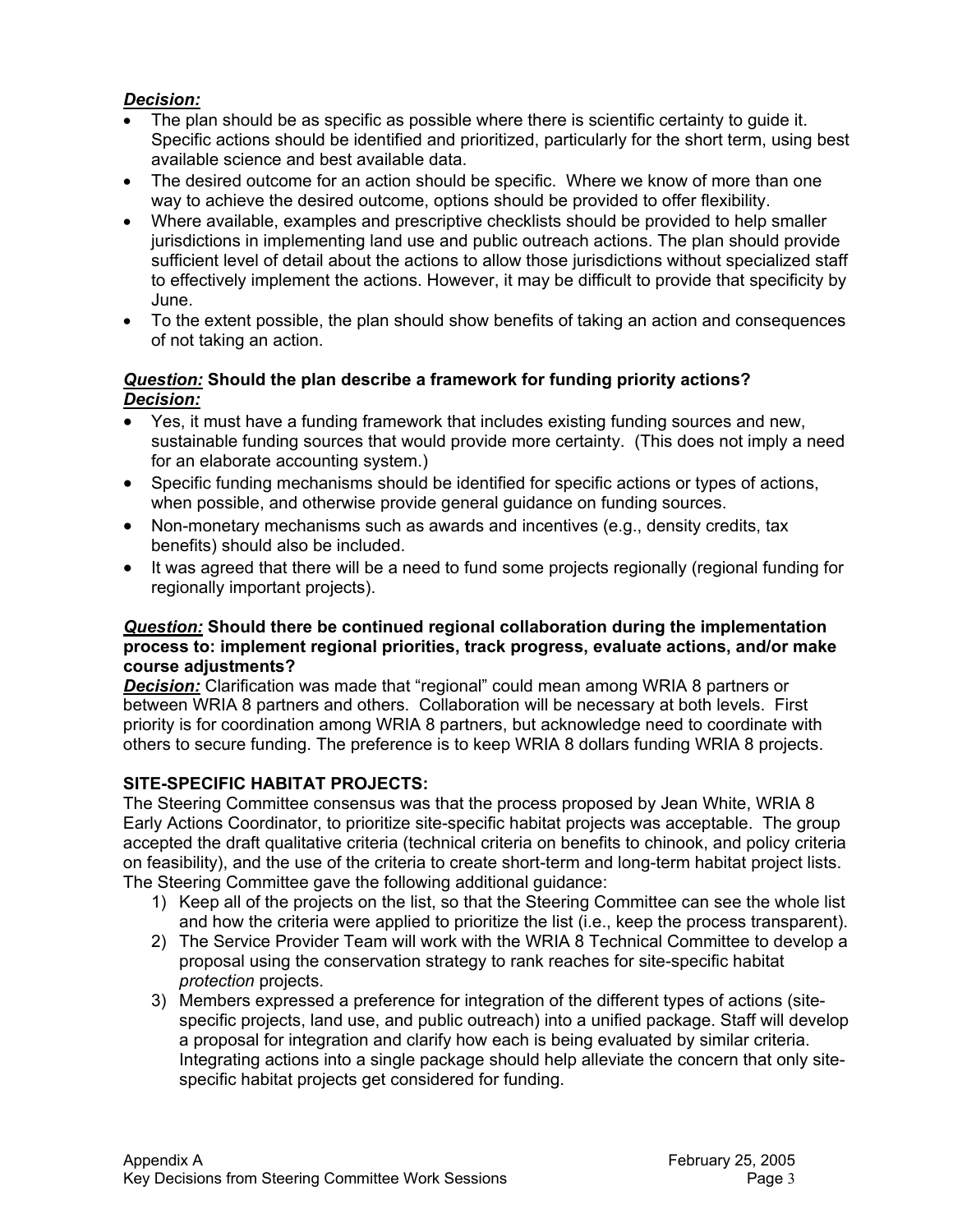## *Decision:*

- The plan should be as specific as possible where there is scientific certainty to guide it. Specific actions should be identified and prioritized, particularly for the short term, using best available science and best available data.
- The desired outcome for an action should be specific. Where we know of more than one way to achieve the desired outcome, options should be provided to offer flexibility.
- Where available, examples and prescriptive checklists should be provided to help smaller jurisdictions in implementing land use and public outreach actions. The plan should provide sufficient level of detail about the actions to allow those jurisdictions without specialized staff to effectively implement the actions. However, it may be difficult to provide that specificity by June.
- To the extent possible, the plan should show benefits of taking an action and consequences of not taking an action.

#### *Question:* **Should the plan describe a framework for funding priority actions?**  *Decision:*

- Yes, it must have a funding framework that includes existing funding sources and new, sustainable funding sources that would provide more certainty. (This does not imply a need for an elaborate accounting system.)
- Specific funding mechanisms should be identified for specific actions or types of actions, when possible, and otherwise provide general guidance on funding sources.
- Non-monetary mechanisms such as awards and incentives (e.g., density credits, tax benefits) should also be included.
- It was agreed that there will be a need to fund some projects regionally (regional funding for regionally important projects).

#### *Question:* **Should there be continued regional collaboration during the implementation process to: implement regional priorities, track progress, evaluate actions, and/or make course adjustments?**

**Decision:** Clarification was made that "regional" could mean among WRIA 8 partners or between WRIA 8 partners and others. Collaboration will be necessary at both levels. First priority is for coordination among WRIA 8 partners, but acknowledge need to coordinate with others to secure funding. The preference is to keep WRIA 8 dollars funding WRIA 8 projects.

## **SITE-SPECIFIC HABITAT PROJECTS:**

The Steering Committee consensus was that the process proposed by Jean White, WRIA 8 Early Actions Coordinator, to prioritize site-specific habitat projects was acceptable. The group accepted the draft qualitative criteria (technical criteria on benefits to chinook, and policy criteria on feasibility), and the use of the criteria to create short-term and long-term habitat project lists. The Steering Committee gave the following additional guidance:

- 1) Keep all of the projects on the list, so that the Steering Committee can see the whole list and how the criteria were applied to prioritize the list (i.e., keep the process transparent).
- 2) The Service Provider Team will work with the WRIA 8 Technical Committee to develop a proposal using the conservation strategy to rank reaches for site-specific habitat *protection* projects.
- 3) Members expressed a preference for integration of the different types of actions (sitespecific projects, land use, and public outreach) into a unified package. Staff will develop a proposal for integration and clarify how each is being evaluated by similar criteria. Integrating actions into a single package should help alleviate the concern that only sitespecific habitat projects get considered for funding.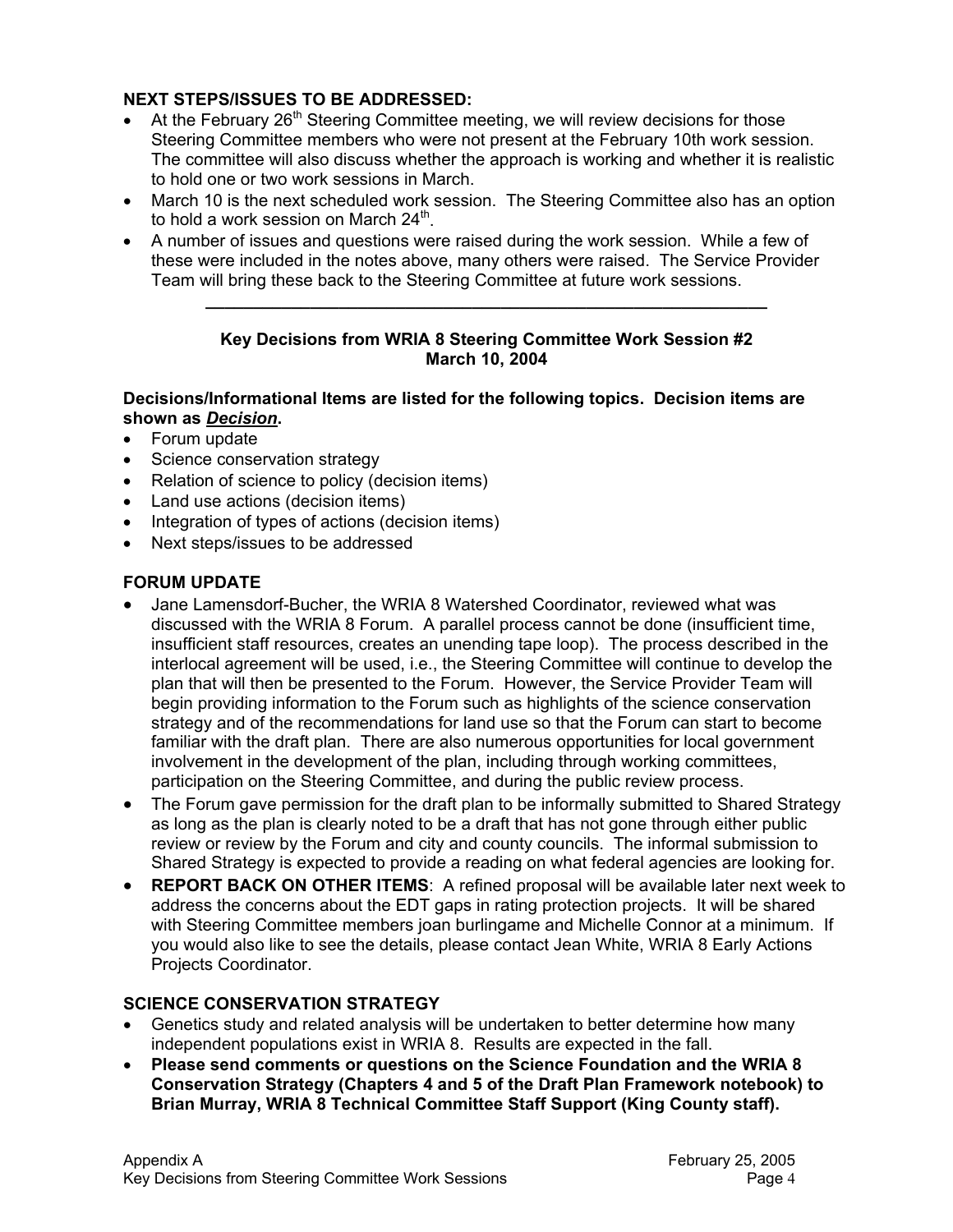## **NEXT STEPS/ISSUES TO BE ADDRESSED:**

- At the February  $26<sup>th</sup>$  Steering Committee meeting, we will review decisions for those Steering Committee members who were not present at the February 10th work session. The committee will also discuss whether the approach is working and whether it is realistic to hold one or two work sessions in March.
- March 10 is the next scheduled work session. The Steering Committee also has an option to hold a work session on March  $24^{\text{th}}$ .
- A number of issues and questions were raised during the work session. While a few of these were included in the notes above, many others were raised. The Service Provider Team will bring these back to the Steering Committee at future work sessions.

#### **Key Decisions from WRIA 8 Steering Committee Work Session #2 March 10, 2004**

**\_\_\_\_\_\_\_\_\_\_\_\_\_\_\_\_\_\_\_\_\_\_\_\_\_\_\_\_\_\_\_\_\_\_\_\_\_\_\_\_\_\_\_\_\_\_\_\_\_\_\_\_\_\_\_\_\_\_\_** 

### **Decisions/Informational Items are listed for the following topics. Decision items are shown as** *Decision***.**

- Forum update
- Science conservation strategy
- Relation of science to policy (decision items)
- Land use actions (decision items)
- Integration of types of actions (decision items)
- Next steps/issues to be addressed

# **FORUM UPDATE**

- Jane Lamensdorf-Bucher, the WRIA 8 Watershed Coordinator, reviewed what was discussed with the WRIA 8 Forum. A parallel process cannot be done (insufficient time, insufficient staff resources, creates an unending tape loop). The process described in the interlocal agreement will be used, i.e., the Steering Committee will continue to develop the plan that will then be presented to the Forum. However, the Service Provider Team will begin providing information to the Forum such as highlights of the science conservation strategy and of the recommendations for land use so that the Forum can start to become familiar with the draft plan. There are also numerous opportunities for local government involvement in the development of the plan, including through working committees, participation on the Steering Committee, and during the public review process.
- The Forum gave permission for the draft plan to be informally submitted to Shared Strategy as long as the plan is clearly noted to be a draft that has not gone through either public review or review by the Forum and city and county councils. The informal submission to Shared Strategy is expected to provide a reading on what federal agencies are looking for.
- **REPORT BACK ON OTHER ITEMS**: A refined proposal will be available later next week to address the concerns about the EDT gaps in rating protection projects. It will be shared with Steering Committee members joan burlingame and Michelle Connor at a minimum. If you would also like to see the details, please contact Jean White, WRIA 8 Early Actions Projects Coordinator.

# **SCIENCE CONSERVATION STRATEGY**

- Genetics study and related analysis will be undertaken to better determine how many independent populations exist in WRIA 8. Results are expected in the fall.
- **Please send comments or questions on the Science Foundation and the WRIA 8 Conservation Strategy (Chapters 4 and 5 of the Draft Plan Framework notebook) to Brian Murray, WRIA 8 Technical Committee Staff Support (King County staff).**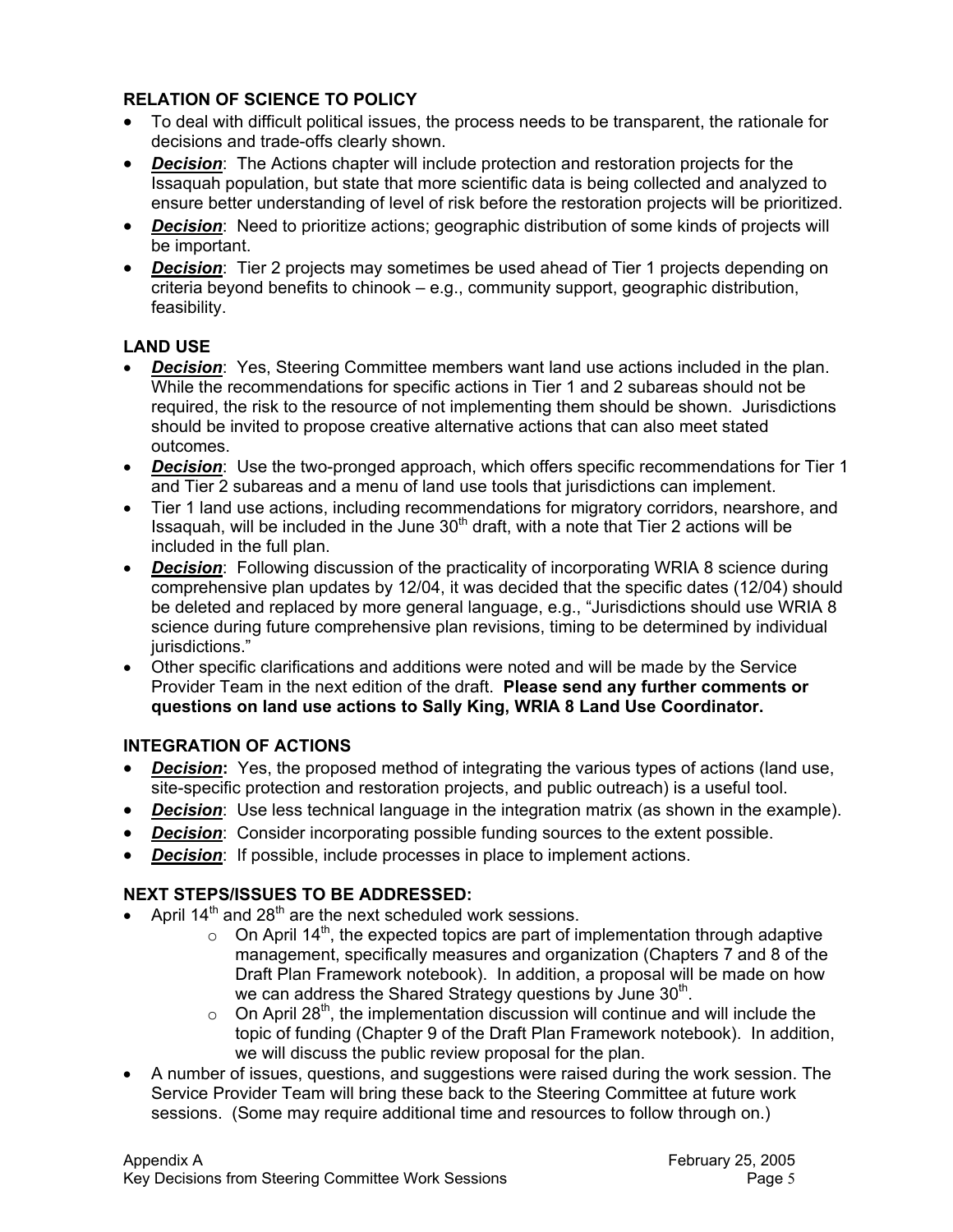## **RELATION OF SCIENCE TO POLICY**

- To deal with difficult political issues, the process needs to be transparent, the rationale for decisions and trade-offs clearly shown.
- *Decision*: The Actions chapter will include protection and restoration projects for the Issaquah population, but state that more scientific data is being collected and analyzed to ensure better understanding of level of risk before the restoration projects will be prioritized.
- *Decision*: Need to prioritize actions; geographic distribution of some kinds of projects will be important.
- *Decision*: Tier 2 projects may sometimes be used ahead of Tier 1 projects depending on criteria beyond benefits to chinook – e.g., community support, geographic distribution, feasibility.

# **LAND USE**

- **Decision:** Yes, Steering Committee members want land use actions included in the plan. While the recommendations for specific actions in Tier 1 and 2 subareas should not be required, the risk to the resource of not implementing them should be shown. Jurisdictions should be invited to propose creative alternative actions that can also meet stated outcomes.
- *Decision*: Use the two-pronged approach, which offers specific recommendations for Tier 1 and Tier 2 subareas and a menu of land use tools that jurisdictions can implement.
- Tier 1 land use actions, including recommendations for migratory corridors, nearshore, and Issaquah, will be included in the June  $30<sup>th</sup>$  draft, with a note that Tier 2 actions will be included in the full plan.
- *Decision*: Following discussion of the practicality of incorporating WRIA 8 science during comprehensive plan updates by 12/04, it was decided that the specific dates (12/04) should be deleted and replaced by more general language, e.g., "Jurisdictions should use WRIA 8 science during future comprehensive plan revisions, timing to be determined by individual iurisdictions."
- Other specific clarifications and additions were noted and will be made by the Service Provider Team in the next edition of the draft. **Please send any further comments or questions on land use actions to Sally King, WRIA 8 Land Use Coordinator.**

## **INTEGRATION OF ACTIONS**

- *Decision:* Yes, the proposed method of integrating the various types of actions (land use, site-specific protection and restoration projects, and public outreach) is a useful tool.
- **Decision:** Use less technical language in the integration matrix (as shown in the example).
- *Decision:* Consider incorporating possible funding sources to the extent possible.
- **Decision:** If possible, include processes in place to implement actions.

# **NEXT STEPS/ISSUES TO BE ADDRESSED:**

- April  $14<sup>th</sup>$  and  $28<sup>th</sup>$  are the next scheduled work sessions.
	- $\circ$  On April 14<sup>th</sup>, the expected topics are part of implementation through adaptive management, specifically measures and organization (Chapters 7 and 8 of the Draft Plan Framework notebook). In addition, a proposal will be made on how we can address the Shared Strategy questions by June 30<sup>th</sup>.
	- $\circ$  On April 28<sup>th</sup>, the implementation discussion will continue and will include the topic of funding (Chapter 9 of the Draft Plan Framework notebook). In addition, we will discuss the public review proposal for the plan.
- A number of issues, questions, and suggestions were raised during the work session. The Service Provider Team will bring these back to the Steering Committee at future work sessions. (Some may require additional time and resources to follow through on.)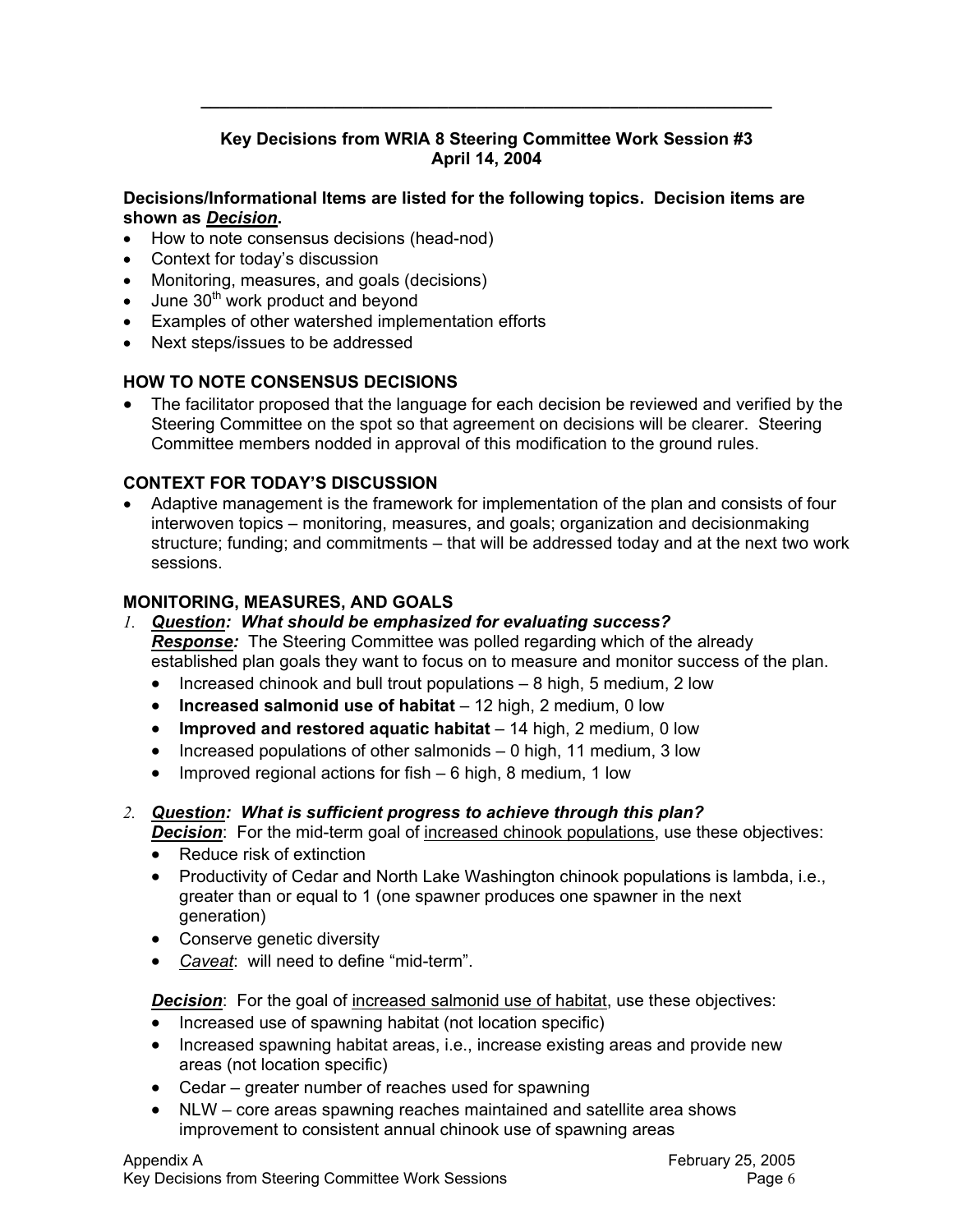## **Key Decisions from WRIA 8 Steering Committee Work Session #3 April 14, 2004**

**\_\_\_\_\_\_\_\_\_\_\_\_\_\_\_\_\_\_\_\_\_\_\_\_\_\_\_\_\_\_\_\_\_\_\_\_\_\_\_\_\_\_\_\_\_\_\_\_\_\_\_\_\_\_\_\_\_\_\_\_** 

#### **Decisions/Informational Items are listed for the following topics. Decision items are shown as** *Decision***.**

- How to note consensus decisions (head-nod)
- Context for today's discussion
- Monitoring, measures, and goals (decisions)
- June  $30<sup>th</sup>$  work product and beyond
- Examples of other watershed implementation efforts
- Next steps/issues to be addressed

#### **HOW TO NOTE CONSENSUS DECISIONS**

• The facilitator proposed that the language for each decision be reviewed and verified by the Steering Committee on the spot so that agreement on decisions will be clearer. Steering Committee members nodded in approval of this modification to the ground rules.

#### **CONTEXT FOR TODAY'S DISCUSSION**

• Adaptive management is the framework for implementation of the plan and consists of four interwoven topics – monitoring, measures, and goals; organization and decisionmaking structure; funding; and commitments – that will be addressed today and at the next two work sessions.

#### **MONITORING, MEASURES, AND GOALS**

- *1. Question: What should be emphasized for evaluating success?* **Response:** The Steering Committee was polled regarding which of the already established plan goals they want to focus on to measure and monitor success of the plan.
	- Increased chinook and bull trout populations  $-8$  high, 5 medium, 2 low
	- **Increased salmonid use of habitat** 12 high, 2 medium, 0 low
	- **Improved and restored aquatic habitat** 14 high, 2 medium, 0 low
	- Increased populations of other salmonids 0 high, 11 medium, 3 low
	- Improved regional actions for fish  $-6$  high, 8 medium, 1 low

# *2. Question: What is sufficient progress to achieve through this plan?*

*Decision*: For the mid-term goal of increased chinook populations, use these objectives:

- Reduce risk of extinction
- Productivity of Cedar and North Lake Washington chinook populations is lambda, i.e., greater than or equal to 1 (one spawner produces one spawner in the next generation)
- Conserve genetic diversity
- *Caveat*: will need to define "mid-term".

**Decision:** For the goal of increased salmonid use of habitat, use these objectives:

- Increased use of spawning habitat (not location specific)
- Increased spawning habitat areas, i.e., increase existing areas and provide new areas (not location specific)
- Cedar greater number of reaches used for spawning
- NLW core areas spawning reaches maintained and satellite area shows improvement to consistent annual chinook use of spawning areas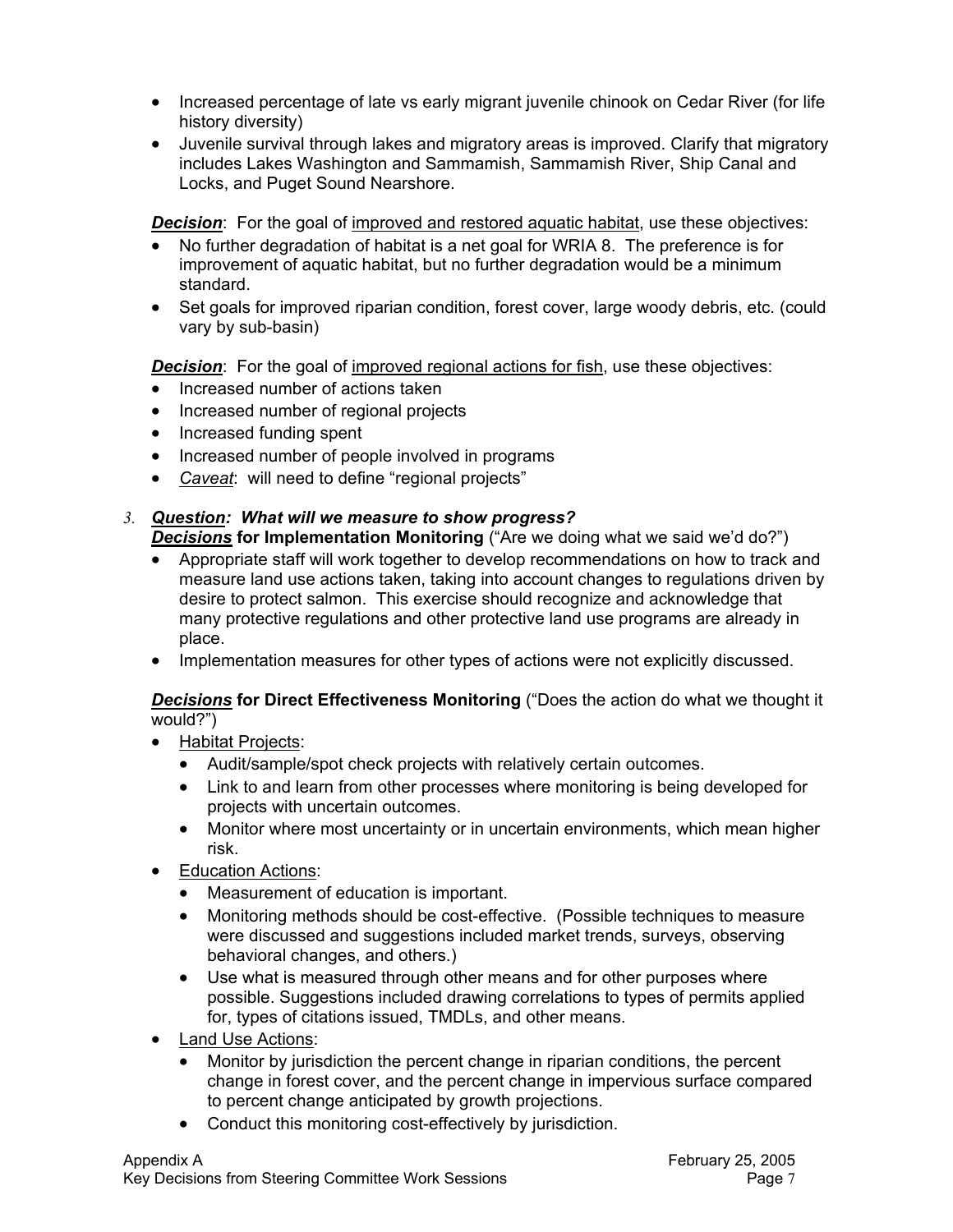- Increased percentage of late vs early migrant juvenile chinook on Cedar River (for life history diversity)
- Juvenile survival through lakes and migratory areas is improved. Clarify that migratory includes Lakes Washington and Sammamish, Sammamish River, Ship Canal and Locks, and Puget Sound Nearshore.

**Decision:** For the goal of improved and restored aquatic habitat, use these objectives:

- No further degradation of habitat is a net goal for WRIA 8. The preference is for improvement of aquatic habitat, but no further degradation would be a minimum standard.
- Set goals for improved riparian condition, forest cover, large woody debris, etc. (could vary by sub-basin)

**Decision:** For the goal of improved regional actions for fish, use these objectives:

- Increased number of actions taken
- Increased number of regional projects
- Increased funding spent
- Increased number of people involved in programs
- *Caveat*: will need to define "regional projects"

# *3. Question: What will we measure to show progress?*

*Decisions* **for Implementation Monitoring** ("Are we doing what we said we'd do?")

- Appropriate staff will work together to develop recommendations on how to track and measure land use actions taken, taking into account changes to regulations driven by desire to protect salmon. This exercise should recognize and acknowledge that many protective regulations and other protective land use programs are already in place.
- Implementation measures for other types of actions were not explicitly discussed.

#### *Decisions* **for Direct Effectiveness Monitoring** ("Does the action do what we thought it would?")

- Habitat Projects:
	- Audit/sample/spot check projects with relatively certain outcomes.
	- Link to and learn from other processes where monitoring is being developed for projects with uncertain outcomes.
	- Monitor where most uncertainty or in uncertain environments, which mean higher risk.
- Education Actions:
	- Measurement of education is important.
	- Monitoring methods should be cost-effective. (Possible techniques to measure were discussed and suggestions included market trends, surveys, observing behavioral changes, and others.)
	- Use what is measured through other means and for other purposes where possible. Suggestions included drawing correlations to types of permits applied for, types of citations issued, TMDLs, and other means.
- Land Use Actions:
	- Monitor by jurisdiction the percent change in riparian conditions, the percent change in forest cover, and the percent change in impervious surface compared to percent change anticipated by growth projections.
	- Conduct this monitoring cost-effectively by jurisdiction.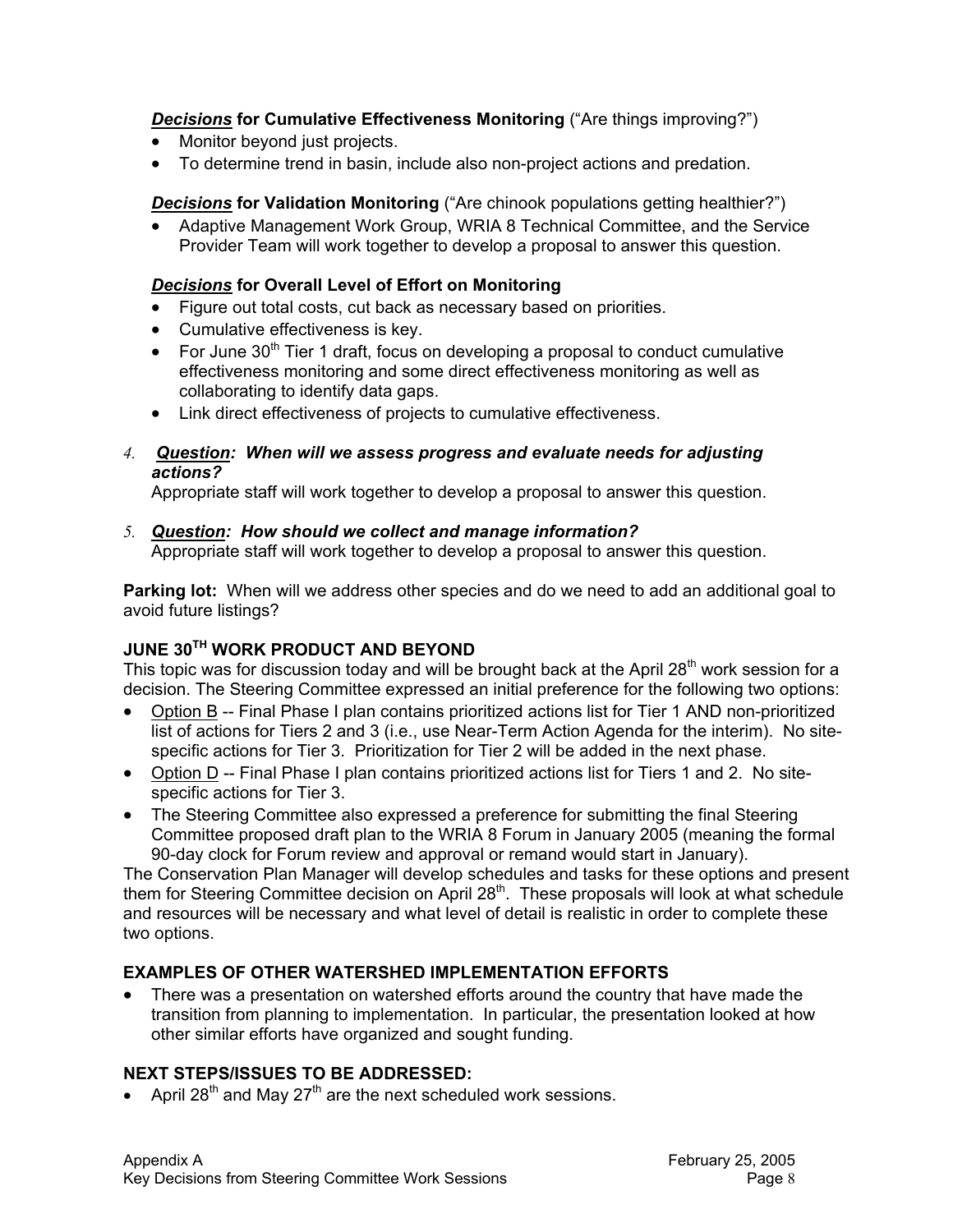*Decisions* **for Cumulative Effectiveness Monitoring** ("Are things improving?")

- Monitor beyond just projects.
- To determine trend in basin, include also non-project actions and predation.

**Decisions** for Validation Monitoring ("Are chinook populations getting healthier?")

• Adaptive Management Work Group, WRIA 8 Technical Committee, and the Service Provider Team will work together to develop a proposal to answer this question.

## *Decisions* **for Overall Level of Effort on Monitoring**

- Figure out total costs, cut back as necessary based on priorities.
- Cumulative effectiveness is key.
- For June  $30<sup>th</sup>$  Tier 1 draft, focus on developing a proposal to conduct cumulative effectiveness monitoring and some direct effectiveness monitoring as well as collaborating to identify data gaps.
- Link direct effectiveness of projects to cumulative effectiveness.
- *4. Question: When will we assess progress and evaluate needs for adjusting actions?*

Appropriate staff will work together to develop a proposal to answer this question.

# *5. Question: How should we collect and manage information?*

Appropriate staff will work together to develop a proposal to answer this question.

**Parking lot:** When will we address other species and do we need to add an additional goal to avoid future listings?

# **JUNE 30TH WORK PRODUCT AND BEYOND**

This topic was for discussion today and will be brought back at the April  $28<sup>th</sup>$  work session for a decision. The Steering Committee expressed an initial preference for the following two options:

- Option B -- Final Phase I plan contains prioritized actions list for Tier 1 AND non-prioritized list of actions for Tiers 2 and 3 (i.e., use Near-Term Action Agenda for the interim). No sitespecific actions for Tier 3. Prioritization for Tier 2 will be added in the next phase.
- Option D -- Final Phase I plan contains prioritized actions list for Tiers 1 and 2. No sitespecific actions for Tier 3.
- The Steering Committee also expressed a preference for submitting the final Steering Committee proposed draft plan to the WRIA 8 Forum in January 2005 (meaning the formal 90-day clock for Forum review and approval or remand would start in January).

The Conservation Plan Manager will develop schedules and tasks for these options and present them for Steering Committee decision on April 28<sup>th</sup>. These proposals will look at what schedule and resources will be necessary and what level of detail is realistic in order to complete these two options.

# **EXAMPLES OF OTHER WATERSHED IMPLEMENTATION EFFORTS**

• There was a presentation on watershed efforts around the country that have made the transition from planning to implementation. In particular, the presentation looked at how other similar efforts have organized and sought funding.

# **NEXT STEPS/ISSUES TO BE ADDRESSED:**

• April 28<sup>th</sup> and May 27<sup>th</sup> are the next scheduled work sessions.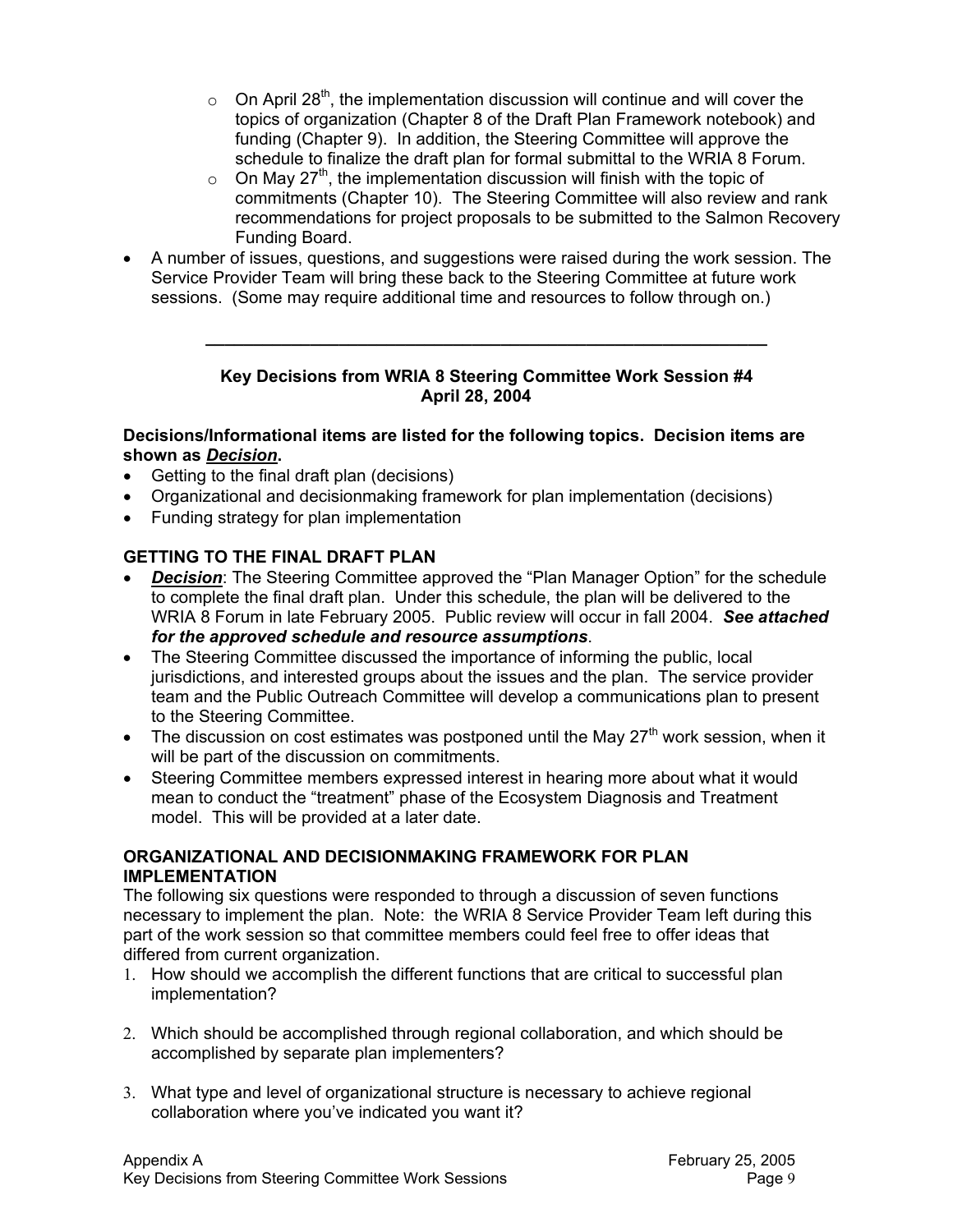- $\circ$  On April 28<sup>th</sup>, the implementation discussion will continue and will cover the topics of organization (Chapter 8 of the Draft Plan Framework notebook) and funding (Chapter 9). In addition, the Steering Committee will approve the schedule to finalize the draft plan for formal submittal to the WRIA 8 Forum.
- $\circ$  On May 27<sup>th</sup>, the implementation discussion will finish with the topic of commitments (Chapter 10). The Steering Committee will also review and rank recommendations for project proposals to be submitted to the Salmon Recovery Funding Board.
- A number of issues, questions, and suggestions were raised during the work session. The Service Provider Team will bring these back to the Steering Committee at future work sessions. (Some may require additional time and resources to follow through on.)

#### **Key Decisions from WRIA 8 Steering Committee Work Session #4 April 28, 2004**

**\_\_\_\_\_\_\_\_\_\_\_\_\_\_\_\_\_\_\_\_\_\_\_\_\_\_\_\_\_\_\_\_\_\_\_\_\_\_\_\_\_\_\_\_\_\_\_\_\_\_\_\_\_\_\_\_\_\_\_** 

#### **Decisions/Informational items are listed for the following topics. Decision items are shown as** *Decision***.**

- Getting to the final draft plan (decisions)
- Organizational and decisionmaking framework for plan implementation (decisions)
- Funding strategy for plan implementation

# **GETTING TO THE FINAL DRAFT PLAN**

- *Decision:* The Steering Committee approved the "Plan Manager Option" for the schedule to complete the final draft plan. Under this schedule, the plan will be delivered to the WRIA 8 Forum in late February 2005. Public review will occur in fall 2004. *See attached for the approved schedule and resource assumptions*.
- The Steering Committee discussed the importance of informing the public, local jurisdictions, and interested groups about the issues and the plan. The service provider team and the Public Outreach Committee will develop a communications plan to present to the Steering Committee.
- The discussion on cost estimates was postponed until the May  $27<sup>th</sup>$  work session, when it will be part of the discussion on commitments.
- Steering Committee members expressed interest in hearing more about what it would mean to conduct the "treatment" phase of the Ecosystem Diagnosis and Treatment model. This will be provided at a later date.

#### **ORGANIZATIONAL AND DECISIONMAKING FRAMEWORK FOR PLAN IMPLEMENTATION**

The following six questions were responded to through a discussion of seven functions necessary to implement the plan. Note: the WRIA 8 Service Provider Team left during this part of the work session so that committee members could feel free to offer ideas that differed from current organization.

- 1. How should we accomplish the different functions that are critical to successful plan implementation?
- 2. Which should be accomplished through regional collaboration, and which should be accomplished by separate plan implementers?
- 3. What type and level of organizational structure is necessary to achieve regional collaboration where you've indicated you want it?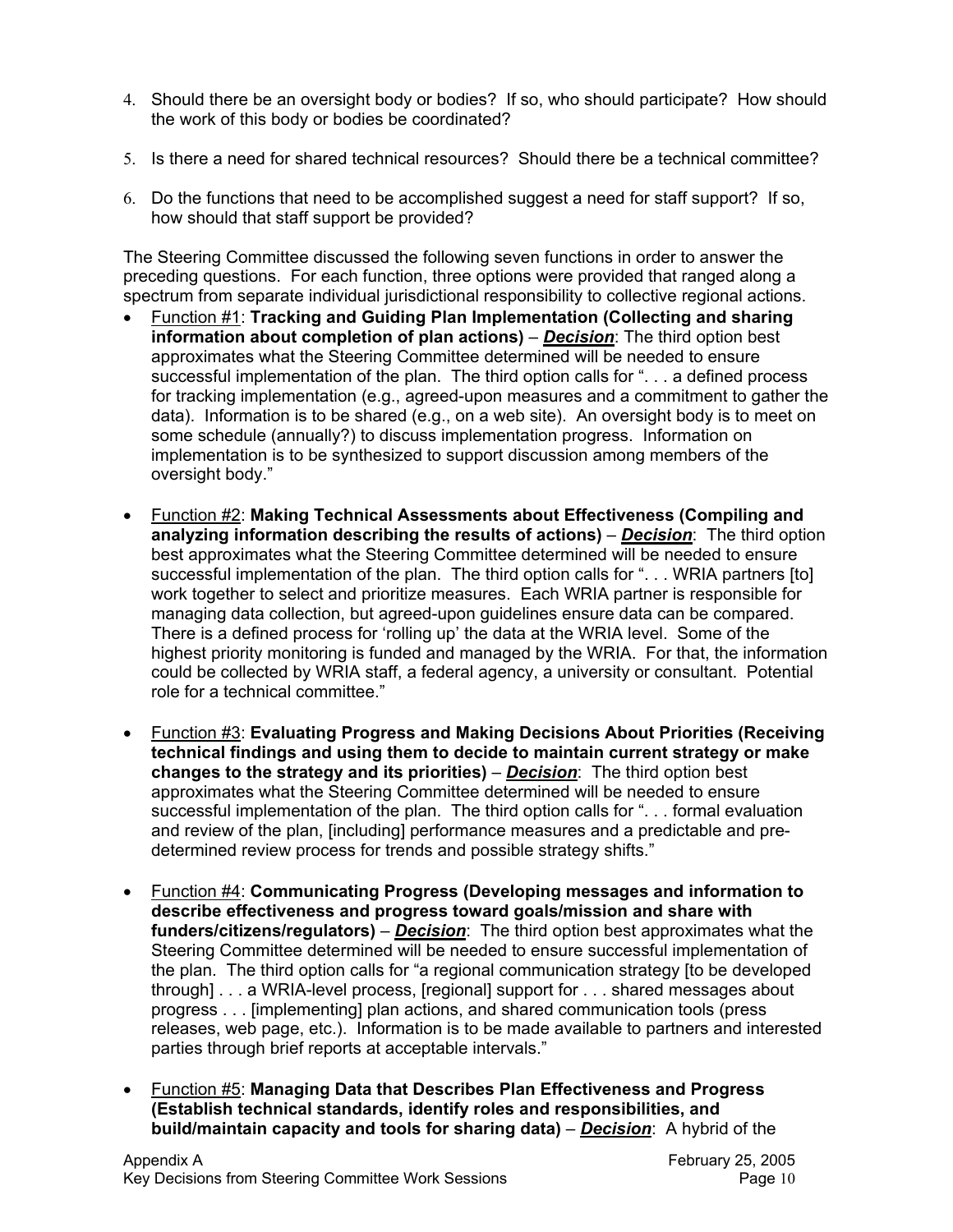- 4. Should there be an oversight body or bodies? If so, who should participate? How should the work of this body or bodies be coordinated?
- 5. Is there a need for shared technical resources? Should there be a technical committee?
- 6. Do the functions that need to be accomplished suggest a need for staff support? If so, how should that staff support be provided?

The Steering Committee discussed the following seven functions in order to answer the preceding questions. For each function, three options were provided that ranged along a spectrum from separate individual jurisdictional responsibility to collective regional actions.

- Function #1: **Tracking and Guiding Plan Implementation (Collecting and sharing information about completion of plan actions)** – *Decision*: The third option best approximates what the Steering Committee determined will be needed to ensure successful implementation of the plan. The third option calls for "... a defined process for tracking implementation (e.g., agreed-upon measures and a commitment to gather the data). Information is to be shared (e.g., on a web site). An oversight body is to meet on some schedule (annually?) to discuss implementation progress. Information on implementation is to be synthesized to support discussion among members of the oversight body."
- Function #2: **Making Technical Assessments about Effectiveness (Compiling and analyzing information describing the results of actions)** – *Decision*: The third option best approximates what the Steering Committee determined will be needed to ensure successful implementation of the plan. The third option calls for "... WRIA partners [to] work together to select and prioritize measures. Each WRIA partner is responsible for managing data collection, but agreed-upon guidelines ensure data can be compared. There is a defined process for 'rolling up' the data at the WRIA level. Some of the highest priority monitoring is funded and managed by the WRIA. For that, the information could be collected by WRIA staff, a federal agency, a university or consultant. Potential role for a technical committee."
- Function #3: **Evaluating Progress and Making Decisions About Priorities (Receiving technical findings and using them to decide to maintain current strategy or make changes to the strategy and its priorities)** – *Decision*: The third option best approximates what the Steering Committee determined will be needed to ensure successful implementation of the plan. The third option calls for ". . . formal evaluation and review of the plan, [including] performance measures and a predictable and predetermined review process for trends and possible strategy shifts."
- Function #4: **Communicating Progress (Developing messages and information to describe effectiveness and progress toward goals/mission and share with funders/citizens/regulators)** – *Decision*: The third option best approximates what the Steering Committee determined will be needed to ensure successful implementation of the plan. The third option calls for "a regional communication strategy [to be developed through] . . . a WRIA-level process, [regional] support for . . . shared messages about progress . . . [implementing] plan actions, and shared communication tools (press releases, web page, etc.). Information is to be made available to partners and interested parties through brief reports at acceptable intervals."
- Function #5: **Managing Data that Describes Plan Effectiveness and Progress (Establish technical standards, identify roles and responsibilities, and build/maintain capacity and tools for sharing data)** – *Decision*: A hybrid of the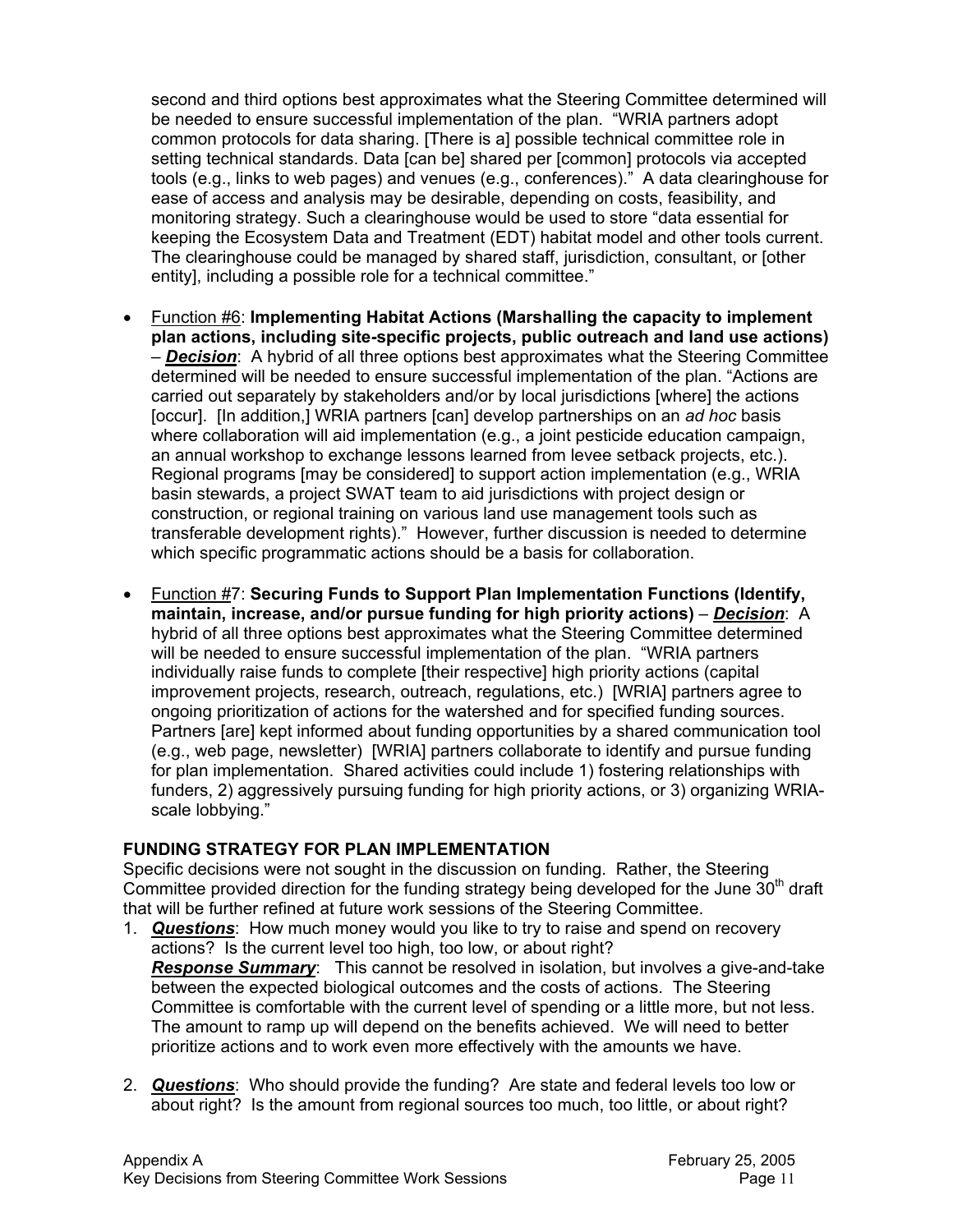second and third options best approximates what the Steering Committee determined will be needed to ensure successful implementation of the plan. "WRIA partners adopt common protocols for data sharing. [There is a] possible technical committee role in setting technical standards. Data [can be] shared per [common] protocols via accepted tools (e.g., links to web pages) and venues (e.g., conferences)." A data clearinghouse for ease of access and analysis may be desirable, depending on costs, feasibility, and monitoring strategy. Such a clearinghouse would be used to store "data essential for keeping the Ecosystem Data and Treatment (EDT) habitat model and other tools current. The clearinghouse could be managed by shared staff, jurisdiction, consultant, or [other entity], including a possible role for a technical committee."

- Function #6: **Implementing Habitat Actions (Marshalling the capacity to implement plan actions, including site-specific projects, public outreach and land use actions)** – *Decision*: A hybrid of all three options best approximates what the Steering Committee determined will be needed to ensure successful implementation of the plan. "Actions are carried out separately by stakeholders and/or by local jurisdictions [where] the actions [occur]. [In addition,] WRIA partners [can] develop partnerships on an *ad hoc* basis where collaboration will aid implementation (e.g., a joint pesticide education campaign, an annual workshop to exchange lessons learned from levee setback projects, etc.). Regional programs [may be considered] to support action implementation (e.g., WRIA basin stewards, a project SWAT team to aid jurisdictions with project design or construction, or regional training on various land use management tools such as transferable development rights)." However, further discussion is needed to determine which specific programmatic actions should be a basis for collaboration.
- Function #7: **Securing Funds to Support Plan Implementation Functions (Identify, maintain, increase, and/or pursue funding for high priority actions)** – *Decision*: A hybrid of all three options best approximates what the Steering Committee determined will be needed to ensure successful implementation of the plan. "WRIA partners individually raise funds to complete [their respective] high priority actions (capital improvement projects, research, outreach, regulations, etc.) [WRIA] partners agree to ongoing prioritization of actions for the watershed and for specified funding sources. Partners [are] kept informed about funding opportunities by a shared communication tool (e.g., web page, newsletter) [WRIA] partners collaborate to identify and pursue funding for plan implementation. Shared activities could include 1) fostering relationships with funders, 2) aggressively pursuing funding for high priority actions, or 3) organizing WRIAscale lobbying."

#### **FUNDING STRATEGY FOR PLAN IMPLEMENTATION**

Specific decisions were not sought in the discussion on funding. Rather, the Steering Committee provided direction for the funding strategy being developed for the June  $30<sup>th</sup>$  draft that will be further refined at future work sessions of the Steering Committee.

- 1. *Questions*: How much money would you like to try to raise and spend on recovery actions? Is the current level too high, too low, or about right? *Response Summary*: This cannot be resolved in isolation, but involves a give-and-take between the expected biological outcomes and the costs of actions. The Steering Committee is comfortable with the current level of spending or a little more, but not less. The amount to ramp up will depend on the benefits achieved. We will need to better prioritize actions and to work even more effectively with the amounts we have.
- 2. *Questions*: Who should provide the funding? Are state and federal levels too low or about right? Is the amount from regional sources too much, too little, or about right?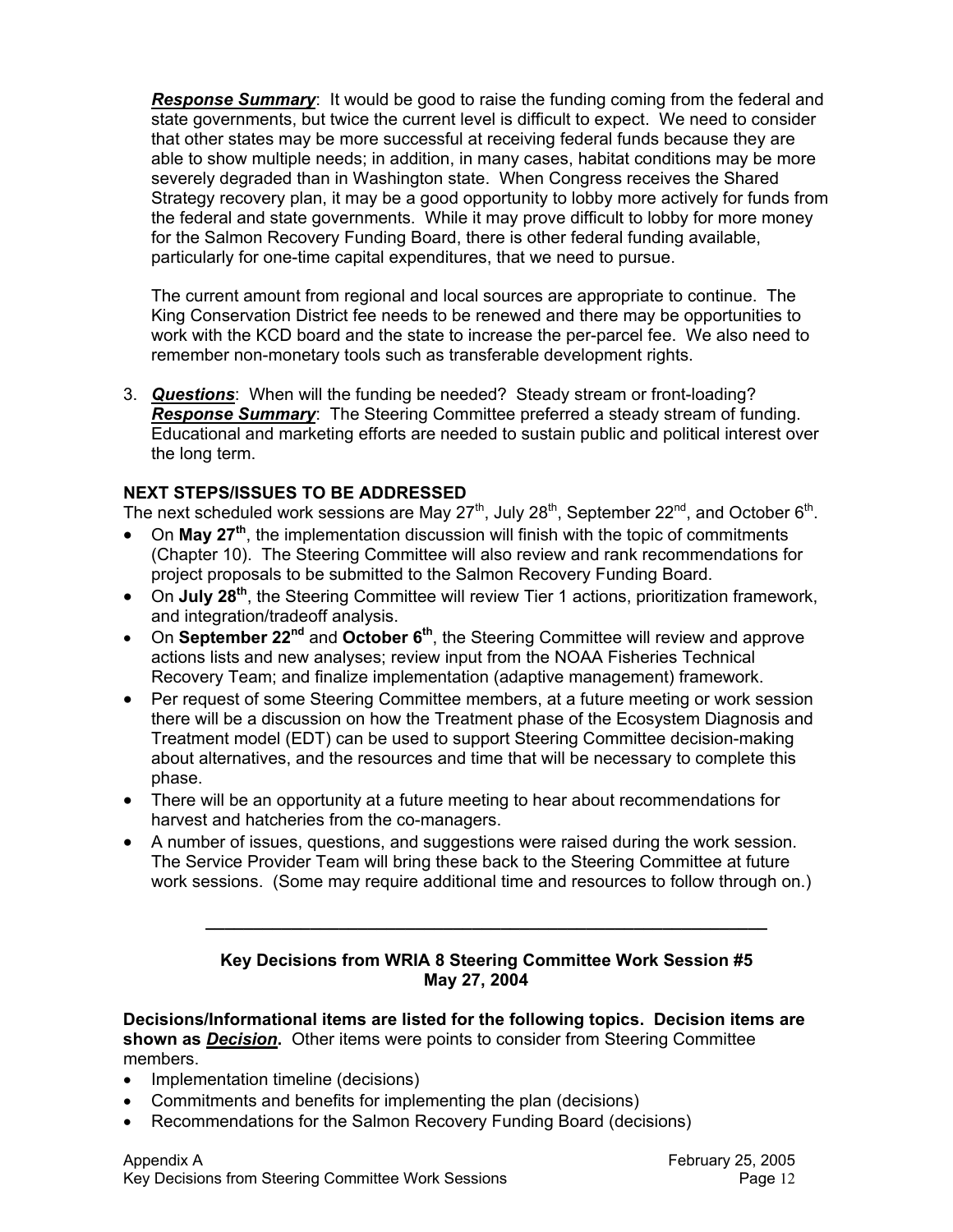*Response Summary*: It would be good to raise the funding coming from the federal and state governments, but twice the current level is difficult to expect. We need to consider that other states may be more successful at receiving federal funds because they are able to show multiple needs; in addition, in many cases, habitat conditions may be more severely degraded than in Washington state. When Congress receives the Shared Strategy recovery plan, it may be a good opportunity to lobby more actively for funds from the federal and state governments. While it may prove difficult to lobby for more money for the Salmon Recovery Funding Board, there is other federal funding available, particularly for one-time capital expenditures, that we need to pursue.

The current amount from regional and local sources are appropriate to continue. The King Conservation District fee needs to be renewed and there may be opportunities to work with the KCD board and the state to increase the per-parcel fee. We also need to remember non-monetary tools such as transferable development rights.

3. *Questions*: When will the funding be needed? Steady stream or front-loading? *Response Summary*: The Steering Committee preferred a steady stream of funding. Educational and marketing efforts are needed to sustain public and political interest over the long term.

#### **NEXT STEPS/ISSUES TO BE ADDRESSED**

The next scheduled work sessions are May  $27<sup>th</sup>$ , July  $28<sup>th</sup>$ , September  $22<sup>nd</sup>$ , and October  $6<sup>th</sup>$ .

- On **May 27th**, the implementation discussion will finish with the topic of commitments (Chapter 10). The Steering Committee will also review and rank recommendations for project proposals to be submitted to the Salmon Recovery Funding Board.
- On **July 28th**, the Steering Committee will review Tier 1 actions, prioritization framework, and integration/tradeoff analysis.
- On **September 22nd** and **October 6th**, the Steering Committee will review and approve actions lists and new analyses; review input from the NOAA Fisheries Technical Recovery Team; and finalize implementation (adaptive management) framework.
- Per request of some Steering Committee members, at a future meeting or work session there will be a discussion on how the Treatment phase of the Ecosystem Diagnosis and Treatment model (EDT) can be used to support Steering Committee decision-making about alternatives, and the resources and time that will be necessary to complete this phase.
- There will be an opportunity at a future meeting to hear about recommendations for harvest and hatcheries from the co-managers.
- A number of issues, questions, and suggestions were raised during the work session. The Service Provider Team will bring these back to the Steering Committee at future work sessions. (Some may require additional time and resources to follow through on.)

#### **Key Decisions from WRIA 8 Steering Committee Work Session #5 May 27, 2004**

**\_\_\_\_\_\_\_\_\_\_\_\_\_\_\_\_\_\_\_\_\_\_\_\_\_\_\_\_\_\_\_\_\_\_\_\_\_\_\_\_\_\_\_\_\_\_\_\_\_\_\_\_\_\_\_\_\_\_\_** 

**Decisions/Informational items are listed for the following topics. Decision items are shown as** *Decision***.** Other items were points to consider from Steering Committee members.

- Implementation timeline (decisions)
- Commitments and benefits for implementing the plan (decisions)
- Recommendations for the Salmon Recovery Funding Board (decisions)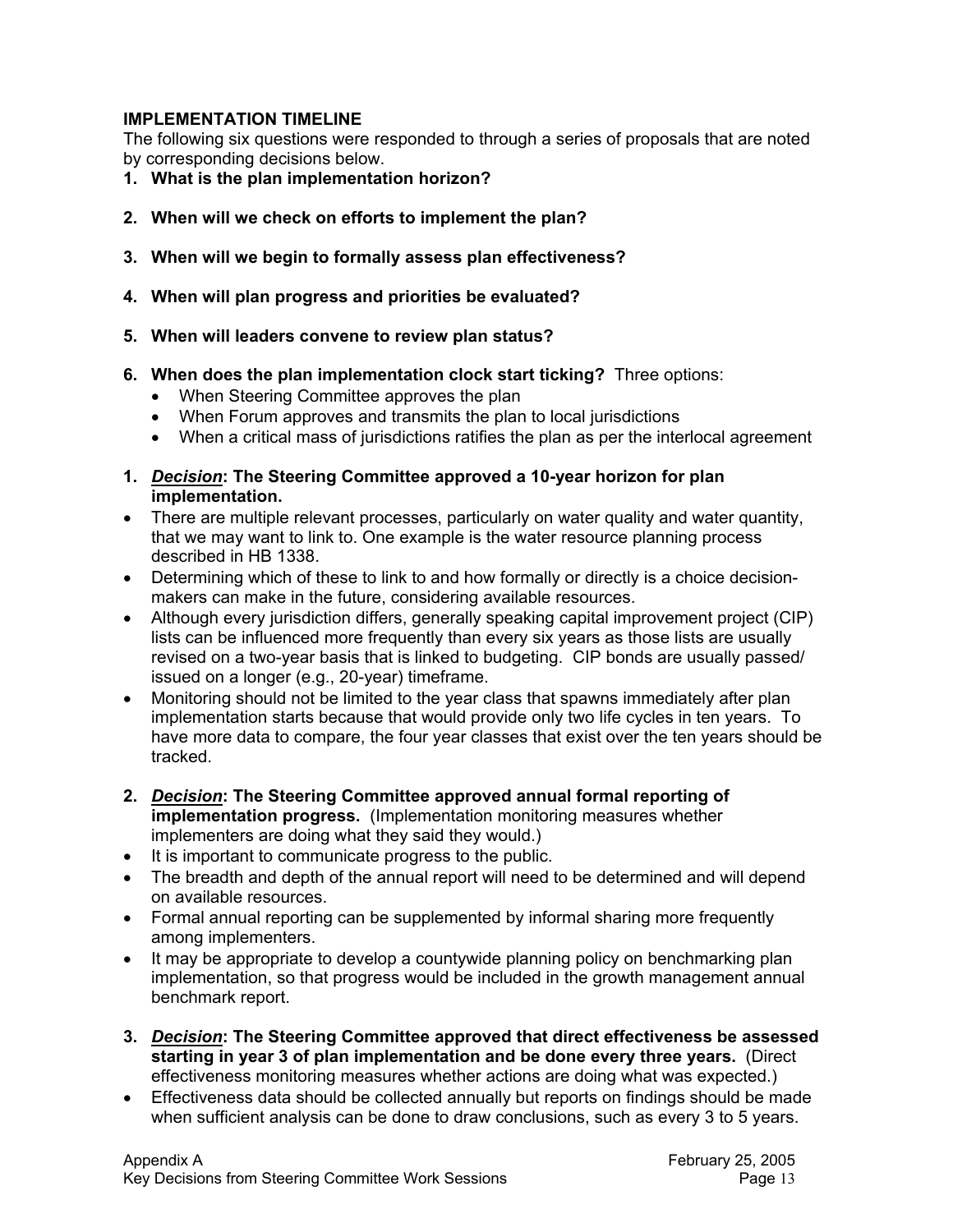#### **IMPLEMENTATION TIMELINE**

The following six questions were responded to through a series of proposals that are noted by corresponding decisions below.

- **1. What is the plan implementation horizon?**
- **2. When will we check on efforts to implement the plan?**
- **3. When will we begin to formally assess plan effectiveness?**
- **4. When will plan progress and priorities be evaluated?**
- **5. When will leaders convene to review plan status?**
- **6. When does the plan implementation clock start ticking?** Three options:
	- When Steering Committee approves the plan
	- When Forum approves and transmits the plan to local jurisdictions
	- When a critical mass of jurisdictions ratifies the plan as per the interlocal agreement
- **1.** *Decision***: The Steering Committee approved a 10-year horizon for plan implementation.**
- There are multiple relevant processes, particularly on water quality and water quantity, that we may want to link to. One example is the water resource planning process described in HB 1338.
- Determining which of these to link to and how formally or directly is a choice decisionmakers can make in the future, considering available resources.
- Although every jurisdiction differs, generally speaking capital improvement project (CIP) lists can be influenced more frequently than every six years as those lists are usually revised on a two-year basis that is linked to budgeting. CIP bonds are usually passed/ issued on a longer (e.g., 20-year) timeframe.
- Monitoring should not be limited to the year class that spawns immediately after plan implementation starts because that would provide only two life cycles in ten years. To have more data to compare, the four year classes that exist over the ten years should be tracked.
- **2.** *Decision***: The Steering Committee approved annual formal reporting of implementation progress.** (Implementation monitoring measures whether implementers are doing what they said they would.)
- It is important to communicate progress to the public.
- The breadth and depth of the annual report will need to be determined and will depend on available resources.
- Formal annual reporting can be supplemented by informal sharing more frequently among implementers.
- It may be appropriate to develop a countywide planning policy on benchmarking plan implementation, so that progress would be included in the growth management annual benchmark report.
- **3.** *Decision***: The Steering Committee approved that direct effectiveness be assessed starting in year 3 of plan implementation and be done every three years.** (Direct effectiveness monitoring measures whether actions are doing what was expected.)
- Effectiveness data should be collected annually but reports on findings should be made when sufficient analysis can be done to draw conclusions, such as every 3 to 5 years.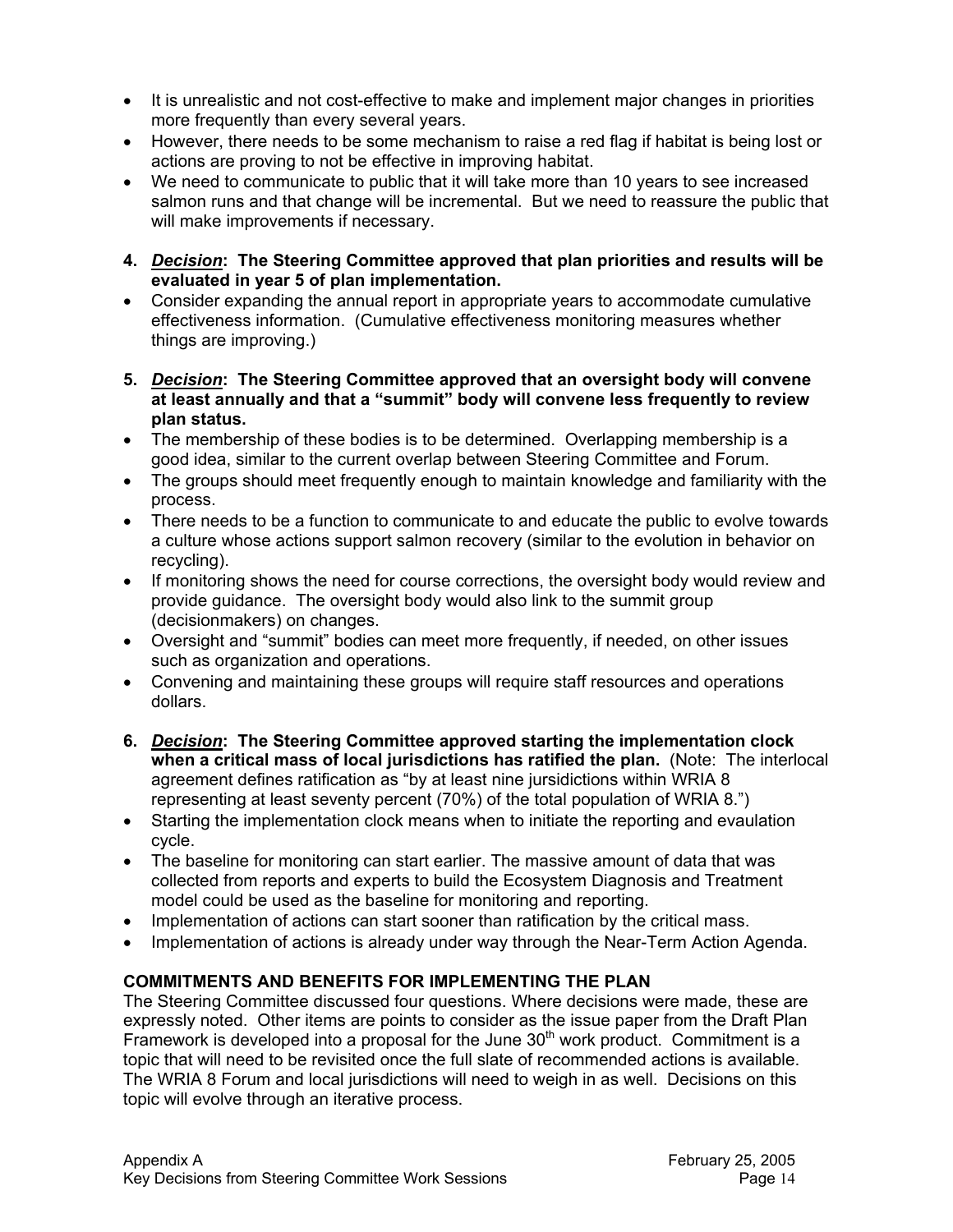- It is unrealistic and not cost-effective to make and implement major changes in priorities more frequently than every several years.
- However, there needs to be some mechanism to raise a red flag if habitat is being lost or actions are proving to not be effective in improving habitat.
- We need to communicate to public that it will take more than 10 years to see increased salmon runs and that change will be incremental. But we need to reassure the public that will make improvements if necessary.
- **4.** *Decision***: The Steering Committee approved that plan priorities and results will be evaluated in year 5 of plan implementation.**
- Consider expanding the annual report in appropriate years to accommodate cumulative effectiveness information. (Cumulative effectiveness monitoring measures whether things are improving.)
- **5.** *Decision***: The Steering Committee approved that an oversight body will convene at least annually and that a "summit" body will convene less frequently to review plan status.**
- The membership of these bodies is to be determined. Overlapping membership is a good idea, similar to the current overlap between Steering Committee and Forum.
- The groups should meet frequently enough to maintain knowledge and familiarity with the process.
- There needs to be a function to communicate to and educate the public to evolve towards a culture whose actions support salmon recovery (similar to the evolution in behavior on recycling).
- If monitoring shows the need for course corrections, the oversight body would review and provide guidance. The oversight body would also link to the summit group (decisionmakers) on changes.
- Oversight and "summit" bodies can meet more frequently, if needed, on other issues such as organization and operations.
- Convening and maintaining these groups will require staff resources and operations dollars.
- **6.** *Decision***: The Steering Committee approved starting the implementation clock when a critical mass of local jurisdictions has ratified the plan.** (Note: The interlocal agreement defines ratification as "by at least nine jursidictions within WRIA 8 representing at least seventy percent (70%) of the total population of WRIA 8.")
- Starting the implementation clock means when to initiate the reporting and evaulation cycle.
- The baseline for monitoring can start earlier. The massive amount of data that was collected from reports and experts to build the Ecosystem Diagnosis and Treatment model could be used as the baseline for monitoring and reporting.
- Implementation of actions can start sooner than ratification by the critical mass.
- Implementation of actions is already under way through the Near-Term Action Agenda.

## **COMMITMENTS AND BENEFITS FOR IMPLEMENTING THE PLAN**

The Steering Committee discussed four questions. Where decisions were made, these are expressly noted. Other items are points to consider as the issue paper from the Draft Plan Framework is developed into a proposal for the June  $30<sup>th</sup>$  work product. Commitment is a topic that will need to be revisited once the full slate of recommended actions is available. The WRIA 8 Forum and local jurisdictions will need to weigh in as well. Decisions on this topic will evolve through an iterative process.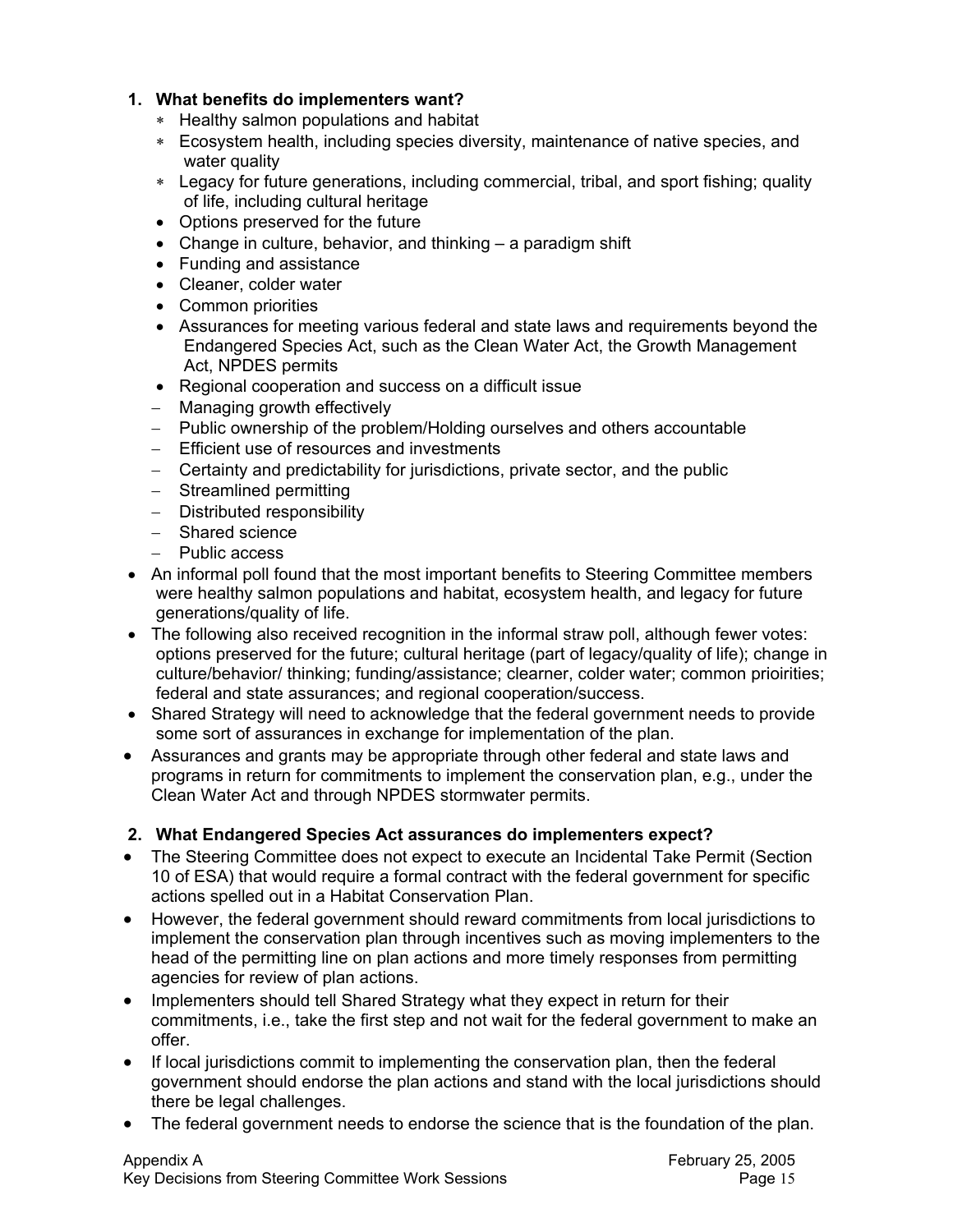## **1. What benefits do implementers want?**

- ∗ Healthy salmon populations and habitat
- ∗ Ecosystem health, including species diversity, maintenance of native species, and water quality
- ∗ Legacy for future generations, including commercial, tribal, and sport fishing; quality of life, including cultural heritage
- Options preserved for the future
- Change in culture, behavior, and thinking a paradigm shift
- Funding and assistance
- Cleaner, colder water
- Common priorities
- Assurances for meeting various federal and state laws and requirements beyond the Endangered Species Act, such as the Clean Water Act, the Growth Management Act, NPDES permits
- Regional cooperation and success on a difficult issue
- − Managing growth effectively
- − Public ownership of the problem/Holding ourselves and others accountable
- − Efficient use of resources and investments
- − Certainty and predictability for jurisdictions, private sector, and the public
- − Streamlined permitting
- − Distributed responsibility
- − Shared science
- − Public access
- An informal poll found that the most important benefits to Steering Committee members were healthy salmon populations and habitat, ecosystem health, and legacy for future generations/quality of life.
- The following also received recognition in the informal straw poll, although fewer votes: options preserved for the future; cultural heritage (part of legacy/quality of life); change in culture/behavior/ thinking; funding/assistance; clearner, colder water; common prioirities; federal and state assurances; and regional cooperation/success.
- Shared Strategy will need to acknowledge that the federal government needs to provide some sort of assurances in exchange for implementation of the plan.
- Assurances and grants may be appropriate through other federal and state laws and programs in return for commitments to implement the conservation plan, e.g., under the Clean Water Act and through NPDES stormwater permits.

## **2. What Endangered Species Act assurances do implementers expect?**

- The Steering Committee does not expect to execute an Incidental Take Permit (Section 10 of ESA) that would require a formal contract with the federal government for specific actions spelled out in a Habitat Conservation Plan.
- However, the federal government should reward commitments from local jurisdictions to implement the conservation plan through incentives such as moving implementers to the head of the permitting line on plan actions and more timely responses from permitting agencies for review of plan actions.
- Implementers should tell Shared Strategy what they expect in return for their commitments, i.e., take the first step and not wait for the federal government to make an offer.
- If local jurisdictions commit to implementing the conservation plan, then the federal government should endorse the plan actions and stand with the local jurisdictions should there be legal challenges.
- The federal government needs to endorse the science that is the foundation of the plan.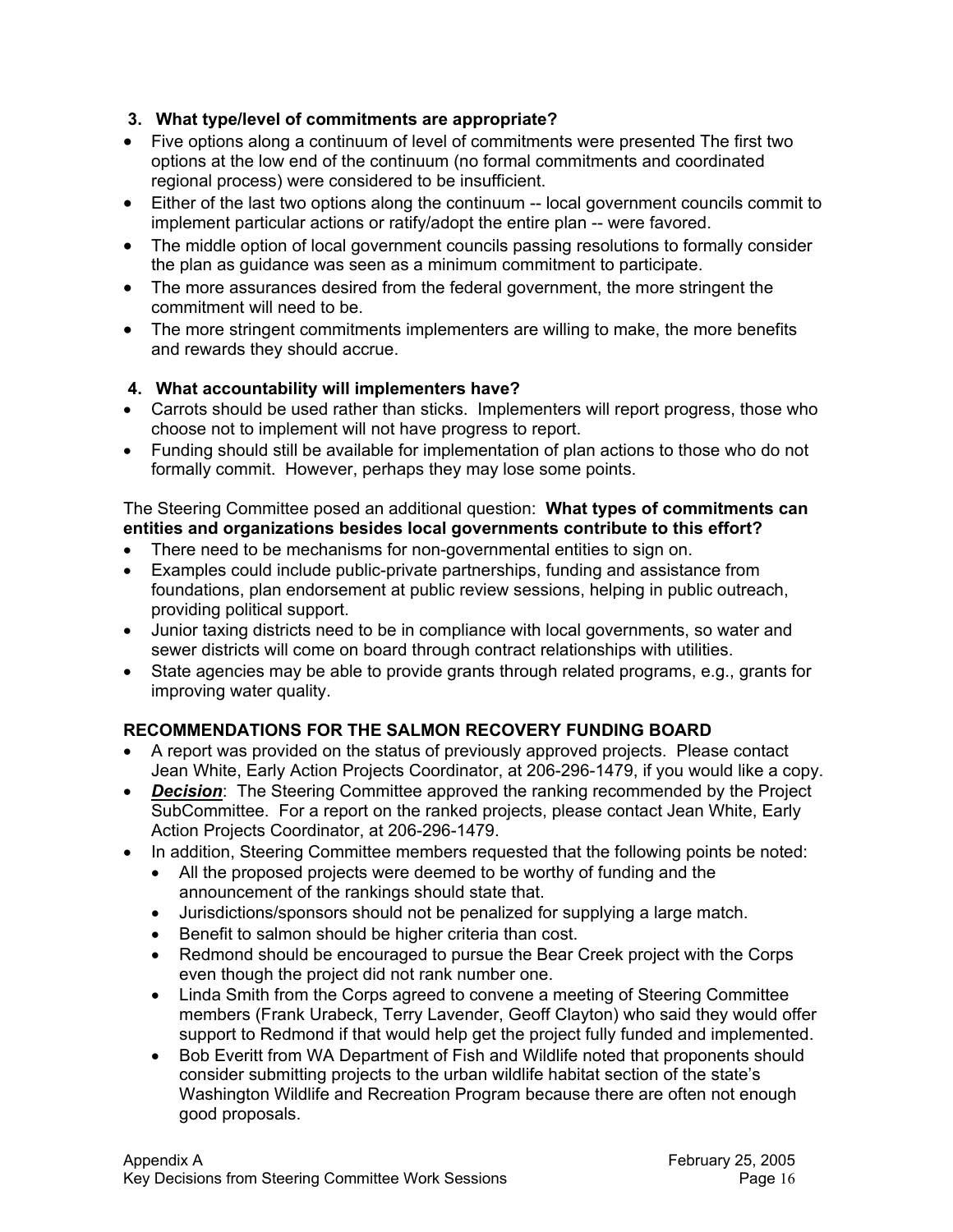## **3. What type/level of commitments are appropriate?**

- Five options along a continuum of level of commitments were presented The first two options at the low end of the continuum (no formal commitments and coordinated regional process) were considered to be insufficient.
- Either of the last two options along the continuum -- local government councils commit to implement particular actions or ratify/adopt the entire plan -- were favored.
- The middle option of local government councils passing resolutions to formally consider the plan as guidance was seen as a minimum commitment to participate.
- The more assurances desired from the federal government, the more stringent the commitment will need to be.
- The more stringent commitments implementers are willing to make, the more benefits and rewards they should accrue.

## **4. What accountability will implementers have?**

- Carrots should be used rather than sticks. Implementers will report progress, those who choose not to implement will not have progress to report.
- Funding should still be available for implementation of plan actions to those who do not formally commit. However, perhaps they may lose some points.

## The Steering Committee posed an additional question: **What types of commitments can entities and organizations besides local governments contribute to this effort?**

- There need to be mechanisms for non-governmental entities to sign on.
- Examples could include public-private partnerships, funding and assistance from foundations, plan endorsement at public review sessions, helping in public outreach, providing political support.
- Junior taxing districts need to be in compliance with local governments, so water and sewer districts will come on board through contract relationships with utilities.
- State agencies may be able to provide grants through related programs, e.g., grants for improving water quality.

# **RECOMMENDATIONS FOR THE SALMON RECOVERY FUNDING BOARD**

- A report was provided on the status of previously approved projects. Please contact Jean White, Early Action Projects Coordinator, at 206-296-1479, if you would like a copy.
- *Decision*: The Steering Committee approved the ranking recommended by the Project SubCommittee. For a report on the ranked projects, please contact Jean White, Early Action Projects Coordinator, at 206-296-1479.
- In addition, Steering Committee members requested that the following points be noted:
	- All the proposed projects were deemed to be worthy of funding and the announcement of the rankings should state that.
	- Jurisdictions/sponsors should not be penalized for supplying a large match.
	- Benefit to salmon should be higher criteria than cost.
	- Redmond should be encouraged to pursue the Bear Creek project with the Corps even though the project did not rank number one.
	- Linda Smith from the Corps agreed to convene a meeting of Steering Committee members (Frank Urabeck, Terry Lavender, Geoff Clayton) who said they would offer support to Redmond if that would help get the project fully funded and implemented.
	- Bob Everitt from WA Department of Fish and Wildlife noted that proponents should consider submitting projects to the urban wildlife habitat section of the state's Washington Wildlife and Recreation Program because there are often not enough good proposals.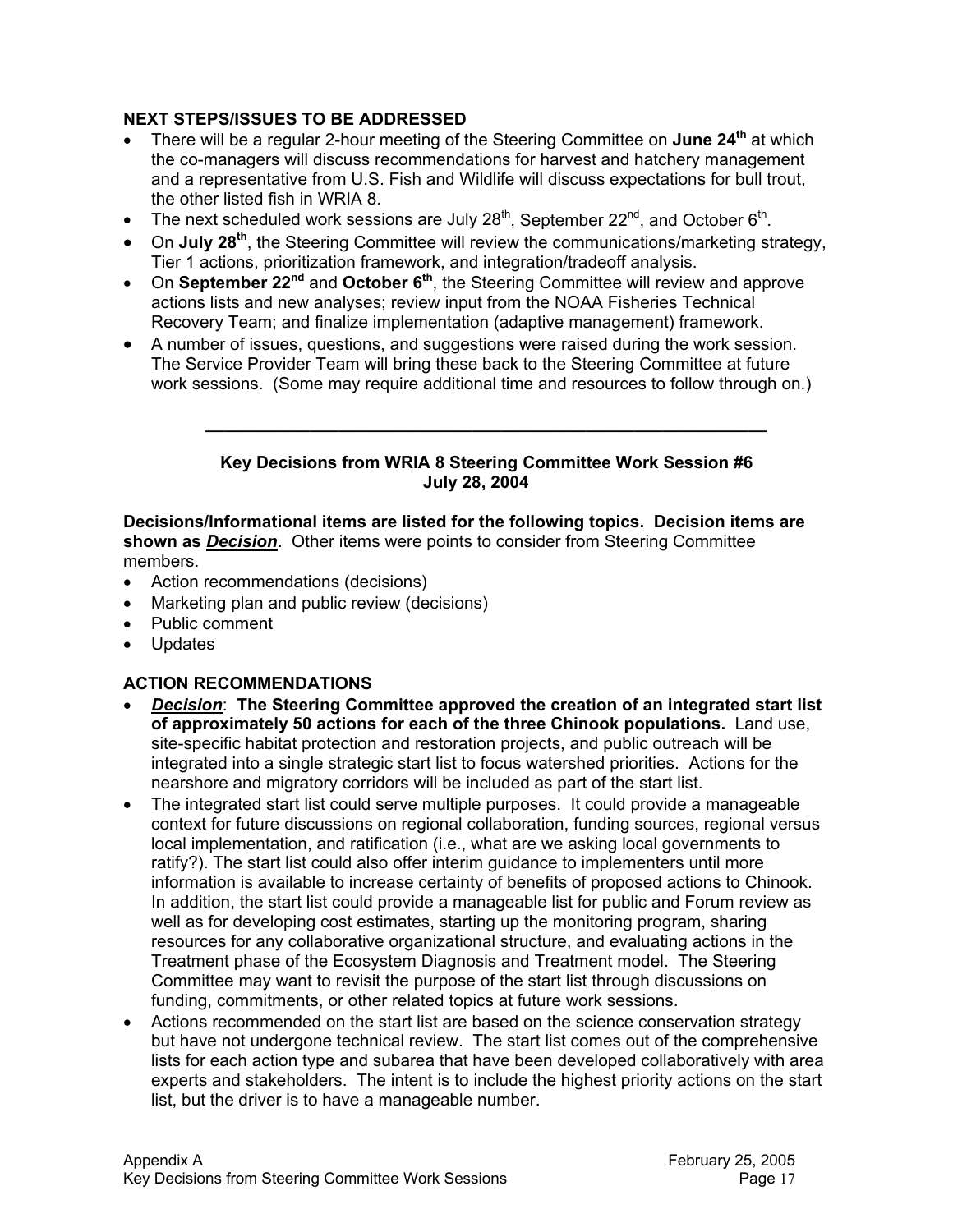## **NEXT STEPS/ISSUES TO BE ADDRESSED**

- There will be a regular 2-hour meeting of the Steering Committee on **June 24th** at which the co-managers will discuss recommendations for harvest and hatchery management and a representative from U.S. Fish and Wildlife will discuss expectations for bull trout, the other listed fish in WRIA 8.
- The next scheduled work sessions are July  $28<sup>th</sup>$ , September  $22<sup>nd</sup>$ , and October  $6<sup>th</sup>$ .
- On **July 28th**, the Steering Committee will review the communications/marketing strategy, Tier 1 actions, prioritization framework, and integration/tradeoff analysis.
- On **September 22nd** and **October 6th**, the Steering Committee will review and approve actions lists and new analyses; review input from the NOAA Fisheries Technical Recovery Team; and finalize implementation (adaptive management) framework.
- A number of issues, questions, and suggestions were raised during the work session. The Service Provider Team will bring these back to the Steering Committee at future work sessions. (Some may require additional time and resources to follow through on.)

#### **Key Decisions from WRIA 8 Steering Committee Work Session #6 July 28, 2004**

**\_\_\_\_\_\_\_\_\_\_\_\_\_\_\_\_\_\_\_\_\_\_\_\_\_\_\_\_\_\_\_\_\_\_\_\_\_\_\_\_\_\_\_\_\_\_\_\_\_\_\_\_\_\_\_\_\_\_\_** 

**Decisions/Informational items are listed for the following topics. Decision items are shown as** *Decision***.** Other items were points to consider from Steering Committee members.

- Action recommendations (decisions)
- Marketing plan and public review (decisions)
- Public comment
- Updates

## **ACTION RECOMMENDATIONS**

- *Decision*: **The Steering Committee approved the creation of an integrated start list of approximately 50 actions for each of the three Chinook populations.** Land use, site-specific habitat protection and restoration projects, and public outreach will be integrated into a single strategic start list to focus watershed priorities. Actions for the nearshore and migratory corridors will be included as part of the start list.
- The integrated start list could serve multiple purposes. It could provide a manageable context for future discussions on regional collaboration, funding sources, regional versus local implementation, and ratification (i.e., what are we asking local governments to ratify?). The start list could also offer interim guidance to implementers until more information is available to increase certainty of benefits of proposed actions to Chinook. In addition, the start list could provide a manageable list for public and Forum review as well as for developing cost estimates, starting up the monitoring program, sharing resources for any collaborative organizational structure, and evaluating actions in the Treatment phase of the Ecosystem Diagnosis and Treatment model. The Steering Committee may want to revisit the purpose of the start list through discussions on funding, commitments, or other related topics at future work sessions.
- Actions recommended on the start list are based on the science conservation strategy but have not undergone technical review. The start list comes out of the comprehensive lists for each action type and subarea that have been developed collaboratively with area experts and stakeholders. The intent is to include the highest priority actions on the start list, but the driver is to have a manageable number.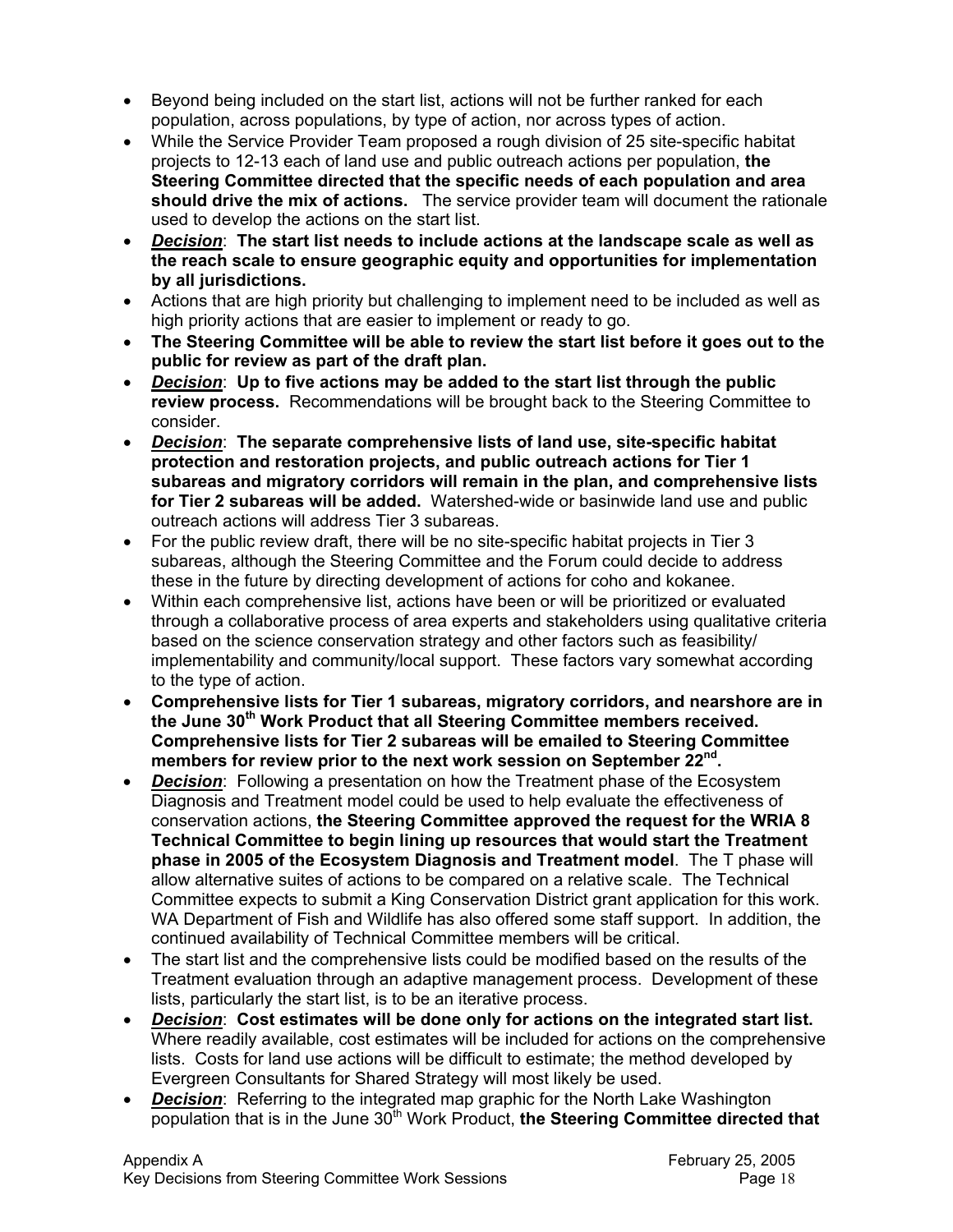- Beyond being included on the start list, actions will not be further ranked for each population, across populations, by type of action, nor across types of action.
- While the Service Provider Team proposed a rough division of 25 site-specific habitat projects to 12-13 each of land use and public outreach actions per population, **the Steering Committee directed that the specific needs of each population and area should drive the mix of actions.** The service provider team will document the rationale used to develop the actions on the start list.
- *Decision*: **The start list needs to include actions at the landscape scale as well as the reach scale to ensure geographic equity and opportunities for implementation by all jurisdictions.**
- Actions that are high priority but challenging to implement need to be included as well as high priority actions that are easier to implement or ready to go.
- **The Steering Committee will be able to review the start list before it goes out to the public for review as part of the draft plan.**
- *Decision*: **Up to five actions may be added to the start list through the public review process.** Recommendations will be brought back to the Steering Committee to consider.
- *Decision*: **The separate comprehensive lists of land use, site-specific habitat protection and restoration projects, and public outreach actions for Tier 1 subareas and migratory corridors will remain in the plan, and comprehensive lists for Tier 2 subareas will be added.** Watershed-wide or basinwide land use and public outreach actions will address Tier 3 subareas.
- For the public review draft, there will be no site-specific habitat projects in Tier 3 subareas, although the Steering Committee and the Forum could decide to address these in the future by directing development of actions for coho and kokanee.
- Within each comprehensive list, actions have been or will be prioritized or evaluated through a collaborative process of area experts and stakeholders using qualitative criteria based on the science conservation strategy and other factors such as feasibility/ implementability and community/local support. These factors vary somewhat according to the type of action.
- **Comprehensive lists for Tier 1 subareas, migratory corridors, and nearshore are in the June 30th Work Product that all Steering Committee members received. Comprehensive lists for Tier 2 subareas will be emailed to Steering Committee members for review prior to the next work session on September 22nd.**
- *Decision*: Following a presentation on how the Treatment phase of the Ecosystem Diagnosis and Treatment model could be used to help evaluate the effectiveness of conservation actions, **the Steering Committee approved the request for the WRIA 8 Technical Committee to begin lining up resources that would start the Treatment phase in 2005 of the Ecosystem Diagnosis and Treatment model**. The T phase will allow alternative suites of actions to be compared on a relative scale. The Technical Committee expects to submit a King Conservation District grant application for this work. WA Department of Fish and Wildlife has also offered some staff support. In addition, the continued availability of Technical Committee members will be critical.
- The start list and the comprehensive lists could be modified based on the results of the Treatment evaluation through an adaptive management process. Development of these lists, particularly the start list, is to be an iterative process.
- *Decision*: **Cost estimates will be done only for actions on the integrated start list.** Where readily available, cost estimates will be included for actions on the comprehensive lists. Costs for land use actions will be difficult to estimate; the method developed by Evergreen Consultants for Shared Strategy will most likely be used.
- *Decision:* Referring to the integrated map graphic for the North Lake Washington population that is in the June 30<sup>th</sup> Work Product, the Steering Committee directed that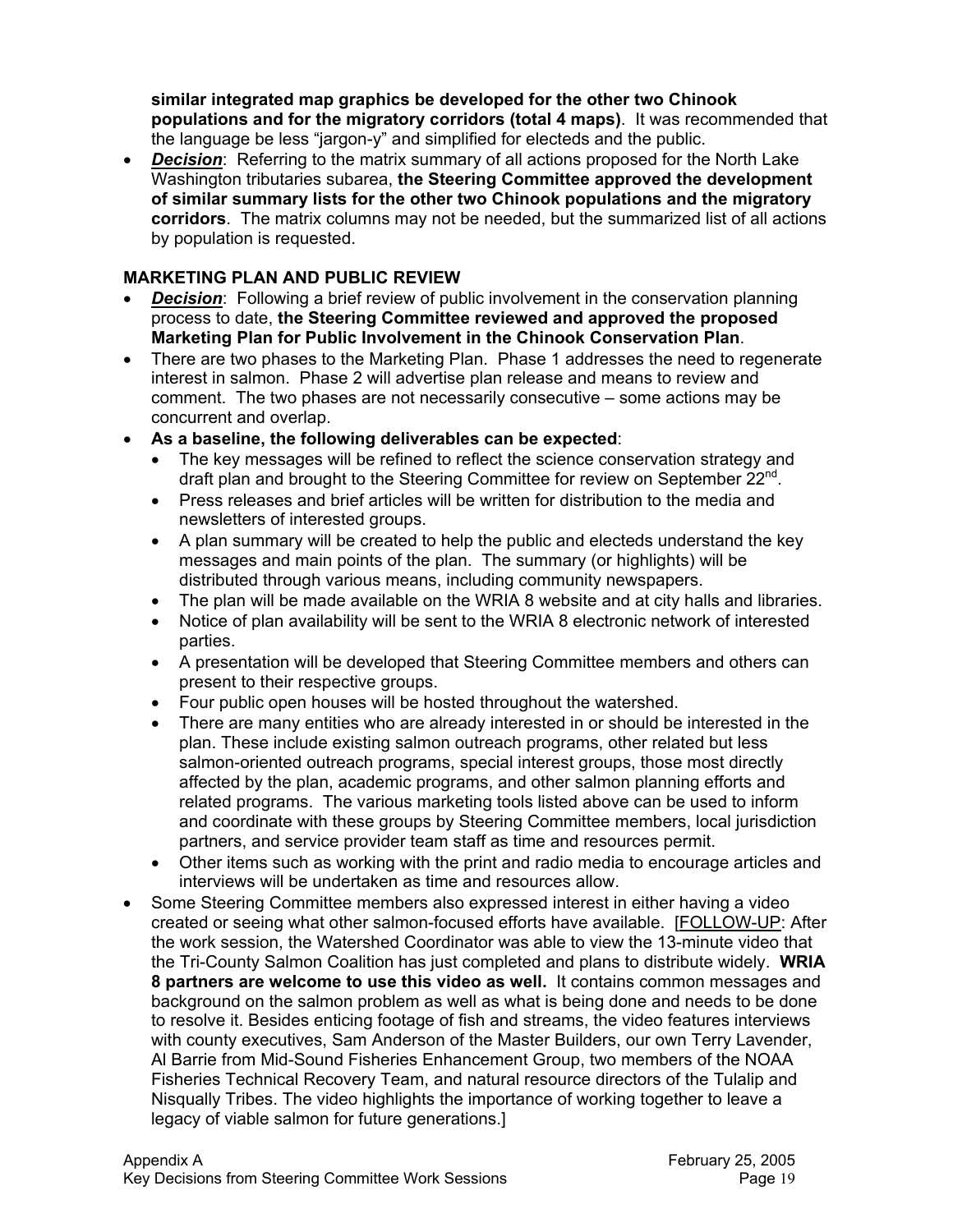**similar integrated map graphics be developed for the other two Chinook populations and for the migratory corridors (total 4 maps)**. It was recommended that the language be less "jargon-y" and simplified for electeds and the public.

*Decision:* Referring to the matrix summary of all actions proposed for the North Lake Washington tributaries subarea, **the Steering Committee approved the development of similar summary lists for the other two Chinook populations and the migratory corridors**. The matrix columns may not be needed, but the summarized list of all actions by population is requested.

#### **MARKETING PLAN AND PUBLIC REVIEW**

- *Decision*: Following a brief review of public involvement in the conservation planning process to date, **the Steering Committee reviewed and approved the proposed Marketing Plan for Public Involvement in the Chinook Conservation Plan**.
- There are two phases to the Marketing Plan. Phase 1 addresses the need to regenerate interest in salmon. Phase 2 will advertise plan release and means to review and comment. The two phases are not necessarily consecutive – some actions may be concurrent and overlap.
- **As a baseline, the following deliverables can be expected**:
	- The key messages will be refined to reflect the science conservation strategy and draft plan and brought to the Steering Committee for review on September  $22^{nd}$ .
	- Press releases and brief articles will be written for distribution to the media and newsletters of interested groups.
	- A plan summary will be created to help the public and electeds understand the key messages and main points of the plan. The summary (or highlights) will be distributed through various means, including community newspapers.
	- The plan will be made available on the WRIA 8 website and at city halls and libraries.
	- Notice of plan availability will be sent to the WRIA 8 electronic network of interested parties.
	- A presentation will be developed that Steering Committee members and others can present to their respective groups.
	- Four public open houses will be hosted throughout the watershed.
	- There are many entities who are already interested in or should be interested in the plan. These include existing salmon outreach programs, other related but less salmon-oriented outreach programs, special interest groups, those most directly affected by the plan, academic programs, and other salmon planning efforts and related programs. The various marketing tools listed above can be used to inform and coordinate with these groups by Steering Committee members, local jurisdiction partners, and service provider team staff as time and resources permit.
	- Other items such as working with the print and radio media to encourage articles and interviews will be undertaken as time and resources allow.
- Some Steering Committee members also expressed interest in either having a video created or seeing what other salmon-focused efforts have available. [FOLLOW-UP: After the work session, the Watershed Coordinator was able to view the 13-minute video that the Tri-County Salmon Coalition has just completed and plans to distribute widely. **WRIA 8 partners are welcome to use this video as well.** It contains common messages and background on the salmon problem as well as what is being done and needs to be done to resolve it. Besides enticing footage of fish and streams, the video features interviews with county executives, Sam Anderson of the Master Builders, our own Terry Lavender, Al Barrie from Mid-Sound Fisheries Enhancement Group, two members of the NOAA Fisheries Technical Recovery Team, and natural resource directors of the Tulalip and Nisqually Tribes. The video highlights the importance of working together to leave a legacy of viable salmon for future generations.]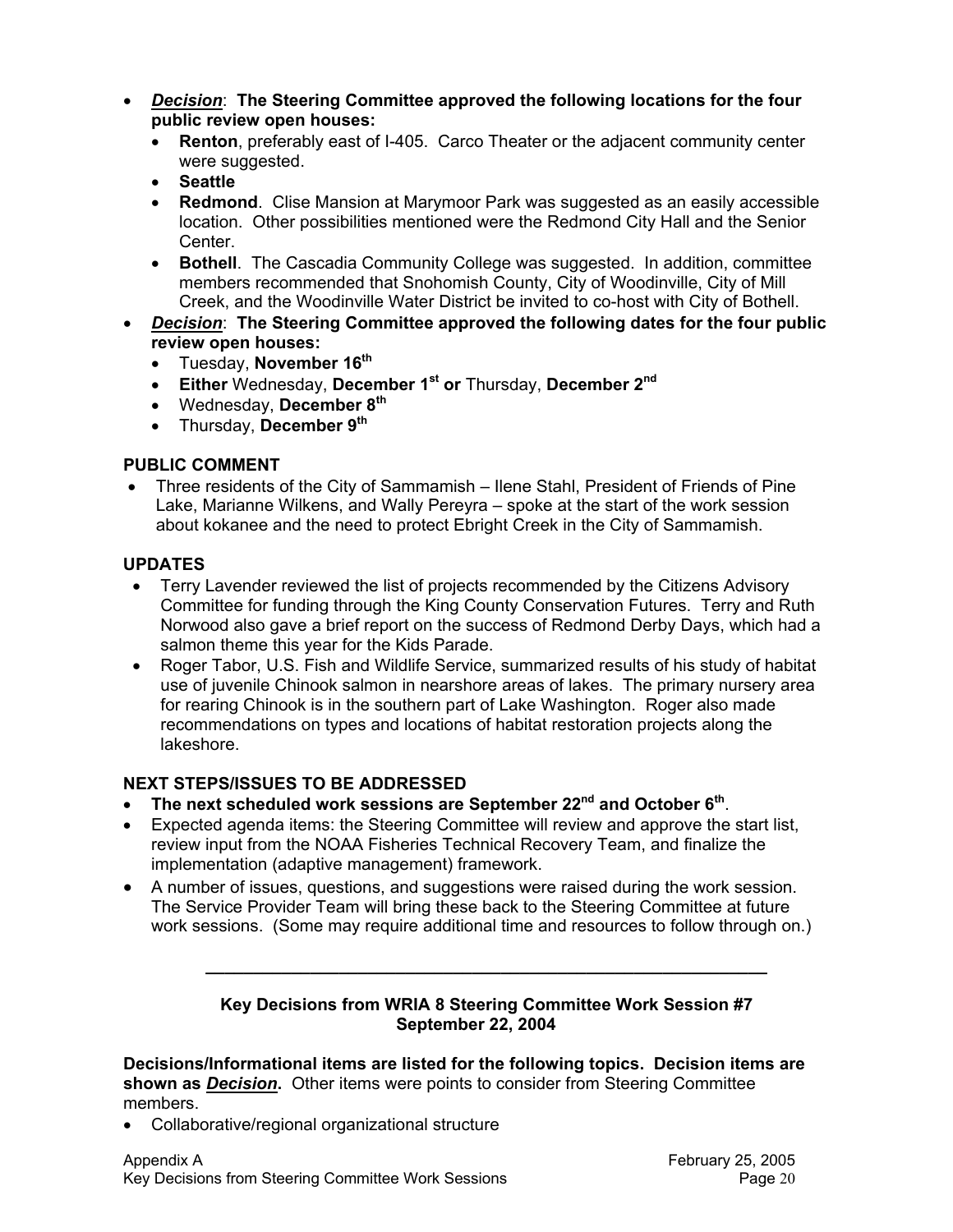- *Decision*: **The Steering Committee approved the following locations for the four public review open houses:**
	- **Renton**, preferably east of I-405. Carco Theater or the adjacent community center were suggested.
	- **Seattle**
	- **Redmond**. Clise Mansion at Marymoor Park was suggested as an easily accessible location. Other possibilities mentioned were the Redmond City Hall and the Senior Center.
	- **Bothell**. The Cascadia Community College was suggested. In addition, committee members recommended that Snohomish County, City of Woodinville, City of Mill Creek, and the Woodinville Water District be invited to co-host with City of Bothell.
- *Decision*: **The Steering Committee approved the following dates for the four public review open houses:**
	- Tuesday, **November 16th**
	- **Either** Wednesday, **December 1st or** Thursday, **December 2nd**
	- Wednesday, **December 8th**
	- Thursday, **December 9th**

#### **PUBLIC COMMENT**

• Three residents of the City of Sammamish – Ilene Stahl, President of Friends of Pine Lake, Marianne Wilkens, and Wally Pereyra – spoke at the start of the work session about kokanee and the need to protect Ebright Creek in the City of Sammamish.

#### **UPDATES**

- Terry Lavender reviewed the list of projects recommended by the Citizens Advisory Committee for funding through the King County Conservation Futures. Terry and Ruth Norwood also gave a brief report on the success of Redmond Derby Days, which had a salmon theme this year for the Kids Parade.
- Roger Tabor, U.S. Fish and Wildlife Service, summarized results of his study of habitat use of juvenile Chinook salmon in nearshore areas of lakes. The primary nursery area for rearing Chinook is in the southern part of Lake Washington. Roger also made recommendations on types and locations of habitat restoration projects along the lakeshore.

## **NEXT STEPS/ISSUES TO BE ADDRESSED**

- **The next scheduled work sessions are September 22nd and October 6th**.
- Expected agenda items: the Steering Committee will review and approve the start list, review input from the NOAA Fisheries Technical Recovery Team, and finalize the implementation (adaptive management) framework.
- A number of issues, questions, and suggestions were raised during the work session. The Service Provider Team will bring these back to the Steering Committee at future work sessions. (Some may require additional time and resources to follow through on.)

#### **Key Decisions from WRIA 8 Steering Committee Work Session #7 September 22, 2004**

**\_\_\_\_\_\_\_\_\_\_\_\_\_\_\_\_\_\_\_\_\_\_\_\_\_\_\_\_\_\_\_\_\_\_\_\_\_\_\_\_\_\_\_\_\_\_\_\_\_\_\_\_\_\_\_\_\_\_\_** 

**Decisions/Informational items are listed for the following topics. Decision items are shown as** *Decision***.** Other items were points to consider from Steering Committee members.

• Collaborative/regional organizational structure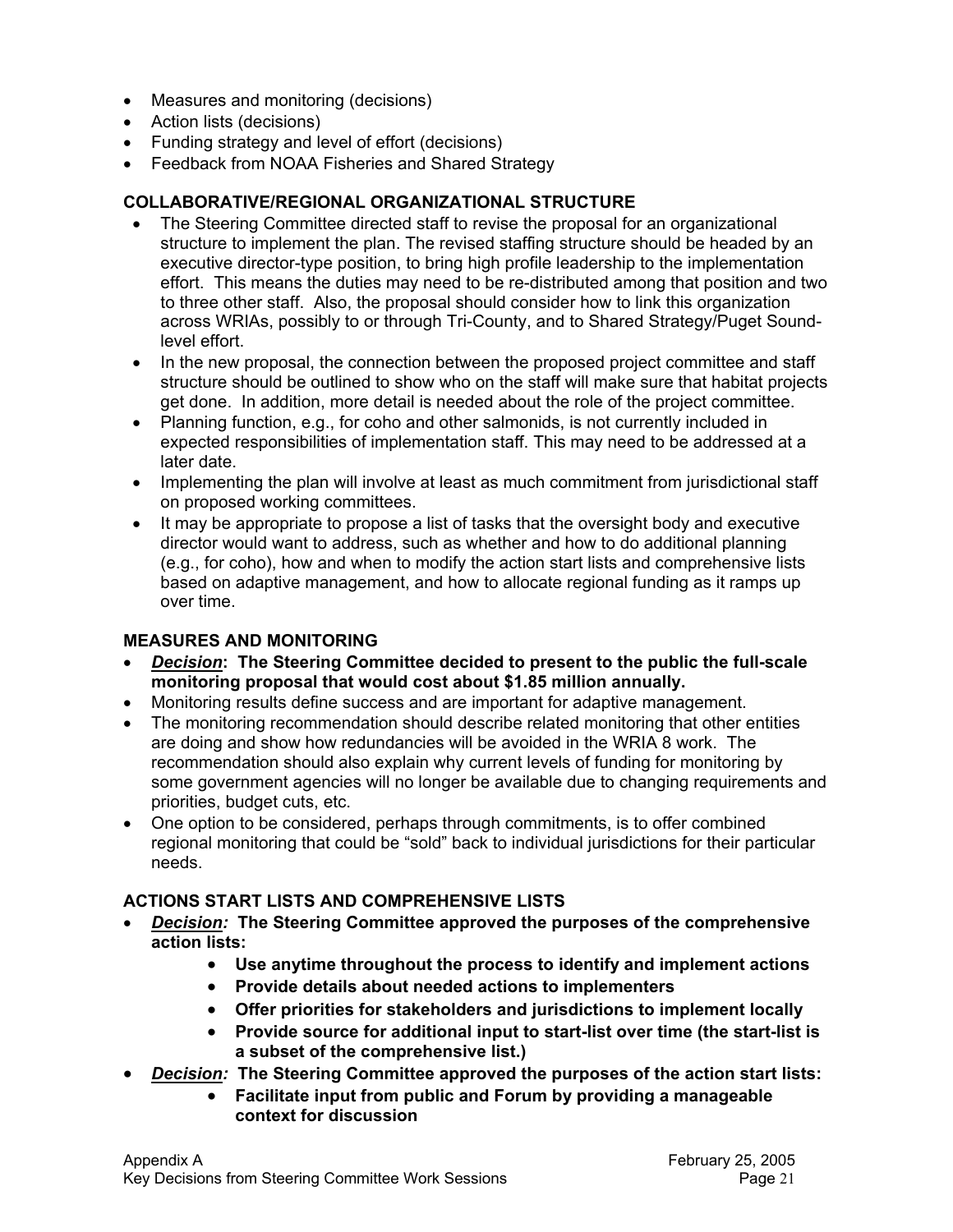- Measures and monitoring (decisions)
- Action lists (decisions)
- Funding strategy and level of effort (decisions)
- Feedback from NOAA Fisheries and Shared Strategy

### **COLLABORATIVE/REGIONAL ORGANIZATIONAL STRUCTURE**

- The Steering Committee directed staff to revise the proposal for an organizational structure to implement the plan. The revised staffing structure should be headed by an executive director-type position, to bring high profile leadership to the implementation effort. This means the duties may need to be re-distributed among that position and two to three other staff. Also, the proposal should consider how to link this organization across WRIAs, possibly to or through Tri-County, and to Shared Strategy/Puget Soundlevel effort.
- In the new proposal, the connection between the proposed project committee and staff structure should be outlined to show who on the staff will make sure that habitat projects get done. In addition, more detail is needed about the role of the project committee.
- Planning function, e.g., for coho and other salmonids, is not currently included in expected responsibilities of implementation staff. This may need to be addressed at a later date.
- Implementing the plan will involve at least as much commitment from jurisdictional staff on proposed working committees.
- It may be appropriate to propose a list of tasks that the oversight body and executive director would want to address, such as whether and how to do additional planning (e.g., for coho), how and when to modify the action start lists and comprehensive lists based on adaptive management, and how to allocate regional funding as it ramps up over time.

## **MEASURES AND MONITORING**

- *Decision***: The Steering Committee decided to present to the public the full-scale monitoring proposal that would cost about \$1.85 million annually.**
- Monitoring results define success and are important for adaptive management.
- The monitoring recommendation should describe related monitoring that other entities are doing and show how redundancies will be avoided in the WRIA 8 work. The recommendation should also explain why current levels of funding for monitoring by some government agencies will no longer be available due to changing requirements and priorities, budget cuts, etc.
- One option to be considered, perhaps through commitments, is to offer combined regional monitoring that could be "sold" back to individual jurisdictions for their particular needs.

## **ACTIONS START LISTS AND COMPREHENSIVE LISTS**

- *Decision:* **The Steering Committee approved the purposes of the comprehensive action lists:**
	- **Use anytime throughout the process to identify and implement actions**
	- **Provide details about needed actions to implementers**
	- **Offer priorities for stakeholders and jurisdictions to implement locally**
	- **Provide source for additional input to start-list over time (the start-list is a subset of the comprehensive list.)**
- *Decision:* **The Steering Committee approved the purposes of the action start lists:**
	- **Facilitate input from public and Forum by providing a manageable context for discussion**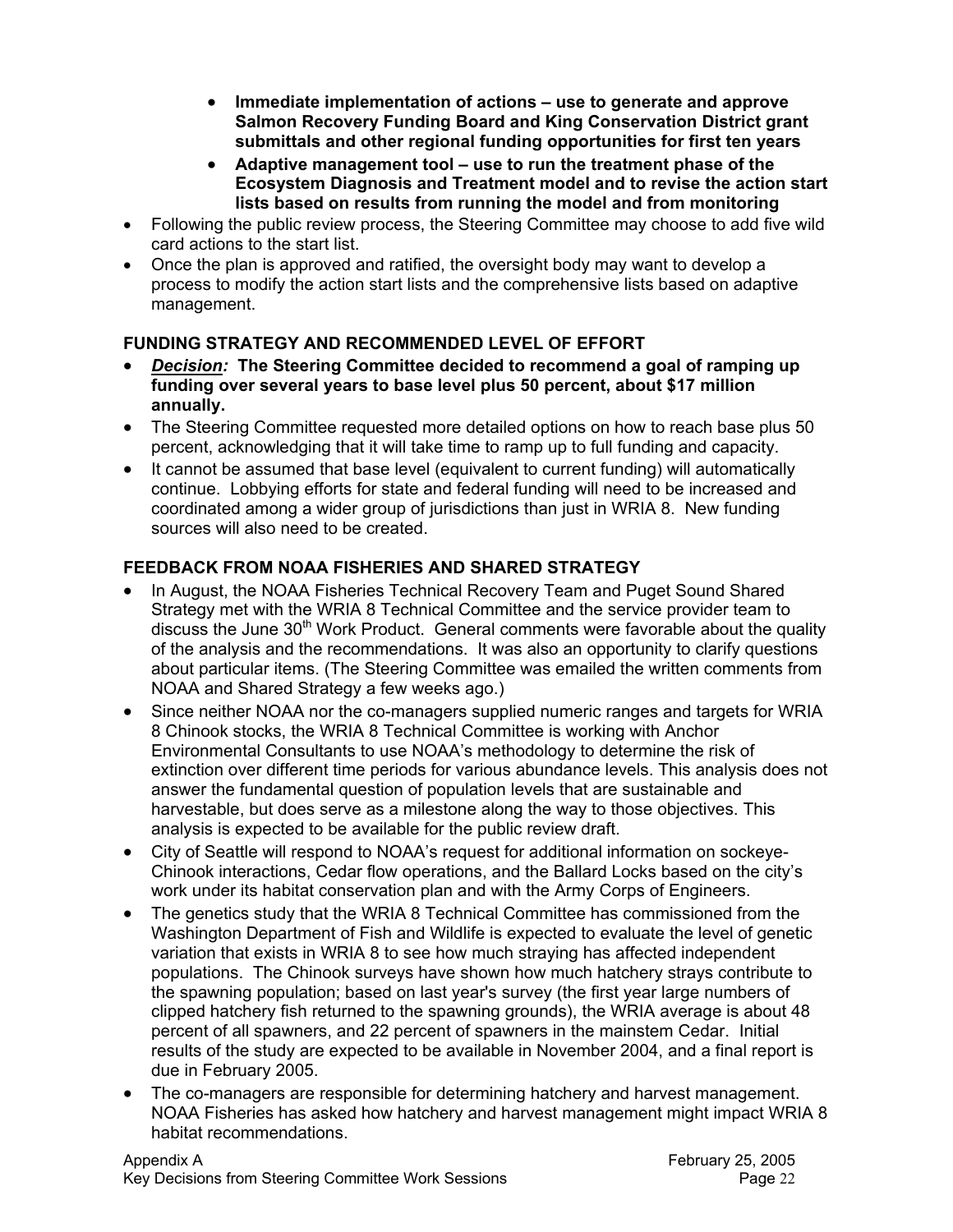- **Immediate implementation of actions use to generate and approve Salmon Recovery Funding Board and King Conservation District grant submittals and other regional funding opportunities for first ten years**
- **Adaptive management tool use to run the treatment phase of the Ecosystem Diagnosis and Treatment model and to revise the action start lists based on results from running the model and from monitoring**
- Following the public review process, the Steering Committee may choose to add five wild card actions to the start list.
- Once the plan is approved and ratified, the oversight body may want to develop a process to modify the action start lists and the comprehensive lists based on adaptive management.

## **FUNDING STRATEGY AND RECOMMENDED LEVEL OF EFFORT**

- *Decision:* **The Steering Committee decided to recommend a goal of ramping up funding over several years to base level plus 50 percent, about \$17 million annually.**
- The Steering Committee requested more detailed options on how to reach base plus 50 percent, acknowledging that it will take time to ramp up to full funding and capacity.
- It cannot be assumed that base level (equivalent to current funding) will automatically continue. Lobbying efforts for state and federal funding will need to be increased and coordinated among a wider group of jurisdictions than just in WRIA 8. New funding sources will also need to be created.

# **FEEDBACK FROM NOAA FISHERIES AND SHARED STRATEGY**

- In August, the NOAA Fisheries Technical Recovery Team and Puget Sound Shared Strategy met with the WRIA 8 Technical Committee and the service provider team to discuss the June  $30<sup>th</sup>$  Work Product. General comments were favorable about the quality of the analysis and the recommendations. It was also an opportunity to clarify questions about particular items. (The Steering Committee was emailed the written comments from NOAA and Shared Strategy a few weeks ago.)
- Since neither NOAA nor the co-managers supplied numeric ranges and targets for WRIA 8 Chinook stocks, the WRIA 8 Technical Committee is working with Anchor Environmental Consultants to use NOAA's methodology to determine the risk of extinction over different time periods for various abundance levels. This analysis does not answer the fundamental question of population levels that are sustainable and harvestable, but does serve as a milestone along the way to those objectives. This analysis is expected to be available for the public review draft.
- City of Seattle will respond to NOAA's request for additional information on sockeye-Chinook interactions, Cedar flow operations, and the Ballard Locks based on the city's work under its habitat conservation plan and with the Army Corps of Engineers.
- The genetics study that the WRIA 8 Technical Committee has commissioned from the Washington Department of Fish and Wildlife is expected to evaluate the level of genetic variation that exists in WRIA 8 to see how much straying has affected independent populations. The Chinook surveys have shown how much hatchery strays contribute to the spawning population; based on last year's survey (the first year large numbers of clipped hatchery fish returned to the spawning grounds), the WRIA average is about 48 percent of all spawners, and 22 percent of spawners in the mainstem Cedar. Initial results of the study are expected to be available in November 2004, and a final report is due in February 2005.
- The co-managers are responsible for determining hatchery and harvest management. NOAA Fisheries has asked how hatchery and harvest management might impact WRIA 8 habitat recommendations.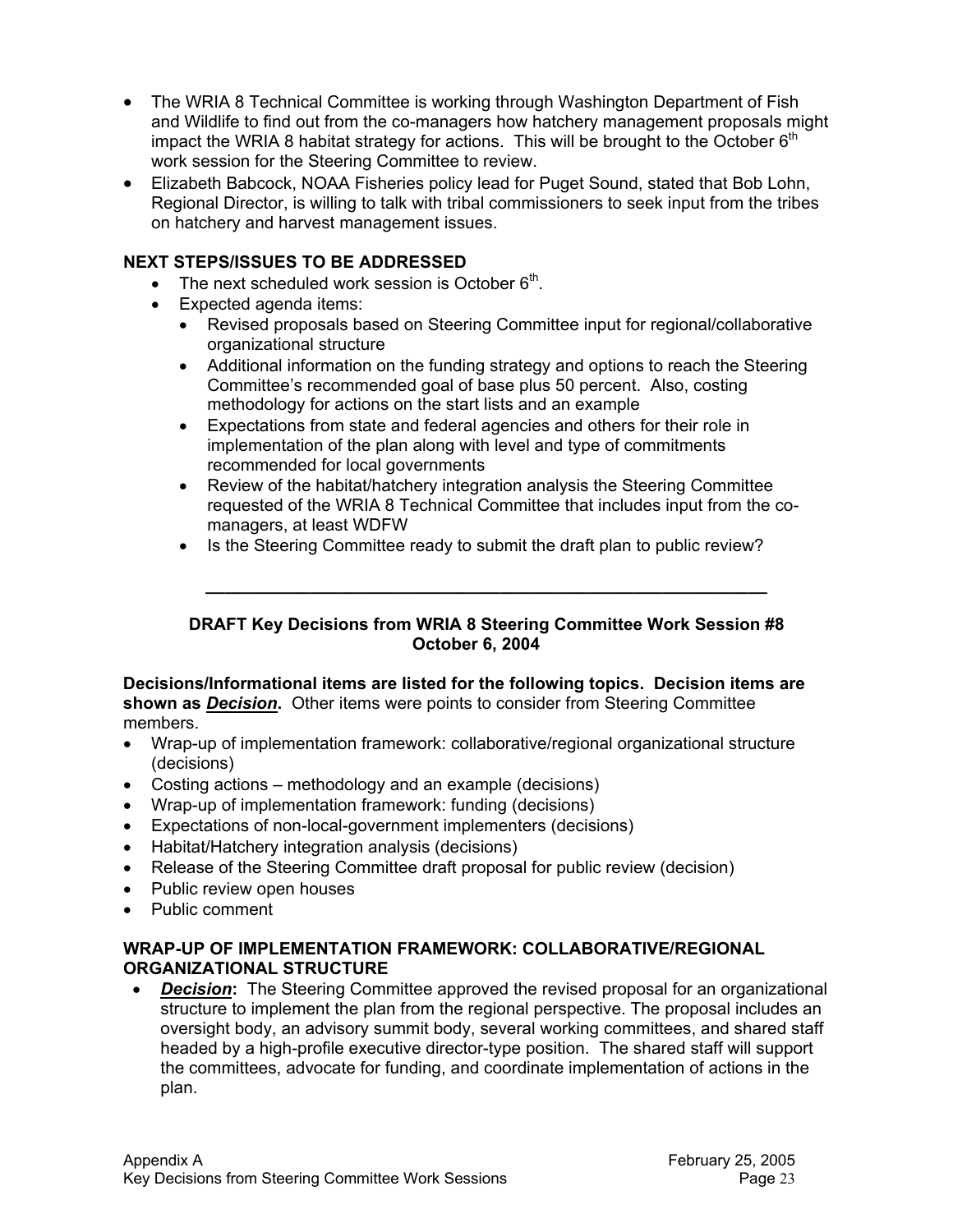- The WRIA 8 Technical Committee is working through Washington Department of Fish and Wildlife to find out from the co-managers how hatchery management proposals might impact the WRIA 8 habitat strategy for actions. This will be brought to the October  $6<sup>th</sup>$ work session for the Steering Committee to review.
- Elizabeth Babcock, NOAA Fisheries policy lead for Puget Sound, stated that Bob Lohn, Regional Director, is willing to talk with tribal commissioners to seek input from the tribes on hatchery and harvest management issues.

## **NEXT STEPS/ISSUES TO BE ADDRESSED**

- The next scheduled work session is October  $6<sup>th</sup>$ .
- Expected agenda items:
	- Revised proposals based on Steering Committee input for regional/collaborative organizational structure
	- Additional information on the funding strategy and options to reach the Steering Committee's recommended goal of base plus 50 percent. Also, costing methodology for actions on the start lists and an example
	- Expectations from state and federal agencies and others for their role in implementation of the plan along with level and type of commitments recommended for local governments
	- Review of the habitat/hatchery integration analysis the Steering Committee requested of the WRIA 8 Technical Committee that includes input from the comanagers, at least WDFW
	- Is the Steering Committee ready to submit the draft plan to public review?

#### **DRAFT Key Decisions from WRIA 8 Steering Committee Work Session #8 October 6, 2004**

**\_\_\_\_\_\_\_\_\_\_\_\_\_\_\_\_\_\_\_\_\_\_\_\_\_\_\_\_\_\_\_\_\_\_\_\_\_\_\_\_\_\_\_\_\_\_\_\_\_\_\_\_\_\_\_\_\_\_\_** 

#### **Decisions/Informational items are listed for the following topics. Decision items are shown as** *Decision***.** Other items were points to consider from Steering Committee members.

- Wrap-up of implementation framework: collaborative/regional organizational structure (decisions)
- Costing actions methodology and an example (decisions)
- Wrap-up of implementation framework: funding (decisions)
- Expectations of non-local-government implementers (decisions)
- Habitat/Hatchery integration analysis (decisions)
- Release of the Steering Committee draft proposal for public review (decision)
- Public review open houses
- Public comment

#### **WRAP-UP OF IMPLEMENTATION FRAMEWORK: COLLABORATIVE/REGIONAL ORGANIZATIONAL STRUCTURE**

• *Decision***:** The Steering Committee approved the revised proposal for an organizational structure to implement the plan from the regional perspective. The proposal includes an oversight body, an advisory summit body, several working committees, and shared staff headed by a high-profile executive director-type position. The shared staff will support the committees, advocate for funding, and coordinate implementation of actions in the plan.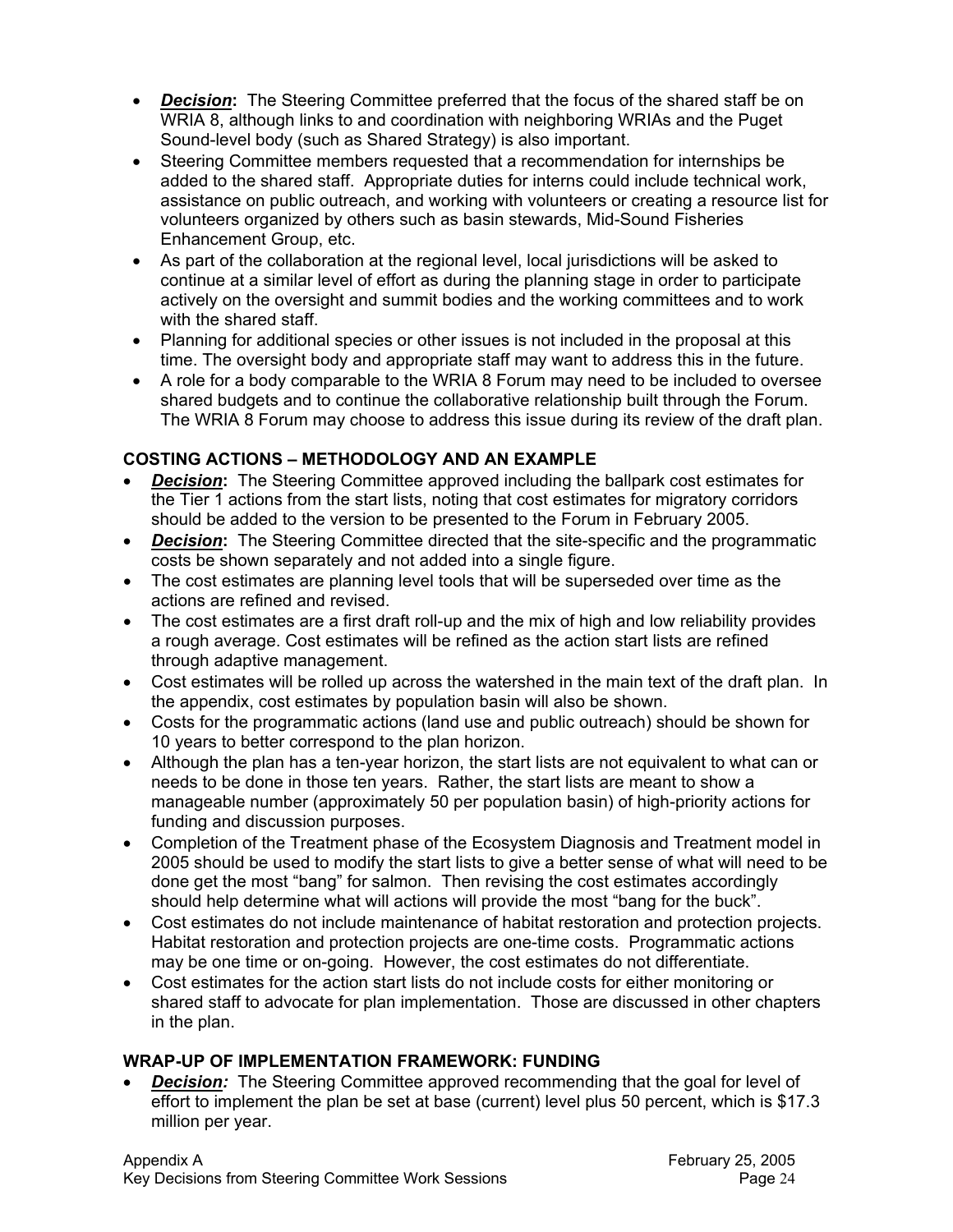- *Decision***:** The Steering Committee preferred that the focus of the shared staff be on WRIA 8, although links to and coordination with neighboring WRIAs and the Puget Sound-level body (such as Shared Strategy) is also important.
- Steering Committee members requested that a recommendation for internships be added to the shared staff. Appropriate duties for interns could include technical work, assistance on public outreach, and working with volunteers or creating a resource list for volunteers organized by others such as basin stewards, Mid-Sound Fisheries Enhancement Group, etc.
- As part of the collaboration at the regional level, local jurisdictions will be asked to continue at a similar level of effort as during the planning stage in order to participate actively on the oversight and summit bodies and the working committees and to work with the shared staff.
- Planning for additional species or other issues is not included in the proposal at this time. The oversight body and appropriate staff may want to address this in the future.
- A role for a body comparable to the WRIA 8 Forum may need to be included to oversee shared budgets and to continue the collaborative relationship built through the Forum. The WRIA 8 Forum may choose to address this issue during its review of the draft plan.

# **COSTING ACTIONS – METHODOLOGY AND AN EXAMPLE**

- *Decision*: The Steering Committee approved including the ballpark cost estimates for the Tier 1 actions from the start lists, noting that cost estimates for migratory corridors should be added to the version to be presented to the Forum in February 2005.
- *Decision***:** The Steering Committee directed that the site-specific and the programmatic costs be shown separately and not added into a single figure.
- The cost estimates are planning level tools that will be superseded over time as the actions are refined and revised.
- The cost estimates are a first draft roll-up and the mix of high and low reliability provides a rough average. Cost estimates will be refined as the action start lists are refined through adaptive management.
- Cost estimates will be rolled up across the watershed in the main text of the draft plan. In the appendix, cost estimates by population basin will also be shown.
- Costs for the programmatic actions (land use and public outreach) should be shown for 10 years to better correspond to the plan horizon.
- Although the plan has a ten-year horizon, the start lists are not equivalent to what can or needs to be done in those ten years. Rather, the start lists are meant to show a manageable number (approximately 50 per population basin) of high-priority actions for funding and discussion purposes.
- Completion of the Treatment phase of the Ecosystem Diagnosis and Treatment model in 2005 should be used to modify the start lists to give a better sense of what will need to be done get the most "bang" for salmon. Then revising the cost estimates accordingly should help determine what will actions will provide the most "bang for the buck".
- Cost estimates do not include maintenance of habitat restoration and protection projects. Habitat restoration and protection projects are one-time costs. Programmatic actions may be one time or on-going. However, the cost estimates do not differentiate.
- Cost estimates for the action start lists do not include costs for either monitoring or shared staff to advocate for plan implementation. Those are discussed in other chapters in the plan.

# **WRAP-UP OF IMPLEMENTATION FRAMEWORK: FUNDING**

**Decision:** The Steering Committee approved recommending that the goal for level of effort to implement the plan be set at base (current) level plus 50 percent, which is \$17.3 million per year.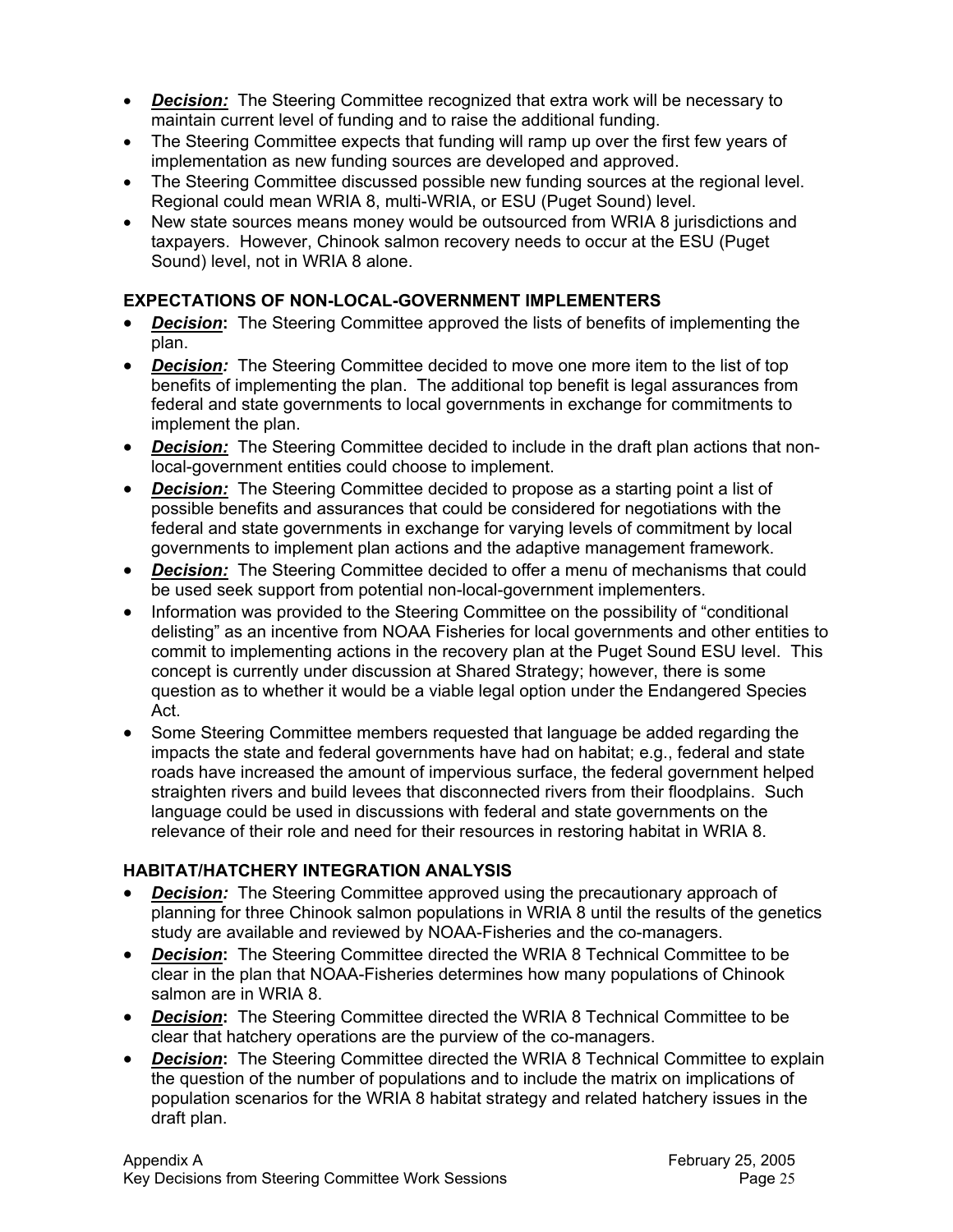- *Decision:* The Steering Committee recognized that extra work will be necessary to maintain current level of funding and to raise the additional funding.
- The Steering Committee expects that funding will ramp up over the first few years of implementation as new funding sources are developed and approved.
- The Steering Committee discussed possible new funding sources at the regional level. Regional could mean WRIA 8, multi-WRIA, or ESU (Puget Sound) level.
- New state sources means money would be outsourced from WRIA 8 jurisdictions and taxpayers. However, Chinook salmon recovery needs to occur at the ESU (Puget Sound) level, not in WRIA 8 alone.

## **EXPECTATIONS OF NON-LOCAL-GOVERNMENT IMPLEMENTERS**

- *Decision***:** The Steering Committee approved the lists of benefits of implementing the plan.
- *Decision:* The Steering Committee decided to move one more item to the list of top benefits of implementing the plan. The additional top benefit is legal assurances from federal and state governments to local governments in exchange for commitments to implement the plan.
- **Decision:** The Steering Committee decided to include in the draft plan actions that nonlocal-government entities could choose to implement.
- *Decision:* The Steering Committee decided to propose as a starting point a list of possible benefits and assurances that could be considered for negotiations with the federal and state governments in exchange for varying levels of commitment by local governments to implement plan actions and the adaptive management framework.
- *Decision:* The Steering Committee decided to offer a menu of mechanisms that could be used seek support from potential non-local-government implementers.
- Information was provided to the Steering Committee on the possibility of "conditional delisting" as an incentive from NOAA Fisheries for local governments and other entities to commit to implementing actions in the recovery plan at the Puget Sound ESU level. This concept is currently under discussion at Shared Strategy; however, there is some question as to whether it would be a viable legal option under the Endangered Species Act.
- Some Steering Committee members requested that language be added regarding the impacts the state and federal governments have had on habitat; e.g., federal and state roads have increased the amount of impervious surface, the federal government helped straighten rivers and build levees that disconnected rivers from their floodplains. Such language could be used in discussions with federal and state governments on the relevance of their role and need for their resources in restoring habitat in WRIA 8.

## **HABITAT/HATCHERY INTEGRATION ANALYSIS**

- *Decision:* The Steering Committee approved using the precautionary approach of planning for three Chinook salmon populations in WRIA 8 until the results of the genetics study are available and reviewed by NOAA-Fisheries and the co-managers.
- *Decision***:** The Steering Committee directed the WRIA 8 Technical Committee to be clear in the plan that NOAA-Fisheries determines how many populations of Chinook salmon are in WRIA 8.
- *Decision***:** The Steering Committee directed the WRIA 8 Technical Committee to be clear that hatchery operations are the purview of the co-managers.
- *Decision***:** The Steering Committee directed the WRIA 8 Technical Committee to explain the question of the number of populations and to include the matrix on implications of population scenarios for the WRIA 8 habitat strategy and related hatchery issues in the draft plan.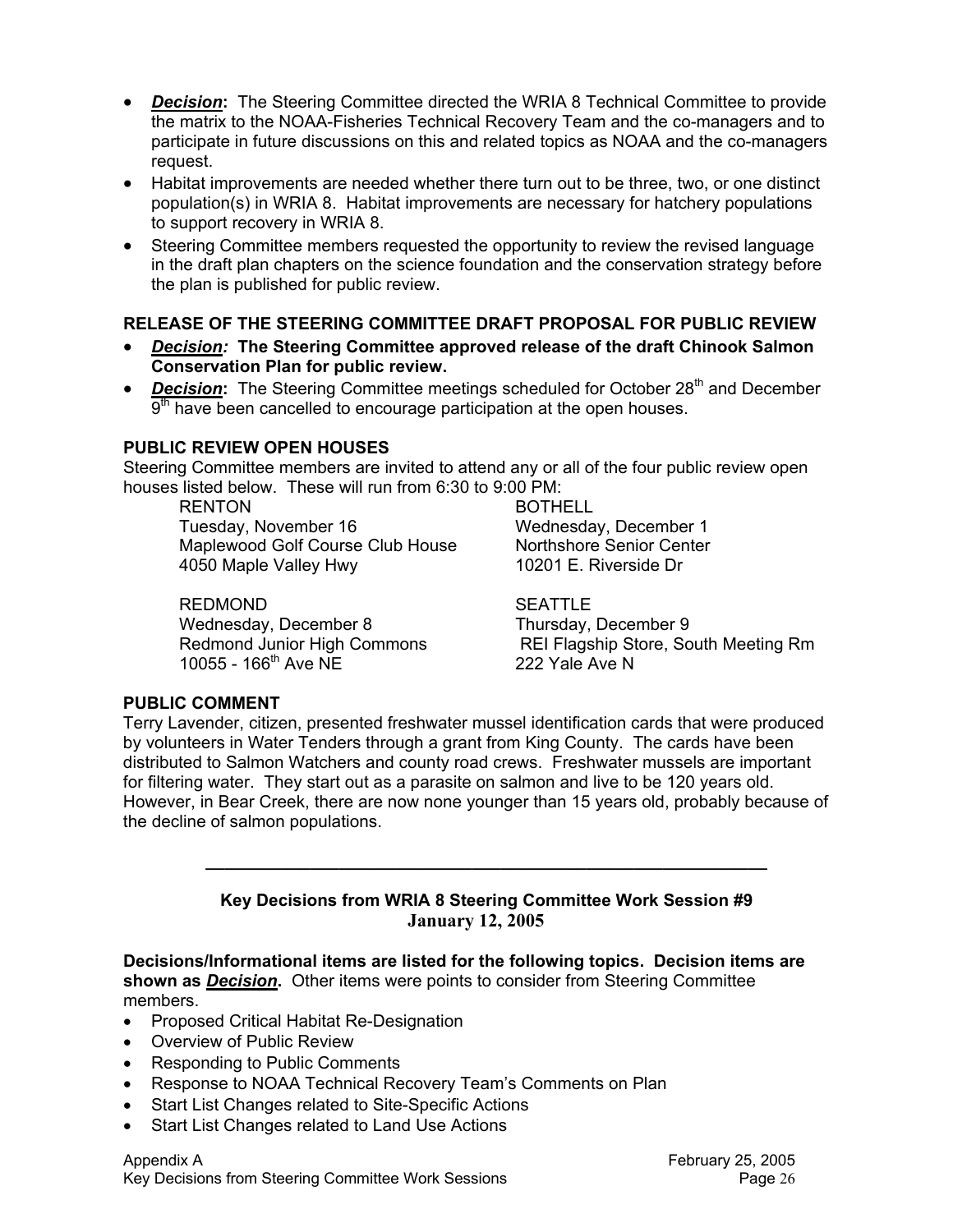- *Decision***:** The Steering Committee directed the WRIA 8 Technical Committee to provide the matrix to the NOAA-Fisheries Technical Recovery Team and the co-managers and to participate in future discussions on this and related topics as NOAA and the co-managers request.
- Habitat improvements are needed whether there turn out to be three, two, or one distinct population(s) in WRIA 8. Habitat improvements are necessary for hatchery populations to support recovery in WRIA 8.
- Steering Committee members requested the opportunity to review the revised language in the draft plan chapters on the science foundation and the conservation strategy before the plan is published for public review.

## **RELEASE OF THE STEERING COMMITTEE DRAFT PROPOSAL FOR PUBLIC REVIEW**

- *Decision:* **The Steering Committee approved release of the draft Chinook Salmon Conservation Plan for public review.**
- *Decision*: The Steering Committee meetings scheduled for October 28<sup>th</sup> and December  $9<sup>th</sup>$  have been cancelled to encourage participation at the open houses.

## **PUBLIC REVIEW OPEN HOUSES**

Steering Committee members are invited to attend any or all of the four public review open houses listed below. These will run from 6:30 to 9:00 PM:

RENTON BOTHELL Tuesday, November 16 Wednesday, December 1 Maplewood Golf Course Club House Northshore Senior Center

4050 Maple Valley Hwy 10201 E. Riverside Dr

#### REDMOND SEATTLE

Wednesday, December 8 Thursday, December 9<br>
Redmond Junior High Commons REI Flagship Store, So 10055 - 166th Ave NE 222 Yale Ave N

REI Flagship Store, South Meeting Rm

#### **PUBLIC COMMENT**

Terry Lavender, citizen, presented freshwater mussel identification cards that were produced by volunteers in Water Tenders through a grant from King County. The cards have been distributed to Salmon Watchers and county road crews. Freshwater mussels are important for filtering water. They start out as a parasite on salmon and live to be 120 years old. However, in Bear Creek, there are now none younger than 15 years old, probably because of the decline of salmon populations.

#### **Key Decisions from WRIA 8 Steering Committee Work Session #9 January 12, 2005**

**\_\_\_\_\_\_\_\_\_\_\_\_\_\_\_\_\_\_\_\_\_\_\_\_\_\_\_\_\_\_\_\_\_\_\_\_\_\_\_\_\_\_\_\_\_\_\_\_\_\_\_\_\_\_\_\_\_\_\_** 

**Decisions/Informational items are listed for the following topics. Decision items are shown as** *Decision***.** Other items were points to consider from Steering Committee members.

- Proposed Critical Habitat Re-Designation
- Overview of Public Review
- Responding to Public Comments
- Response to NOAA Technical Recovery Team's Comments on Plan
- Start List Changes related to Site-Specific Actions
- Start List Changes related to Land Use Actions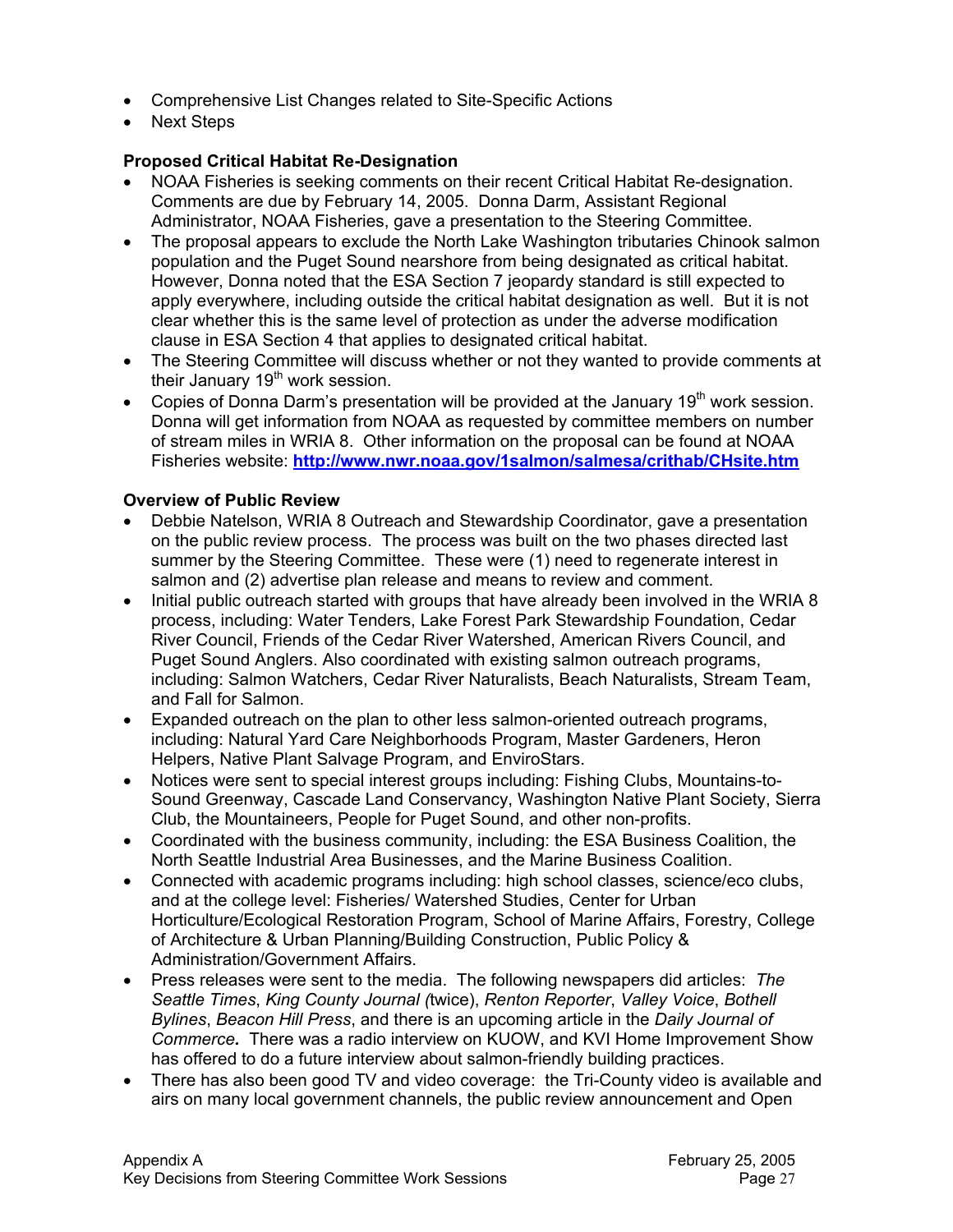- Comprehensive List Changes related to Site-Specific Actions
- Next Steps

## **Proposed Critical Habitat Re-Designation**

- NOAA Fisheries is seeking comments on their recent Critical Habitat Re-designation. Comments are due by February 14, 2005. Donna Darm, Assistant Regional Administrator, NOAA Fisheries, gave a presentation to the Steering Committee.
- The proposal appears to exclude the North Lake Washington tributaries Chinook salmon population and the Puget Sound nearshore from being designated as critical habitat. However, Donna noted that the ESA Section 7 jeopardy standard is still expected to apply everywhere, including outside the critical habitat designation as well. But it is not clear whether this is the same level of protection as under the adverse modification clause in ESA Section 4 that applies to designated critical habitat.
- The Steering Committee will discuss whether or not they wanted to provide comments at their January  $19<sup>th</sup>$  work session.
- Copies of Donna Darm's presentation will be provided at the January 19<sup>th</sup> work session. Donna will get information from NOAA as requested by committee members on number of stream miles in WRIA 8. Other information on the proposal can be found at NOAA Fisheries website: **http://www.nwr.noaa.gov/1salmon/salmesa/crithab/CHsite.htm**

## **Overview of Public Review**

- Debbie Natelson, WRIA 8 Outreach and Stewardship Coordinator, gave a presentation on the public review process. The process was built on the two phases directed last summer by the Steering Committee. These were (1) need to regenerate interest in salmon and (2) advertise plan release and means to review and comment.
- Initial public outreach started with groups that have already been involved in the WRIA 8 process, including: Water Tenders, Lake Forest Park Stewardship Foundation, Cedar River Council, Friends of the Cedar River Watershed, American Rivers Council, and Puget Sound Anglers. Also coordinated with existing salmon outreach programs, including: Salmon Watchers, Cedar River Naturalists, Beach Naturalists, Stream Team, and Fall for Salmon.
- Expanded outreach on the plan to other less salmon-oriented outreach programs, including: Natural Yard Care Neighborhoods Program, Master Gardeners, Heron Helpers, Native Plant Salvage Program, and EnviroStars.
- Notices were sent to special interest groups including: Fishing Clubs, Mountains-to-Sound Greenway, Cascade Land Conservancy, Washington Native Plant Society, Sierra Club, the Mountaineers, People for Puget Sound, and other non-profits.
- Coordinated with the business community, including: the ESA Business Coalition, the North Seattle Industrial Area Businesses, and the Marine Business Coalition.
- Connected with academic programs including: high school classes, science/eco clubs, and at the college level: Fisheries/ Watershed Studies, Center for Urban Horticulture/Ecological Restoration Program, School of Marine Affairs, Forestry, College of Architecture & Urban Planning/Building Construction, Public Policy & Administration/Government Affairs.
- Press releases were sent to the media. The following newspapers did articles: *The Seattle Times*, *King County Journal (*twice), *Renton Reporter*, *Valley Voice*, *Bothell Bylines*, *Beacon Hill Press*, and there is an upcoming article in the *Daily Journal of Commerce.*There was a radio interview on KUOW, and KVI Home Improvement Show has offered to do a future interview about salmon-friendly building practices.
- There has also been good TV and video coverage: the Tri-County video is available and airs on many local government channels, the public review announcement and Open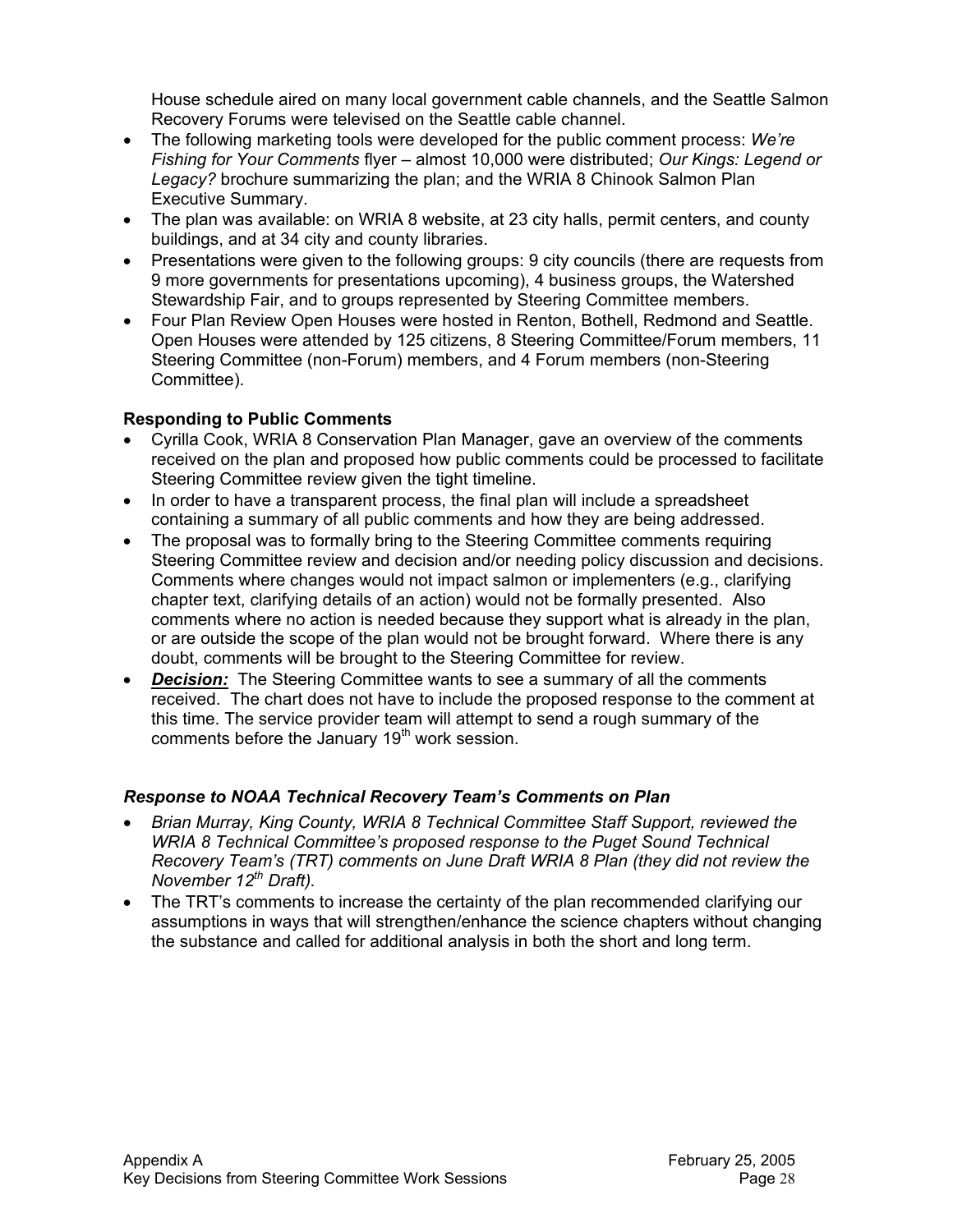House schedule aired on many local government cable channels, and the Seattle Salmon Recovery Forums were televised on the Seattle cable channel.

- The following marketing tools were developed for the public comment process: *We're Fishing for Your Comments* flyer – almost 10,000 were distributed; *Our Kings: Legend or Legacy?* brochure summarizing the plan; and the WRIA 8 Chinook Salmon Plan Executive Summary.
- The plan was available: on WRIA 8 website, at 23 city halls, permit centers, and county buildings, and at 34 city and county libraries.
- Presentations were given to the following groups: 9 city councils (there are requests from 9 more governments for presentations upcoming), 4 business groups, the Watershed Stewardship Fair, and to groups represented by Steering Committee members.
- Four Plan Review Open Houses were hosted in Renton, Bothell, Redmond and Seattle. Open Houses were attended by 125 citizens, 8 Steering Committee/Forum members, 11 Steering Committee (non-Forum) members, and 4 Forum members (non-Steering Committee).

## **Responding to Public Comments**

- Cyrilla Cook, WRIA 8 Conservation Plan Manager, gave an overview of the comments received on the plan and proposed how public comments could be processed to facilitate Steering Committee review given the tight timeline.
- In order to have a transparent process, the final plan will include a spreadsheet containing a summary of all public comments and how they are being addressed.
- The proposal was to formally bring to the Steering Committee comments requiring Steering Committee review and decision and/or needing policy discussion and decisions. Comments where changes would not impact salmon or implementers (e.g., clarifying chapter text, clarifying details of an action) would not be formally presented. Also comments where no action is needed because they support what is already in the plan, or are outside the scope of the plan would not be brought forward. Where there is any doubt, comments will be brought to the Steering Committee for review.
- *Decision:* The Steering Committee wants to see a summary of all the comments received. The chart does not have to include the proposed response to the comment at this time. The service provider team will attempt to send a rough summary of the comments before the January 19<sup>th</sup> work session.

## *Response to NOAA Technical Recovery Team's Comments on Plan*

- *Brian Murray, King County, WRIA 8 Technical Committee Staff Support, reviewed the WRIA 8 Technical Committee's proposed response to the Puget Sound Technical Recovery Team's (TRT) comments on June Draft WRIA 8 Plan (they did not review the November 12th Draft).*
- The TRT's comments to increase the certainty of the plan recommended clarifying our assumptions in ways that will strengthen/enhance the science chapters without changing the substance and called for additional analysis in both the short and long term.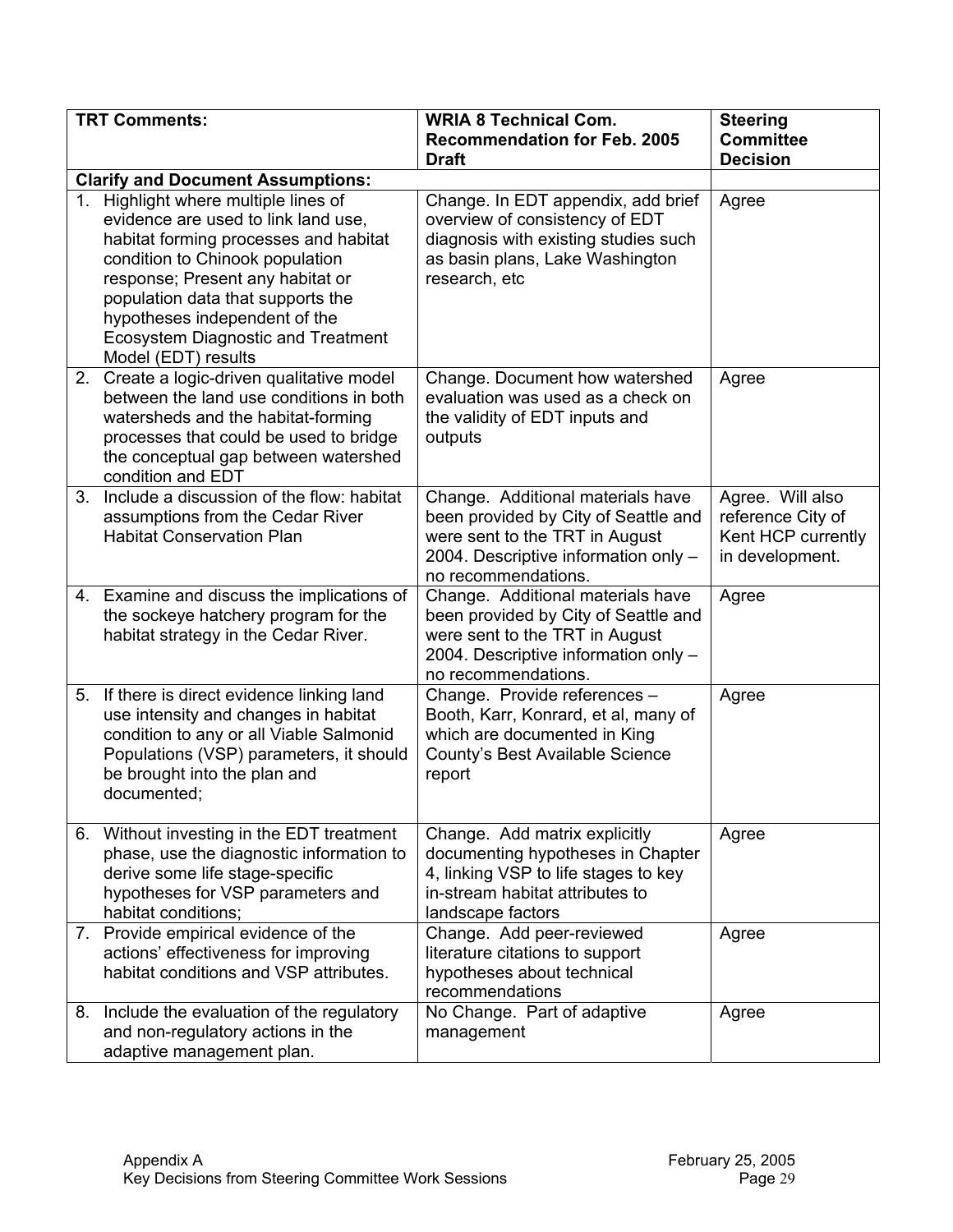|    | <b>TRT Comments:</b>                                                                                                                                                                                                                                                                                                               | <b>WRIA 8 Technical Com.</b><br><b>Recommendation for Feb. 2005</b><br><b>Draft</b>                                                                                        | <b>Steering</b><br><b>Committee</b><br><b>Decision</b>                         |
|----|------------------------------------------------------------------------------------------------------------------------------------------------------------------------------------------------------------------------------------------------------------------------------------------------------------------------------------|----------------------------------------------------------------------------------------------------------------------------------------------------------------------------|--------------------------------------------------------------------------------|
|    | <b>Clarify and Document Assumptions:</b>                                                                                                                                                                                                                                                                                           |                                                                                                                                                                            |                                                                                |
| 1. | Highlight where multiple lines of<br>evidence are used to link land use,<br>habitat forming processes and habitat<br>condition to Chinook population<br>response; Present any habitat or<br>population data that supports the<br>hypotheses independent of the<br><b>Ecosystem Diagnostic and Treatment</b><br>Model (EDT) results | Change. In EDT appendix, add brief<br>overview of consistency of EDT<br>diagnosis with existing studies such<br>as basin plans, Lake Washington<br>research, etc           | Agree                                                                          |
| 2. | Create a logic-driven qualitative model<br>between the land use conditions in both<br>watersheds and the habitat-forming<br>processes that could be used to bridge<br>the conceptual gap between watershed<br>condition and EDT                                                                                                    | Change. Document how watershed<br>evaluation was used as a check on<br>the validity of EDT inputs and<br>outputs                                                           | Agree                                                                          |
|    | 3. Include a discussion of the flow: habitat<br>assumptions from the Cedar River<br><b>Habitat Conservation Plan</b>                                                                                                                                                                                                               | Change. Additional materials have<br>been provided by City of Seattle and<br>were sent to the TRT in August<br>2004. Descriptive information only -<br>no recommendations. | Agree. Will also<br>reference City of<br>Kent HCP currently<br>in development. |
|    | 4. Examine and discuss the implications of<br>the sockeye hatchery program for the<br>habitat strategy in the Cedar River.                                                                                                                                                                                                         | Change. Additional materials have<br>been provided by City of Seattle and<br>were sent to the TRT in August<br>2004. Descriptive information only -<br>no recommendations. | Agree                                                                          |
|    | 5. If there is direct evidence linking land<br>use intensity and changes in habitat<br>condition to any or all Viable Salmonid<br>Populations (VSP) parameters, it should<br>be brought into the plan and<br>documented;                                                                                                           | Change. Provide references -<br>Booth, Karr, Konrard, et al, many of<br>which are documented in King<br>County's Best Available Science<br>report                          | Agree                                                                          |
|    | 6. Without investing in the EDT treatment<br>phase, use the diagnostic information to<br>derive some life stage-specific<br>hypotheses for VSP parameters and<br>habitat conditions;                                                                                                                                               | Change. Add matrix explicitly<br>documenting hypotheses in Chapter<br>4, linking VSP to life stages to key<br>in-stream habitat attributes to<br>landscape factors         | Agree                                                                          |
|    | 7. Provide empirical evidence of the<br>actions' effectiveness for improving<br>habitat conditions and VSP attributes.                                                                                                                                                                                                             | Change. Add peer-reviewed<br>literature citations to support<br>hypotheses about technical<br>recommendations                                                              | Agree                                                                          |
|    | 8. Include the evaluation of the regulatory<br>and non-regulatory actions in the<br>adaptive management plan.                                                                                                                                                                                                                      | No Change. Part of adaptive<br>management                                                                                                                                  | Agree                                                                          |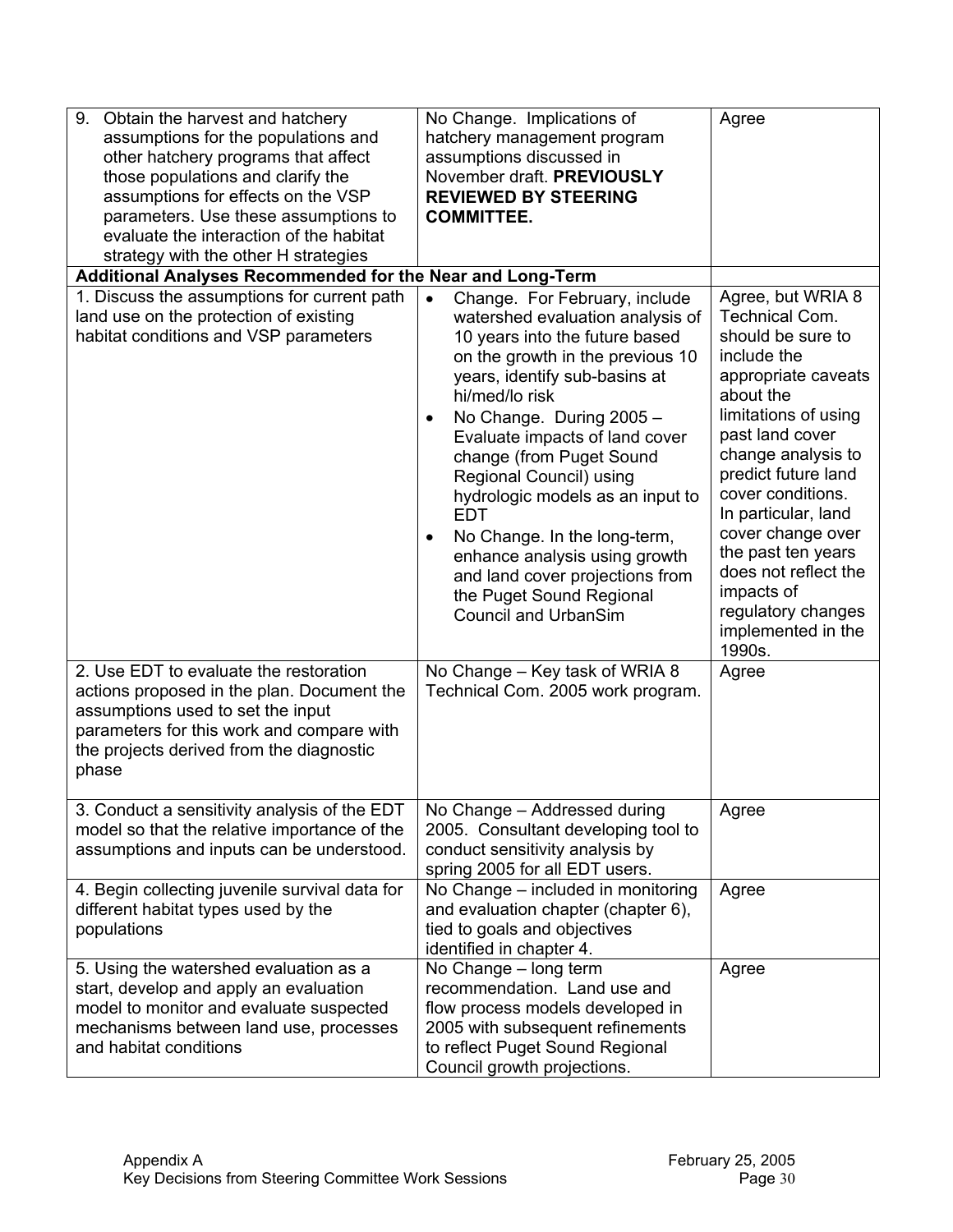| 9.<br>Obtain the harvest and hatchery<br>assumptions for the populations and<br>other hatchery programs that affect<br>those populations and clarify the<br>assumptions for effects on the VSP<br>parameters. Use these assumptions to<br>evaluate the interaction of the habitat<br>strategy with the other H strategies | No Change. Implications of<br>hatchery management program<br>assumptions discussed in<br>November draft. PREVIOUSLY<br><b>REVIEWED BY STEERING</b><br><b>COMMITTEE.</b>                                                                                                                                                                                                                                                                                                                                                                                                 | Agree                                                                                                                                                                                                                                                                                                                                                                                         |
|---------------------------------------------------------------------------------------------------------------------------------------------------------------------------------------------------------------------------------------------------------------------------------------------------------------------------|-------------------------------------------------------------------------------------------------------------------------------------------------------------------------------------------------------------------------------------------------------------------------------------------------------------------------------------------------------------------------------------------------------------------------------------------------------------------------------------------------------------------------------------------------------------------------|-----------------------------------------------------------------------------------------------------------------------------------------------------------------------------------------------------------------------------------------------------------------------------------------------------------------------------------------------------------------------------------------------|
| Additional Analyses Recommended for the Near and Long-Term                                                                                                                                                                                                                                                                |                                                                                                                                                                                                                                                                                                                                                                                                                                                                                                                                                                         |                                                                                                                                                                                                                                                                                                                                                                                               |
| 1. Discuss the assumptions for current path<br>land use on the protection of existing<br>habitat conditions and VSP parameters                                                                                                                                                                                            | Change. For February, include<br>$\bullet$<br>watershed evaluation analysis of<br>10 years into the future based<br>on the growth in the previous 10<br>years, identify sub-basins at<br>hi/med/lo risk<br>No Change. During 2005 -<br>$\bullet$<br>Evaluate impacts of land cover<br>change (from Puget Sound<br>Regional Council) using<br>hydrologic models as an input to<br><b>EDT</b><br>No Change. In the long-term,<br>$\bullet$<br>enhance analysis using growth<br>and land cover projections from<br>the Puget Sound Regional<br><b>Council and UrbanSim</b> | Agree, but WRIA 8<br><b>Technical Com.</b><br>should be sure to<br>include the<br>appropriate caveats<br>about the<br>limitations of using<br>past land cover<br>change analysis to<br>predict future land<br>cover conditions.<br>In particular, land<br>cover change over<br>the past ten years<br>does not reflect the<br>impacts of<br>regulatory changes<br>implemented in the<br>1990s. |
| 2. Use EDT to evaluate the restoration<br>actions proposed in the plan. Document the<br>assumptions used to set the input<br>parameters for this work and compare with<br>the projects derived from the diagnostic<br>phase                                                                                               | No Change - Key task of WRIA 8<br>Technical Com. 2005 work program.                                                                                                                                                                                                                                                                                                                                                                                                                                                                                                     | Agree                                                                                                                                                                                                                                                                                                                                                                                         |
| 3. Conduct a sensitivity analysis of the EDT<br>model so that the relative importance of the<br>assumptions and inputs can be understood.                                                                                                                                                                                 | No Change - Addressed during<br>2005. Consultant developing tool to<br>conduct sensitivity analysis by<br>spring 2005 for all EDT users.                                                                                                                                                                                                                                                                                                                                                                                                                                | Agree                                                                                                                                                                                                                                                                                                                                                                                         |
| 4. Begin collecting juvenile survival data for<br>different habitat types used by the<br>populations                                                                                                                                                                                                                      | No Change - included in monitoring<br>and evaluation chapter (chapter 6),<br>tied to goals and objectives<br>identified in chapter 4.                                                                                                                                                                                                                                                                                                                                                                                                                                   | Agree                                                                                                                                                                                                                                                                                                                                                                                         |
| 5. Using the watershed evaluation as a<br>start, develop and apply an evaluation<br>model to monitor and evaluate suspected<br>mechanisms between land use, processes<br>and habitat conditions                                                                                                                           | No Change - long term<br>recommendation. Land use and<br>flow process models developed in<br>2005 with subsequent refinements<br>to reflect Puget Sound Regional<br>Council growth projections.                                                                                                                                                                                                                                                                                                                                                                         | Agree                                                                                                                                                                                                                                                                                                                                                                                         |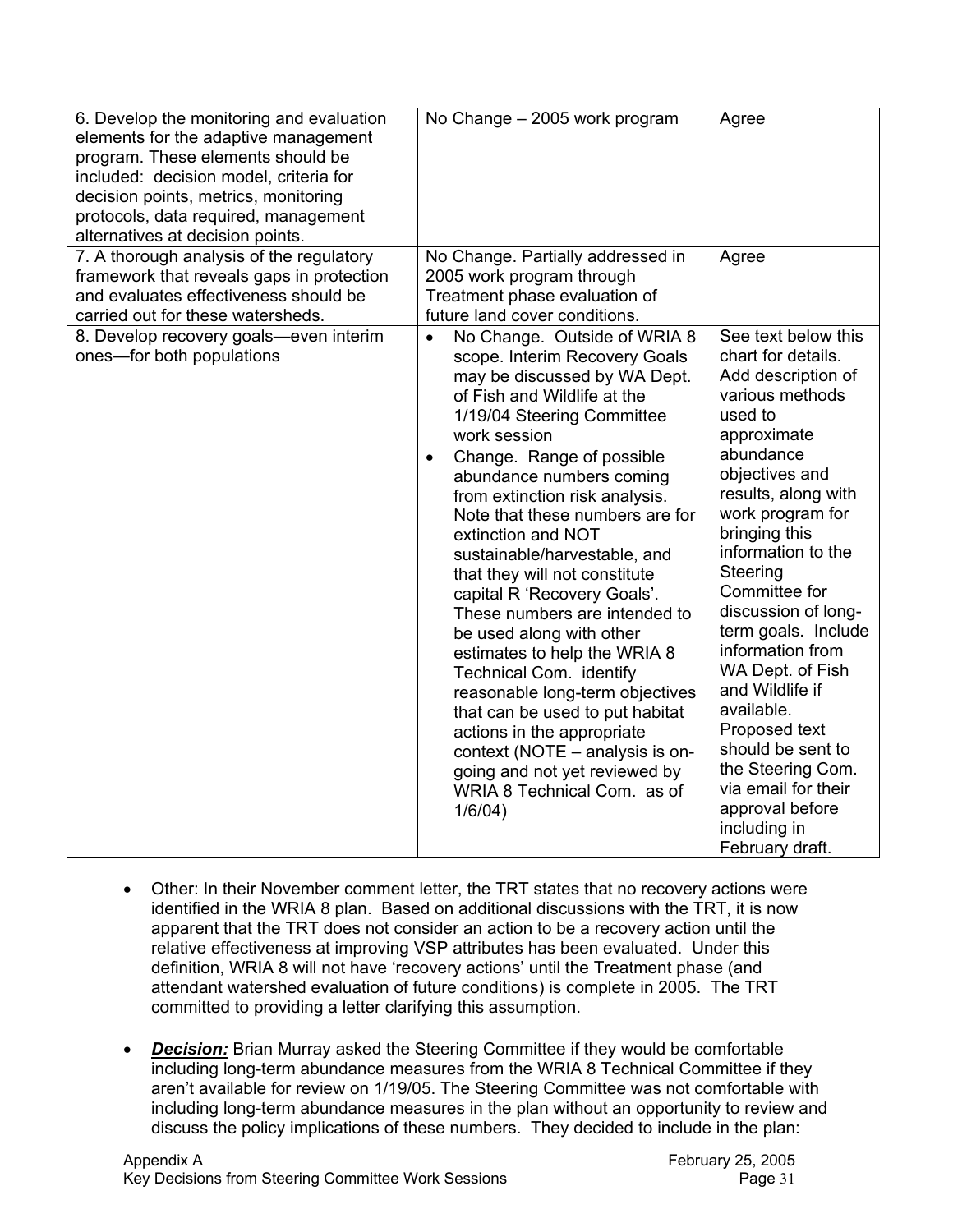| 6. Develop the monitoring and evaluation<br>elements for the adaptive management<br>program. These elements should be<br>included: decision model, criteria for<br>decision points, metrics, monitoring<br>protocols, data required, management<br>alternatives at decision points. | No Change - 2005 work program                                                                                                                                                                                                                                                                                                                                                                                                                                                                                                                                                                                                                                                                                                                                                                      | Agree                                                                                                                                                                                                                                                                                                                                                                                                                                                                                                                     |
|-------------------------------------------------------------------------------------------------------------------------------------------------------------------------------------------------------------------------------------------------------------------------------------|----------------------------------------------------------------------------------------------------------------------------------------------------------------------------------------------------------------------------------------------------------------------------------------------------------------------------------------------------------------------------------------------------------------------------------------------------------------------------------------------------------------------------------------------------------------------------------------------------------------------------------------------------------------------------------------------------------------------------------------------------------------------------------------------------|---------------------------------------------------------------------------------------------------------------------------------------------------------------------------------------------------------------------------------------------------------------------------------------------------------------------------------------------------------------------------------------------------------------------------------------------------------------------------------------------------------------------------|
| 7. A thorough analysis of the regulatory<br>framework that reveals gaps in protection<br>and evaluates effectiveness should be<br>carried out for these watersheds.                                                                                                                 | No Change. Partially addressed in<br>2005 work program through<br>Treatment phase evaluation of<br>future land cover conditions.                                                                                                                                                                                                                                                                                                                                                                                                                                                                                                                                                                                                                                                                   | Agree                                                                                                                                                                                                                                                                                                                                                                                                                                                                                                                     |
| 8. Develop recovery goals-even interim<br>ones-for both populations                                                                                                                                                                                                                 | No Change. Outside of WRIA 8<br>$\bullet$<br>scope. Interim Recovery Goals<br>may be discussed by WA Dept.<br>of Fish and Wildlife at the<br>1/19/04 Steering Committee<br>work session<br>Change. Range of possible<br>$\bullet$<br>abundance numbers coming<br>from extinction risk analysis.<br>Note that these numbers are for<br>extinction and NOT<br>sustainable/harvestable, and<br>that they will not constitute<br>capital R 'Recovery Goals'.<br>These numbers are intended to<br>be used along with other<br>estimates to help the WRIA 8<br>Technical Com. identify<br>reasonable long-term objectives<br>that can be used to put habitat<br>actions in the appropriate<br>context (NOTE - analysis is on-<br>going and not yet reviewed by<br>WRIA 8 Technical Com. as of<br>1/6/04) | See text below this<br>chart for details.<br>Add description of<br>various methods<br>used to<br>approximate<br>abundance<br>objectives and<br>results, along with<br>work program for<br>bringing this<br>information to the<br>Steering<br>Committee for<br>discussion of long-<br>term goals. Include<br>information from<br>WA Dept. of Fish<br>and Wildlife if<br>available.<br>Proposed text<br>should be sent to<br>the Steering Com.<br>via email for their<br>approval before<br>including in<br>February draft. |

- Other: In their November comment letter, the TRT states that no recovery actions were identified in the WRIA 8 plan. Based on additional discussions with the TRT, it is now apparent that the TRT does not consider an action to be a recovery action until the relative effectiveness at improving VSP attributes has been evaluated. Under this definition, WRIA 8 will not have 'recovery actions' until the Treatment phase (and attendant watershed evaluation of future conditions) is complete in 2005. The TRT committed to providing a letter clarifying this assumption.
- *Decision:* Brian Murray asked the Steering Committee if they would be comfortable including long-term abundance measures from the WRIA 8 Technical Committee if they aren't available for review on 1/19/05. The Steering Committee was not comfortable with including long-term abundance measures in the plan without an opportunity to review and discuss the policy implications of these numbers. They decided to include in the plan: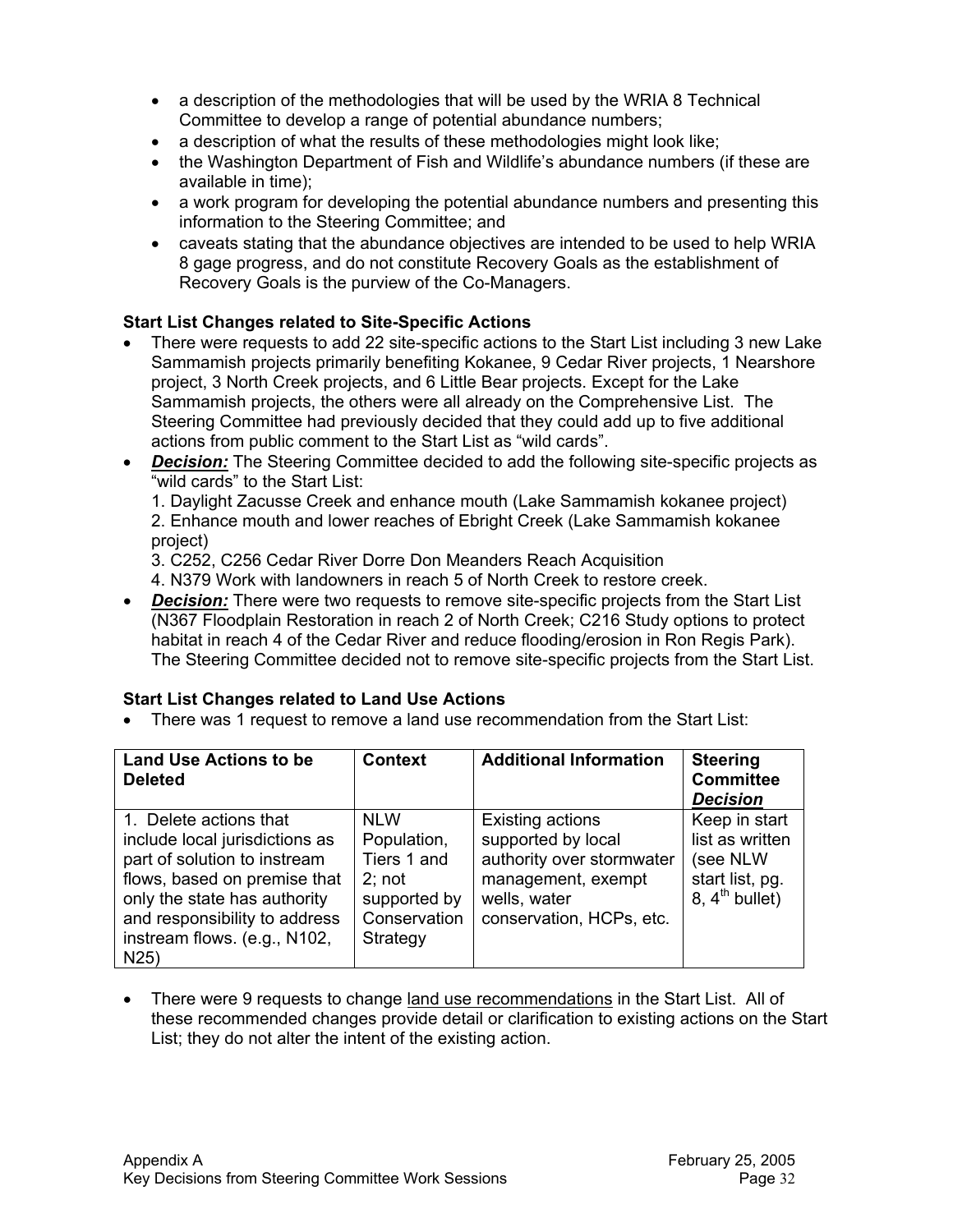- a description of the methodologies that will be used by the WRIA 8 Technical Committee to develop a range of potential abundance numbers;
- a description of what the results of these methodologies might look like;
- the Washington Department of Fish and Wildlife's abundance numbers (if these are available in time);
- a work program for developing the potential abundance numbers and presenting this information to the Steering Committee; and
- caveats stating that the abundance objectives are intended to be used to help WRIA 8 gage progress, and do not constitute Recovery Goals as the establishment of Recovery Goals is the purview of the Co-Managers.

# **Start List Changes related to Site-Specific Actions**

- There were requests to add 22 site-specific actions to the Start List including 3 new Lake Sammamish projects primarily benefiting Kokanee, 9 Cedar River projects, 1 Nearshore project, 3 North Creek projects, and 6 Little Bear projects. Except for the Lake Sammamish projects, the others were all already on the Comprehensive List. The Steering Committee had previously decided that they could add up to five additional actions from public comment to the Start List as "wild cards".
- *Decision:* The Steering Committee decided to add the following site-specific projects as "wild cards" to the Start List:

1. Daylight Zacusse Creek and enhance mouth (Lake Sammamish kokanee project) 2. Enhance mouth and lower reaches of Ebright Creek (Lake Sammamish kokanee project)

3. C252, C256 Cedar River Dorre Don Meanders Reach Acquisition

- 4. N379 Work with landowners in reach 5 of North Creek to restore creek.
- *Decision:* There were two requests to remove site-specific projects from the Start List (N367 Floodplain Restoration in reach 2 of North Creek; C216 Study options to protect habitat in reach 4 of the Cedar River and reduce flooding/erosion in Ron Regis Park). The Steering Committee decided not to remove site-specific projects from the Start List.

## **Start List Changes related to Land Use Actions**

• There was 1 request to remove a land use recommendation from the Start List:

| <b>Land Use Actions to be</b><br><b>Deleted</b>                                                                                                                                                                                  | <b>Context</b>                                                                                 | <b>Additional Information</b>                                                                                                         | <b>Steering</b><br><b>Committee</b><br><b>Decision</b>                                        |
|----------------------------------------------------------------------------------------------------------------------------------------------------------------------------------------------------------------------------------|------------------------------------------------------------------------------------------------|---------------------------------------------------------------------------------------------------------------------------------------|-----------------------------------------------------------------------------------------------|
| 1. Delete actions that<br>include local jurisdictions as<br>part of solution to instream<br>flows, based on premise that<br>only the state has authority<br>and responsibility to address<br>instream flows. (e.g., N102,<br>N25 | <b>NLW</b><br>Population,<br>Tiers 1 and<br>2: not<br>supported by<br>Conservation<br>Strategy | Existing actions<br>supported by local<br>authority over stormwater<br>management, exempt<br>wells, water<br>conservation, HCPs, etc. | Keep in start<br>list as written<br>(see NLW<br>start list, pg.<br>8. $4^{\text{th}}$ bullet) |

• There were 9 requests to change land use recommendations in the Start List. All of these recommended changes provide detail or clarification to existing actions on the Start List; they do not alter the intent of the existing action.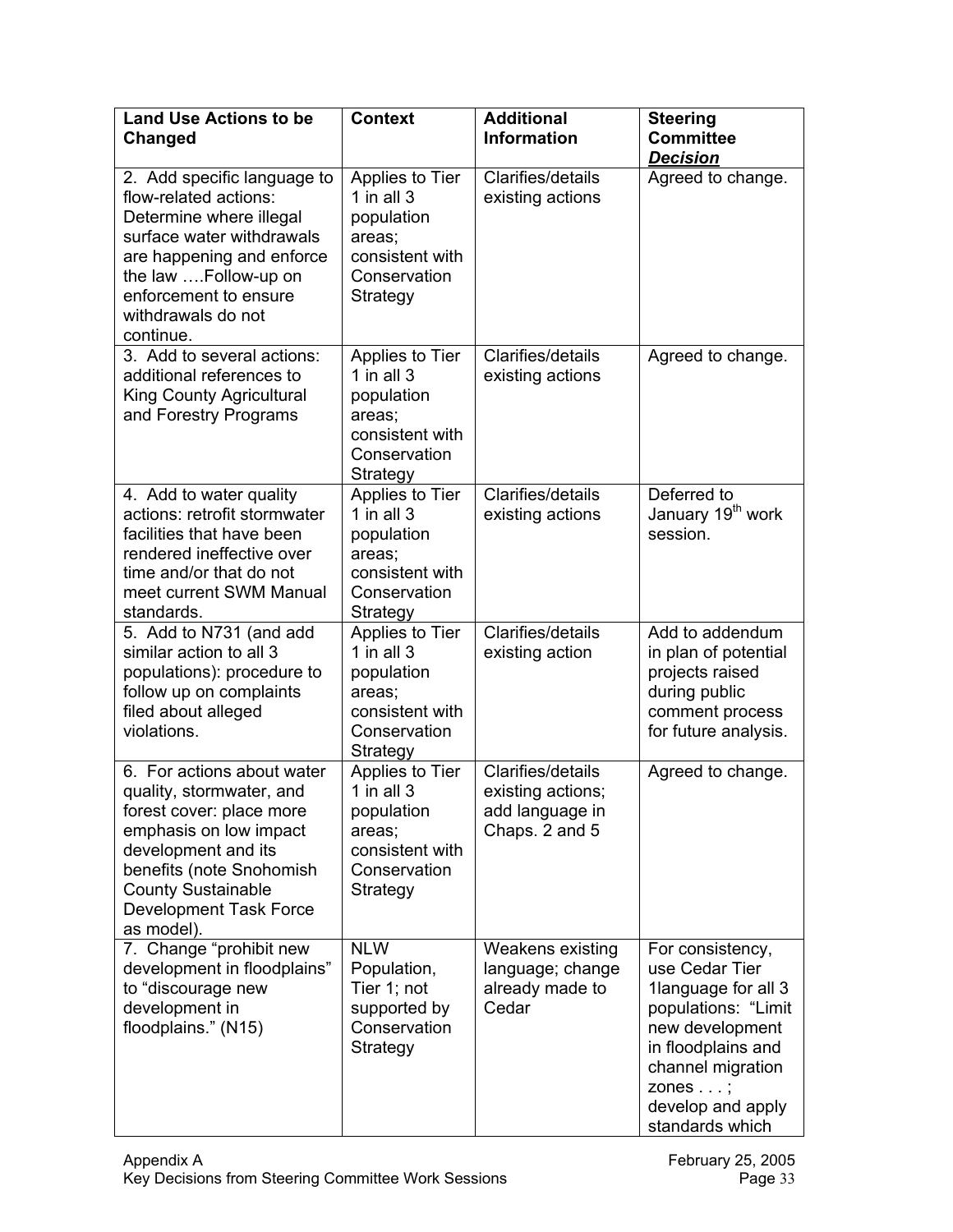| <b>Land Use Actions to be</b><br><b>Changed</b>                                                                                                                                                                                             | <b>Context</b>                                                                                         | <b>Additional</b><br><b>Information</b>                                     | <b>Steering</b><br><b>Committee</b><br><b>Decision</b>                                                                                                                                                     |
|---------------------------------------------------------------------------------------------------------------------------------------------------------------------------------------------------------------------------------------------|--------------------------------------------------------------------------------------------------------|-----------------------------------------------------------------------------|------------------------------------------------------------------------------------------------------------------------------------------------------------------------------------------------------------|
| 2. Add specific language to<br>flow-related actions:<br>Determine where illegal<br>surface water withdrawals<br>are happening and enforce<br>the law Follow-up on<br>enforcement to ensure<br>withdrawals do not<br>continue.               | Applies to Tier<br>1 in all $3$<br>population<br>areas;<br>consistent with<br>Conservation<br>Strategy | Clarifies/details<br>existing actions                                       | Agreed to change.                                                                                                                                                                                          |
| 3. Add to several actions:<br>additional references to<br><b>King County Agricultural</b><br>and Forestry Programs                                                                                                                          | Applies to Tier<br>1 in all $3$<br>population<br>areas;<br>consistent with<br>Conservation<br>Strategy | Clarifies/details<br>existing actions                                       | Agreed to change.                                                                                                                                                                                          |
| 4. Add to water quality<br>actions: retrofit stormwater<br>facilities that have been<br>rendered ineffective over<br>time and/or that do not<br>meet current SWM Manual<br>standards.                                                       | Applies to Tier<br>1 in all $3$<br>population<br>areas;<br>consistent with<br>Conservation<br>Strategy | Clarifies/details<br>existing actions                                       | Deferred to<br>January 19 <sup>th</sup> work<br>session.                                                                                                                                                   |
| 5. Add to N731 (and add<br>similar action to all 3<br>populations): procedure to<br>follow up on complaints<br>filed about alleged<br>violations.                                                                                           | Applies to Tier<br>1 in all $3$<br>population<br>areas;<br>consistent with<br>Conservation<br>Strategy | Clarifies/details<br>existing action                                        | Add to addendum<br>in plan of potential<br>projects raised<br>during public<br>comment process<br>for future analysis.                                                                                     |
| 6. For actions about water<br>quality, stormwater, and<br>forest cover: place more<br>emphasis on low impact<br>development and its<br>benefits (note Snohomish<br><b>County Sustainable</b><br><b>Development Task Force</b><br>as model). | Applies to Tier<br>1 in all $3$<br>population<br>areas;<br>consistent with<br>Conservation<br>Strategy | Clarifies/details<br>existing actions;<br>add language in<br>Chaps. 2 and 5 | Agreed to change.                                                                                                                                                                                          |
| 7. Change "prohibit new<br>development in floodplains"<br>to "discourage new<br>development in<br>floodplains." (N15)                                                                                                                       | <b>NLW</b><br>Population,<br>Tier 1; not<br>supported by<br>Conservation<br>Strategy                   | <b>Weakens existing</b><br>language; change<br>already made to<br>Cedar     | For consistency,<br>use Cedar Tier<br>1language for all 3<br>populations: "Limit<br>new development<br>in floodplains and<br>channel migration<br>zones $\ldots$ ;<br>develop and apply<br>standards which |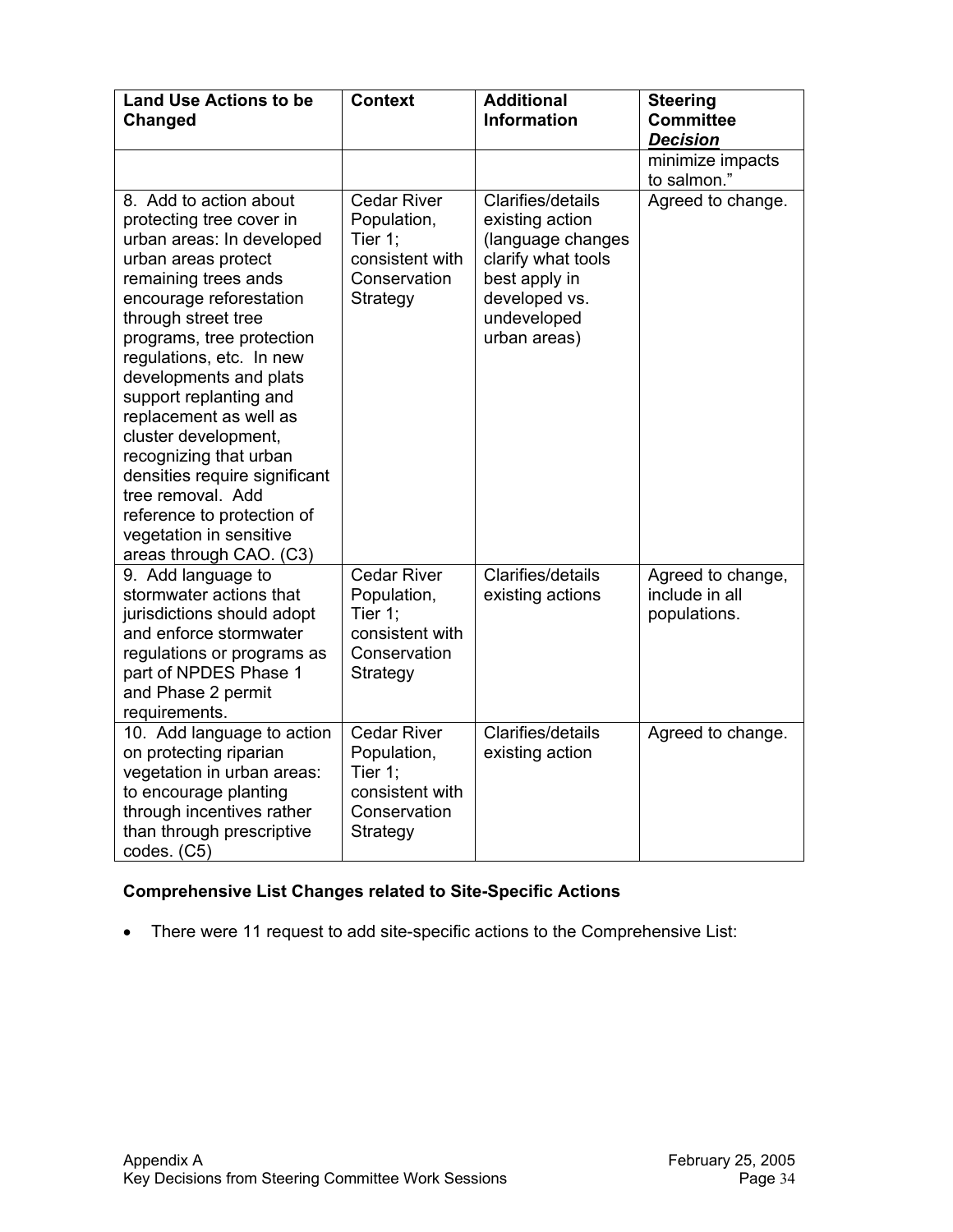| <b>Land Use Actions to be</b><br>Changed                                                                                                                                                                                                                                                                                                                                                                                                                                                                            | <b>Context</b>                                                                              | <b>Additional</b><br><b>Information</b>                                                                                                          | <b>Steering</b><br><b>Committee</b><br><b>Decision</b> |
|---------------------------------------------------------------------------------------------------------------------------------------------------------------------------------------------------------------------------------------------------------------------------------------------------------------------------------------------------------------------------------------------------------------------------------------------------------------------------------------------------------------------|---------------------------------------------------------------------------------------------|--------------------------------------------------------------------------------------------------------------------------------------------------|--------------------------------------------------------|
|                                                                                                                                                                                                                                                                                                                                                                                                                                                                                                                     |                                                                                             |                                                                                                                                                  | minimize impacts<br>to salmon."                        |
| 8. Add to action about<br>protecting tree cover in<br>urban areas: In developed<br>urban areas protect<br>remaining trees ands<br>encourage reforestation<br>through street tree<br>programs, tree protection<br>regulations, etc. In new<br>developments and plats<br>support replanting and<br>replacement as well as<br>cluster development,<br>recognizing that urban<br>densities require significant<br>tree removal. Add<br>reference to protection of<br>vegetation in sensitive<br>areas through CAO. (C3) | <b>Cedar River</b><br>Population,<br>Tier 1;<br>consistent with<br>Conservation<br>Strategy | Clarifies/details<br>existing action<br>(language changes<br>clarify what tools<br>best apply in<br>developed vs.<br>undeveloped<br>urban areas) | Agreed to change.                                      |
| 9. Add language to<br>stormwater actions that<br>jurisdictions should adopt<br>and enforce stormwater<br>regulations or programs as<br>part of NPDES Phase 1<br>and Phase 2 permit<br>requirements.                                                                                                                                                                                                                                                                                                                 | <b>Cedar River</b><br>Population,<br>Tier 1;<br>consistent with<br>Conservation<br>Strategy | Clarifies/details<br>existing actions                                                                                                            | Agreed to change,<br>include in all<br>populations.    |
| 10. Add language to action<br>on protecting riparian<br>vegetation in urban areas:<br>to encourage planting<br>through incentives rather<br>than through prescriptive<br>codes. (C5)                                                                                                                                                                                                                                                                                                                                | <b>Cedar River</b><br>Population,<br>Tier 1;<br>consistent with<br>Conservation<br>Strategy | Clarifies/details<br>existing action                                                                                                             | Agreed to change.                                      |

# **Comprehensive List Changes related to Site-Specific Actions**

• There were 11 request to add site-specific actions to the Comprehensive List: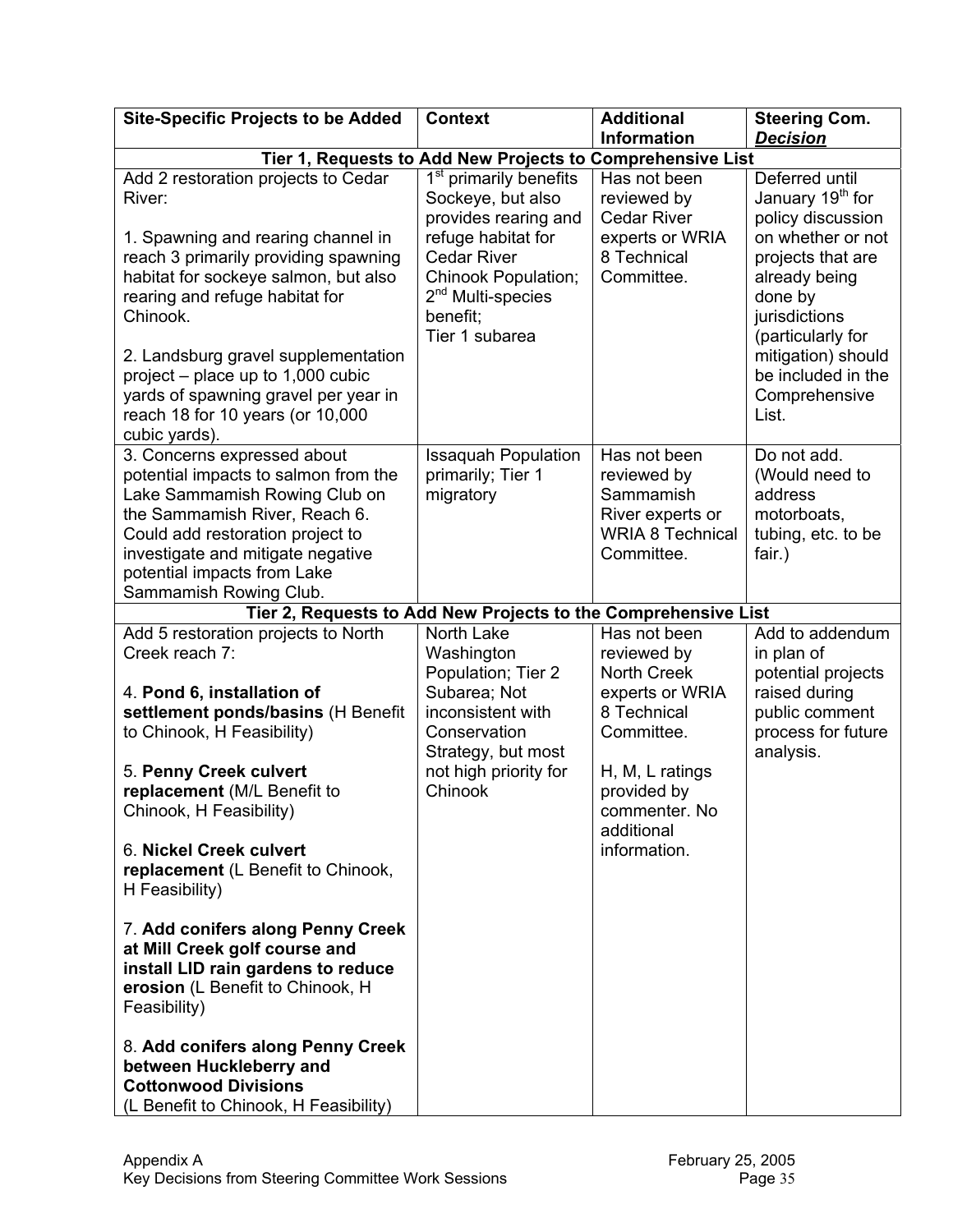| <b>Site-Specific Projects to be Added</b>                                                                                                                                                                                                                                                                                                                                                    | <b>Context</b>                                                                                                                                                                                                       | <b>Additional</b>                                                                                                    | <b>Steering Com.</b>                                                                                                                                                                                                                                  |
|----------------------------------------------------------------------------------------------------------------------------------------------------------------------------------------------------------------------------------------------------------------------------------------------------------------------------------------------------------------------------------------------|----------------------------------------------------------------------------------------------------------------------------------------------------------------------------------------------------------------------|----------------------------------------------------------------------------------------------------------------------|-------------------------------------------------------------------------------------------------------------------------------------------------------------------------------------------------------------------------------------------------------|
|                                                                                                                                                                                                                                                                                                                                                                                              |                                                                                                                                                                                                                      | <b>Information</b>                                                                                                   | <b>Decision</b>                                                                                                                                                                                                                                       |
|                                                                                                                                                                                                                                                                                                                                                                                              | Tier 1, Requests to Add New Projects to Comprehensive List                                                                                                                                                           |                                                                                                                      |                                                                                                                                                                                                                                                       |
| Add 2 restoration projects to Cedar<br>River:<br>1. Spawning and rearing channel in<br>reach 3 primarily providing spawning<br>habitat for sockeye salmon, but also<br>rearing and refuge habitat for<br>Chinook.<br>2. Landsburg gravel supplementation<br>project $-$ place up to 1,000 cubic<br>yards of spawning gravel per year in<br>reach 18 for 10 years (or 10,000<br>cubic yards). | 1 <sup>st</sup><br>primarily benefits<br>Sockeye, but also<br>provides rearing and<br>refuge habitat for<br><b>Cedar River</b><br>Chinook Population;<br>2 <sup>nd</sup> Multi-species<br>benefit;<br>Tier 1 subarea | Has not been<br>reviewed by<br><b>Cedar River</b><br>experts or WRIA<br>8 Technical<br>Committee.                    | Deferred until<br>January 19 <sup>th</sup> for<br>policy discussion<br>on whether or not<br>projects that are<br>already being<br>done by<br>jurisdictions<br>(particularly for<br>mitigation) should<br>be included in the<br>Comprehensive<br>List. |
| 3. Concerns expressed about<br>potential impacts to salmon from the<br>Lake Sammamish Rowing Club on<br>the Sammamish River, Reach 6.<br>Could add restoration project to<br>investigate and mitigate negative<br>potential impacts from Lake<br>Sammamish Rowing Club.                                                                                                                      | <b>Issaquah Population</b><br>primarily; Tier 1<br>migratory                                                                                                                                                         | Has not been<br>reviewed by<br>Sammamish<br>River experts or<br><b>WRIA 8 Technical</b><br>Committee.                | Do not add.<br>(Would need to<br>address<br>motorboats,<br>tubing, etc. to be<br>fair.)                                                                                                                                                               |
|                                                                                                                                                                                                                                                                                                                                                                                              | Tier 2, Requests to Add New Projects to the Comprehensive List                                                                                                                                                       |                                                                                                                      |                                                                                                                                                                                                                                                       |
| Add 5 restoration projects to North<br>Creek reach 7:<br>4. Pond 6, installation of<br>settlement ponds/basins (H Benefit<br>to Chinook, H Feasibility)<br>5. Penny Creek culvert                                                                                                                                                                                                            | North Lake<br>Washington<br>Population; Tier 2<br>Subarea; Not<br>inconsistent with<br>Conservation<br>Strategy, but most<br>not high priority for                                                                   | Has not been<br>reviewed by<br><b>North Creek</b><br>experts or WRIA<br>8 Technical<br>Committee.<br>H, M, L ratings | Add to addendum<br>in plan of<br>potential projects<br>raised during<br>public comment<br>process for future<br>analysis.                                                                                                                             |
| replacement (M/L Benefit to<br>Chinook, H Feasibility)<br>6. Nickel Creek culvert<br>replacement (L Benefit to Chinook,<br>H Feasibility)                                                                                                                                                                                                                                                    | Chinook                                                                                                                                                                                                              | provided by<br>commenter. No<br>additional<br>information.                                                           |                                                                                                                                                                                                                                                       |
| 7. Add conifers along Penny Creek<br>at Mill Creek golf course and<br>install LID rain gardens to reduce<br>erosion (L Benefit to Chinook, H<br>Feasibility)                                                                                                                                                                                                                                 |                                                                                                                                                                                                                      |                                                                                                                      |                                                                                                                                                                                                                                                       |
| 8. Add conifers along Penny Creek<br>between Huckleberry and<br><b>Cottonwood Divisions</b><br>(L Benefit to Chinook, H Feasibility)                                                                                                                                                                                                                                                         |                                                                                                                                                                                                                      |                                                                                                                      |                                                                                                                                                                                                                                                       |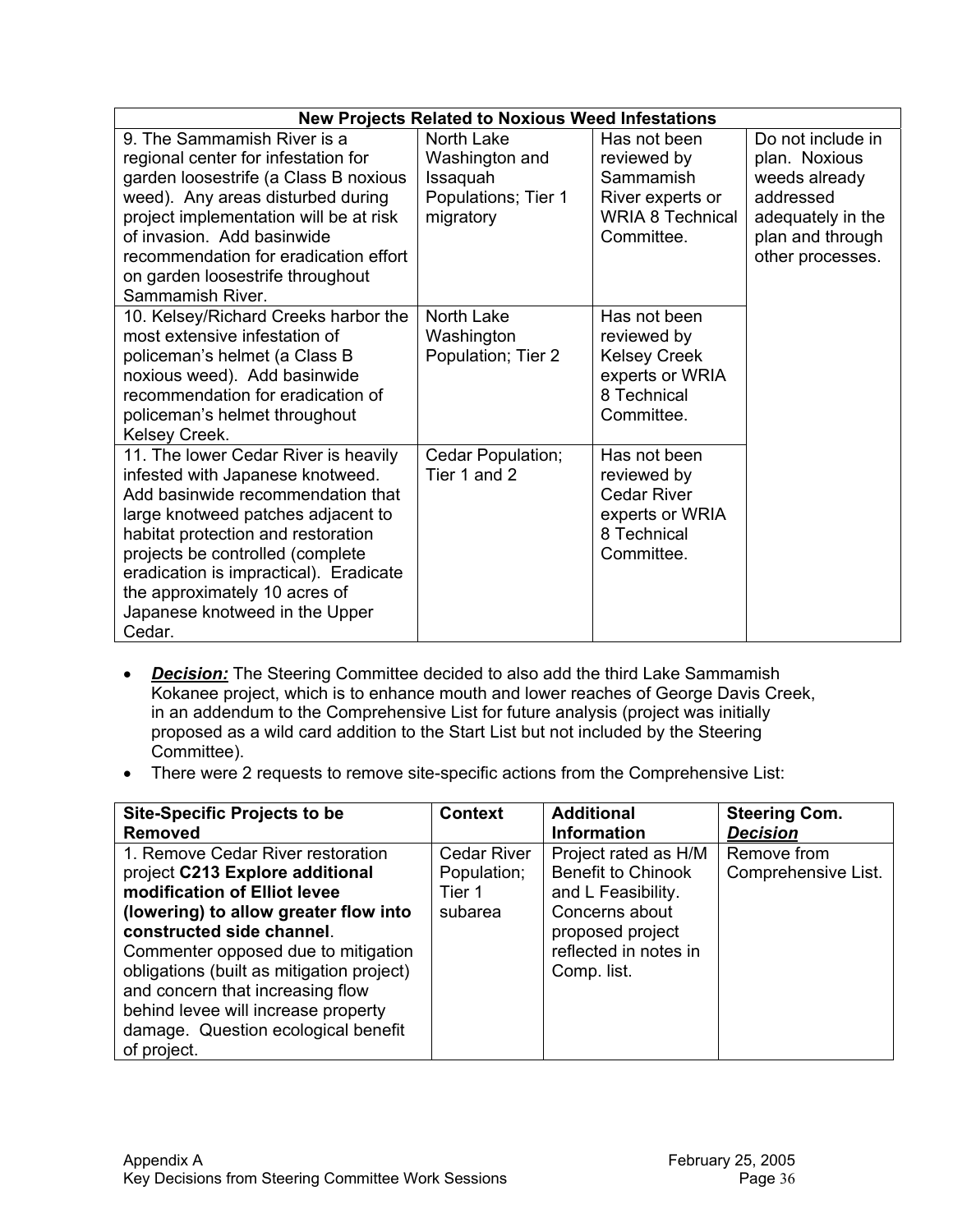|                                                                                                                                                                                                                                                                                                                                                      | <b>New Projects Related to Noxious Weed Infestations</b> |                                                                                                    |                                                                                         |
|------------------------------------------------------------------------------------------------------------------------------------------------------------------------------------------------------------------------------------------------------------------------------------------------------------------------------------------------------|----------------------------------------------------------|----------------------------------------------------------------------------------------------------|-----------------------------------------------------------------------------------------|
| 9. The Sammamish River is a<br>regional center for infestation for                                                                                                                                                                                                                                                                                   | North Lake<br>Washington and                             | Has not been<br>reviewed by                                                                        | Do not include in<br>plan. Noxious                                                      |
| garden loosestrife (a Class B noxious<br>weed). Any areas disturbed during<br>project implementation will be at risk<br>of invasion. Add basinwide<br>recommendation for eradication effort<br>on garden loosestrife throughout<br>Sammamish River.                                                                                                  | Issaquah<br>Populations; Tier 1<br>migratory             | Sammamish<br>River experts or<br><b>WRIA 8 Technical</b><br>Committee.                             | weeds already<br>addressed<br>adequately in the<br>plan and through<br>other processes. |
| 10. Kelsey/Richard Creeks harbor the<br>most extensive infestation of<br>policeman's helmet (a Class B<br>noxious weed). Add basinwide<br>recommendation for eradication of<br>policeman's helmet throughout<br>Kelsey Creek.                                                                                                                        | North Lake<br>Washington<br>Population; Tier 2           | Has not been<br>reviewed by<br><b>Kelsey Creek</b><br>experts or WRIA<br>8 Technical<br>Committee. |                                                                                         |
| 11. The lower Cedar River is heavily<br>infested with Japanese knotweed.<br>Add basinwide recommendation that<br>large knotweed patches adjacent to<br>habitat protection and restoration<br>projects be controlled (complete<br>eradication is impractical). Eradicate<br>the approximately 10 acres of<br>Japanese knotweed in the Upper<br>Cedar. | Cedar Population;<br>Tier 1 and 2                        | Has not been<br>reviewed by<br><b>Cedar River</b><br>experts or WRIA<br>8 Technical<br>Committee.  |                                                                                         |

- *Decision:* The Steering Committee decided to also add the third Lake Sammamish Kokanee project, which is to enhance mouth and lower reaches of George Davis Creek, in an addendum to the Comprehensive List for future analysis (project was initially proposed as a wild card addition to the Start List but not included by the Steering Committee).
- There were 2 requests to remove site-specific actions from the Comprehensive List:

| <b>Site-Specific Projects to be</b>       | <b>Context</b>     | <b>Additional</b>         | <b>Steering Com.</b> |
|-------------------------------------------|--------------------|---------------------------|----------------------|
| <b>Removed</b>                            |                    | <b>Information</b>        | <b>Decision</b>      |
| 1. Remove Cedar River restoration         | <b>Cedar River</b> | Project rated as H/M      | Remove from          |
| project C213 Explore additional           | Population;        | <b>Benefit to Chinook</b> | Comprehensive List.  |
| modification of Elliot levee              | Tier 1             | and L Feasibility.        |                      |
| (lowering) to allow greater flow into     | subarea            | Concerns about            |                      |
| constructed side channel.                 |                    | proposed project          |                      |
| Commenter opposed due to mitigation       |                    | reflected in notes in     |                      |
| obligations (built as mitigation project) |                    | Comp. list.               |                      |
| and concern that increasing flow          |                    |                           |                      |
| behind levee will increase property       |                    |                           |                      |
| damage. Question ecological benefit       |                    |                           |                      |
| of project.                               |                    |                           |                      |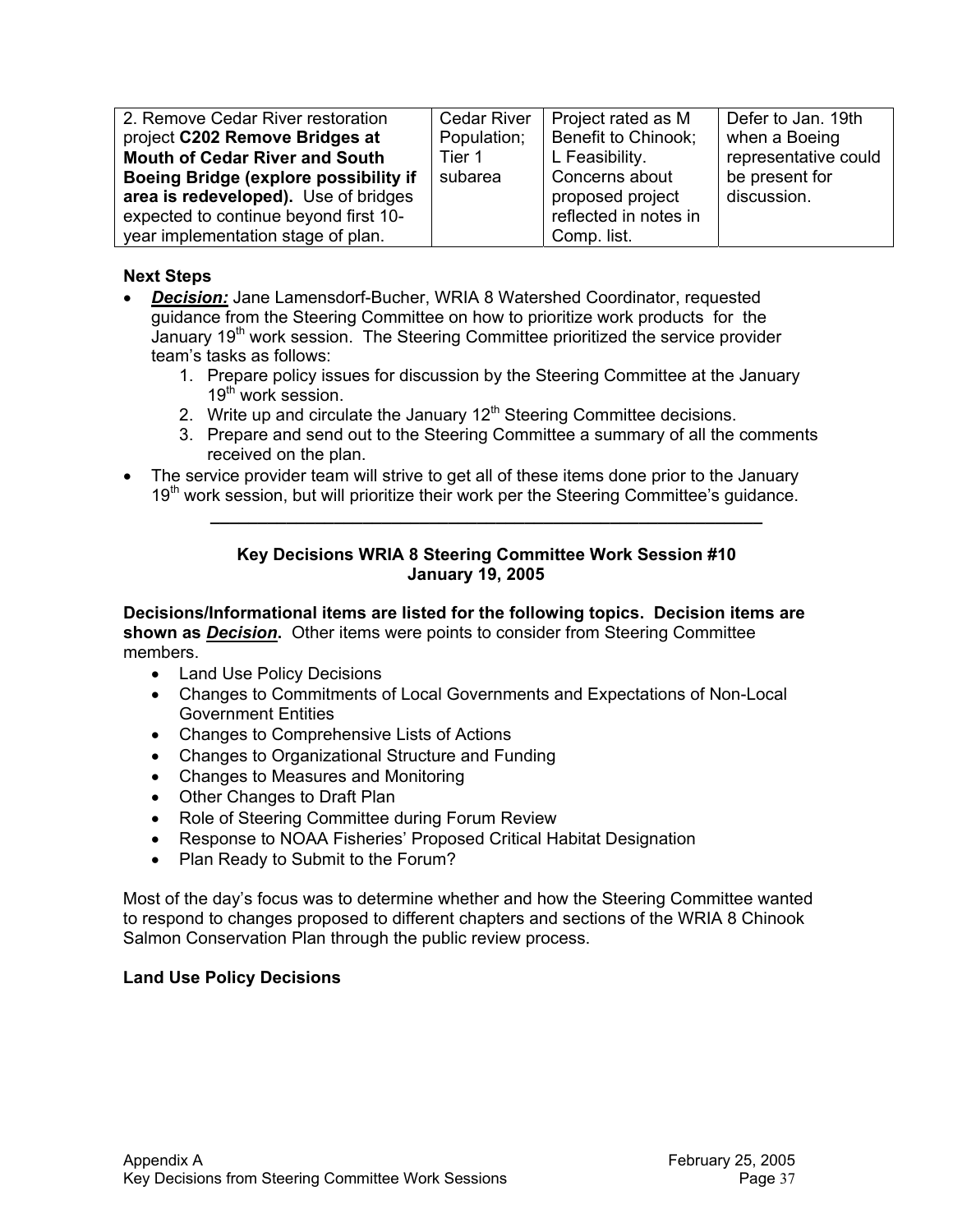| 2. Remove Cedar River restoration     | <b>Cedar River</b> | Project rated as M    | Defer to Jan. 19th   |
|---------------------------------------|--------------------|-----------------------|----------------------|
| project C202 Remove Bridges at        | Population;        | Benefit to Chinook;   | when a Boeing        |
| <b>Mouth of Cedar River and South</b> | Tier 1             | L Feasibility.        | representative could |
| Boeing Bridge (explore possibility if | subarea            | Concerns about        | be present for       |
| area is redeveloped). Use of bridges  |                    | proposed project      | discussion.          |
| expected to continue beyond first 10- |                    | reflected in notes in |                      |
| year implementation stage of plan.    |                    | Comp. list.           |                      |

### **Next Steps**

- **Decision:** Jane Lamensdorf-Bucher, WRIA 8 Watershed Coordinator, requested guidance from the Steering Committee on how to prioritize work products for the January 19<sup>th</sup> work session. The Steering Committee prioritized the service provider team's tasks as follows:
	- 1. Prepare policy issues for discussion by the Steering Committee at the January 19<sup>th</sup> work session.
	- 2. Write up and circulate the January  $12<sup>th</sup>$  Steering Committee decisions.
	- 3. Prepare and send out to the Steering Committee a summary of all the comments received on the plan.
- The service provider team will strive to get all of these items done prior to the January  $19<sup>th</sup>$  work session, but will prioritize their work per the Steering Committee's guidance.

#### **Key Decisions WRIA 8 Steering Committee Work Session #10 January 19, 2005**

**\_\_\_\_\_\_\_\_\_\_\_\_\_\_\_\_\_\_\_\_\_\_\_\_\_\_\_\_\_\_\_\_\_\_\_\_\_\_\_\_\_\_\_\_\_\_\_\_\_\_\_\_\_\_\_\_\_\_** 

**Decisions/Informational items are listed for the following topics. Decision items are shown as** *Decision***.** Other items were points to consider from Steering Committee members.

- Land Use Policy Decisions
- Changes to Commitments of Local Governments and Expectations of Non-Local Government Entities
- Changes to Comprehensive Lists of Actions
- Changes to Organizational Structure and Funding
- Changes to Measures and Monitoring
- Other Changes to Draft Plan
- Role of Steering Committee during Forum Review
- Response to NOAA Fisheries' Proposed Critical Habitat Designation
- Plan Ready to Submit to the Forum?

Most of the day's focus was to determine whether and how the Steering Committee wanted to respond to changes proposed to different chapters and sections of the WRIA 8 Chinook Salmon Conservation Plan through the public review process.

#### **Land Use Policy Decisions**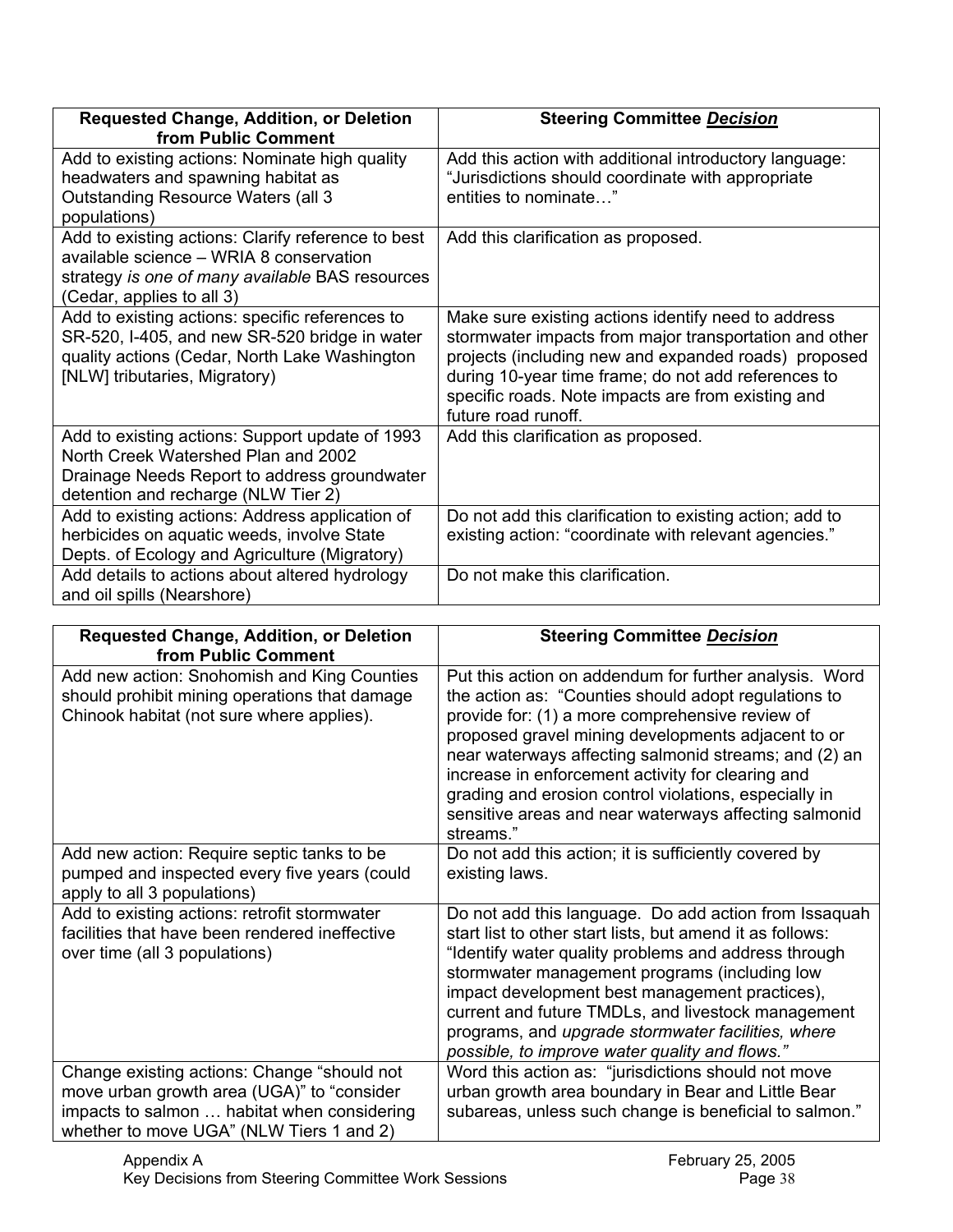| Requested Change, Addition, or Deletion<br>from Public Comment                                                                                                                     | <b>Steering Committee Decision</b>                                                                                                                                                                                                                                                                        |
|------------------------------------------------------------------------------------------------------------------------------------------------------------------------------------|-----------------------------------------------------------------------------------------------------------------------------------------------------------------------------------------------------------------------------------------------------------------------------------------------------------|
| Add to existing actions: Nominate high quality<br>headwaters and spawning habitat as<br>Outstanding Resource Waters (all 3<br>populations)                                         | Add this action with additional introductory language:<br>"Jurisdictions should coordinate with appropriate<br>entities to nominate"                                                                                                                                                                      |
| Add to existing actions: Clarify reference to best<br>available science - WRIA 8 conservation<br>strategy is one of many available BAS resources<br>(Cedar, applies to all 3)      | Add this clarification as proposed.                                                                                                                                                                                                                                                                       |
| Add to existing actions: specific references to<br>SR-520, I-405, and new SR-520 bridge in water<br>quality actions (Cedar, North Lake Washington<br>[NLW] tributaries, Migratory) | Make sure existing actions identify need to address<br>stormwater impacts from major transportation and other<br>projects (including new and expanded roads) proposed<br>during 10-year time frame; do not add references to<br>specific roads. Note impacts are from existing and<br>future road runoff. |
| Add to existing actions: Support update of 1993<br>North Creek Watershed Plan and 2002<br>Drainage Needs Report to address groundwater<br>detention and recharge (NLW Tier 2)      | Add this clarification as proposed.                                                                                                                                                                                                                                                                       |
| Add to existing actions: Address application of<br>herbicides on aquatic weeds, involve State<br>Depts. of Ecology and Agriculture (Migratory)                                     | Do not add this clarification to existing action; add to<br>existing action: "coordinate with relevant agencies."                                                                                                                                                                                         |
| Add details to actions about altered hydrology<br>and oil spills (Nearshore)                                                                                                       | Do not make this clarification.                                                                                                                                                                                                                                                                           |

| <b>Requested Change, Addition, or Deletion</b><br>from Public Comment                                                                                                                | <b>Steering Committee Decision</b>                                                                                                                                                                                                                                                                                                                                                                                                                                   |
|--------------------------------------------------------------------------------------------------------------------------------------------------------------------------------------|----------------------------------------------------------------------------------------------------------------------------------------------------------------------------------------------------------------------------------------------------------------------------------------------------------------------------------------------------------------------------------------------------------------------------------------------------------------------|
| Add new action: Snohomish and King Counties<br>should prohibit mining operations that damage<br>Chinook habitat (not sure where applies).                                            | Put this action on addendum for further analysis. Word<br>the action as: "Counties should adopt regulations to<br>provide for: (1) a more comprehensive review of<br>proposed gravel mining developments adjacent to or<br>near waterways affecting salmonid streams; and (2) an<br>increase in enforcement activity for clearing and<br>grading and erosion control violations, especially in<br>sensitive areas and near waterways affecting salmonid<br>streams." |
| Add new action: Require septic tanks to be<br>pumped and inspected every five years (could<br>apply to all 3 populations)                                                            | Do not add this action; it is sufficiently covered by<br>existing laws.                                                                                                                                                                                                                                                                                                                                                                                              |
| Add to existing actions: retrofit stormwater<br>facilities that have been rendered ineffective<br>over time (all 3 populations)                                                      | Do not add this language. Do add action from Issaquah<br>start list to other start lists, but amend it as follows:<br>"Identify water quality problems and address through<br>stormwater management programs (including low<br>impact development best management practices),<br>current and future TMDLs, and livestock management<br>programs, and upgrade stormwater facilities, where<br>possible, to improve water quality and flows."                          |
| Change existing actions: Change "should not<br>move urban growth area (UGA)" to "consider<br>impacts to salmon  habitat when considering<br>whether to move UGA" (NLW Tiers 1 and 2) | Word this action as: "jurisdictions should not move<br>urban growth area boundary in Bear and Little Bear<br>subareas, unless such change is beneficial to salmon."                                                                                                                                                                                                                                                                                                  |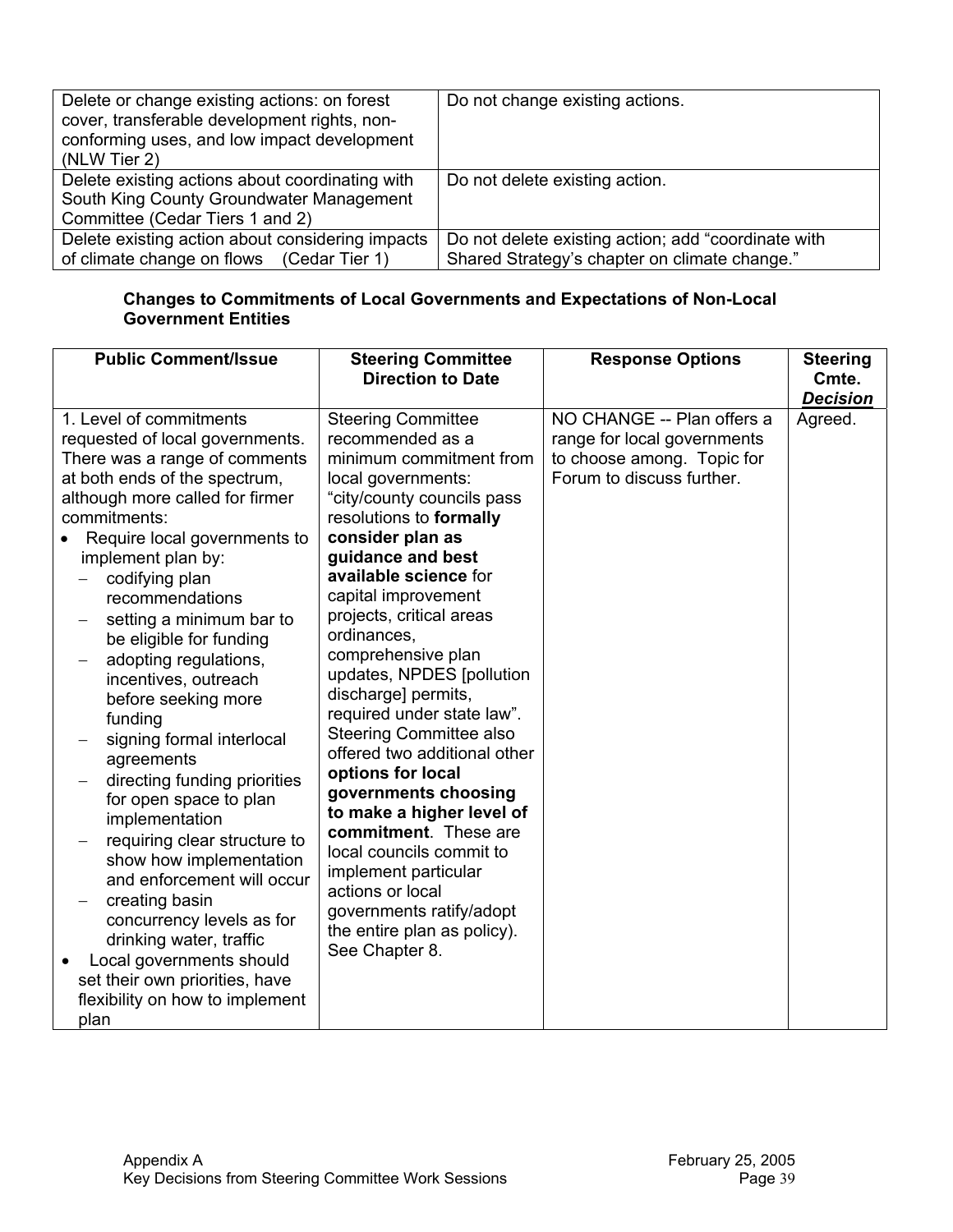| Delete or change existing actions: on forest<br>cover, transferable development rights, non-<br>conforming uses, and low impact development<br>(NLW Tier 2) | Do not change existing actions.                     |
|-------------------------------------------------------------------------------------------------------------------------------------------------------------|-----------------------------------------------------|
| Delete existing actions about coordinating with<br>South King County Groundwater Management                                                                 | Do not delete existing action.                      |
|                                                                                                                                                             |                                                     |
| Committee (Cedar Tiers 1 and 2)                                                                                                                             |                                                     |
| Delete existing action about considering impacts                                                                                                            | Do not delete existing action; add "coordinate with |
| of climate change on flows (Cedar Tier 1)                                                                                                                   | Shared Strategy's chapter on climate change."       |

#### **Changes to Commitments of Local Governments and Expectations of Non-Local Government Entities**

| <b>Public Comment/Issue</b>                                                                                                                                                                                                                                                                                                                                                                                                                                                                                                                                                                                                                                                                                                                                                                                             | <b>Steering Committee</b><br><b>Direction to Date</b>                                                                                                                                                                                                                                                                                                                                                                                                                                                                                                                                                                                                                                                                         | <b>Response Options</b>                                                                                              | <b>Steering</b><br>Cmte.<br><b>Decision</b> |
|-------------------------------------------------------------------------------------------------------------------------------------------------------------------------------------------------------------------------------------------------------------------------------------------------------------------------------------------------------------------------------------------------------------------------------------------------------------------------------------------------------------------------------------------------------------------------------------------------------------------------------------------------------------------------------------------------------------------------------------------------------------------------------------------------------------------------|-------------------------------------------------------------------------------------------------------------------------------------------------------------------------------------------------------------------------------------------------------------------------------------------------------------------------------------------------------------------------------------------------------------------------------------------------------------------------------------------------------------------------------------------------------------------------------------------------------------------------------------------------------------------------------------------------------------------------------|----------------------------------------------------------------------------------------------------------------------|---------------------------------------------|
| 1. Level of commitments<br>requested of local governments.<br>There was a range of comments<br>at both ends of the spectrum,<br>although more called for firmer<br>commitments:<br>Require local governments to<br>implement plan by:<br>codifying plan<br>recommendations<br>setting a minimum bar to<br>be eligible for funding<br>adopting regulations,<br>incentives, outreach<br>before seeking more<br>funding<br>signing formal interlocal<br>agreements<br>directing funding priorities<br>for open space to plan<br>implementation<br>requiring clear structure to<br>show how implementation<br>and enforcement will occur<br>creating basin<br>concurrency levels as for<br>drinking water, traffic<br>Local governments should<br>set their own priorities, have<br>flexibility on how to implement<br>plan | <b>Steering Committee</b><br>recommended as a<br>minimum commitment from<br>local governments:<br>"city/county councils pass<br>resolutions to formally<br>consider plan as<br>guidance and best<br>available science for<br>capital improvement<br>projects, critical areas<br>ordinances,<br>comprehensive plan<br>updates, NPDES [pollution<br>discharge] permits,<br>required under state law".<br><b>Steering Committee also</b><br>offered two additional other<br>options for local<br>governments choosing<br>to make a higher level of<br>commitment. These are<br>local councils commit to<br>implement particular<br>actions or local<br>governments ratify/adopt<br>the entire plan as policy).<br>See Chapter 8. | NO CHANGE -- Plan offers a<br>range for local governments<br>to choose among. Topic for<br>Forum to discuss further. | Agreed.                                     |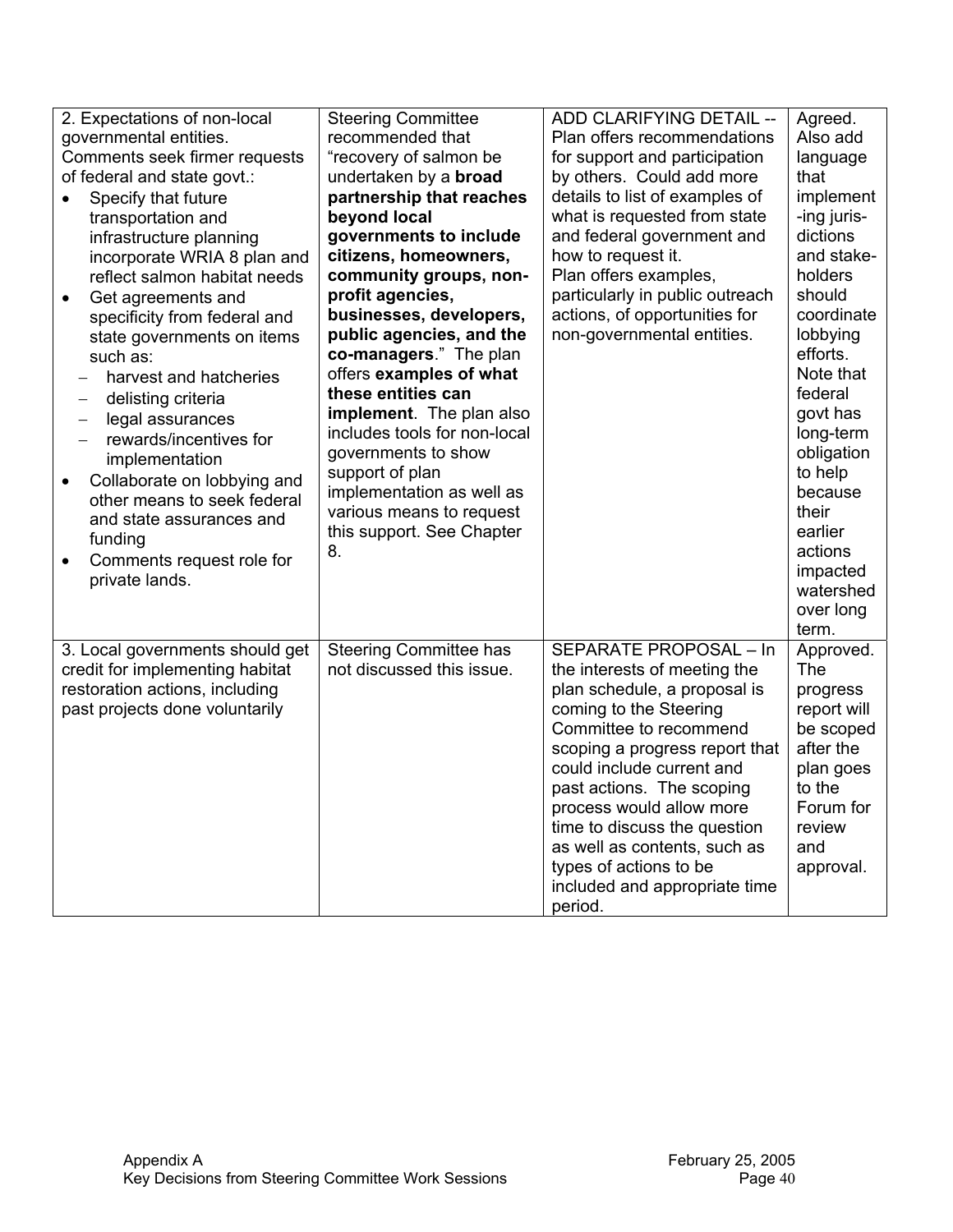| 2. Expectations of non-local<br>governmental entities.<br>Comments seek firmer requests<br>of federal and state govt.:<br>Specify that future<br>$\bullet$<br>transportation and<br>infrastructure planning<br>incorporate WRIA 8 plan and<br>reflect salmon habitat needs<br>Get agreements and<br>$\bullet$<br>specificity from federal and<br>state governments on items<br>such as:<br>harvest and hatcheries<br>delisting criteria<br>$\qquad \qquad -$<br>legal assurances<br>$\overbrace{\phantom{12322111}}$<br>rewards/incentives for<br>implementation<br>Collaborate on lobbying and<br>$\bullet$<br>other means to seek federal<br>and state assurances and<br>funding | <b>Steering Committee</b><br>recommended that<br>"recovery of salmon be<br>undertaken by a <b>broad</b><br>partnership that reaches<br>beyond local<br>governments to include<br>citizens, homeowners,<br>community groups, non-<br>profit agencies,<br>businesses, developers,<br>public agencies, and the<br>co-managers." The plan<br>offers examples of what<br>these entities can<br>implement. The plan also<br>includes tools for non-local<br>governments to show<br>support of plan<br>implementation as well as<br>various means to request<br>this support. See Chapter | ADD CLARIFYING DETAIL --<br>Plan offers recommendations<br>for support and participation<br>by others. Could add more<br>details to list of examples of<br>what is requested from state<br>and federal government and<br>how to request it.<br>Plan offers examples,<br>particularly in public outreach<br>actions, of opportunities for<br>non-governmental entities.                                   | Agreed.<br>Also add<br>language<br>that<br>implement<br>-ing juris-<br>dictions<br>and stake-<br>holders<br>should<br>coordinate<br>lobbying<br>efforts.<br>Note that<br>federal<br>govt has<br>long-term<br>obligation<br>to help<br>because<br>their<br>earlier |
|------------------------------------------------------------------------------------------------------------------------------------------------------------------------------------------------------------------------------------------------------------------------------------------------------------------------------------------------------------------------------------------------------------------------------------------------------------------------------------------------------------------------------------------------------------------------------------------------------------------------------------------------------------------------------------|------------------------------------------------------------------------------------------------------------------------------------------------------------------------------------------------------------------------------------------------------------------------------------------------------------------------------------------------------------------------------------------------------------------------------------------------------------------------------------------------------------------------------------------------------------------------------------|----------------------------------------------------------------------------------------------------------------------------------------------------------------------------------------------------------------------------------------------------------------------------------------------------------------------------------------------------------------------------------------------------------|-------------------------------------------------------------------------------------------------------------------------------------------------------------------------------------------------------------------------------------------------------------------|
| private lands.                                                                                                                                                                                                                                                                                                                                                                                                                                                                                                                                                                                                                                                                     |                                                                                                                                                                                                                                                                                                                                                                                                                                                                                                                                                                                    |                                                                                                                                                                                                                                                                                                                                                                                                          | watershed<br>over long<br>term.                                                                                                                                                                                                                                   |
| 3. Local governments should get<br>credit for implementing habitat<br>restoration actions, including<br>past projects done voluntarily                                                                                                                                                                                                                                                                                                                                                                                                                                                                                                                                             | <b>Steering Committee has</b><br>not discussed this issue.                                                                                                                                                                                                                                                                                                                                                                                                                                                                                                                         | SEPARATE PROPOSAL - In<br>the interests of meeting the<br>plan schedule, a proposal is<br>coming to the Steering<br>Committee to recommend<br>scoping a progress report that<br>could include current and<br>past actions. The scoping<br>process would allow more<br>time to discuss the question<br>as well as contents, such as<br>types of actions to be<br>included and appropriate time<br>period. | Approved.<br>The<br>progress<br>report will<br>be scoped<br>after the<br>plan goes<br>to the<br>Forum for<br>review<br>and<br>approval.                                                                                                                           |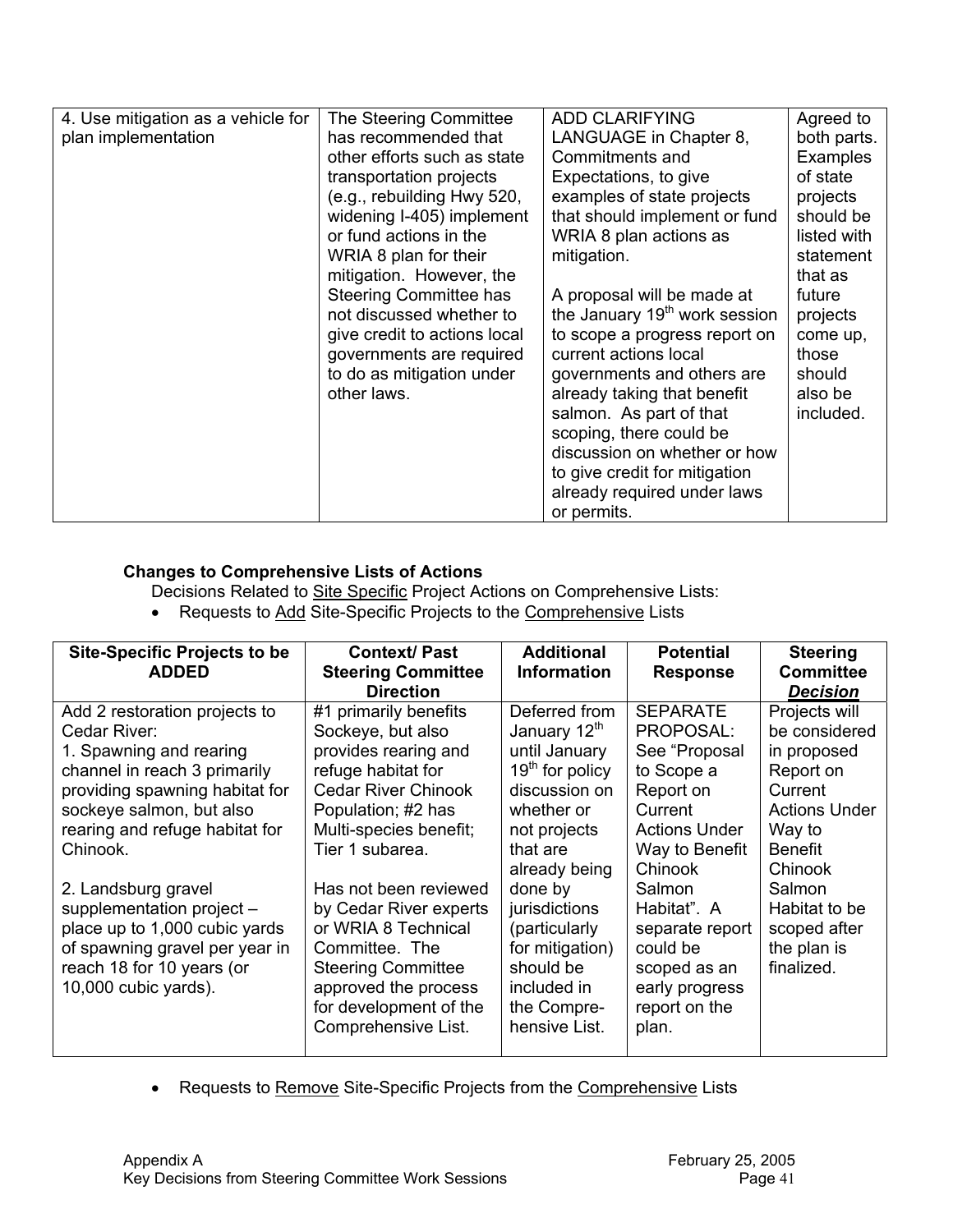| 4. Use mitigation as a vehicle for<br>plan implementation | The Steering Committee<br>has recommended that<br>other efforts such as state<br>transportation projects<br>(e.g., rebuilding Hwy 520,<br>widening I-405) implement<br>or fund actions in the<br>WRIA 8 plan for their<br>mitigation. However, the<br><b>Steering Committee has</b><br>not discussed whether to<br>give credit to actions local<br>governments are required | <b>ADD CLARIFYING</b><br>LANGUAGE in Chapter 8,<br>Commitments and<br>Expectations, to give<br>examples of state projects<br>that should implement or fund<br>WRIA 8 plan actions as<br>mitigation.<br>A proposal will be made at<br>the January 19 <sup>th</sup> work session<br>to scope a progress report on<br>current actions local | Agreed to<br>both parts.<br><b>Examples</b><br>of state<br>projects<br>should be<br>listed with<br>statement<br>that as<br>future<br>projects<br>come up,<br>those |
|-----------------------------------------------------------|-----------------------------------------------------------------------------------------------------------------------------------------------------------------------------------------------------------------------------------------------------------------------------------------------------------------------------------------------------------------------------|------------------------------------------------------------------------------------------------------------------------------------------------------------------------------------------------------------------------------------------------------------------------------------------------------------------------------------------|--------------------------------------------------------------------------------------------------------------------------------------------------------------------|
|                                                           |                                                                                                                                                                                                                                                                                                                                                                             |                                                                                                                                                                                                                                                                                                                                          |                                                                                                                                                                    |
|                                                           |                                                                                                                                                                                                                                                                                                                                                                             |                                                                                                                                                                                                                                                                                                                                          |                                                                                                                                                                    |
|                                                           |                                                                                                                                                                                                                                                                                                                                                                             |                                                                                                                                                                                                                                                                                                                                          |                                                                                                                                                                    |
|                                                           |                                                                                                                                                                                                                                                                                                                                                                             |                                                                                                                                                                                                                                                                                                                                          |                                                                                                                                                                    |
|                                                           |                                                                                                                                                                                                                                                                                                                                                                             |                                                                                                                                                                                                                                                                                                                                          |                                                                                                                                                                    |
|                                                           |                                                                                                                                                                                                                                                                                                                                                                             |                                                                                                                                                                                                                                                                                                                                          |                                                                                                                                                                    |
|                                                           |                                                                                                                                                                                                                                                                                                                                                                             |                                                                                                                                                                                                                                                                                                                                          |                                                                                                                                                                    |
|                                                           | to do as mitigation under                                                                                                                                                                                                                                                                                                                                                   | governments and others are                                                                                                                                                                                                                                                                                                               | should                                                                                                                                                             |
|                                                           | other laws.                                                                                                                                                                                                                                                                                                                                                                 | already taking that benefit                                                                                                                                                                                                                                                                                                              | also be                                                                                                                                                            |
|                                                           |                                                                                                                                                                                                                                                                                                                                                                             | salmon. As part of that                                                                                                                                                                                                                                                                                                                  | included.                                                                                                                                                          |
|                                                           |                                                                                                                                                                                                                                                                                                                                                                             | scoping, there could be                                                                                                                                                                                                                                                                                                                  |                                                                                                                                                                    |
|                                                           |                                                                                                                                                                                                                                                                                                                                                                             | discussion on whether or how                                                                                                                                                                                                                                                                                                             |                                                                                                                                                                    |
|                                                           |                                                                                                                                                                                                                                                                                                                                                                             | to give credit for mitigation                                                                                                                                                                                                                                                                                                            |                                                                                                                                                                    |
|                                                           |                                                                                                                                                                                                                                                                                                                                                                             | already required under laws                                                                                                                                                                                                                                                                                                              |                                                                                                                                                                    |
|                                                           |                                                                                                                                                                                                                                                                                                                                                                             | or permits.                                                                                                                                                                                                                                                                                                                              |                                                                                                                                                                    |

# **Changes to Comprehensive Lists of Actions**

**Decisions Related to Site Specific Project Actions on Comprehensive Lists:** 

• Requests to Add Site-Specific Projects to the Comprehensive Lists

| <b>Site-Specific Projects to be</b><br><b>ADDED</b> | <b>Context/Past</b><br><b>Steering Committee</b> | <b>Additional</b><br><b>Information</b> | <b>Potential</b><br><b>Response</b> | <b>Steering</b><br><b>Committee</b> |
|-----------------------------------------------------|--------------------------------------------------|-----------------------------------------|-------------------------------------|-------------------------------------|
|                                                     | <b>Direction</b>                                 |                                         |                                     | <b>Decision</b>                     |
| Add 2 restoration projects to                       | #1 primarily benefits                            | Deferred from                           | <b>SEPARATE</b>                     | Projects will                       |
| Cedar River:                                        | Sockeye, but also                                | January 12th                            | PROPOSAL:                           | be considered                       |
| 1. Spawning and rearing                             | provides rearing and                             | until January                           | See "Proposal                       | in proposed                         |
| channel in reach 3 primarily                        | refuge habitat for                               | $19th$ for policy                       | to Scope a                          | Report on                           |
| providing spawning habitat for                      | <b>Cedar River Chinook</b>                       | discussion on                           | Report on                           | Current                             |
| sockeye salmon, but also                            | Population; #2 has                               | whether or                              | Current                             | <b>Actions Under</b>                |
| rearing and refuge habitat for                      | Multi-species benefit;                           | not projects                            | <b>Actions Under</b>                | Way to                              |
| Chinook.                                            | Tier 1 subarea.                                  | that are                                | Way to Benefit                      | <b>Benefit</b>                      |
|                                                     |                                                  | already being                           | Chinook                             | Chinook                             |
| 2. Landsburg gravel                                 | Has not been reviewed                            | done by                                 | Salmon                              | Salmon                              |
| supplementation project -                           | by Cedar River experts                           | jurisdictions                           | Habitat". A                         | Habitat to be                       |
| place up to 1,000 cubic yards                       | or WRIA 8 Technical                              | (particularly                           | separate report                     | scoped after                        |
| of spawning gravel per year in                      | Committee. The                                   | for mitigation)                         | could be                            | the plan is                         |
| reach 18 for 10 years (or                           | <b>Steering Committee</b>                        | should be                               | scoped as an                        | finalized.                          |
| 10,000 cubic yards).                                | approved the process                             | included in                             | early progress                      |                                     |
|                                                     | for development of the                           | the Compre-                             | report on the                       |                                     |
|                                                     | Comprehensive List.                              | hensive List.                           | plan.                               |                                     |
|                                                     |                                                  |                                         |                                     |                                     |

• Requests to Remove Site-Specific Projects from the Comprehensive Lists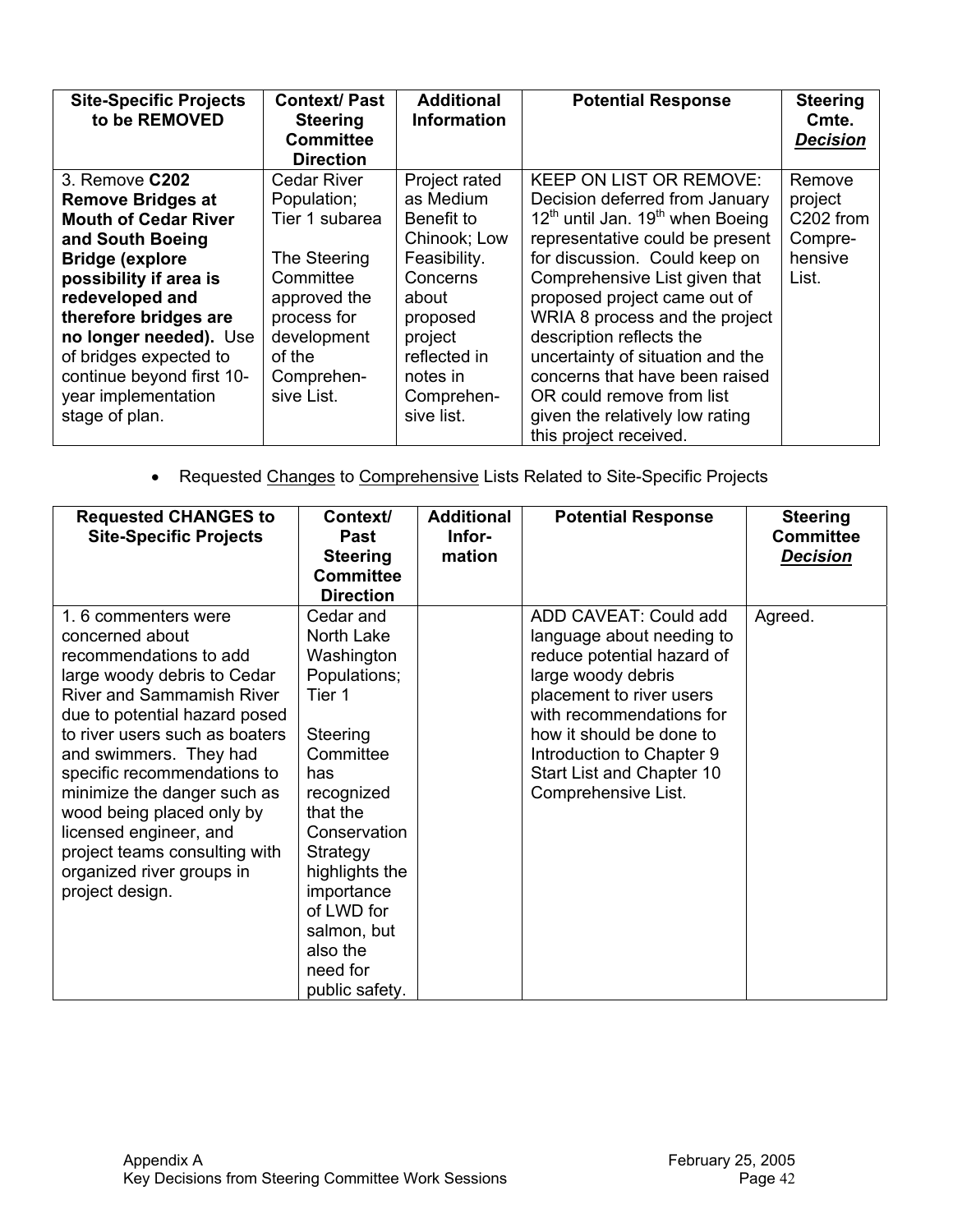| <b>Site-Specific Projects</b><br>to be REMOVED | <b>Context/Past</b><br><b>Steering</b><br><b>Committee</b><br><b>Direction</b> | <b>Additional</b><br><b>Information</b> | <b>Potential Response</b>                                | <b>Steering</b><br>Cmte.<br><b>Decision</b> |
|------------------------------------------------|--------------------------------------------------------------------------------|-----------------------------------------|----------------------------------------------------------|---------------------------------------------|
| 3. Remove C202                                 | <b>Cedar River</b>                                                             | Project rated                           | <b>KEEP ON LIST OR REMOVE:</b>                           | Remove                                      |
| <b>Remove Bridges at</b>                       | Population;                                                                    | as Medium                               | Decision deferred from January                           | project                                     |
| <b>Mouth of Cedar River</b>                    | Tier 1 subarea                                                                 | Benefit to                              | 12 <sup>th</sup> until Jan. 19 <sup>th</sup> when Boeing | C202 from                                   |
| and South Boeing                               |                                                                                | Chinook; Low                            | representative could be present                          | Compre-                                     |
| <b>Bridge (explore</b>                         | The Steering                                                                   | Feasibility.                            | for discussion. Could keep on                            | hensive                                     |
| possibility if area is                         | Committee                                                                      | Concerns                                | Comprehensive List given that                            | List.                                       |
| redeveloped and                                | approved the                                                                   | about                                   | proposed project came out of                             |                                             |
| therefore bridges are                          | process for                                                                    | proposed                                | WRIA 8 process and the project                           |                                             |
| no longer needed). Use                         | development                                                                    | project                                 | description reflects the                                 |                                             |
| of bridges expected to                         | of the                                                                         | reflected in                            | uncertainty of situation and the                         |                                             |
| continue beyond first 10-                      | Comprehen-                                                                     | notes in                                | concerns that have been raised                           |                                             |
| year implementation                            | sive List.                                                                     | Comprehen-                              | OR could remove from list                                |                                             |
| stage of plan.                                 |                                                                                | sive list.                              | given the relatively low rating                          |                                             |
|                                                |                                                                                |                                         | this project received.                                   |                                             |

• Requested Changes to Comprehensive Lists Related to Site-Specific Projects

| <b>Requested CHANGES to</b><br><b>Site-Specific Projects</b>                                                                                                                                                                                                                                                                                                                                                                           | Context/<br><b>Past</b><br><b>Steering</b><br><b>Committee</b><br><b>Direction</b>                                                                                                                                                                           | <b>Additional</b><br>Infor-<br>mation | <b>Potential Response</b>                                                                                                                                                                                                                                                   | <b>Steering</b><br><b>Committee</b><br><b>Decision</b> |
|----------------------------------------------------------------------------------------------------------------------------------------------------------------------------------------------------------------------------------------------------------------------------------------------------------------------------------------------------------------------------------------------------------------------------------------|--------------------------------------------------------------------------------------------------------------------------------------------------------------------------------------------------------------------------------------------------------------|---------------------------------------|-----------------------------------------------------------------------------------------------------------------------------------------------------------------------------------------------------------------------------------------------------------------------------|--------------------------------------------------------|
| 1.6 commenters were<br>concerned about<br>recommendations to add<br>large woody debris to Cedar<br><b>River and Sammamish River</b><br>due to potential hazard posed<br>to river users such as boaters<br>and swimmers. They had<br>specific recommendations to<br>minimize the danger such as<br>wood being placed only by<br>licensed engineer, and<br>project teams consulting with<br>organized river groups in<br>project design. | Cedar and<br>North Lake<br>Washington<br>Populations;<br>Tier 1<br>Steering<br>Committee<br>has<br>recognized<br>that the<br>Conservation<br>Strategy<br>highlights the<br>importance<br>of LWD for<br>salmon, but<br>also the<br>need for<br>public safety. |                                       | ADD CAVEAT: Could add<br>language about needing to<br>reduce potential hazard of<br>large woody debris<br>placement to river users<br>with recommendations for<br>how it should be done to<br>Introduction to Chapter 9<br>Start List and Chapter 10<br>Comprehensive List. | Agreed.                                                |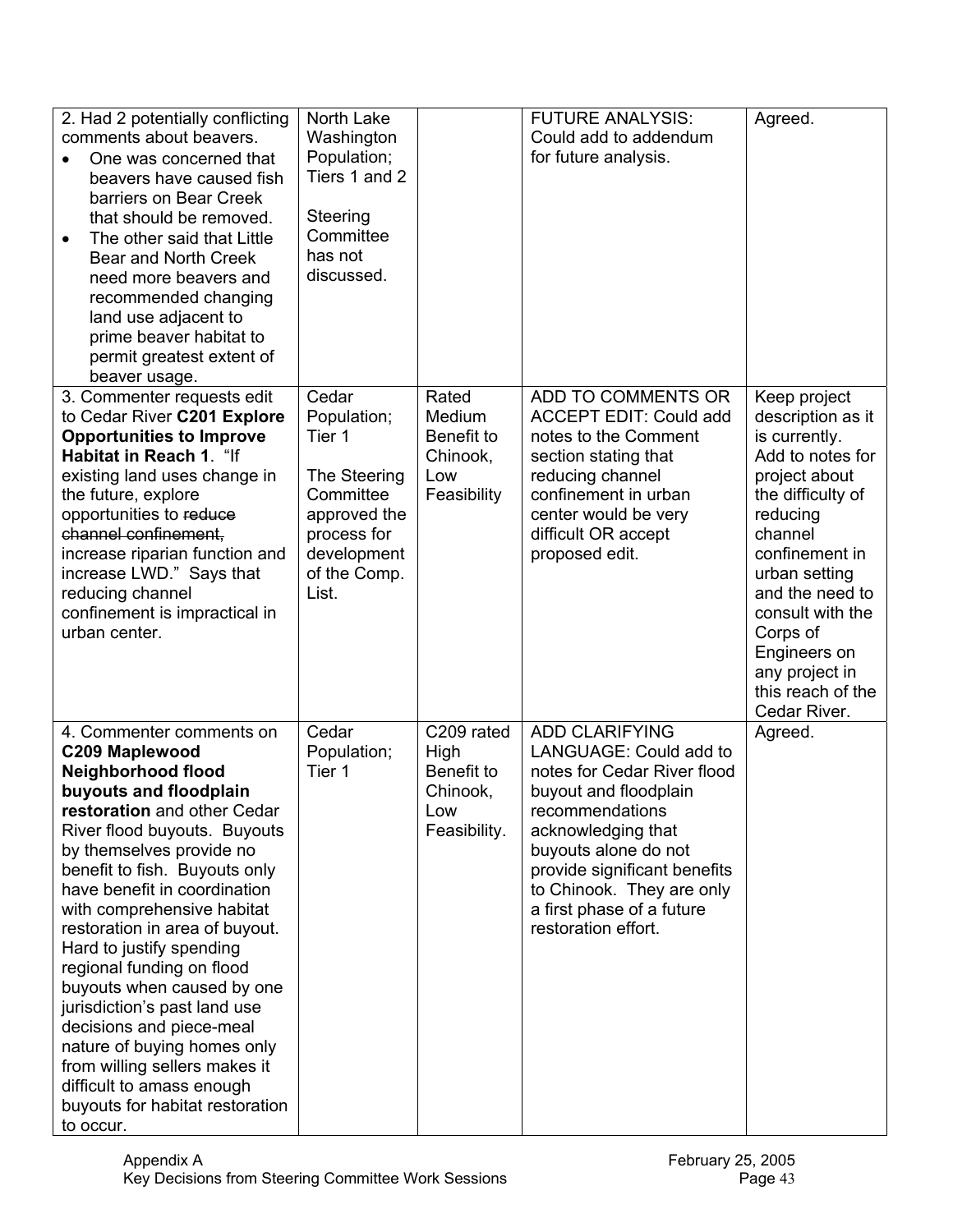| 2. Had 2 potentially conflicting<br>comments about beavers.<br>One was concerned that<br>$\bullet$<br>beavers have caused fish<br>barriers on Bear Creek<br>that should be removed.<br>The other said that Little<br>$\bullet$<br>Bear and North Creek<br>need more beavers and<br>recommended changing<br>land use adjacent to<br>prime beaver habitat to<br>permit greatest extent of<br>beaver usage.                                                                                                                                                                                                                      | North Lake<br>Washington<br>Population;<br>Tiers 1 and 2<br>Steering<br>Committee<br>has not<br>discussed.                         |                                                                     | <b>FUTURE ANALYSIS:</b><br>Could add to addendum<br>for future analysis.                                                                                                                                                                                                                  | Agreed.                                                                                                                                                                                                                                                                                          |
|-------------------------------------------------------------------------------------------------------------------------------------------------------------------------------------------------------------------------------------------------------------------------------------------------------------------------------------------------------------------------------------------------------------------------------------------------------------------------------------------------------------------------------------------------------------------------------------------------------------------------------|------------------------------------------------------------------------------------------------------------------------------------|---------------------------------------------------------------------|-------------------------------------------------------------------------------------------------------------------------------------------------------------------------------------------------------------------------------------------------------------------------------------------|--------------------------------------------------------------------------------------------------------------------------------------------------------------------------------------------------------------------------------------------------------------------------------------------------|
| 3. Commenter requests edit<br>to Cedar River C201 Explore<br><b>Opportunities to Improve</b><br>Habitat in Reach 1. "If<br>existing land uses change in<br>the future, explore<br>opportunities to reduce<br>channel confinement,<br>increase riparian function and<br>increase LWD." Says that<br>reducing channel<br>confinement is impractical in<br>urban center.                                                                                                                                                                                                                                                         | Cedar<br>Population;<br>Tier 1<br>The Steering<br>Committee<br>approved the<br>process for<br>development<br>of the Comp.<br>List. | Rated<br>Medium<br>Benefit to<br>Chinook,<br>Low<br>Feasibility     | ADD TO COMMENTS OR<br><b>ACCEPT EDIT: Could add</b><br>notes to the Comment<br>section stating that<br>reducing channel<br>confinement in urban<br>center would be very<br>difficult OR accept<br>proposed edit.                                                                          | Keep project<br>description as it<br>is currently.<br>Add to notes for<br>project about<br>the difficulty of<br>reducing<br>channel<br>confinement in<br>urban setting<br>and the need to<br>consult with the<br>Corps of<br>Engineers on<br>any project in<br>this reach of the<br>Cedar River. |
| 4. Commenter comments on<br>C209 Maplewood<br><b>Neighborhood flood</b><br>buyouts and floodplain<br>restoration and other Cedar<br>River flood buyouts. Buyouts<br>by themselves provide no<br>benefit to fish. Buyouts only<br>have benefit in coordination<br>with comprehensive habitat<br>restoration in area of buyout.<br>Hard to justify spending<br>regional funding on flood<br>buyouts when caused by one<br>jurisdiction's past land use<br>decisions and piece-meal<br>nature of buying homes only<br>from willing sellers makes it<br>difficult to amass enough<br>buyouts for habitat restoration<br>to occur. | Cedar<br>Population;<br>Tier 1                                                                                                     | C209 rated<br>High<br>Benefit to<br>Chinook,<br>Low<br>Feasibility. | <b>ADD CLARIFYING</b><br>LANGUAGE: Could add to<br>notes for Cedar River flood<br>buyout and floodplain<br>recommendations<br>acknowledging that<br>buyouts alone do not<br>provide significant benefits<br>to Chinook. They are only<br>a first phase of a future<br>restoration effort. | Agreed.                                                                                                                                                                                                                                                                                          |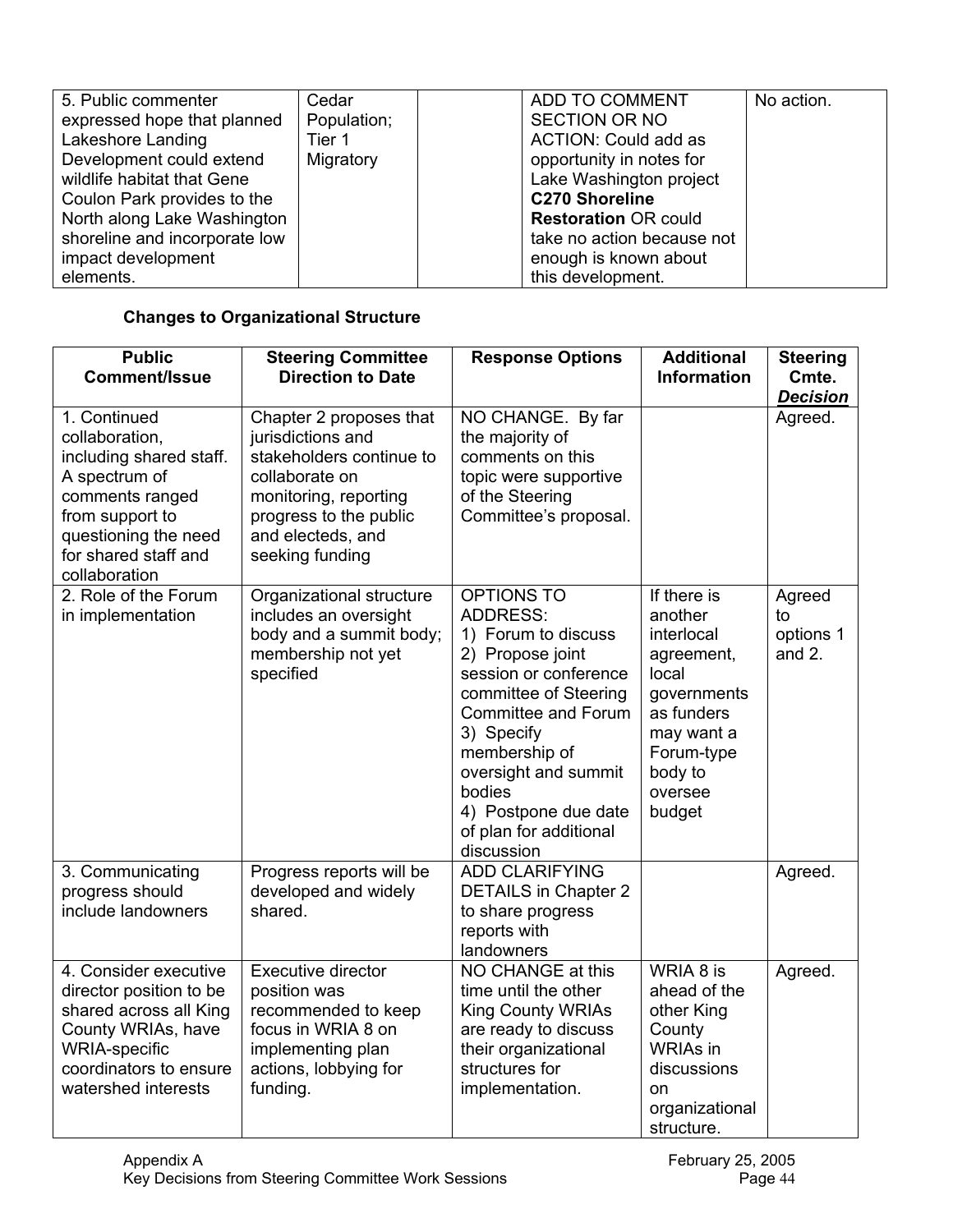| 5. Public commenter           | Cedar       | ADD TO COMMENT              | No action. |
|-------------------------------|-------------|-----------------------------|------------|
| expressed hope that planned   | Population; | <b>SECTION OR NO</b>        |            |
| Lakeshore Landing             | Tier 1      | <b>ACTION: Could add as</b> |            |
| Development could extend      | Migratory   | opportunity in notes for    |            |
| wildlife habitat that Gene    |             | Lake Washington project     |            |
| Coulon Park provides to the   |             | <b>C270 Shoreline</b>       |            |
| North along Lake Washington   |             | <b>Restoration OR could</b> |            |
| shoreline and incorporate low |             | take no action because not  |            |
| impact development            |             | enough is known about       |            |
| elements.                     |             | this development.           |            |

# **Changes to Organizational Structure**

| <b>Public</b><br><b>Comment/Issue</b>                                                                                                                                             | <b>Steering Committee</b><br><b>Direction to Date</b>                                                                                                                                 | <b>Response Options</b>                                                                                                                                                                                                                                                                   | <b>Additional</b><br><b>Information</b>                                                                                                              | <b>Steering</b><br>Cmte.<br><b>Decision</b> |
|-----------------------------------------------------------------------------------------------------------------------------------------------------------------------------------|---------------------------------------------------------------------------------------------------------------------------------------------------------------------------------------|-------------------------------------------------------------------------------------------------------------------------------------------------------------------------------------------------------------------------------------------------------------------------------------------|------------------------------------------------------------------------------------------------------------------------------------------------------|---------------------------------------------|
| 1. Continued<br>collaboration,<br>including shared staff.<br>A spectrum of<br>comments ranged<br>from support to<br>questioning the need<br>for shared staff and<br>collaboration | Chapter 2 proposes that<br>jurisdictions and<br>stakeholders continue to<br>collaborate on<br>monitoring, reporting<br>progress to the public<br>and electeds, and<br>seeking funding | NO CHANGE. By far<br>the majority of<br>comments on this<br>topic were supportive<br>of the Steering<br>Committee's proposal.                                                                                                                                                             |                                                                                                                                                      | Agreed.                                     |
| 2. Role of the Forum<br>in implementation                                                                                                                                         | Organizational structure<br>includes an oversight<br>body and a summit body;<br>membership not yet<br>specified                                                                       | OPTIONS TO<br><b>ADDRESS:</b><br>1) Forum to discuss<br>2) Propose joint<br>session or conference<br>committee of Steering<br><b>Committee and Forum</b><br>3) Specify<br>membership of<br>oversight and summit<br>bodies<br>4) Postpone due date<br>of plan for additional<br>discussion | If there is<br>another<br>interlocal<br>agreement,<br>local<br>governments<br>as funders<br>may want a<br>Forum-type<br>body to<br>oversee<br>budget | Agreed<br>to<br>options 1<br>and 2.         |
| 3. Communicating<br>progress should<br>include landowners                                                                                                                         | Progress reports will be<br>developed and widely<br>shared.                                                                                                                           | <b>ADD CLARIFYING</b><br><b>DETAILS in Chapter 2</b><br>to share progress<br>reports with<br>landowners                                                                                                                                                                                   |                                                                                                                                                      | Agreed.                                     |
| 4. Consider executive<br>director position to be<br>shared across all King<br>County WRIAs, have<br><b>WRIA-specific</b><br>coordinators to ensure<br>watershed interests         | <b>Executive director</b><br>position was<br>recommended to keep<br>focus in WRIA 8 on<br>implementing plan<br>actions, lobbying for<br>funding.                                      | NO CHANGE at this<br>time until the other<br><b>King County WRIAs</b><br>are ready to discuss<br>their organizational<br>structures for<br>implementation.                                                                                                                                | WRIA 8 is<br>ahead of the<br>other King<br>County<br><b>WRIAs</b> in<br>discussions<br>on<br>organizational<br>structure.                            | Agreed.                                     |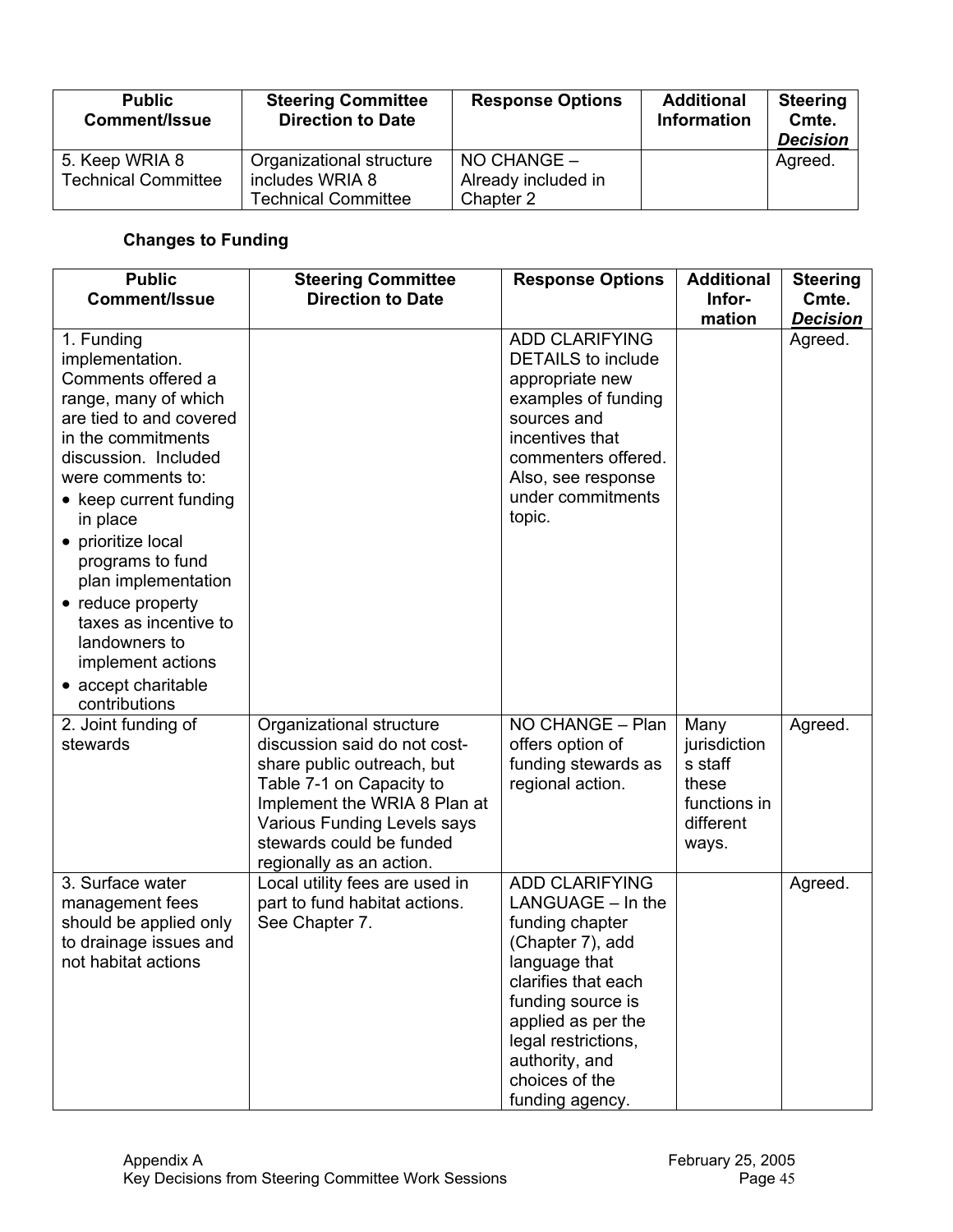| <b>Public</b><br><b>Comment/Issue</b>        | <b>Steering Committee</b><br><b>Direction to Date</b>                     | <b>Response Options</b>                             | <b>Additional</b><br><b>Information</b> | <b>Steering</b><br>Cmte.<br><b>Decision</b> |
|----------------------------------------------|---------------------------------------------------------------------------|-----------------------------------------------------|-----------------------------------------|---------------------------------------------|
| 5. Keep WRIA 8<br><b>Technical Committee</b> | Organizational structure<br>includes WRIA 8<br><b>Technical Committee</b> | $NO$ CHANGE $-$<br>Already included in<br>Chapter 2 |                                         | Agreed.                                     |

# **Changes to Funding**

| <b>Public</b><br><b>Comment/Issue</b>                                                                                                                                                                                                                                                                                                                                                                        | <b>Steering Committee</b><br><b>Direction to Date</b>                                                                                                                                                                                     | <b>Response Options</b>                                                                                                                                                                                                                            | <b>Additional</b><br>Infor-<br>mation                                          | <b>Steering</b><br>Cmte.<br><b>Decision</b> |
|--------------------------------------------------------------------------------------------------------------------------------------------------------------------------------------------------------------------------------------------------------------------------------------------------------------------------------------------------------------------------------------------------------------|-------------------------------------------------------------------------------------------------------------------------------------------------------------------------------------------------------------------------------------------|----------------------------------------------------------------------------------------------------------------------------------------------------------------------------------------------------------------------------------------------------|--------------------------------------------------------------------------------|---------------------------------------------|
| 1. Funding<br>implementation.<br>Comments offered a<br>range, many of which<br>are tied to and covered<br>in the commitments<br>discussion. Included<br>were comments to:<br>• keep current funding<br>in place<br>• prioritize local<br>programs to fund<br>plan implementation<br>• reduce property<br>taxes as incentive to<br>landowners to<br>implement actions<br>• accept charitable<br>contributions |                                                                                                                                                                                                                                           | <b>ADD CLARIFYING</b><br><b>DETAILS</b> to include<br>appropriate new<br>examples of funding<br>sources and<br>incentives that<br>commenters offered.<br>Also, see response<br>under commitments<br>topic.                                         |                                                                                | Agreed.                                     |
| 2. Joint funding of<br>stewards                                                                                                                                                                                                                                                                                                                                                                              | Organizational structure<br>discussion said do not cost-<br>share public outreach, but<br>Table 7-1 on Capacity to<br>Implement the WRIA 8 Plan at<br>Various Funding Levels says<br>stewards could be funded<br>regionally as an action. | NO CHANGE - Plan<br>offers option of<br>funding stewards as<br>regional action.                                                                                                                                                                    | Many<br>jurisdiction<br>s staff<br>these<br>functions in<br>different<br>ways. | Agreed.                                     |
| 3. Surface water<br>management fees<br>should be applied only<br>to drainage issues and<br>not habitat actions                                                                                                                                                                                                                                                                                               | Local utility fees are used in<br>part to fund habitat actions.<br>See Chapter 7.                                                                                                                                                         | <b>ADD CLARIFYING</b><br>LANGUAGE - In the<br>funding chapter<br>(Chapter 7), add<br>language that<br>clarifies that each<br>funding source is<br>applied as per the<br>legal restrictions,<br>authority, and<br>choices of the<br>funding agency. |                                                                                | Agreed.                                     |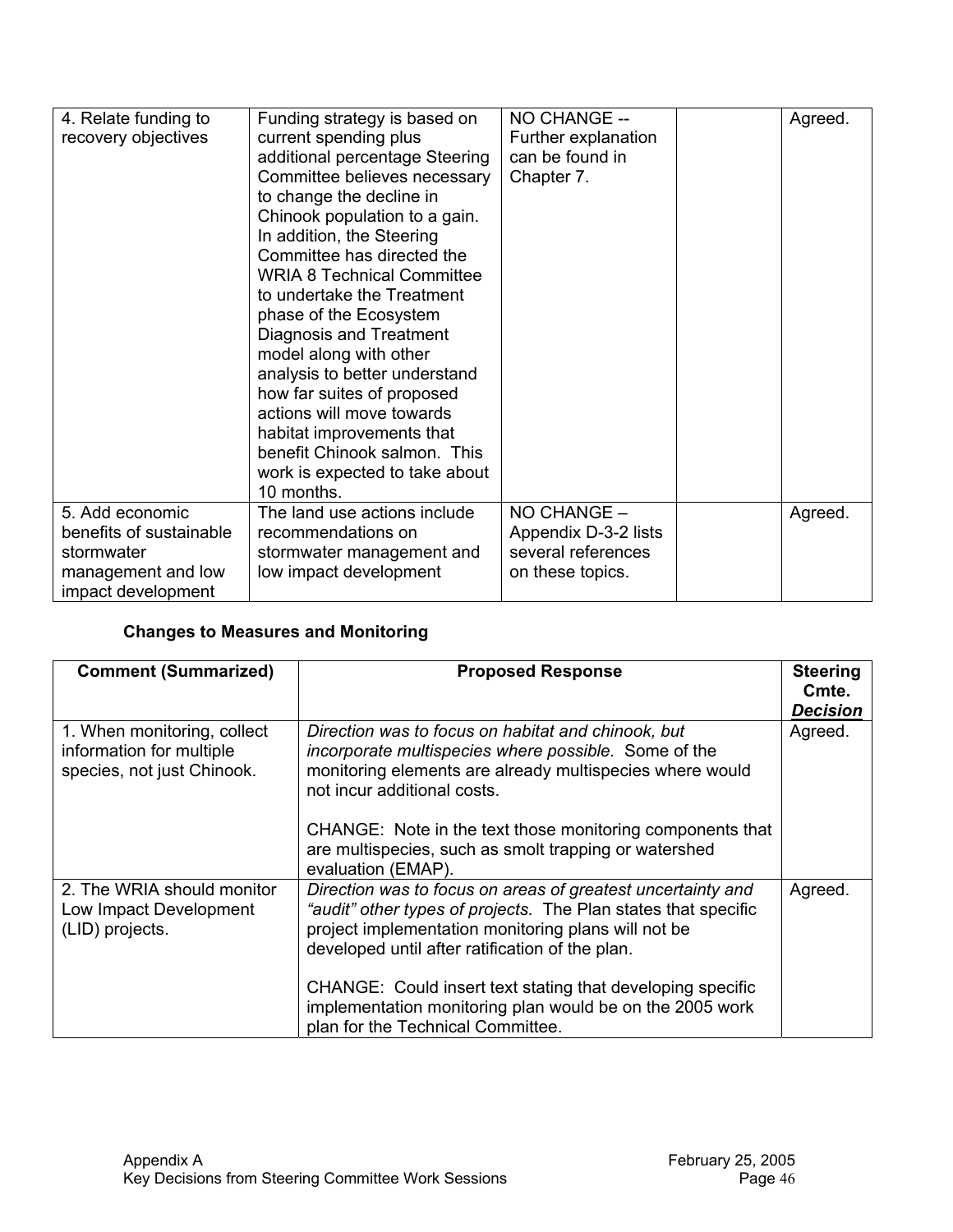| 4. Relate funding to    | Funding strategy is based on      | NO CHANGE --         | Agreed. |
|-------------------------|-----------------------------------|----------------------|---------|
| recovery objectives     | current spending plus             | Further explanation  |         |
|                         | additional percentage Steering    | can be found in      |         |
|                         | Committee believes necessary      | Chapter 7.           |         |
|                         | to change the decline in          |                      |         |
|                         | Chinook population to a gain.     |                      |         |
|                         | In addition, the Steering         |                      |         |
|                         | Committee has directed the        |                      |         |
|                         | <b>WRIA 8 Technical Committee</b> |                      |         |
|                         | to undertake the Treatment        |                      |         |
|                         | phase of the Ecosystem            |                      |         |
|                         | Diagnosis and Treatment           |                      |         |
|                         | model along with other            |                      |         |
|                         | analysis to better understand     |                      |         |
|                         | how far suites of proposed        |                      |         |
|                         | actions will move towards         |                      |         |
|                         | habitat improvements that         |                      |         |
|                         | benefit Chinook salmon. This      |                      |         |
|                         | work is expected to take about    |                      |         |
|                         | 10 months.                        |                      |         |
| 5. Add economic         | The land use actions include      | NO CHANGE -          | Agreed. |
| benefits of sustainable | recommendations on                | Appendix D-3-2 lists |         |
| stormwater              | stormwater management and         | several references   |         |
| management and low      | low impact development            | on these topics.     |         |
| impact development      |                                   |                      |         |

## **Changes to Measures and Monitoring**

| <b>Comment (Summarized)</b>                                                           | <b>Proposed Response</b>                                                                                                                                                                                                                                           | <b>Steering</b><br>Cmte.<br>Decision |
|---------------------------------------------------------------------------------------|--------------------------------------------------------------------------------------------------------------------------------------------------------------------------------------------------------------------------------------------------------------------|--------------------------------------|
| 1. When monitoring, collect<br>information for multiple<br>species, not just Chinook. | Direction was to focus on habitat and chinook, but<br>incorporate multispecies where possible. Some of the<br>monitoring elements are already multispecies where would<br>not incur additional costs.<br>CHANGE: Note in the text those monitoring components that | Agreed.                              |
|                                                                                       | are multispecies, such as smolt trapping or watershed<br>evaluation (EMAP).                                                                                                                                                                                        |                                      |
| 2. The WRIA should monitor<br>Low Impact Development<br>(LID) projects.               | Direction was to focus on areas of greatest uncertainty and<br>"audit" other types of projects. The Plan states that specific<br>project implementation monitoring plans will not be<br>developed until after ratification of the plan.                            | Agreed.                              |
|                                                                                       | CHANGE: Could insert text stating that developing specific<br>implementation monitoring plan would be on the 2005 work<br>plan for the Technical Committee.                                                                                                        |                                      |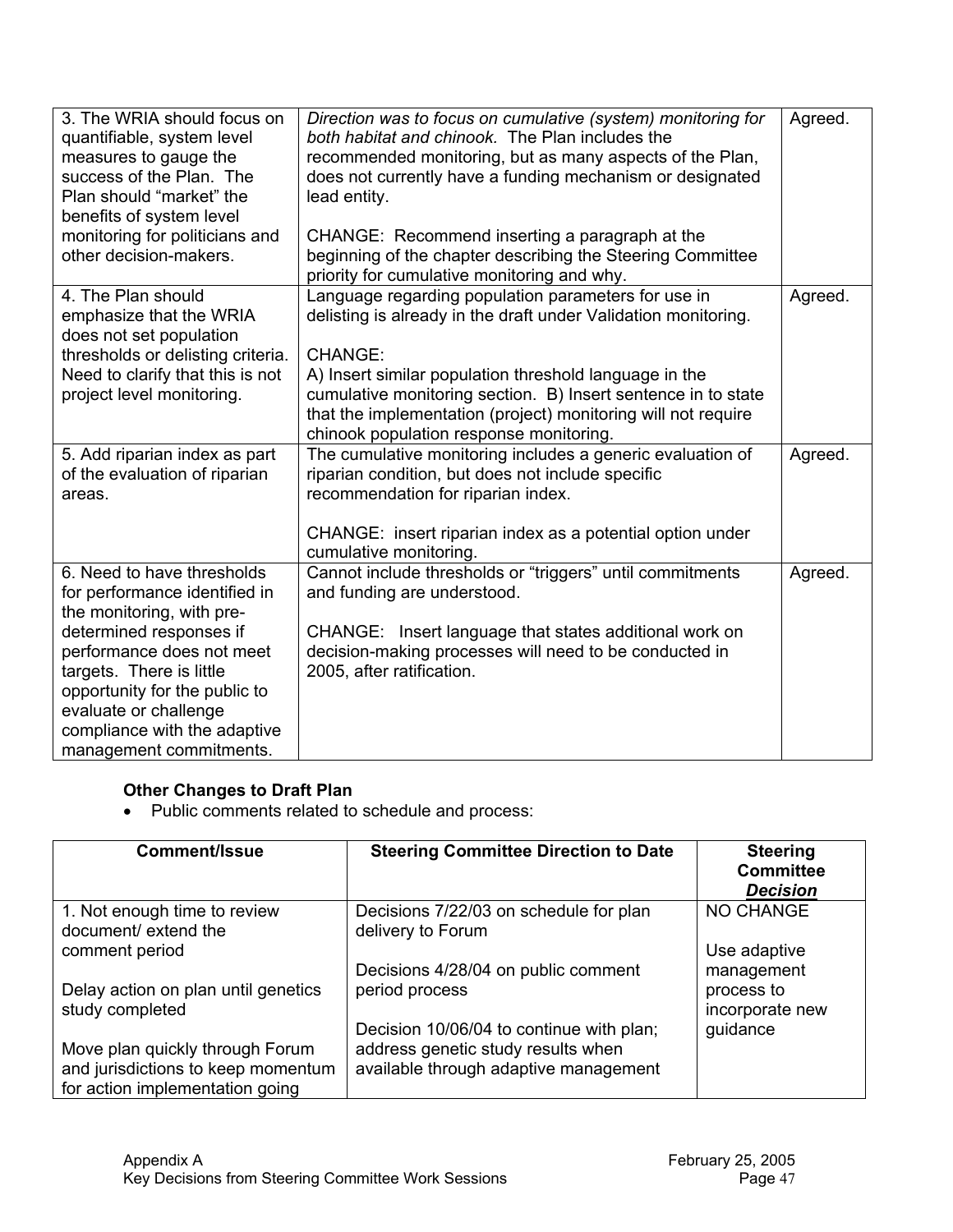| 3. The WRIA should focus on<br>quantifiable, system level<br>measures to gauge the<br>success of the Plan. The<br>Plan should "market" the<br>benefits of system level                                                                                                                            | Direction was to focus on cumulative (system) monitoring for<br>both habitat and chinook. The Plan includes the<br>recommended monitoring, but as many aspects of the Plan,<br>does not currently have a funding mechanism or designated<br>lead entity.                                                                                                                       | Agreed. |
|---------------------------------------------------------------------------------------------------------------------------------------------------------------------------------------------------------------------------------------------------------------------------------------------------|--------------------------------------------------------------------------------------------------------------------------------------------------------------------------------------------------------------------------------------------------------------------------------------------------------------------------------------------------------------------------------|---------|
| monitoring for politicians and<br>other decision-makers.                                                                                                                                                                                                                                          | CHANGE: Recommend inserting a paragraph at the<br>beginning of the chapter describing the Steering Committee<br>priority for cumulative monitoring and why.                                                                                                                                                                                                                    |         |
| 4. The Plan should<br>emphasize that the WRIA<br>does not set population<br>thresholds or delisting criteria.<br>Need to clarify that this is not<br>project level monitoring.                                                                                                                    | Language regarding population parameters for use in<br>delisting is already in the draft under Validation monitoring.<br><b>CHANGE:</b><br>A) Insert similar population threshold language in the<br>cumulative monitoring section. B) Insert sentence in to state<br>that the implementation (project) monitoring will not require<br>chinook population response monitoring. | Agreed. |
| 5. Add riparian index as part<br>of the evaluation of riparian<br>areas.                                                                                                                                                                                                                          | The cumulative monitoring includes a generic evaluation of<br>riparian condition, but does not include specific<br>recommendation for riparian index.<br>CHANGE: insert riparian index as a potential option under<br>cumulative monitoring.                                                                                                                                   | Agreed. |
| 6. Need to have thresholds<br>for performance identified in<br>the monitoring, with pre-<br>determined responses if<br>performance does not meet<br>targets. There is little<br>opportunity for the public to<br>evaluate or challenge<br>compliance with the adaptive<br>management commitments. | Cannot include thresholds or "triggers" until commitments<br>and funding are understood.<br>CHANGE: Insert language that states additional work on<br>decision-making processes will need to be conducted in<br>2005, after ratification.                                                                                                                                      | Agreed. |

## **Other Changes to Draft Plan**

• Public comments related to schedule and process:

| <b>Comment/Issue</b>                                                  | <b>Steering Committee Direction to Date</b>                                    | <b>Steering</b><br><b>Committee</b><br><b>Decision</b> |
|-----------------------------------------------------------------------|--------------------------------------------------------------------------------|--------------------------------------------------------|
| 1. Not enough time to review<br>document/ extend the                  | Decisions 7/22/03 on schedule for plan<br>delivery to Forum                    | <b>NO CHANGE</b>                                       |
| comment period                                                        | Decisions 4/28/04 on public comment                                            | Use adaptive<br>management                             |
| Delay action on plan until genetics<br>study completed                | period process                                                                 | process to<br>incorporate new                          |
| Move plan quickly through Forum                                       | Decision 10/06/04 to continue with plan;<br>address genetic study results when | guidance                                               |
| and jurisdictions to keep momentum<br>for action implementation going | available through adaptive management                                          |                                                        |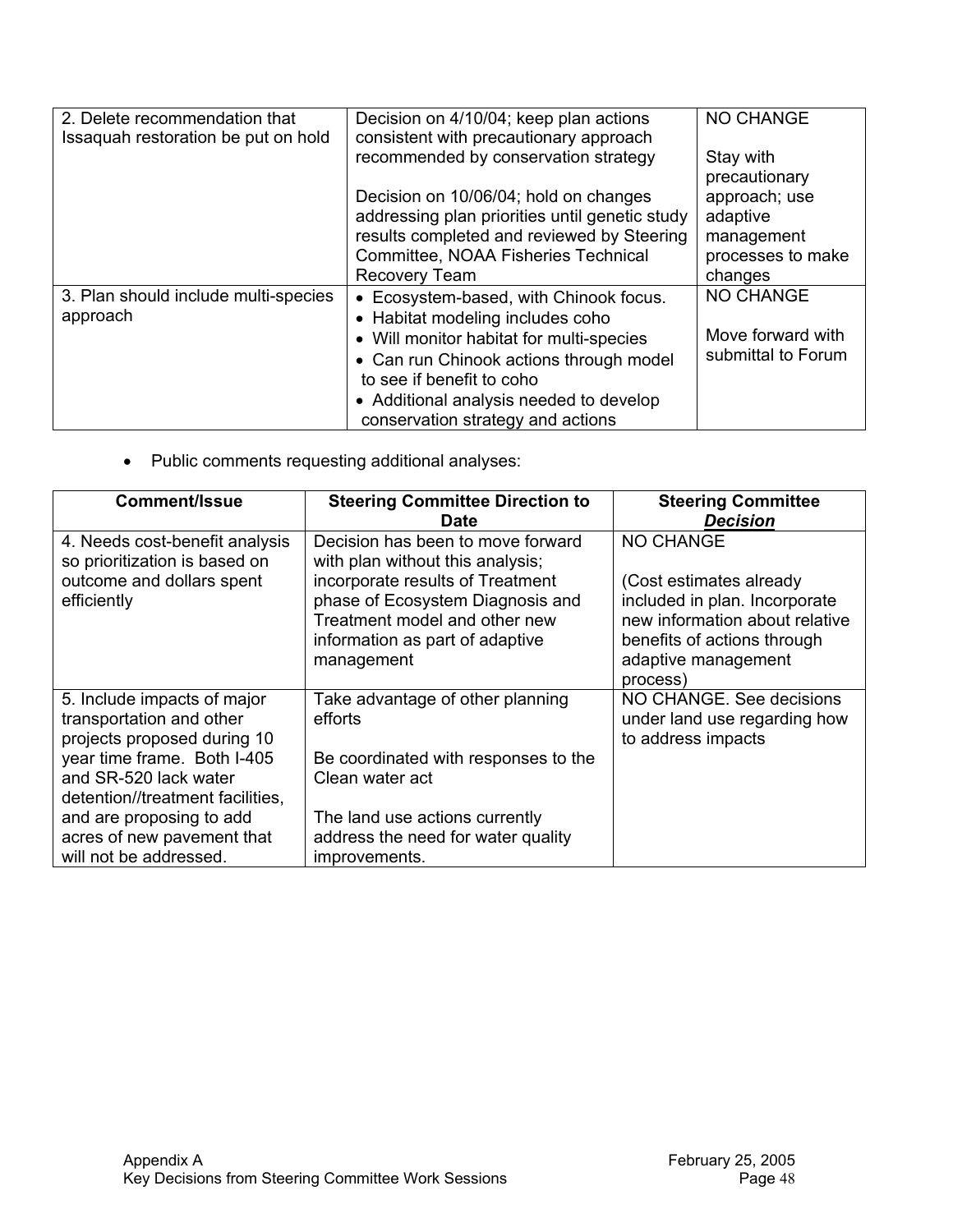| 2. Delete recommendation that        | Decision on 4/10/04; keep plan actions         | <b>NO CHANGE</b>   |
|--------------------------------------|------------------------------------------------|--------------------|
| Issaquah restoration be put on hold  | consistent with precautionary approach         |                    |
|                                      | recommended by conservation strategy           | Stay with          |
|                                      |                                                | precautionary      |
|                                      | Decision on 10/06/04; hold on changes          | approach; use      |
|                                      | addressing plan priorities until genetic study | adaptive           |
|                                      | results completed and reviewed by Steering     | management         |
|                                      | Committee, NOAA Fisheries Technical            | processes to make  |
|                                      | Recovery Team                                  | changes            |
| 3. Plan should include multi-species | • Ecosystem-based, with Chinook focus.         | <b>NO CHANGE</b>   |
| approach                             | • Habitat modeling includes coho               |                    |
|                                      | • Will monitor habitat for multi-species       | Move forward with  |
|                                      | • Can run Chinook actions through model        | submittal to Forum |
|                                      | to see if benefit to coho                      |                    |
|                                      | • Additional analysis needed to develop        |                    |
|                                      | conservation strategy and actions              |                    |
|                                      |                                                |                    |

• Public comments requesting additional analyses:

| Comment/Issue                                                                                                                                                                      | <b>Steering Committee Direction to</b><br><b>Date</b>                                                                                                                                                                           | <b>Steering Committee</b><br><b>Decision</b>                                                                                                                              |
|------------------------------------------------------------------------------------------------------------------------------------------------------------------------------------|---------------------------------------------------------------------------------------------------------------------------------------------------------------------------------------------------------------------------------|---------------------------------------------------------------------------------------------------------------------------------------------------------------------------|
| 4. Needs cost-benefit analysis<br>so prioritization is based on<br>outcome and dollars spent<br>efficiently                                                                        | Decision has been to move forward<br>with plan without this analysis;<br>incorporate results of Treatment<br>phase of Ecosystem Diagnosis and<br>Treatment model and other new<br>information as part of adaptive<br>management | NO CHANGE<br>(Cost estimates already<br>included in plan. Incorporate<br>new information about relative<br>benefits of actions through<br>adaptive management<br>process) |
| 5. Include impacts of major<br>transportation and other<br>projects proposed during 10<br>year time frame. Both I-405<br>and SR-520 lack water<br>detention//treatment facilities, | Take advantage of other planning<br>efforts<br>Be coordinated with responses to the<br>Clean water act                                                                                                                          | NO CHANGE. See decisions<br>under land use regarding how<br>to address impacts                                                                                            |
| and are proposing to add<br>acres of new pavement that<br>will not be addressed.                                                                                                   | The land use actions currently<br>address the need for water quality<br>improvements.                                                                                                                                           |                                                                                                                                                                           |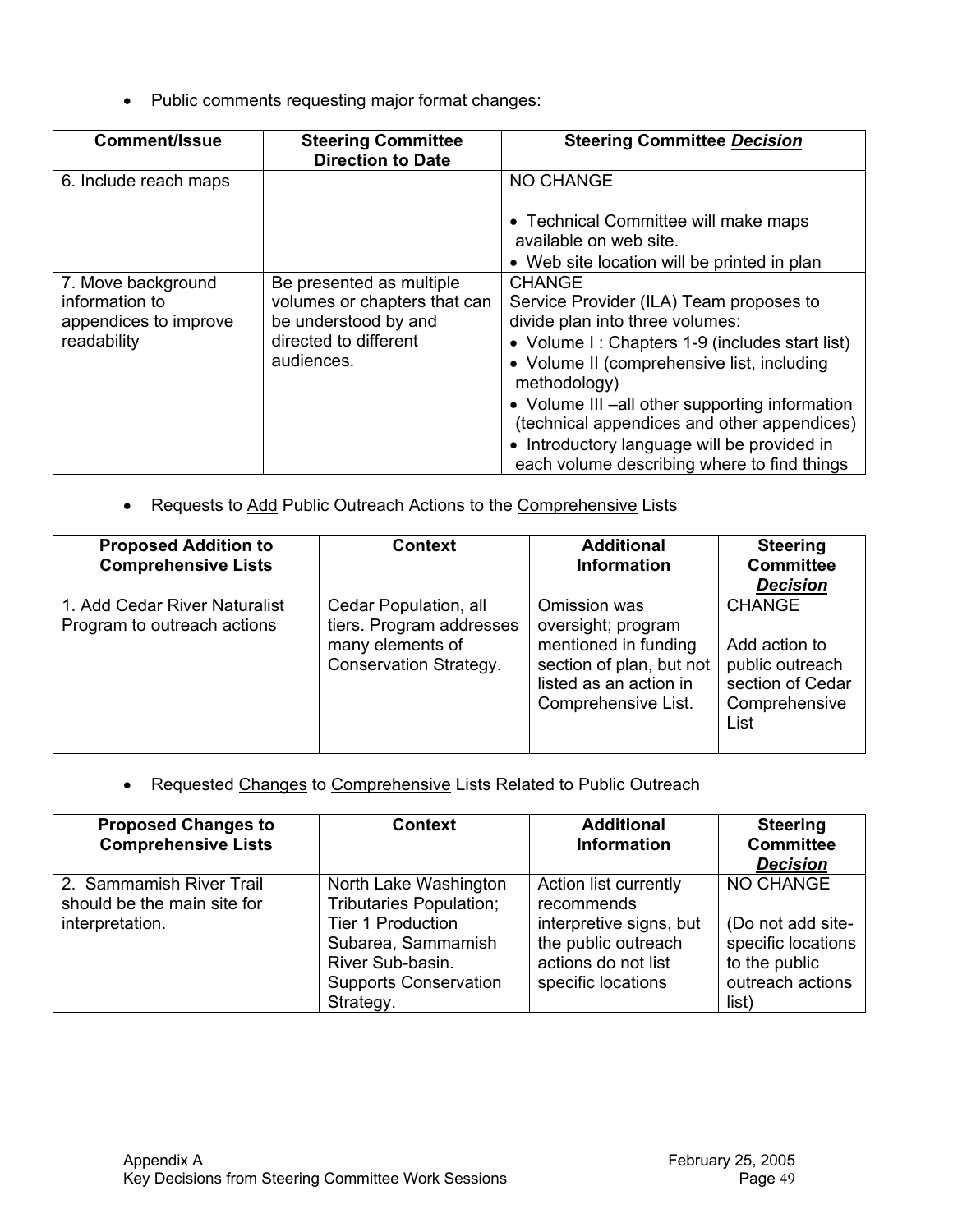• Public comments requesting major format changes:

| <b>Comment/Issue</b>                                                         | <b>Steering Committee</b><br><b>Direction to Date</b>                                                                   | <b>Steering Committee Decision</b>                                                                                                                                                                                                                                                                                                                                                                         |
|------------------------------------------------------------------------------|-------------------------------------------------------------------------------------------------------------------------|------------------------------------------------------------------------------------------------------------------------------------------------------------------------------------------------------------------------------------------------------------------------------------------------------------------------------------------------------------------------------------------------------------|
| 6. Include reach maps                                                        |                                                                                                                         | NO CHANGE                                                                                                                                                                                                                                                                                                                                                                                                  |
|                                                                              |                                                                                                                         | • Technical Committee will make maps<br>available on web site.                                                                                                                                                                                                                                                                                                                                             |
|                                                                              |                                                                                                                         | • Web site location will be printed in plan                                                                                                                                                                                                                                                                                                                                                                |
| 7. Move background<br>information to<br>appendices to improve<br>readability | Be presented as multiple<br>volumes or chapters that can<br>be understood by and<br>directed to different<br>audiences. | <b>CHANGE</b><br>Service Provider (ILA) Team proposes to<br>divide plan into three volumes:<br>• Volume I: Chapters 1-9 (includes start list)<br>• Volume II (comprehensive list, including<br>methodology)<br>• Volume III –all other supporting information<br>(technical appendices and other appendices)<br>• Introductory language will be provided in<br>each volume describing where to find things |

• Requests to Add Public Outreach Actions to the Comprehensive Lists

| <b>Proposed Addition to</b><br><b>Comprehensive Lists</b>    | <b>Context</b>                                                                                  | <b>Additional</b><br><b>Information</b>                                                                                                 | <b>Steering</b><br><b>Committee</b><br><b>Decision</b>                                         |
|--------------------------------------------------------------|-------------------------------------------------------------------------------------------------|-----------------------------------------------------------------------------------------------------------------------------------------|------------------------------------------------------------------------------------------------|
| 1. Add Cedar River Naturalist<br>Program to outreach actions | Cedar Population, all<br>tiers. Program addresses<br>many elements of<br>Conservation Strategy. | Omission was<br>oversight; program<br>mentioned in funding<br>section of plan, but not<br>listed as an action in<br>Comprehensive List. | <b>CHANGE</b><br>Add action to<br>public outreach<br>section of Cedar<br>Comprehensive<br>List |

• Requested Changes to Comprehensive Lists Related to Public Outreach

| <b>Proposed Changes to</b><br><b>Comprehensive Lists</b>                   | <b>Context</b>                                                                                                                                                             | <b>Additional</b><br><b>Information</b>                                                                                            | <b>Steering</b><br><b>Committee</b><br><b>Decision</b>                                                    |
|----------------------------------------------------------------------------|----------------------------------------------------------------------------------------------------------------------------------------------------------------------------|------------------------------------------------------------------------------------------------------------------------------------|-----------------------------------------------------------------------------------------------------------|
| 2. Sammamish River Trail<br>should be the main site for<br>interpretation. | North Lake Washington<br><b>Tributaries Population;</b><br><b>Tier 1 Production</b><br>Subarea, Sammamish<br>River Sub-basin.<br><b>Supports Conservation</b><br>Strategy. | Action list currently<br>recommends<br>interpretive signs, but<br>the public outreach<br>actions do not list<br>specific locations | <b>NO CHANGE</b><br>(Do not add site-<br>specific locations<br>to the public<br>outreach actions<br>list) |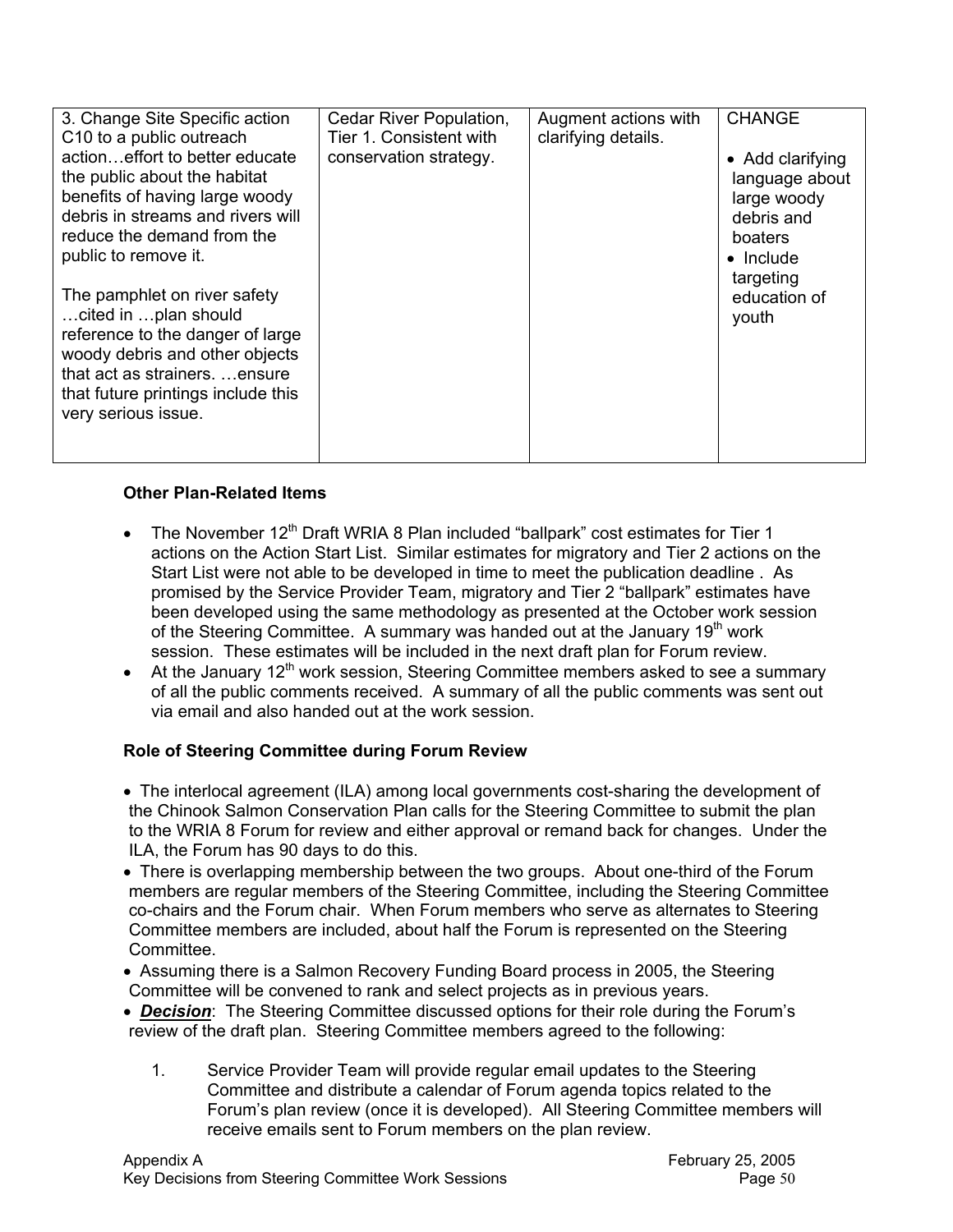| 3. Change Site Specific action                                                                                                                                                                                             | Cedar River Population,                           | Augment actions with | <b>CHANGE</b>                                                                                                |
|----------------------------------------------------------------------------------------------------------------------------------------------------------------------------------------------------------------------------|---------------------------------------------------|----------------------|--------------------------------------------------------------------------------------------------------------|
| C10 to a public outreach<br>actioneffort to better educate<br>the public about the habitat<br>benefits of having large woody<br>debris in streams and rivers will<br>reduce the demand from the<br>public to remove it.    | Tier 1. Consistent with<br>conservation strategy. | clarifying details.  | • Add clarifying<br>language about<br>large woody<br>debris and<br>boaters<br>$\bullet$ Include<br>targeting |
| The pamphlet on river safety<br>cited in  plan should<br>reference to the danger of large<br>woody debris and other objects<br>that act as strainers.  ensure<br>that future printings include this<br>very serious issue. |                                                   |                      | education of<br>youth                                                                                        |

#### **Other Plan-Related Items**

- The November  $12<sup>th</sup>$  Draft WRIA 8 Plan included "ballpark" cost estimates for Tier 1 actions on the Action Start List. Similar estimates for migratory and Tier 2 actions on the Start List were not able to be developed in time to meet the publication deadline . As promised by the Service Provider Team, migratory and Tier 2 "ballpark" estimates have been developed using the same methodology as presented at the October work session of the Steering Committee. A summary was handed out at the January 19<sup>th</sup> work session. These estimates will be included in the next draft plan for Forum review.
- At the January  $12<sup>th</sup>$  work session, Steering Committee members asked to see a summary of all the public comments received. A summary of all the public comments was sent out via email and also handed out at the work session.

## **Role of Steering Committee during Forum Review**

- The interlocal agreement (ILA) among local governments cost-sharing the development of the Chinook Salmon Conservation Plan calls for the Steering Committee to submit the plan to the WRIA 8 Forum for review and either approval or remand back for changes. Under the ILA, the Forum has 90 days to do this.
- There is overlapping membership between the two groups. About one-third of the Forum members are regular members of the Steering Committee, including the Steering Committee co-chairs and the Forum chair. When Forum members who serve as alternates to Steering Committee members are included, about half the Forum is represented on the Steering **Committee.**
- Assuming there is a Salmon Recovery Funding Board process in 2005, the Steering Committee will be convened to rank and select projects as in previous years.
- *Decision*: The Steering Committee discussed options for their role during the Forum's review of the draft plan. Steering Committee members agreed to the following:
	- 1. Service Provider Team will provide regular email updates to the Steering Committee and distribute a calendar of Forum agenda topics related to the Forum's plan review (once it is developed). All Steering Committee members will receive emails sent to Forum members on the plan review.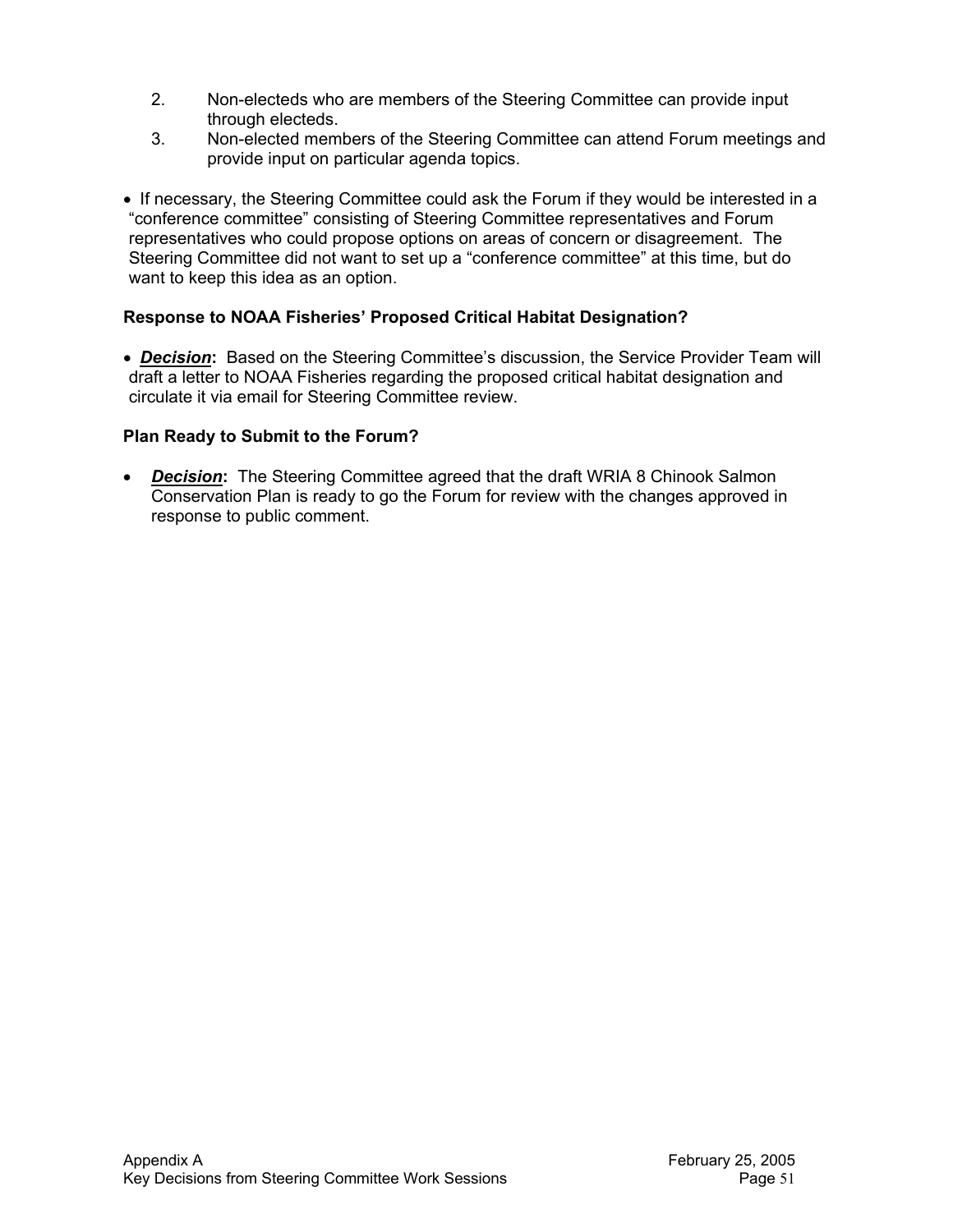- 2. Non-electeds who are members of the Steering Committee can provide input through electeds.
- 3. Non-elected members of the Steering Committee can attend Forum meetings and provide input on particular agenda topics.
- If necessary, the Steering Committee could ask the Forum if they would be interested in a "conference committee" consisting of Steering Committee representatives and Forum representatives who could propose options on areas of concern or disagreement. The Steering Committee did not want to set up a "conference committee" at this time, but do want to keep this idea as an option.

## **Response to NOAA Fisheries' Proposed Critical Habitat Designation?**

• *Decision***:** Based on the Steering Committee's discussion, the Service Provider Team will draft a letter to NOAA Fisheries regarding the proposed critical habitat designation and circulate it via email for Steering Committee review.

## **Plan Ready to Submit to the Forum?**

**Decision:** The Steering Committee agreed that the draft WRIA 8 Chinook Salmon Conservation Plan is ready to go the Forum for review with the changes approved in response to public comment.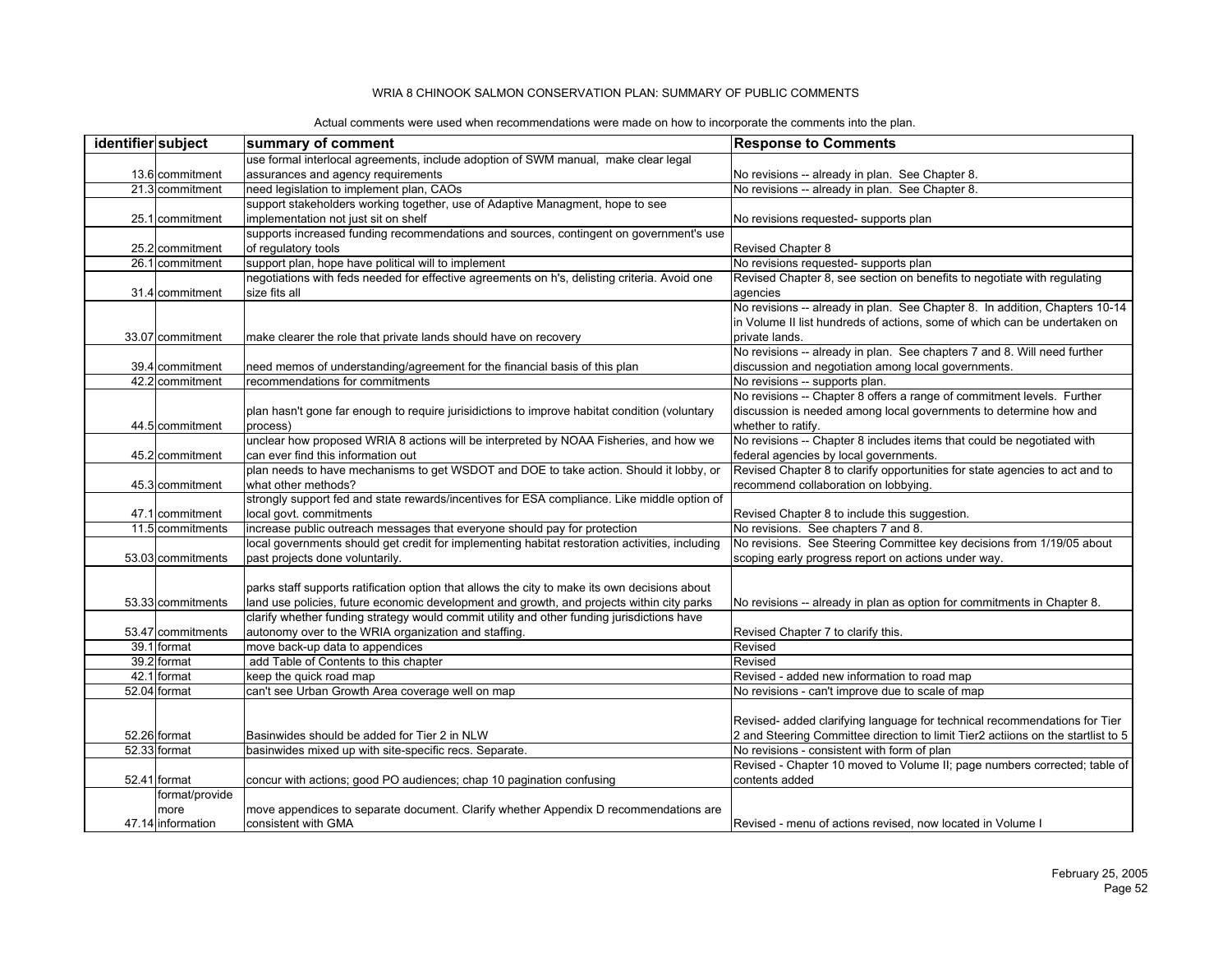| identifier subject |                   | summary of comment                                                                             | <b>Response to Comments</b>                                                      |
|--------------------|-------------------|------------------------------------------------------------------------------------------------|----------------------------------------------------------------------------------|
|                    |                   | use formal interlocal agreements, include adoption of SWM manual, make clear legal             |                                                                                  |
|                    | 13.6 commitment   | assurances and agency requirements                                                             | No revisions -- already in plan. See Chapter 8.                                  |
|                    | 21.3 commitment   | need legislation to implement plan, CAOs                                                       | No revisions -- already in plan. See Chapter 8.                                  |
|                    |                   | support stakeholders working together, use of Adaptive Managment, hope to see                  |                                                                                  |
|                    | 25.1 commitment   | implementation not just sit on shelf                                                           | No revisions requested- supports plan                                            |
|                    |                   | supports increased funding recommendations and sources, contingent on government's use         |                                                                                  |
|                    | 25.2 commitment   | of regulatory tools                                                                            | Revised Chapter 8                                                                |
|                    | 26.1 commitment   | support plan, hope have political will to implement                                            | No revisions requested- supports plan                                            |
|                    |                   | negotiations with feds needed for effective agreements on h's, delisting criteria. Avoid one   | Revised Chapter 8, see section on benefits to negotiate with regulating          |
|                    | 31.4 commitment   | size fits all                                                                                  | agencies                                                                         |
|                    |                   |                                                                                                | No revisions -- already in plan. See Chapter 8. In addition, Chapters 10-14      |
|                    |                   |                                                                                                | in Volume II list hundreds of actions, some of which can be undertaken on        |
|                    | 33.07 commitment  | make clearer the role that private lands should have on recovery                               | private lands.                                                                   |
|                    |                   |                                                                                                | No revisions -- already in plan. See chapters 7 and 8. Will need further         |
|                    | 39.4 commitment   | need memos of understanding/agreement for the financial basis of this plan                     | discussion and negotiation among local governments.                              |
|                    | 42.2 commitment   | recommendations for commitments                                                                | No revisions -- supports plan.                                                   |
|                    |                   |                                                                                                | No revisions -- Chapter 8 offers a range of commitment levels. Further           |
|                    |                   | plan hasn't gone far enough to require jurisidictions to improve habitat condition (voluntary  | discussion is needed among local governments to determine how and                |
|                    | 44.5 commitment   | process)                                                                                       | whether to ratify.                                                               |
|                    |                   | unclear how proposed WRIA 8 actions will be interpreted by NOAA Fisheries, and how we          | No revisions -- Chapter 8 includes items that could be negotiated with           |
|                    | 45.2 commitment   | can ever find this information out                                                             | federal agencies by local governments.                                           |
|                    |                   | plan needs to have mechanisms to get WSDOT and DOE to take action. Should it lobby, or         | Revised Chapter 8 to clarify opportunities for state agencies to act and to      |
|                    | 45.3 commitment   | what other methods?                                                                            | recommend collaboration on lobbying.                                             |
|                    |                   | strongly support fed and state rewards/incentives for ESA compliance. Like middle option of    |                                                                                  |
|                    | 47.1 commitment   | local govt. commitments                                                                        | Revised Chapter 8 to include this suggestion.                                    |
|                    | 11.5 commitments  | increase public outreach messages that everyone should pay for protection                      | No revisions. See chapters 7 and 8.                                              |
|                    |                   | local governments should get credit for implementing habitat restoration activities, including | No revisions. See Steering Committee key decisions from 1/19/05 about            |
|                    | 53.03 commitments | past projects done voluntarily.                                                                | scoping early progress report on actions under way.                              |
|                    |                   |                                                                                                |                                                                                  |
|                    |                   | parks staff supports ratification option that allows the city to make its own decisions about  |                                                                                  |
|                    | 53.33 commitments | land use policies, future economic development and growth, and projects within city parks      | No revisions -- already in plan as option for commitments in Chapter 8.          |
|                    |                   | clarify whether funding strategy would commit utility and other funding jurisdictions have     |                                                                                  |
|                    | 53.47 commitments | autonomy over to the WRIA organization and staffing.                                           | Revised Chapter 7 to clarify this.                                               |
|                    | 39.1 format       | move back-up data to appendices                                                                | Revised                                                                          |
|                    | 39.2 format       | add Table of Contents to this chapter                                                          | Revised                                                                          |
|                    | 42.1 format       | keep the quick road map                                                                        | Revised - added new information to road map                                      |
|                    | 52.04 format      | can't see Urban Growth Area coverage well on map                                               | No revisions - can't improve due to scale of map                                 |
|                    |                   |                                                                                                |                                                                                  |
|                    |                   |                                                                                                | Revised- added clarifying language for technical recommendations for Tier        |
|                    | 52.26 format      | Basinwides should be added for Tier 2 in NLW                                                   | 2 and Steering Committee direction to limit Tier2 actiions on the startlist to 5 |
|                    | 52.33 format      | basinwides mixed up with site-specific recs. Separate.                                         | No revisions - consistent with form of plan                                      |
|                    |                   |                                                                                                | Revised - Chapter 10 moved to Volume II; page numbers corrected; table of        |
|                    | 52.41 format      | concur with actions; good PO audiences; chap 10 pagination confusing                           | contents added                                                                   |
|                    | format/provide    |                                                                                                |                                                                                  |
|                    | more              | move appendices to separate document. Clarify whether Appendix D recommendations are           |                                                                                  |
|                    | 47.14 information | consistent with GMA                                                                            | Revised - menu of actions revised, now located in Volume I                       |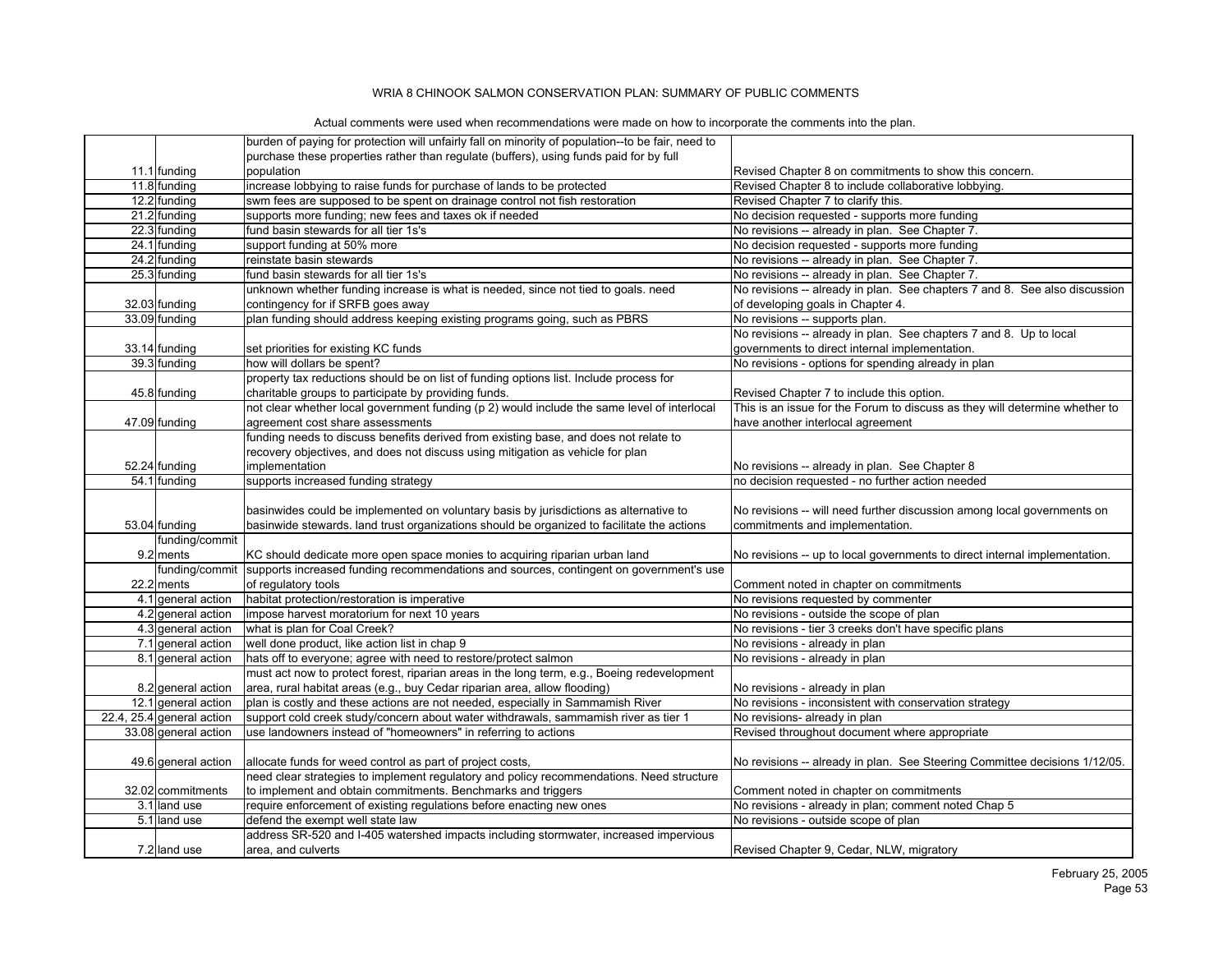|                           | burden of paying for protection will unfairly fall on minority of population--to be fair, need to |                                                                             |
|---------------------------|---------------------------------------------------------------------------------------------------|-----------------------------------------------------------------------------|
|                           | purchase these properties rather than regulate (buffers), using funds paid for by full            |                                                                             |
| 11.1 funding              | population                                                                                        | Revised Chapter 8 on commitments to show this concern.                      |
| 11.8 funding              | increase lobbying to raise funds for purchase of lands to be protected                            | Revised Chapter 8 to include collaborative lobbying.                        |
| 12.2 funding              | swm fees are supposed to be spent on drainage control not fish restoration                        | Revised Chapter 7 to clarify this.                                          |
| 21.2 funding              | supports more funding; new fees and taxes ok if needed                                            | No decision requested - supports more funding                               |
| 22.3 funding              | fund basin stewards for all tier 1s's                                                             | No revisions -- already in plan. See Chapter 7.                             |
| 24.1 funding              | support funding at 50% more                                                                       | No decision requested - supports more funding                               |
| 24.2 funding              | reinstate basin stewards                                                                          | No revisions -- already in plan. See Chapter 7.                             |
| 25.3 funding              | fund basin stewards for all tier 1s's                                                             | No revisions -- already in plan. See Chapter 7.                             |
|                           | unknown whether funding increase is what is needed, since not tied to goals. need                 | No revisions -- already in plan. See chapters 7 and 8. See also discussion  |
| 32.03 funding             | contingency for if SRFB goes away                                                                 | of developing goals in Chapter 4.                                           |
| 33.09 funding             | plan funding should address keeping existing programs going, such as PBRS                         | No revisions -- supports plan.                                              |
|                           |                                                                                                   | No revisions -- already in plan. See chapters 7 and 8. Up to local          |
| 33.14 funding             | set priorities for existing KC funds                                                              | governments to direct internal implementation.                              |
| 39.3 funding              | how will dollars be spent?                                                                        | No revisions - options for spending already in plan                         |
|                           | property tax reductions should be on list of funding options list. Include process for            |                                                                             |
| 45.8 funding              | charitable groups to participate by providing funds.                                              | Revised Chapter 7 to include this option.                                   |
|                           | not clear whether local government funding (p 2) would include the same level of interlocal       | This is an issue for the Forum to discuss as they will determine whether to |
| 47.09 funding             | agreement cost share assessments                                                                  | have another interlocal agreement                                           |
|                           | funding needs to discuss benefits derived from existing base, and does not relate to              |                                                                             |
|                           | recovery objectives, and does not discuss using mitigation as vehicle for plan                    |                                                                             |
| 52.24 funding             | implementation                                                                                    | No revisions -- already in plan. See Chapter 8                              |
| 54.1 funding              | supports increased funding strategy                                                               | no decision requested - no further action needed                            |
|                           |                                                                                                   |                                                                             |
|                           | basinwides could be implemented on voluntary basis by jurisdictions as alternative to             | No revisions -- will need further discussion among local governments on     |
| 53.04 funding             | basinwide stewards. land trust organizations should be organized to facilitate the actions        | commitments and implementation.                                             |
| funding/commit            |                                                                                                   |                                                                             |
| 9.2 ments                 | KC should dedicate more open space monies to acquiring riparian urban land                        | No revisions -- up to local governments to direct internal implementation.  |
| funding/commit            | supports increased funding recommendations and sources, contingent on government's use            |                                                                             |
| 22.2 ments                | of regulatory tools                                                                               | Comment noted in chapter on commitments                                     |
| 4.1 general action        | habitat protection/restoration is imperative                                                      | No revisions requested by commenter                                         |
| 4.2 general action        | impose harvest moratorium for next 10 years                                                       | No revisions - outside the scope of plan                                    |
| 4.3 general action        | what is plan for Coal Creek?                                                                      | No revisions - tier 3 creeks don't have specific plans                      |
|                           | well done product, like action list in chap 9                                                     |                                                                             |
| 7.1 general action        | hats off to everyone; agree with need to restore/protect salmon                                   | No revisions - already in plan                                              |
| 8.1 general action        |                                                                                                   | No revisions - already in plan                                              |
|                           | must act now to protect forest, riparian areas in the long term, e.g., Boeing redevelopment       |                                                                             |
| 8.2 general action        | area, rural habitat areas (e.g., buy Cedar riparian area, allow flooding)                         | No revisions - already in plan                                              |
| 12.1 general action       | plan is costly and these actions are not needed, especially in Sammamish River                    | No revisions - inconsistent with conservation strategy                      |
| 22.4, 25.4 general action | support cold creek study/concern about water withdrawals, sammamish river as tier 1               | No revisions- already in plan                                               |
| 33.08 general action      | use landowners instead of "homeowners" in referring to actions                                    | Revised throughout document where appropriate                               |
|                           |                                                                                                   |                                                                             |
| 49.6 general action       | allocate funds for weed control as part of project costs,                                         | No revisions -- already in plan. See Steering Committee decisions 1/12/05.  |
|                           | need clear strategies to implement regulatory and policy recommendations. Need structure          |                                                                             |
| 32.02 commitments         | to implement and obtain commitments. Benchmarks and triggers                                      | Comment noted in chapter on commitments                                     |
| 3.1 land use              | require enforcement of existing regulations before enacting new ones                              | No revisions - already in plan; comment noted Chap 5                        |
| 5.1 land use              | defend the exempt well state law                                                                  | No revisions - outside scope of plan                                        |
|                           | address SR-520 and I-405 watershed impacts including stormwater, increased impervious             |                                                                             |
| 7.2 land use              | area, and culverts                                                                                | Revised Chapter 9, Cedar, NLW, migratory                                    |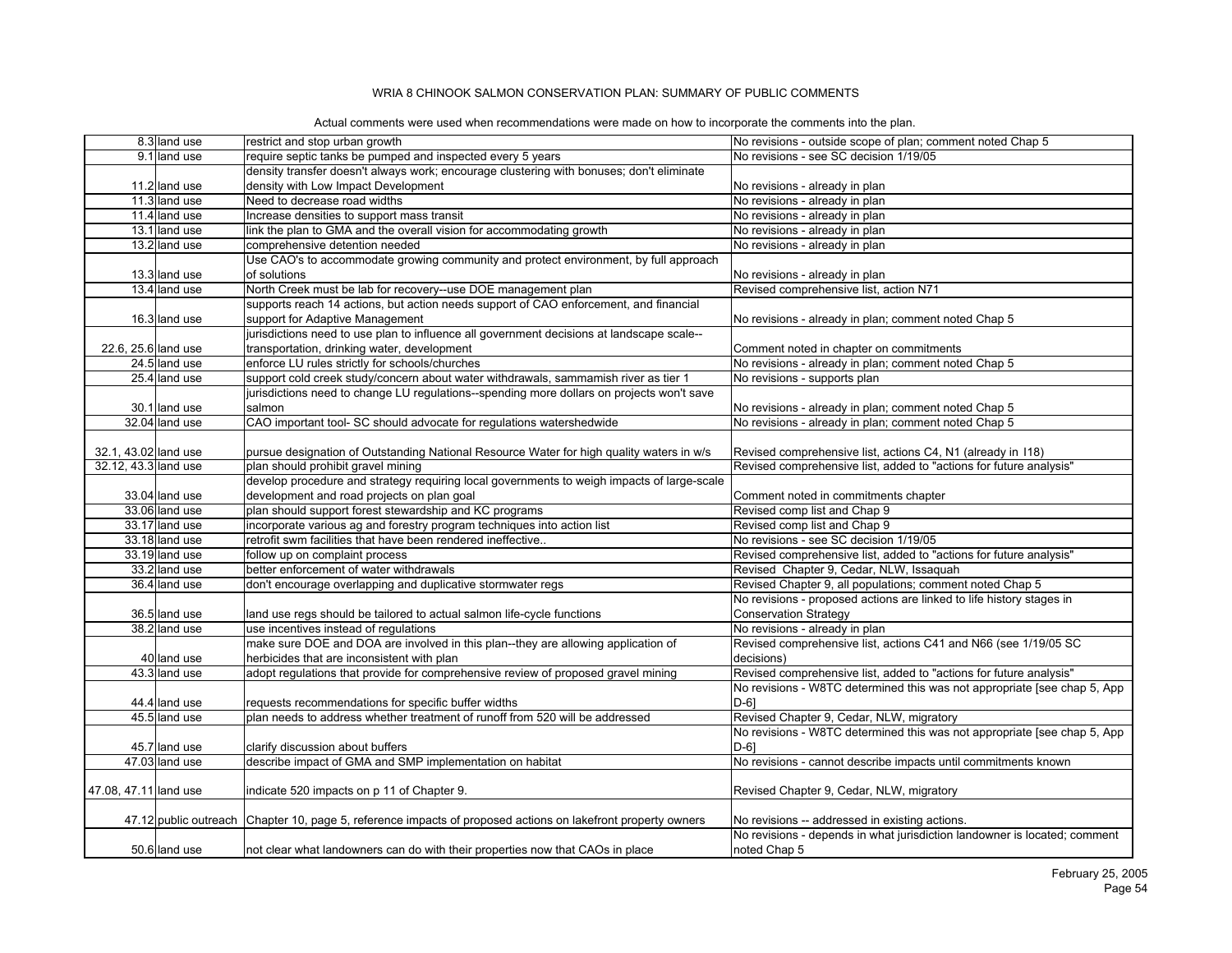|  |  | Actual comments were used when recommendations were made on how to incorporate the comments into the plan. |  |
|--|--|------------------------------------------------------------------------------------------------------------|--|
|  |  |                                                                                                            |  |

|                       | 8.3 land use   | restrict and stop urban growth                                                                               | No revisions - outside scope of plan; comment noted Chap 5                |
|-----------------------|----------------|--------------------------------------------------------------------------------------------------------------|---------------------------------------------------------------------------|
|                       | 9.1 land use   | require septic tanks be pumped and inspected every 5 years                                                   | No revisions - see SC decision 1/19/05                                    |
|                       |                | density transfer doesn't always work; encourage clustering with bonuses; don't eliminate                     |                                                                           |
|                       | 11.2 land use  | density with Low Impact Development                                                                          | No revisions - already in plan                                            |
|                       | 11.3 land use  | Need to decrease road widths                                                                                 | No revisions - already in plan                                            |
|                       | 11.4 land use  | Increase densities to support mass transit                                                                   | No revisions - already in plan                                            |
|                       | 13.1 land use  | link the plan to GMA and the overall vision for accommodating growth                                         | No revisions - already in plan                                            |
|                       | 13.2 land use  | comprehensive detention needed                                                                               | No revisions - already in plan                                            |
|                       |                | Use CAO's to accommodate growing community and protect environment, by full approach                         |                                                                           |
|                       | 13.3 land use  | of solutions                                                                                                 | No revisions - already in plan                                            |
|                       | 13.4 land use  | North Creek must be lab for recovery--use DOE management plan                                                | Revised comprehensive list, action N71                                    |
|                       |                | supports reach 14 actions, but action needs support of CAO enforcement, and financial                        |                                                                           |
|                       | 16.3 land use  | support for Adaptive Management                                                                              | No revisions - already in plan; comment noted Chap 5                      |
|                       |                | jurisdictions need to use plan to influence all government decisions at landscape scale--                    |                                                                           |
| 22.6, 25.6 land use   |                | transportation, drinking water, development                                                                  | Comment noted in chapter on commitments                                   |
|                       | 24.5 land use  | enforce LU rules strictly for schools/churches                                                               | No revisions - already in plan; comment noted Chap 5                      |
|                       | 25.4 land use  | support cold creek study/concern about water withdrawals, sammamish river as tier 1                          | No revisions - supports plan                                              |
|                       |                | jurisdictions need to change LU regulations--spending more dollars on projects won't save                    |                                                                           |
|                       | 30.1 land use  | salmon                                                                                                       | No revisions - already in plan; comment noted Chap 5                      |
|                       | 32.04 land use | CAO important tool- SC should advocate for regulations watershedwide                                         | No revisions - already in plan; comment noted Chap 5                      |
|                       |                |                                                                                                              |                                                                           |
| 32.1, 43.02 land use  |                | pursue designation of Outstanding National Resource Water for high quality waters in w/s                     | Revised comprehensive list, actions C4, N1 (already in 118)               |
| 32.12, 43.3 land use  |                | plan should prohibit gravel mining                                                                           | Revised comprehensive list, added to "actions for future analysis"        |
|                       |                | develop procedure and strategy requiring local governments to weigh impacts of large-scale                   |                                                                           |
|                       | 33.04 land use | development and road projects on plan goal                                                                   | Comment noted in commitments chapter                                      |
|                       | 33.06 land use | plan should support forest stewardship and KC programs                                                       | Revised comp list and Chap 9                                              |
|                       | 33.17 land use | incorporate various ag and forestry program techniques into action list                                      | Revised comp list and Chap 9                                              |
|                       | 33.18 land use | retrofit swm facilities that have been rendered ineffective                                                  | No revisions - see SC decision 1/19/05                                    |
|                       | 33.19 land use | follow up on complaint process                                                                               | Revised comprehensive list, added to "actions for future analysis"        |
|                       | 33.2 land use  | better enforcement of water withdrawals                                                                      | Revised Chapter 9, Cedar, NLW, Issaguah                                   |
|                       | 36.4 land use  | don't encourage overlapping and duplicative stormwater regs                                                  | Revised Chapter 9, all populations; comment noted Chap 5                  |
|                       |                |                                                                                                              | No revisions - proposed actions are linked to life history stages in      |
|                       | 36.5 land use  | land use regs should be tailored to actual salmon life-cycle functions                                       | <b>Conservation Strategy</b>                                              |
|                       | 38.2 land use  | use incentives instead of regulations                                                                        | No revisions - already in plan                                            |
|                       |                | make sure DOE and DOA are involved in this plan--they are allowing application of                            | Revised comprehensive list, actions C41 and N66 (see 1/19/05 SC           |
|                       | 40 land use    | herbicides that are inconsistent with plan                                                                   | decisions)                                                                |
|                       | 43.3 land use  | adopt regulations that provide for comprehensive review of proposed gravel mining                            | Revised comprehensive list, added to "actions for future analysis"        |
|                       |                |                                                                                                              | No revisions - W8TC determined this was not appropriate [see chap 5, App  |
|                       | 44.4 land use  | requests recommendations for specific buffer widths                                                          | $D-6$ ]                                                                   |
|                       | 45.5 land use  | plan needs to address whether treatment of runoff from 520 will be addressed                                 | Revised Chapter 9, Cedar, NLW, migratory                                  |
|                       |                |                                                                                                              | No revisions - W8TC determined this was not appropriate [see chap 5, App  |
|                       | 45.7 land use  | clarify discussion about buffers                                                                             | $D-61$                                                                    |
|                       | 47.03 land use | describe impact of GMA and SMP implementation on habitat                                                     | No revisions - cannot describe impacts until commitments known            |
|                       |                |                                                                                                              |                                                                           |
| 47.08, 47.11 land use |                | indicate 520 impacts on p 11 of Chapter 9.                                                                   | Revised Chapter 9, Cedar, NLW, migratory                                  |
|                       |                |                                                                                                              |                                                                           |
|                       |                | 47.12 public outreach Chapter 10, page 5, reference impacts of proposed actions on lakefront property owners | No revisions -- addressed in existing actions.                            |
|                       |                |                                                                                                              | No revisions - depends in what jurisdiction landowner is located; comment |
|                       | 50.6 land use  | not clear what landowners can do with their properties now that CAOs in place                                | noted Chap 5                                                              |
|                       |                |                                                                                                              |                                                                           |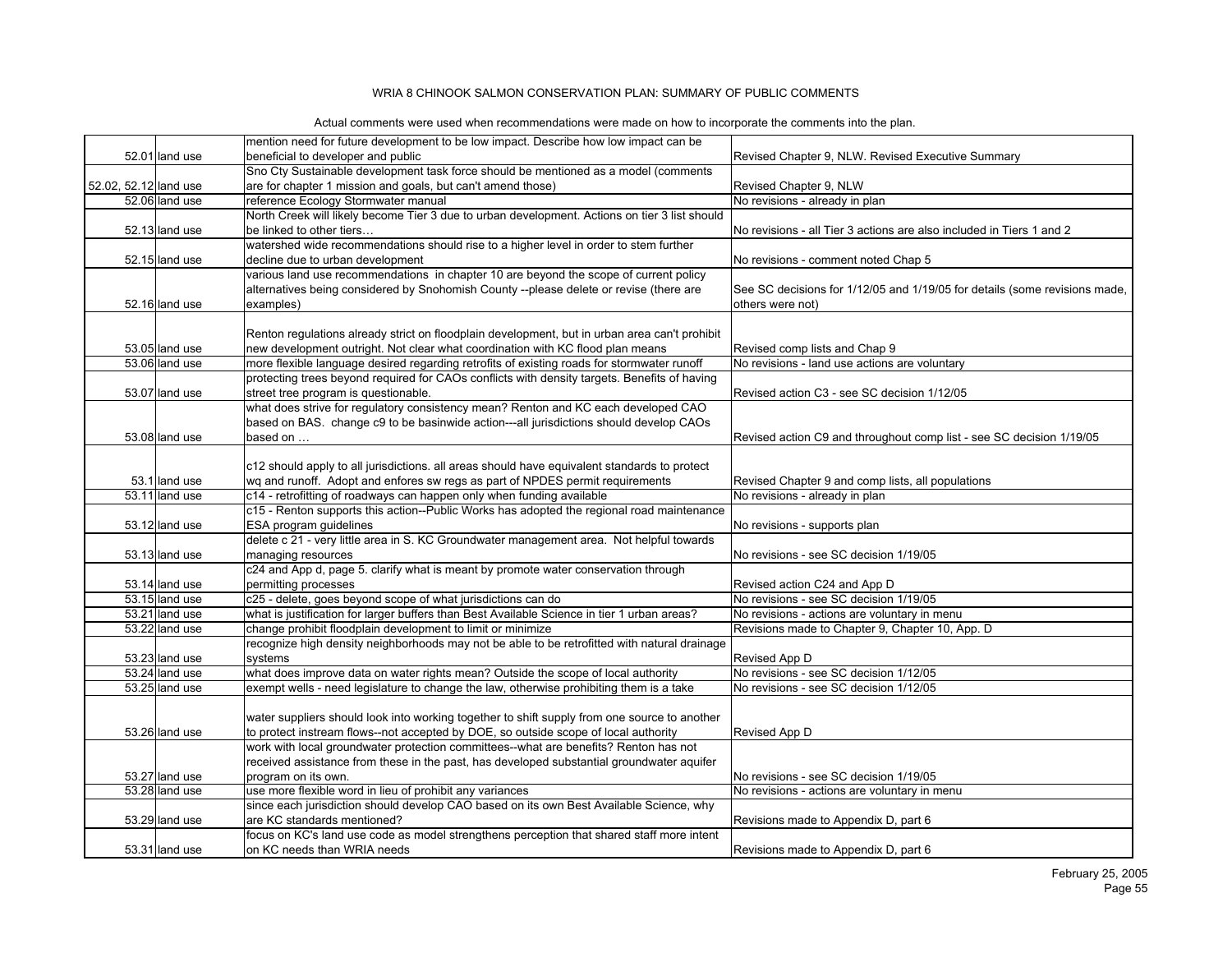|                       |                | mention need for future development to be low impact. Describe how low impact can be                                                                   |                                                                                     |
|-----------------------|----------------|--------------------------------------------------------------------------------------------------------------------------------------------------------|-------------------------------------------------------------------------------------|
|                       | 52.01 land use | beneficial to developer and public                                                                                                                     | Revised Chapter 9, NLW. Revised Executive Summary                                   |
|                       |                | Sno Cty Sustainable development task force should be mentioned as a model (comments                                                                    |                                                                                     |
| 52.02, 52.12 land use |                | are for chapter 1 mission and goals, but can't amend those)                                                                                            | Revised Chapter 9, NLW                                                              |
|                       | 52.06 land use | reference Ecology Stormwater manual                                                                                                                    | No revisions - already in plan                                                      |
|                       |                | North Creek will likely become Tier 3 due to urban development. Actions on tier 3 list should                                                          |                                                                                     |
|                       | 52.13 land use | be linked to other tiers                                                                                                                               | No revisions - all Tier 3 actions are also included in Tiers 1 and 2                |
|                       |                | watershed wide recommendations should rise to a higher level in order to stem further                                                                  |                                                                                     |
|                       | 52.15 land use | decline due to urban development                                                                                                                       | No revisions - comment noted Chap 5                                                 |
|                       |                | various land use recommendations in chapter 10 are beyond the scope of current policy                                                                  |                                                                                     |
|                       |                | alternatives being considered by Snohomish County --please delete or revise (there are                                                                 | See SC decisions for 1/12/05 and 1/19/05 for details (some revisions made,          |
|                       | 52.16 land use | examples)                                                                                                                                              | others were not)                                                                    |
|                       |                |                                                                                                                                                        |                                                                                     |
|                       |                | Renton regulations already strict on floodplain development, but in urban area can't prohibit                                                          |                                                                                     |
|                       | 53.05 land use | new development outright. Not clear what coordination with KC flood plan means                                                                         | Revised comp lists and Chap 9                                                       |
|                       | 53.06 land use | more flexible language desired regarding retrofits of existing roads for stormwater runoff                                                             | No revisions - land use actions are voluntary                                       |
|                       |                | protecting trees beyond required for CAOs conflicts with density targets. Benefits of having                                                           |                                                                                     |
|                       | 53.07 land use | street tree program is questionable.                                                                                                                   | Revised action C3 - see SC decision 1/12/05                                         |
|                       |                | what does strive for regulatory consistency mean? Renton and KC each developed CAO                                                                     |                                                                                     |
|                       |                | based on BAS. change c9 to be basinwide action---all jurisdictions should develop CAOs                                                                 |                                                                                     |
|                       | 53.08 land use | based on                                                                                                                                               | Revised action C9 and throughout comp list - see SC decision 1/19/05                |
|                       |                |                                                                                                                                                        |                                                                                     |
|                       | 53.1 land use  | c12 should apply to all jurisdictions. all areas should have equivalent standards to protect                                                           |                                                                                     |
|                       | 53.11 land use | wg and runoff. Adopt and enfores sw regs as part of NPDES permit requirements<br>c14 - retrofitting of roadways can happen only when funding available | Revised Chapter 9 and comp lists, all populations<br>No revisions - already in plan |
|                       |                | c15 - Renton supports this action--Public Works has adopted the regional road maintenance                                                              |                                                                                     |
|                       | 53.12 land use | ESA program quidelines                                                                                                                                 | No revisions - supports plan                                                        |
|                       |                | delete c 21 - very little area in S. KC Groundwater management area. Not helpful towards                                                               |                                                                                     |
|                       | 53.13 land use | managing resources                                                                                                                                     | No revisions - see SC decision 1/19/05                                              |
|                       |                | c24 and App d, page 5. clarify what is meant by promote water conservation through                                                                     |                                                                                     |
|                       | 53.14 land use | permitting processes                                                                                                                                   | Revised action C24 and App D                                                        |
|                       | 53.15 land use | c25 - delete, goes beyond scope of what jurisdictions can do                                                                                           | No revisions - see SC decision 1/19/05                                              |
|                       | 53.21 land use | what is justification for larger buffers than Best Available Science in tier 1 urban areas?                                                            | No revisions - actions are voluntary in menu                                        |
|                       | 53.22 land use | change prohibit floodplain development to limit or minimize                                                                                            | Revisions made to Chapter 9, Chapter 10, App. D                                     |
|                       |                | recognize high density neighborhoods may not be able to be retrofitted with natural drainage                                                           |                                                                                     |
|                       | 53.23 land use | systems                                                                                                                                                | Revised App D                                                                       |
|                       | 53.24 land use | what does improve data on water rights mean? Outside the scope of local authority                                                                      | No revisions - see SC decision 1/12/05                                              |
|                       | 53.25 land use | exempt wells - need legislature to change the law, otherwise prohibiting them is a take                                                                | No revisions - see SC decision 1/12/05                                              |
|                       |                |                                                                                                                                                        |                                                                                     |
|                       |                | water suppliers should look into working together to shift supply from one source to another                                                           |                                                                                     |
|                       | 53.26 land use | to protect instream flows--not accepted by DOE, so outside scope of local authority                                                                    | Revised App D                                                                       |
|                       |                | work with local groundwater protection committees--what are benefits? Renton has not                                                                   |                                                                                     |
|                       |                | received assistance from these in the past, has developed substantial groundwater aquifer                                                              |                                                                                     |
|                       | 53.27 land use | program on its own.                                                                                                                                    | No revisions - see SC decision 1/19/05                                              |
|                       | 53.28 land use | use more flexible word in lieu of prohibit any variances                                                                                               | No revisions - actions are voluntary in menu                                        |
|                       |                | since each jurisdiction should develop CAO based on its own Best Available Science, why                                                                |                                                                                     |
|                       | 53.29 land use | are KC standards mentioned?                                                                                                                            | Revisions made to Appendix D, part 6                                                |
|                       |                | focus on KC's land use code as model strengthens perception that shared staff more intent                                                              |                                                                                     |
|                       | 53.31 land use | on KC needs than WRIA needs                                                                                                                            | Revisions made to Appendix D, part 6                                                |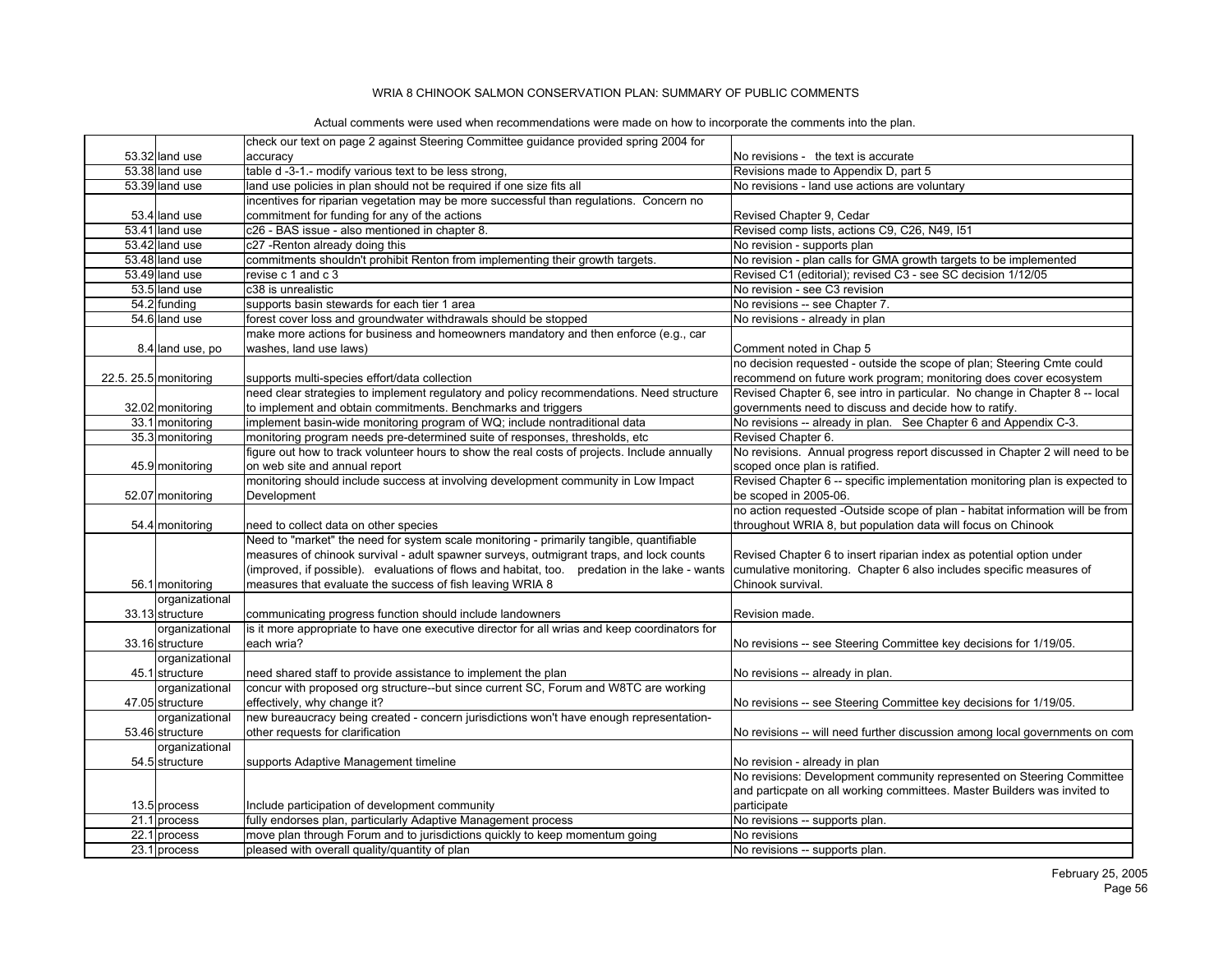|                       | check our text on page 2 against Steering Committee guidance provided spring 2004 for         |                                                                               |
|-----------------------|-----------------------------------------------------------------------------------------------|-------------------------------------------------------------------------------|
| 53.32 land use        | accuracy                                                                                      | No revisions - the text is accurate                                           |
| 53.38 land use        | table d -3-1.- modify various text to be less strong,                                         | Revisions made to Appendix D, part 5                                          |
| 53.39 land use        | land use policies in plan should not be required if one size fits all                         | No revisions - land use actions are voluntary                                 |
|                       | incentives for riparian vegetation may be more successful than regulations. Concern no        |                                                                               |
| 53.4 land use         | commitment for funding for any of the actions                                                 | Revised Chapter 9, Cedar                                                      |
| 53.41 land use        | c26 - BAS issue - also mentioned in chapter 8.                                                | Revised comp lists, actions C9, C26, N49, I51                                 |
| 53.42 land use        | c27 - Renton already doing this                                                               | No revision - supports plan                                                   |
| 53.48 land use        | commitments shouldn't prohibit Renton from implementing their growth targets.                 | No revision - plan calls for GMA growth targets to be implemented             |
| 53.49 land use        | revise c 1 and c 3                                                                            | Revised C1 (editorial); revised C3 - see SC decision 1/12/05                  |
| 53.5 land use         | c38 is unrealistic                                                                            | No revision - see C3 revision                                                 |
| 54.2 funding          | supports basin stewards for each tier 1 area                                                  | No revisions -- see Chapter 7.                                                |
| 54.6 land use         | forest cover loss and groundwater withdrawals should be stopped                               | No revisions - already in plan                                                |
|                       | make more actions for business and homeowners mandatory and then enforce (e.g., car           |                                                                               |
| 8.4 land use, po      | washes, land use laws)                                                                        | Comment noted in Chap 5                                                       |
|                       |                                                                                               | no decision requested - outside the scope of plan; Steering Cmte could        |
| 22.5. 25.5 monitoring | supports multi-species effort/data collection                                                 | recommend on future work program; monitoring does cover ecosystem             |
|                       | need clear strategies to implement regulatory and policy recommendations. Need structure      | Revised Chapter 6, see intro in particular. No change in Chapter 8 -- local   |
| 32.02 monitoring      | to implement and obtain commitments. Benchmarks and triggers                                  | governments need to discuss and decide how to ratify.                         |
| 33.1 monitoring       | implement basin-wide monitoring program of WQ; include nontraditional data                    | No revisions -- already in plan. See Chapter 6 and Appendix C-3.              |
| 35.3 monitoring       | monitoring program needs pre-determined suite of responses, thresholds, etc                   | Revised Chapter 6.                                                            |
|                       | figure out how to track volunteer hours to show the real costs of projects. Include annually  | No revisions. Annual progress report discussed in Chapter 2 will need to be   |
| 45.9 monitoring       | on web site and annual report                                                                 | scoped once plan is ratified.                                                 |
|                       | monitoring should include success at involving development community in Low Impact            | Revised Chapter 6 -- specific implementation monitoring plan is expected to   |
| 52.07 monitoring      | Development                                                                                   | be scoped in 2005-06.                                                         |
|                       |                                                                                               | no action requested -Outside scope of plan - habitat information will be from |
| 54.4 monitoring       | need to collect data on other species                                                         | throughout WRIA 8, but population data will focus on Chinook                  |
|                       | Need to "market" the need for system scale monitoring - primarily tangible, quantifiable      |                                                                               |
|                       | measures of chinook survival - adult spawner surveys, outmigrant traps, and lock counts       | Revised Chapter 6 to insert riparian index as potential option under          |
|                       | (improved, if possible). evaluations of flows and habitat, too. predation in the lake - wants | cumulative monitoring. Chapter 6 also includes specific measures of           |
| 56.1 monitoring       | measures that evaluate the success of fish leaving WRIA 8                                     | Chinook survival.                                                             |
| organizational        |                                                                                               |                                                                               |
| 33.13 structure       | communicating progress function should include landowners                                     | Revision made.                                                                |
| organizational        | is it more appropriate to have one executive director for all wrias and keep coordinators for |                                                                               |
| 33.16 structure       | leach wria?                                                                                   | No revisions -- see Steering Committee key decisions for 1/19/05.             |
| organizational        |                                                                                               |                                                                               |
| 45.1 structure        | need shared staff to provide assistance to implement the plan                                 | No revisions -- already in plan.                                              |
| organizational        | concur with proposed org structure--but since current SC, Forum and W8TC are working          |                                                                               |
| 47.05 structure       | effectively, why change it?                                                                   | No revisions -- see Steering Committee key decisions for 1/19/05.             |
| organizational        | new bureaucracy being created - concern jurisdictions won't have enough representation-       |                                                                               |
| 53.46 structure       | other requests for clarification                                                              | No revisions -- will need further discussion among local governments on com   |
| organizational        |                                                                                               |                                                                               |
| 54.5 structure        | supports Adaptive Management timeline                                                         | No revision - already in plan                                                 |
|                       |                                                                                               | No revisions: Development community represented on Steering Committee         |
|                       |                                                                                               | and particpate on all working committees. Master Builders was invited to      |
| 13.5 process          | Include participation of development community                                                | participate                                                                   |
| 21.1 process          | fully endorses plan, particularly Adaptive Management process                                 | No revisions -- supports plan.                                                |
| 22.1 process          | move plan through Forum and to jurisdictions quickly to keep momentum going                   |                                                                               |
|                       |                                                                                               | No revisions                                                                  |
| 23.1 process          | pleased with overall quality/quantity of plan                                                 | No revisions -- supports plan.                                                |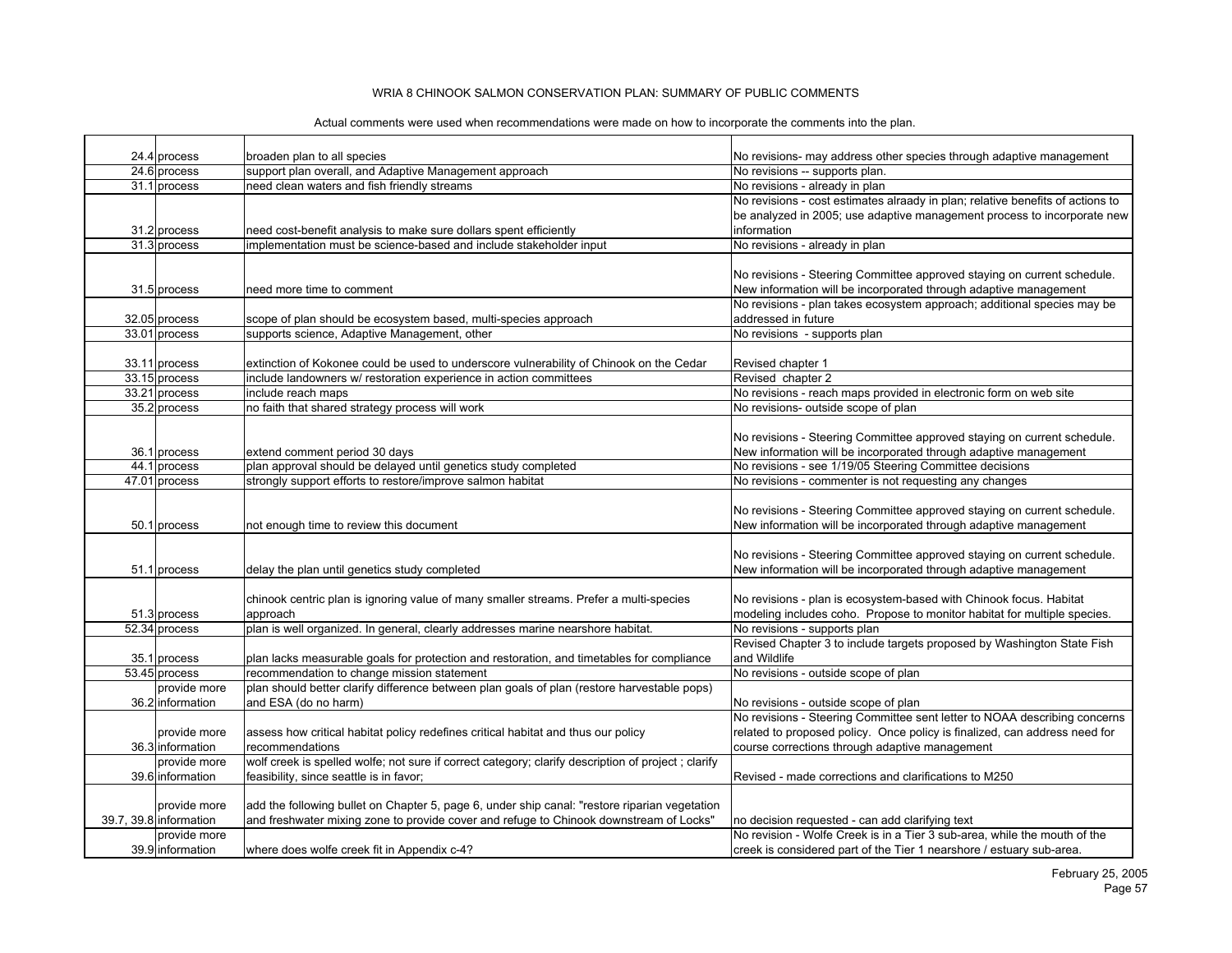| 24.4 process<br>support plan overall, and Adaptive Management approach<br>24.6 process<br>No revisions -- supports plan.<br>31.1 process<br>need clean waters and fish friendly streams<br>No revisions - already in plan<br>No revisions - cost estimates alraady in plan; relative benefits of actions to<br>be analyzed in 2005; use adaptive management process to incorporate new<br>information<br>31.2 process<br>need cost-benefit analysis to make sure dollars spent efficiently<br>31.3 process<br>implementation must be science-based and include stakeholder input<br>No revisions - already in plan<br>No revisions - Steering Committee approved staying on current schedule.<br>New information will be incorporated through adaptive management<br>31.5 process<br>need more time to comment<br>No revisions - plan takes ecosystem approach; additional species may be<br>scope of plan should be ecosystem based, multi-species approach<br>addressed in future<br>32.05 process<br>33.01 process<br>supports science, Adaptive Management, other<br>No revisions - supports plan<br>33.11 process<br>extinction of Kokonee could be used to underscore vulnerability of Chinook on the Cedar<br>Revised chapter 1<br>33.15 process<br>include landowners w/ restoration experience in action committees<br>Revised chapter 2<br>33.21 process<br>No revisions - reach maps provided in electronic form on web site<br>include reach maps<br>35.2 process<br>no faith that shared strategy process will work<br>No revisions- outside scope of plan<br>No revisions - Steering Committee approved staying on current schedule.<br>extend comment period 30 days<br>New information will be incorporated through adaptive management<br>36.1 process<br>plan approval should be delayed until genetics study completed<br>44.1 process<br>No revisions - see 1/19/05 Steering Committee decisions<br>47.01 process<br>strongly support efforts to restore/improve salmon habitat<br>No revisions - commenter is not requesting any changes<br>No revisions - Steering Committee approved staying on current schedule.<br>New information will be incorporated through adaptive management<br>50.1 process<br>not enough time to review this document<br>No revisions - Steering Committee approved staying on current schedule.<br>New information will be incorporated through adaptive management<br>51.1 process<br>delay the plan until genetics study completed<br>chinook centric plan is ignoring value of many smaller streams. Prefer a multi-species<br>No revisions - plan is ecosystem-based with Chinook focus. Habitat<br>modeling includes coho. Propose to monitor habitat for multiple species.<br>51.3 process<br>approach<br>52.34 process<br>plan is well organized. In general, clearly addresses marine nearshore habitat.<br>No revisions - supports plan<br>Revised Chapter 3 to include targets proposed by Washington State Fish<br>plan lacks measurable goals for protection and restoration, and timetables for compliance<br>and Wildlife<br>35.1 process<br>53.45 process<br>recommendation to change mission statement<br>No revisions - outside scope of plan<br>plan should better clarify difference between plan goals of plan (restore harvestable pops)<br>provide more<br>and ESA (do no harm)<br>36.2 information<br>No revisions - outside scope of plan<br>No revisions - Steering Committee sent letter to NOAA describing concerns<br>provide more<br>assess how critical habitat policy redefines critical habitat and thus our policy<br>related to proposed policy. Once policy is finalized, can address need for<br>36.3 information<br>course corrections through adaptive management<br>recommendations<br>wolf creek is spelled wolfe; not sure if correct category; clarify description of project ; clarify<br>provide more<br>feasibility, since seattle is in favor;<br>39.6 information<br>Revised - made corrections and clarifications to M250<br>add the following bullet on Chapter 5, page 6, under ship canal: "restore riparian vegetation<br>provide more<br>39.7, 39.8 information<br>and freshwater mixing zone to provide cover and refuge to Chinook downstream of Locks"<br>no decision requested - can add clarifying text<br>No revision - Wolfe Creek is in a Tier 3 sub-area, while the mouth of the<br>provide more<br>39.9 information |  |                                             |                                                                      |
|---------------------------------------------------------------------------------------------------------------------------------------------------------------------------------------------------------------------------------------------------------------------------------------------------------------------------------------------------------------------------------------------------------------------------------------------------------------------------------------------------------------------------------------------------------------------------------------------------------------------------------------------------------------------------------------------------------------------------------------------------------------------------------------------------------------------------------------------------------------------------------------------------------------------------------------------------------------------------------------------------------------------------------------------------------------------------------------------------------------------------------------------------------------------------------------------------------------------------------------------------------------------------------------------------------------------------------------------------------------------------------------------------------------------------------------------------------------------------------------------------------------------------------------------------------------------------------------------------------------------------------------------------------------------------------------------------------------------------------------------------------------------------------------------------------------------------------------------------------------------------------------------------------------------------------------------------------------------------------------------------------------------------------------------------------------------------------------------------------------------------------------------------------------------------------------------------------------------------------------------------------------------------------------------------------------------------------------------------------------------------------------------------------------------------------------------------------------------------------------------------------------------------------------------------------------------------------------------------------------------------------------------------------------------------------------------------------------------------------------------------------------------------------------------------------------------------------------------------------------------------------------------------------------------------------------------------------------------------------------------------------------------------------------------------------------------------------------------------------------------------------------------------------------------------------------------------------------------------------------------------------------------------------------------------------------------------------------------------------------------------------------------------------------------------------------------------------------------------------------------------------------------------------------------------------------------------------------------------------------------------------------------------------------------------------------------------------------------------------------------------------------------------------------------------------------------------------------------------------------------------------------------------------------------------------------------------------------------------------------------------------------------------------------------------------------------------------------------------------------------------------------------------------------------------------------------------------------------------------------------------------------------------------------------------------------------------------------------------------------------------------------------------------------------------------------|--|---------------------------------------------|----------------------------------------------------------------------|
|                                                                                                                                                                                                                                                                                                                                                                                                                                                                                                                                                                                                                                                                                                                                                                                                                                                                                                                                                                                                                                                                                                                                                                                                                                                                                                                                                                                                                                                                                                                                                                                                                                                                                                                                                                                                                                                                                                                                                                                                                                                                                                                                                                                                                                                                                                                                                                                                                                                                                                                                                                                                                                                                                                                                                                                                                                                                                                                                                                                                                                                                                                                                                                                                                                                                                                                                                                                                                                                                                                                                                                                                                                                                                                                                                                                                                                                                                                                                                                                                                                                                                                                                                                                                                                                                                                                                                                                                                                       |  | broaden plan to all species                 | No revisions- may address other species through adaptive management  |
|                                                                                                                                                                                                                                                                                                                                                                                                                                                                                                                                                                                                                                                                                                                                                                                                                                                                                                                                                                                                                                                                                                                                                                                                                                                                                                                                                                                                                                                                                                                                                                                                                                                                                                                                                                                                                                                                                                                                                                                                                                                                                                                                                                                                                                                                                                                                                                                                                                                                                                                                                                                                                                                                                                                                                                                                                                                                                                                                                                                                                                                                                                                                                                                                                                                                                                                                                                                                                                                                                                                                                                                                                                                                                                                                                                                                                                                                                                                                                                                                                                                                                                                                                                                                                                                                                                                                                                                                                                       |  |                                             |                                                                      |
|                                                                                                                                                                                                                                                                                                                                                                                                                                                                                                                                                                                                                                                                                                                                                                                                                                                                                                                                                                                                                                                                                                                                                                                                                                                                                                                                                                                                                                                                                                                                                                                                                                                                                                                                                                                                                                                                                                                                                                                                                                                                                                                                                                                                                                                                                                                                                                                                                                                                                                                                                                                                                                                                                                                                                                                                                                                                                                                                                                                                                                                                                                                                                                                                                                                                                                                                                                                                                                                                                                                                                                                                                                                                                                                                                                                                                                                                                                                                                                                                                                                                                                                                                                                                                                                                                                                                                                                                                                       |  |                                             |                                                                      |
|                                                                                                                                                                                                                                                                                                                                                                                                                                                                                                                                                                                                                                                                                                                                                                                                                                                                                                                                                                                                                                                                                                                                                                                                                                                                                                                                                                                                                                                                                                                                                                                                                                                                                                                                                                                                                                                                                                                                                                                                                                                                                                                                                                                                                                                                                                                                                                                                                                                                                                                                                                                                                                                                                                                                                                                                                                                                                                                                                                                                                                                                                                                                                                                                                                                                                                                                                                                                                                                                                                                                                                                                                                                                                                                                                                                                                                                                                                                                                                                                                                                                                                                                                                                                                                                                                                                                                                                                                                       |  |                                             |                                                                      |
|                                                                                                                                                                                                                                                                                                                                                                                                                                                                                                                                                                                                                                                                                                                                                                                                                                                                                                                                                                                                                                                                                                                                                                                                                                                                                                                                                                                                                                                                                                                                                                                                                                                                                                                                                                                                                                                                                                                                                                                                                                                                                                                                                                                                                                                                                                                                                                                                                                                                                                                                                                                                                                                                                                                                                                                                                                                                                                                                                                                                                                                                                                                                                                                                                                                                                                                                                                                                                                                                                                                                                                                                                                                                                                                                                                                                                                                                                                                                                                                                                                                                                                                                                                                                                                                                                                                                                                                                                                       |  |                                             |                                                                      |
|                                                                                                                                                                                                                                                                                                                                                                                                                                                                                                                                                                                                                                                                                                                                                                                                                                                                                                                                                                                                                                                                                                                                                                                                                                                                                                                                                                                                                                                                                                                                                                                                                                                                                                                                                                                                                                                                                                                                                                                                                                                                                                                                                                                                                                                                                                                                                                                                                                                                                                                                                                                                                                                                                                                                                                                                                                                                                                                                                                                                                                                                                                                                                                                                                                                                                                                                                                                                                                                                                                                                                                                                                                                                                                                                                                                                                                                                                                                                                                                                                                                                                                                                                                                                                                                                                                                                                                                                                                       |  |                                             |                                                                      |
|                                                                                                                                                                                                                                                                                                                                                                                                                                                                                                                                                                                                                                                                                                                                                                                                                                                                                                                                                                                                                                                                                                                                                                                                                                                                                                                                                                                                                                                                                                                                                                                                                                                                                                                                                                                                                                                                                                                                                                                                                                                                                                                                                                                                                                                                                                                                                                                                                                                                                                                                                                                                                                                                                                                                                                                                                                                                                                                                                                                                                                                                                                                                                                                                                                                                                                                                                                                                                                                                                                                                                                                                                                                                                                                                                                                                                                                                                                                                                                                                                                                                                                                                                                                                                                                                                                                                                                                                                                       |  |                                             |                                                                      |
|                                                                                                                                                                                                                                                                                                                                                                                                                                                                                                                                                                                                                                                                                                                                                                                                                                                                                                                                                                                                                                                                                                                                                                                                                                                                                                                                                                                                                                                                                                                                                                                                                                                                                                                                                                                                                                                                                                                                                                                                                                                                                                                                                                                                                                                                                                                                                                                                                                                                                                                                                                                                                                                                                                                                                                                                                                                                                                                                                                                                                                                                                                                                                                                                                                                                                                                                                                                                                                                                                                                                                                                                                                                                                                                                                                                                                                                                                                                                                                                                                                                                                                                                                                                                                                                                                                                                                                                                                                       |  |                                             |                                                                      |
|                                                                                                                                                                                                                                                                                                                                                                                                                                                                                                                                                                                                                                                                                                                                                                                                                                                                                                                                                                                                                                                                                                                                                                                                                                                                                                                                                                                                                                                                                                                                                                                                                                                                                                                                                                                                                                                                                                                                                                                                                                                                                                                                                                                                                                                                                                                                                                                                                                                                                                                                                                                                                                                                                                                                                                                                                                                                                                                                                                                                                                                                                                                                                                                                                                                                                                                                                                                                                                                                                                                                                                                                                                                                                                                                                                                                                                                                                                                                                                                                                                                                                                                                                                                                                                                                                                                                                                                                                                       |  |                                             |                                                                      |
|                                                                                                                                                                                                                                                                                                                                                                                                                                                                                                                                                                                                                                                                                                                                                                                                                                                                                                                                                                                                                                                                                                                                                                                                                                                                                                                                                                                                                                                                                                                                                                                                                                                                                                                                                                                                                                                                                                                                                                                                                                                                                                                                                                                                                                                                                                                                                                                                                                                                                                                                                                                                                                                                                                                                                                                                                                                                                                                                                                                                                                                                                                                                                                                                                                                                                                                                                                                                                                                                                                                                                                                                                                                                                                                                                                                                                                                                                                                                                                                                                                                                                                                                                                                                                                                                                                                                                                                                                                       |  |                                             |                                                                      |
|                                                                                                                                                                                                                                                                                                                                                                                                                                                                                                                                                                                                                                                                                                                                                                                                                                                                                                                                                                                                                                                                                                                                                                                                                                                                                                                                                                                                                                                                                                                                                                                                                                                                                                                                                                                                                                                                                                                                                                                                                                                                                                                                                                                                                                                                                                                                                                                                                                                                                                                                                                                                                                                                                                                                                                                                                                                                                                                                                                                                                                                                                                                                                                                                                                                                                                                                                                                                                                                                                                                                                                                                                                                                                                                                                                                                                                                                                                                                                                                                                                                                                                                                                                                                                                                                                                                                                                                                                                       |  |                                             |                                                                      |
|                                                                                                                                                                                                                                                                                                                                                                                                                                                                                                                                                                                                                                                                                                                                                                                                                                                                                                                                                                                                                                                                                                                                                                                                                                                                                                                                                                                                                                                                                                                                                                                                                                                                                                                                                                                                                                                                                                                                                                                                                                                                                                                                                                                                                                                                                                                                                                                                                                                                                                                                                                                                                                                                                                                                                                                                                                                                                                                                                                                                                                                                                                                                                                                                                                                                                                                                                                                                                                                                                                                                                                                                                                                                                                                                                                                                                                                                                                                                                                                                                                                                                                                                                                                                                                                                                                                                                                                                                                       |  |                                             |                                                                      |
|                                                                                                                                                                                                                                                                                                                                                                                                                                                                                                                                                                                                                                                                                                                                                                                                                                                                                                                                                                                                                                                                                                                                                                                                                                                                                                                                                                                                                                                                                                                                                                                                                                                                                                                                                                                                                                                                                                                                                                                                                                                                                                                                                                                                                                                                                                                                                                                                                                                                                                                                                                                                                                                                                                                                                                                                                                                                                                                                                                                                                                                                                                                                                                                                                                                                                                                                                                                                                                                                                                                                                                                                                                                                                                                                                                                                                                                                                                                                                                                                                                                                                                                                                                                                                                                                                                                                                                                                                                       |  |                                             |                                                                      |
|                                                                                                                                                                                                                                                                                                                                                                                                                                                                                                                                                                                                                                                                                                                                                                                                                                                                                                                                                                                                                                                                                                                                                                                                                                                                                                                                                                                                                                                                                                                                                                                                                                                                                                                                                                                                                                                                                                                                                                                                                                                                                                                                                                                                                                                                                                                                                                                                                                                                                                                                                                                                                                                                                                                                                                                                                                                                                                                                                                                                                                                                                                                                                                                                                                                                                                                                                                                                                                                                                                                                                                                                                                                                                                                                                                                                                                                                                                                                                                                                                                                                                                                                                                                                                                                                                                                                                                                                                                       |  |                                             |                                                                      |
|                                                                                                                                                                                                                                                                                                                                                                                                                                                                                                                                                                                                                                                                                                                                                                                                                                                                                                                                                                                                                                                                                                                                                                                                                                                                                                                                                                                                                                                                                                                                                                                                                                                                                                                                                                                                                                                                                                                                                                                                                                                                                                                                                                                                                                                                                                                                                                                                                                                                                                                                                                                                                                                                                                                                                                                                                                                                                                                                                                                                                                                                                                                                                                                                                                                                                                                                                                                                                                                                                                                                                                                                                                                                                                                                                                                                                                                                                                                                                                                                                                                                                                                                                                                                                                                                                                                                                                                                                                       |  |                                             |                                                                      |
|                                                                                                                                                                                                                                                                                                                                                                                                                                                                                                                                                                                                                                                                                                                                                                                                                                                                                                                                                                                                                                                                                                                                                                                                                                                                                                                                                                                                                                                                                                                                                                                                                                                                                                                                                                                                                                                                                                                                                                                                                                                                                                                                                                                                                                                                                                                                                                                                                                                                                                                                                                                                                                                                                                                                                                                                                                                                                                                                                                                                                                                                                                                                                                                                                                                                                                                                                                                                                                                                                                                                                                                                                                                                                                                                                                                                                                                                                                                                                                                                                                                                                                                                                                                                                                                                                                                                                                                                                                       |  |                                             |                                                                      |
|                                                                                                                                                                                                                                                                                                                                                                                                                                                                                                                                                                                                                                                                                                                                                                                                                                                                                                                                                                                                                                                                                                                                                                                                                                                                                                                                                                                                                                                                                                                                                                                                                                                                                                                                                                                                                                                                                                                                                                                                                                                                                                                                                                                                                                                                                                                                                                                                                                                                                                                                                                                                                                                                                                                                                                                                                                                                                                                                                                                                                                                                                                                                                                                                                                                                                                                                                                                                                                                                                                                                                                                                                                                                                                                                                                                                                                                                                                                                                                                                                                                                                                                                                                                                                                                                                                                                                                                                                                       |  |                                             |                                                                      |
|                                                                                                                                                                                                                                                                                                                                                                                                                                                                                                                                                                                                                                                                                                                                                                                                                                                                                                                                                                                                                                                                                                                                                                                                                                                                                                                                                                                                                                                                                                                                                                                                                                                                                                                                                                                                                                                                                                                                                                                                                                                                                                                                                                                                                                                                                                                                                                                                                                                                                                                                                                                                                                                                                                                                                                                                                                                                                                                                                                                                                                                                                                                                                                                                                                                                                                                                                                                                                                                                                                                                                                                                                                                                                                                                                                                                                                                                                                                                                                                                                                                                                                                                                                                                                                                                                                                                                                                                                                       |  |                                             |                                                                      |
|                                                                                                                                                                                                                                                                                                                                                                                                                                                                                                                                                                                                                                                                                                                                                                                                                                                                                                                                                                                                                                                                                                                                                                                                                                                                                                                                                                                                                                                                                                                                                                                                                                                                                                                                                                                                                                                                                                                                                                                                                                                                                                                                                                                                                                                                                                                                                                                                                                                                                                                                                                                                                                                                                                                                                                                                                                                                                                                                                                                                                                                                                                                                                                                                                                                                                                                                                                                                                                                                                                                                                                                                                                                                                                                                                                                                                                                                                                                                                                                                                                                                                                                                                                                                                                                                                                                                                                                                                                       |  |                                             |                                                                      |
|                                                                                                                                                                                                                                                                                                                                                                                                                                                                                                                                                                                                                                                                                                                                                                                                                                                                                                                                                                                                                                                                                                                                                                                                                                                                                                                                                                                                                                                                                                                                                                                                                                                                                                                                                                                                                                                                                                                                                                                                                                                                                                                                                                                                                                                                                                                                                                                                                                                                                                                                                                                                                                                                                                                                                                                                                                                                                                                                                                                                                                                                                                                                                                                                                                                                                                                                                                                                                                                                                                                                                                                                                                                                                                                                                                                                                                                                                                                                                                                                                                                                                                                                                                                                                                                                                                                                                                                                                                       |  |                                             |                                                                      |
|                                                                                                                                                                                                                                                                                                                                                                                                                                                                                                                                                                                                                                                                                                                                                                                                                                                                                                                                                                                                                                                                                                                                                                                                                                                                                                                                                                                                                                                                                                                                                                                                                                                                                                                                                                                                                                                                                                                                                                                                                                                                                                                                                                                                                                                                                                                                                                                                                                                                                                                                                                                                                                                                                                                                                                                                                                                                                                                                                                                                                                                                                                                                                                                                                                                                                                                                                                                                                                                                                                                                                                                                                                                                                                                                                                                                                                                                                                                                                                                                                                                                                                                                                                                                                                                                                                                                                                                                                                       |  |                                             |                                                                      |
|                                                                                                                                                                                                                                                                                                                                                                                                                                                                                                                                                                                                                                                                                                                                                                                                                                                                                                                                                                                                                                                                                                                                                                                                                                                                                                                                                                                                                                                                                                                                                                                                                                                                                                                                                                                                                                                                                                                                                                                                                                                                                                                                                                                                                                                                                                                                                                                                                                                                                                                                                                                                                                                                                                                                                                                                                                                                                                                                                                                                                                                                                                                                                                                                                                                                                                                                                                                                                                                                                                                                                                                                                                                                                                                                                                                                                                                                                                                                                                                                                                                                                                                                                                                                                                                                                                                                                                                                                                       |  |                                             |                                                                      |
|                                                                                                                                                                                                                                                                                                                                                                                                                                                                                                                                                                                                                                                                                                                                                                                                                                                                                                                                                                                                                                                                                                                                                                                                                                                                                                                                                                                                                                                                                                                                                                                                                                                                                                                                                                                                                                                                                                                                                                                                                                                                                                                                                                                                                                                                                                                                                                                                                                                                                                                                                                                                                                                                                                                                                                                                                                                                                                                                                                                                                                                                                                                                                                                                                                                                                                                                                                                                                                                                                                                                                                                                                                                                                                                                                                                                                                                                                                                                                                                                                                                                                                                                                                                                                                                                                                                                                                                                                                       |  |                                             |                                                                      |
|                                                                                                                                                                                                                                                                                                                                                                                                                                                                                                                                                                                                                                                                                                                                                                                                                                                                                                                                                                                                                                                                                                                                                                                                                                                                                                                                                                                                                                                                                                                                                                                                                                                                                                                                                                                                                                                                                                                                                                                                                                                                                                                                                                                                                                                                                                                                                                                                                                                                                                                                                                                                                                                                                                                                                                                                                                                                                                                                                                                                                                                                                                                                                                                                                                                                                                                                                                                                                                                                                                                                                                                                                                                                                                                                                                                                                                                                                                                                                                                                                                                                                                                                                                                                                                                                                                                                                                                                                                       |  |                                             |                                                                      |
|                                                                                                                                                                                                                                                                                                                                                                                                                                                                                                                                                                                                                                                                                                                                                                                                                                                                                                                                                                                                                                                                                                                                                                                                                                                                                                                                                                                                                                                                                                                                                                                                                                                                                                                                                                                                                                                                                                                                                                                                                                                                                                                                                                                                                                                                                                                                                                                                                                                                                                                                                                                                                                                                                                                                                                                                                                                                                                                                                                                                                                                                                                                                                                                                                                                                                                                                                                                                                                                                                                                                                                                                                                                                                                                                                                                                                                                                                                                                                                                                                                                                                                                                                                                                                                                                                                                                                                                                                                       |  |                                             |                                                                      |
|                                                                                                                                                                                                                                                                                                                                                                                                                                                                                                                                                                                                                                                                                                                                                                                                                                                                                                                                                                                                                                                                                                                                                                                                                                                                                                                                                                                                                                                                                                                                                                                                                                                                                                                                                                                                                                                                                                                                                                                                                                                                                                                                                                                                                                                                                                                                                                                                                                                                                                                                                                                                                                                                                                                                                                                                                                                                                                                                                                                                                                                                                                                                                                                                                                                                                                                                                                                                                                                                                                                                                                                                                                                                                                                                                                                                                                                                                                                                                                                                                                                                                                                                                                                                                                                                                                                                                                                                                                       |  |                                             |                                                                      |
|                                                                                                                                                                                                                                                                                                                                                                                                                                                                                                                                                                                                                                                                                                                                                                                                                                                                                                                                                                                                                                                                                                                                                                                                                                                                                                                                                                                                                                                                                                                                                                                                                                                                                                                                                                                                                                                                                                                                                                                                                                                                                                                                                                                                                                                                                                                                                                                                                                                                                                                                                                                                                                                                                                                                                                                                                                                                                                                                                                                                                                                                                                                                                                                                                                                                                                                                                                                                                                                                                                                                                                                                                                                                                                                                                                                                                                                                                                                                                                                                                                                                                                                                                                                                                                                                                                                                                                                                                                       |  |                                             |                                                                      |
|                                                                                                                                                                                                                                                                                                                                                                                                                                                                                                                                                                                                                                                                                                                                                                                                                                                                                                                                                                                                                                                                                                                                                                                                                                                                                                                                                                                                                                                                                                                                                                                                                                                                                                                                                                                                                                                                                                                                                                                                                                                                                                                                                                                                                                                                                                                                                                                                                                                                                                                                                                                                                                                                                                                                                                                                                                                                                                                                                                                                                                                                                                                                                                                                                                                                                                                                                                                                                                                                                                                                                                                                                                                                                                                                                                                                                                                                                                                                                                                                                                                                                                                                                                                                                                                                                                                                                                                                                                       |  |                                             |                                                                      |
|                                                                                                                                                                                                                                                                                                                                                                                                                                                                                                                                                                                                                                                                                                                                                                                                                                                                                                                                                                                                                                                                                                                                                                                                                                                                                                                                                                                                                                                                                                                                                                                                                                                                                                                                                                                                                                                                                                                                                                                                                                                                                                                                                                                                                                                                                                                                                                                                                                                                                                                                                                                                                                                                                                                                                                                                                                                                                                                                                                                                                                                                                                                                                                                                                                                                                                                                                                                                                                                                                                                                                                                                                                                                                                                                                                                                                                                                                                                                                                                                                                                                                                                                                                                                                                                                                                                                                                                                                                       |  |                                             |                                                                      |
|                                                                                                                                                                                                                                                                                                                                                                                                                                                                                                                                                                                                                                                                                                                                                                                                                                                                                                                                                                                                                                                                                                                                                                                                                                                                                                                                                                                                                                                                                                                                                                                                                                                                                                                                                                                                                                                                                                                                                                                                                                                                                                                                                                                                                                                                                                                                                                                                                                                                                                                                                                                                                                                                                                                                                                                                                                                                                                                                                                                                                                                                                                                                                                                                                                                                                                                                                                                                                                                                                                                                                                                                                                                                                                                                                                                                                                                                                                                                                                                                                                                                                                                                                                                                                                                                                                                                                                                                                                       |  |                                             |                                                                      |
|                                                                                                                                                                                                                                                                                                                                                                                                                                                                                                                                                                                                                                                                                                                                                                                                                                                                                                                                                                                                                                                                                                                                                                                                                                                                                                                                                                                                                                                                                                                                                                                                                                                                                                                                                                                                                                                                                                                                                                                                                                                                                                                                                                                                                                                                                                                                                                                                                                                                                                                                                                                                                                                                                                                                                                                                                                                                                                                                                                                                                                                                                                                                                                                                                                                                                                                                                                                                                                                                                                                                                                                                                                                                                                                                                                                                                                                                                                                                                                                                                                                                                                                                                                                                                                                                                                                                                                                                                                       |  |                                             |                                                                      |
|                                                                                                                                                                                                                                                                                                                                                                                                                                                                                                                                                                                                                                                                                                                                                                                                                                                                                                                                                                                                                                                                                                                                                                                                                                                                                                                                                                                                                                                                                                                                                                                                                                                                                                                                                                                                                                                                                                                                                                                                                                                                                                                                                                                                                                                                                                                                                                                                                                                                                                                                                                                                                                                                                                                                                                                                                                                                                                                                                                                                                                                                                                                                                                                                                                                                                                                                                                                                                                                                                                                                                                                                                                                                                                                                                                                                                                                                                                                                                                                                                                                                                                                                                                                                                                                                                                                                                                                                                                       |  |                                             |                                                                      |
|                                                                                                                                                                                                                                                                                                                                                                                                                                                                                                                                                                                                                                                                                                                                                                                                                                                                                                                                                                                                                                                                                                                                                                                                                                                                                                                                                                                                                                                                                                                                                                                                                                                                                                                                                                                                                                                                                                                                                                                                                                                                                                                                                                                                                                                                                                                                                                                                                                                                                                                                                                                                                                                                                                                                                                                                                                                                                                                                                                                                                                                                                                                                                                                                                                                                                                                                                                                                                                                                                                                                                                                                                                                                                                                                                                                                                                                                                                                                                                                                                                                                                                                                                                                                                                                                                                                                                                                                                                       |  |                                             |                                                                      |
|                                                                                                                                                                                                                                                                                                                                                                                                                                                                                                                                                                                                                                                                                                                                                                                                                                                                                                                                                                                                                                                                                                                                                                                                                                                                                                                                                                                                                                                                                                                                                                                                                                                                                                                                                                                                                                                                                                                                                                                                                                                                                                                                                                                                                                                                                                                                                                                                                                                                                                                                                                                                                                                                                                                                                                                                                                                                                                                                                                                                                                                                                                                                                                                                                                                                                                                                                                                                                                                                                                                                                                                                                                                                                                                                                                                                                                                                                                                                                                                                                                                                                                                                                                                                                                                                                                                                                                                                                                       |  |                                             |                                                                      |
|                                                                                                                                                                                                                                                                                                                                                                                                                                                                                                                                                                                                                                                                                                                                                                                                                                                                                                                                                                                                                                                                                                                                                                                                                                                                                                                                                                                                                                                                                                                                                                                                                                                                                                                                                                                                                                                                                                                                                                                                                                                                                                                                                                                                                                                                                                                                                                                                                                                                                                                                                                                                                                                                                                                                                                                                                                                                                                                                                                                                                                                                                                                                                                                                                                                                                                                                                                                                                                                                                                                                                                                                                                                                                                                                                                                                                                                                                                                                                                                                                                                                                                                                                                                                                                                                                                                                                                                                                                       |  |                                             |                                                                      |
|                                                                                                                                                                                                                                                                                                                                                                                                                                                                                                                                                                                                                                                                                                                                                                                                                                                                                                                                                                                                                                                                                                                                                                                                                                                                                                                                                                                                                                                                                                                                                                                                                                                                                                                                                                                                                                                                                                                                                                                                                                                                                                                                                                                                                                                                                                                                                                                                                                                                                                                                                                                                                                                                                                                                                                                                                                                                                                                                                                                                                                                                                                                                                                                                                                                                                                                                                                                                                                                                                                                                                                                                                                                                                                                                                                                                                                                                                                                                                                                                                                                                                                                                                                                                                                                                                                                                                                                                                                       |  |                                             |                                                                      |
|                                                                                                                                                                                                                                                                                                                                                                                                                                                                                                                                                                                                                                                                                                                                                                                                                                                                                                                                                                                                                                                                                                                                                                                                                                                                                                                                                                                                                                                                                                                                                                                                                                                                                                                                                                                                                                                                                                                                                                                                                                                                                                                                                                                                                                                                                                                                                                                                                                                                                                                                                                                                                                                                                                                                                                                                                                                                                                                                                                                                                                                                                                                                                                                                                                                                                                                                                                                                                                                                                                                                                                                                                                                                                                                                                                                                                                                                                                                                                                                                                                                                                                                                                                                                                                                                                                                                                                                                                                       |  |                                             |                                                                      |
|                                                                                                                                                                                                                                                                                                                                                                                                                                                                                                                                                                                                                                                                                                                                                                                                                                                                                                                                                                                                                                                                                                                                                                                                                                                                                                                                                                                                                                                                                                                                                                                                                                                                                                                                                                                                                                                                                                                                                                                                                                                                                                                                                                                                                                                                                                                                                                                                                                                                                                                                                                                                                                                                                                                                                                                                                                                                                                                                                                                                                                                                                                                                                                                                                                                                                                                                                                                                                                                                                                                                                                                                                                                                                                                                                                                                                                                                                                                                                                                                                                                                                                                                                                                                                                                                                                                                                                                                                                       |  |                                             |                                                                      |
|                                                                                                                                                                                                                                                                                                                                                                                                                                                                                                                                                                                                                                                                                                                                                                                                                                                                                                                                                                                                                                                                                                                                                                                                                                                                                                                                                                                                                                                                                                                                                                                                                                                                                                                                                                                                                                                                                                                                                                                                                                                                                                                                                                                                                                                                                                                                                                                                                                                                                                                                                                                                                                                                                                                                                                                                                                                                                                                                                                                                                                                                                                                                                                                                                                                                                                                                                                                                                                                                                                                                                                                                                                                                                                                                                                                                                                                                                                                                                                                                                                                                                                                                                                                                                                                                                                                                                                                                                                       |  |                                             |                                                                      |
|                                                                                                                                                                                                                                                                                                                                                                                                                                                                                                                                                                                                                                                                                                                                                                                                                                                                                                                                                                                                                                                                                                                                                                                                                                                                                                                                                                                                                                                                                                                                                                                                                                                                                                                                                                                                                                                                                                                                                                                                                                                                                                                                                                                                                                                                                                                                                                                                                                                                                                                                                                                                                                                                                                                                                                                                                                                                                                                                                                                                                                                                                                                                                                                                                                                                                                                                                                                                                                                                                                                                                                                                                                                                                                                                                                                                                                                                                                                                                                                                                                                                                                                                                                                                                                                                                                                                                                                                                                       |  |                                             |                                                                      |
|                                                                                                                                                                                                                                                                                                                                                                                                                                                                                                                                                                                                                                                                                                                                                                                                                                                                                                                                                                                                                                                                                                                                                                                                                                                                                                                                                                                                                                                                                                                                                                                                                                                                                                                                                                                                                                                                                                                                                                                                                                                                                                                                                                                                                                                                                                                                                                                                                                                                                                                                                                                                                                                                                                                                                                                                                                                                                                                                                                                                                                                                                                                                                                                                                                                                                                                                                                                                                                                                                                                                                                                                                                                                                                                                                                                                                                                                                                                                                                                                                                                                                                                                                                                                                                                                                                                                                                                                                                       |  |                                             |                                                                      |
|                                                                                                                                                                                                                                                                                                                                                                                                                                                                                                                                                                                                                                                                                                                                                                                                                                                                                                                                                                                                                                                                                                                                                                                                                                                                                                                                                                                                                                                                                                                                                                                                                                                                                                                                                                                                                                                                                                                                                                                                                                                                                                                                                                                                                                                                                                                                                                                                                                                                                                                                                                                                                                                                                                                                                                                                                                                                                                                                                                                                                                                                                                                                                                                                                                                                                                                                                                                                                                                                                                                                                                                                                                                                                                                                                                                                                                                                                                                                                                                                                                                                                                                                                                                                                                                                                                                                                                                                                                       |  |                                             |                                                                      |
|                                                                                                                                                                                                                                                                                                                                                                                                                                                                                                                                                                                                                                                                                                                                                                                                                                                                                                                                                                                                                                                                                                                                                                                                                                                                                                                                                                                                                                                                                                                                                                                                                                                                                                                                                                                                                                                                                                                                                                                                                                                                                                                                                                                                                                                                                                                                                                                                                                                                                                                                                                                                                                                                                                                                                                                                                                                                                                                                                                                                                                                                                                                                                                                                                                                                                                                                                                                                                                                                                                                                                                                                                                                                                                                                                                                                                                                                                                                                                                                                                                                                                                                                                                                                                                                                                                                                                                                                                                       |  |                                             |                                                                      |
|                                                                                                                                                                                                                                                                                                                                                                                                                                                                                                                                                                                                                                                                                                                                                                                                                                                                                                                                                                                                                                                                                                                                                                                                                                                                                                                                                                                                                                                                                                                                                                                                                                                                                                                                                                                                                                                                                                                                                                                                                                                                                                                                                                                                                                                                                                                                                                                                                                                                                                                                                                                                                                                                                                                                                                                                                                                                                                                                                                                                                                                                                                                                                                                                                                                                                                                                                                                                                                                                                                                                                                                                                                                                                                                                                                                                                                                                                                                                                                                                                                                                                                                                                                                                                                                                                                                                                                                                                                       |  |                                             |                                                                      |
|                                                                                                                                                                                                                                                                                                                                                                                                                                                                                                                                                                                                                                                                                                                                                                                                                                                                                                                                                                                                                                                                                                                                                                                                                                                                                                                                                                                                                                                                                                                                                                                                                                                                                                                                                                                                                                                                                                                                                                                                                                                                                                                                                                                                                                                                                                                                                                                                                                                                                                                                                                                                                                                                                                                                                                                                                                                                                                                                                                                                                                                                                                                                                                                                                                                                                                                                                                                                                                                                                                                                                                                                                                                                                                                                                                                                                                                                                                                                                                                                                                                                                                                                                                                                                                                                                                                                                                                                                                       |  |                                             |                                                                      |
|                                                                                                                                                                                                                                                                                                                                                                                                                                                                                                                                                                                                                                                                                                                                                                                                                                                                                                                                                                                                                                                                                                                                                                                                                                                                                                                                                                                                                                                                                                                                                                                                                                                                                                                                                                                                                                                                                                                                                                                                                                                                                                                                                                                                                                                                                                                                                                                                                                                                                                                                                                                                                                                                                                                                                                                                                                                                                                                                                                                                                                                                                                                                                                                                                                                                                                                                                                                                                                                                                                                                                                                                                                                                                                                                                                                                                                                                                                                                                                                                                                                                                                                                                                                                                                                                                                                                                                                                                                       |  | where does wolfe creek fit in Appendix c-4? | creek is considered part of the Tier 1 nearshore / estuary sub-area. |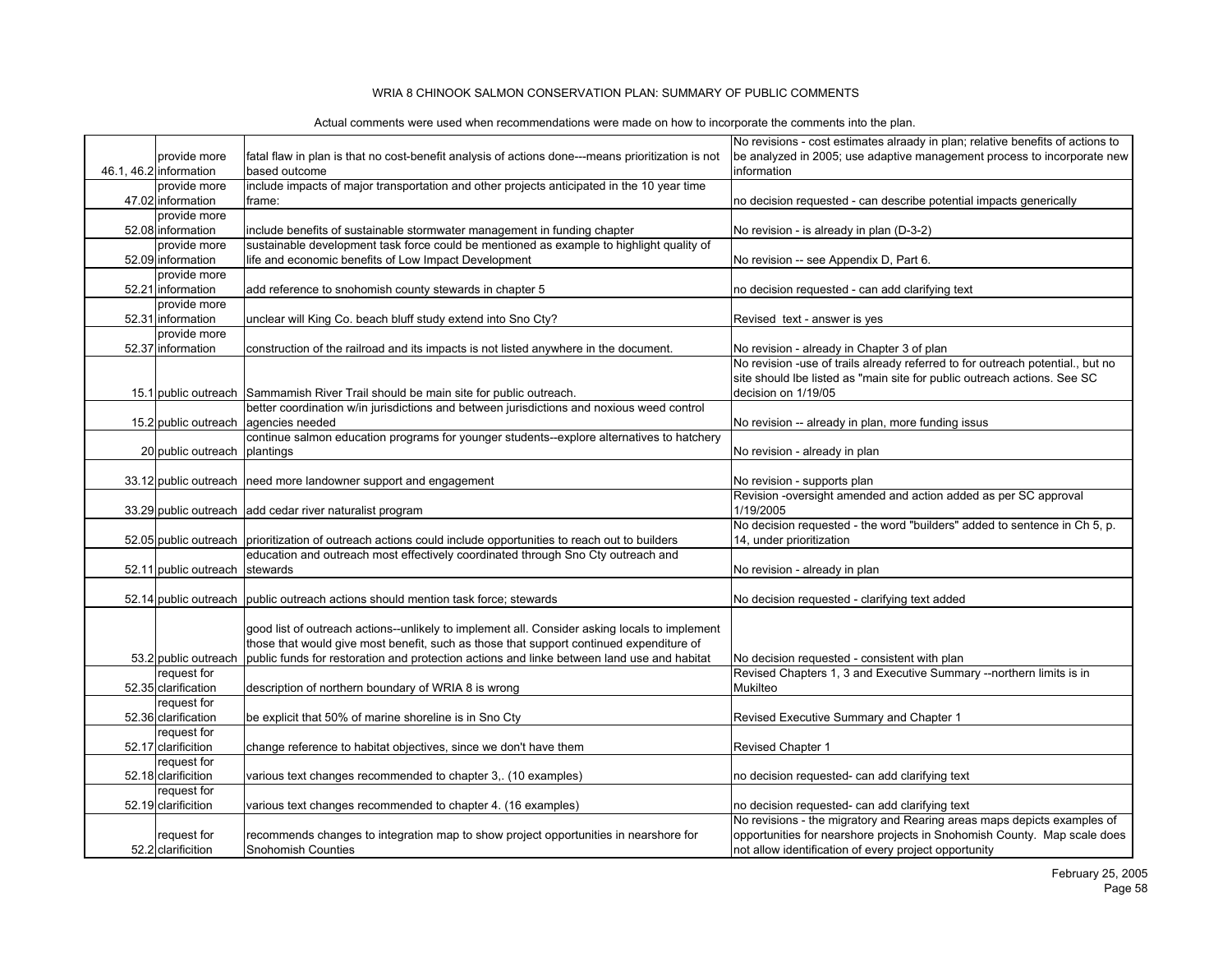|                                   |                                                                                                               | No revisions - cost estimates alraady in plan; relative benefits of actions to                                                    |
|-----------------------------------|---------------------------------------------------------------------------------------------------------------|-----------------------------------------------------------------------------------------------------------------------------------|
| provide more                      | fatal flaw in plan is that no cost-benefit analysis of actions done---means prioritization is not             | be analyzed in 2005; use adaptive management process to incorporate new                                                           |
| 46.1, 46.2 information            | based outcome                                                                                                 | information                                                                                                                       |
| provide more                      | include impacts of major transportation and other projects anticipated in the 10 year time                    |                                                                                                                                   |
| 47.02 information                 | frame:                                                                                                        | no decision requested - can describe potential impacts generically                                                                |
| provide more                      |                                                                                                               |                                                                                                                                   |
| 52.08 information                 | include benefits of sustainable stormwater management in funding chapter                                      | No revision - is already in plan (D-3-2)                                                                                          |
| provide more                      | sustainable development task force could be mentioned as example to highlight quality of                      |                                                                                                                                   |
| 52.09 information                 | life and economic benefits of Low Impact Development                                                          | No revision -- see Appendix D, Part 6.                                                                                            |
| provide more<br>52.21 Information | add reference to snohomish county stewards in chapter 5                                                       |                                                                                                                                   |
| provide more                      |                                                                                                               | no decision requested - can add clarifying text                                                                                   |
| 52.31 information                 |                                                                                                               | Revised text - answer is yes                                                                                                      |
| provide more                      | unclear will King Co. beach bluff study extend into Sno Cty?                                                  |                                                                                                                                   |
| 52.37 information                 | construction of the railroad and its impacts is not listed anywhere in the document.                          | No revision - already in Chapter 3 of plan                                                                                        |
|                                   |                                                                                                               | No revision -use of trails already referred to for outreach potential., but no                                                    |
|                                   |                                                                                                               | site should lbe listed as "main site for public outreach actions. See SC                                                          |
|                                   | 15.1 public outreach Sammamish River Trail should be main site for public outreach.                           | decision on 1/19/05                                                                                                               |
|                                   | better coordination w/in jurisdictions and between jurisdictions and noxious weed control                     |                                                                                                                                   |
|                                   | 15.2 public outreach agencies needed                                                                          | No revision -- already in plan, more funding issus                                                                                |
|                                   | continue salmon education programs for younger students--explore alternatives to hatchery                     |                                                                                                                                   |
| 20 public outreach plantings      |                                                                                                               | No revision - already in plan                                                                                                     |
|                                   |                                                                                                               |                                                                                                                                   |
|                                   | 33.12 public outreach   need more landowner support and engagement                                            | No revision - supports plan                                                                                                       |
|                                   |                                                                                                               | Revision -oversight amended and action added as per SC approval                                                                   |
| 33.29 public outreach             | add cedar river naturalist program                                                                            | 1/19/2005                                                                                                                         |
|                                   |                                                                                                               | No decision requested - the word "builders" added to sentence in Ch 5, p.                                                         |
|                                   | 52.05 public outreach prioritization of outreach actions could include opportunities to reach out to builders | 14, under prioritization                                                                                                          |
|                                   | education and outreach most effectively coordinated through Sno Cty outreach and                              |                                                                                                                                   |
| 52.11 public outreach stewards    |                                                                                                               | No revision - already in plan                                                                                                     |
|                                   |                                                                                                               |                                                                                                                                   |
|                                   | 52.14 public outreach public outreach actions should mention task force; stewards                             | No decision requested - clarifying text added                                                                                     |
|                                   |                                                                                                               |                                                                                                                                   |
|                                   | good list of outreach actions--unlikely to implement all. Consider asking locals to implement                 |                                                                                                                                   |
|                                   | those that would give most benefit, such as those that support continued expenditure of                       |                                                                                                                                   |
| 53.2 public outreach              | public funds for restoration and protection actions and linke between land use and habitat                    | No decision requested - consistent with plan                                                                                      |
| request for                       |                                                                                                               | Revised Chapters 1, 3 and Executive Summary --northern limits is in                                                               |
| 52.35 clarification               | description of northern boundary of WRIA 8 is wrong                                                           | <b>Mukilteo</b>                                                                                                                   |
| request for                       |                                                                                                               |                                                                                                                                   |
| 52.36 clarification               | be explicit that 50% of marine shoreline is in Sno Cty                                                        | Revised Executive Summary and Chapter 1                                                                                           |
| request for                       |                                                                                                               |                                                                                                                                   |
| 52.17 clarificition               | change reference to habitat objectives, since we don't have them                                              | Revised Chapter 1                                                                                                                 |
| request for                       |                                                                                                               |                                                                                                                                   |
| 52.18 clarificition               | various text changes recommended to chapter 3, (10 examples)                                                  | no decision requested- can add clarifying text                                                                                    |
| request for                       |                                                                                                               |                                                                                                                                   |
| 52.19 clarificition               | various text changes recommended to chapter 4. (16 examples)                                                  | no decision requested- can add clarifying text                                                                                    |
|                                   |                                                                                                               | No revisions - the migratory and Rearing areas maps depicts examples of                                                           |
| request for<br>52.2 clarificition | recommends changes to integration map to show project opportunities in nearshore for<br>Snohomish Counties    | opportunities for nearshore projects in Snohomish County. Map scale does<br>not allow identification of every project opportunity |
|                                   |                                                                                                               |                                                                                                                                   |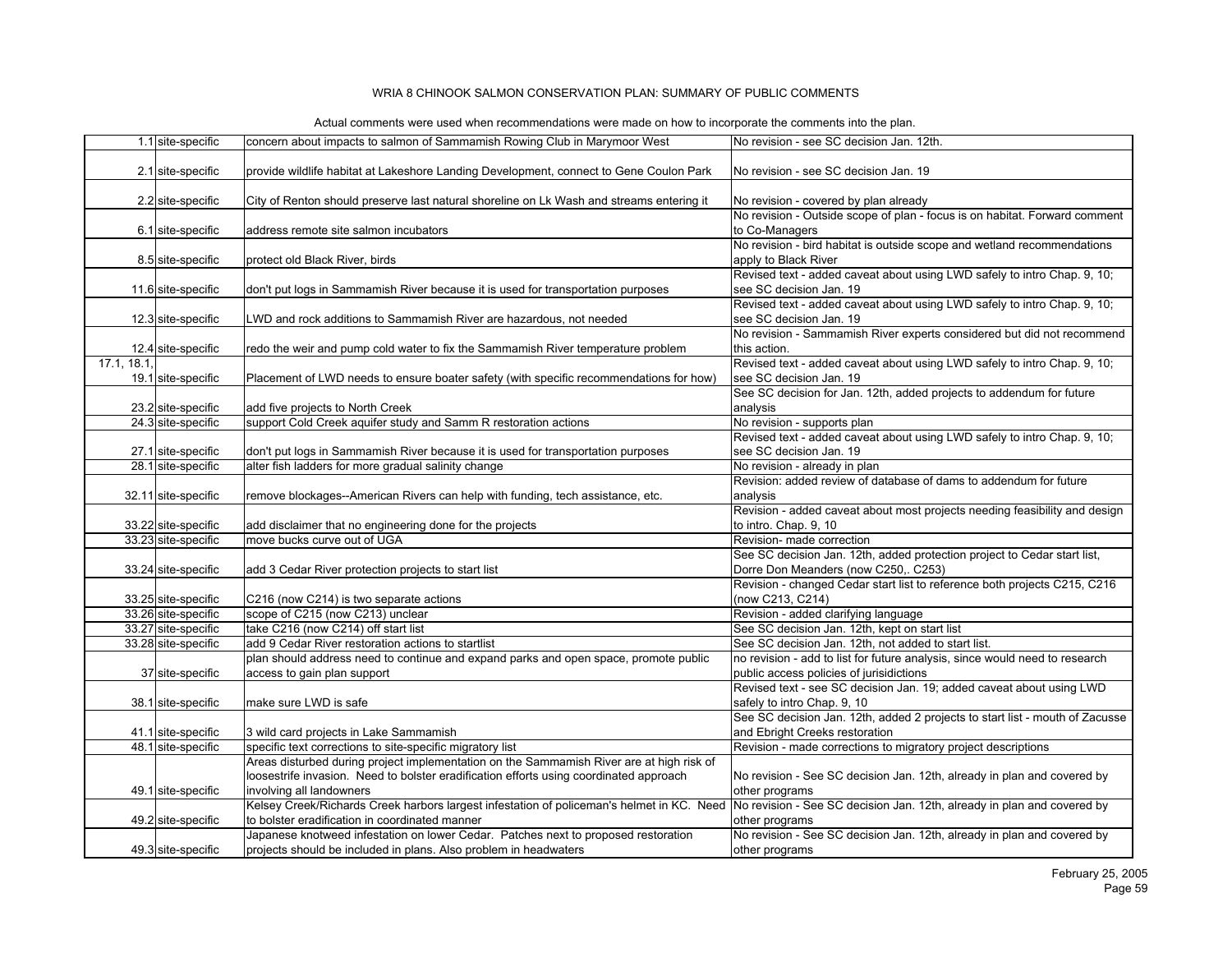|             | 1.1 site-specific                        | concern about impacts to salmon of Sammamish Rowing Club in Marymoor West                                                                                         | No revision - see SC decision Jan. 12th.                                                                |
|-------------|------------------------------------------|-------------------------------------------------------------------------------------------------------------------------------------------------------------------|---------------------------------------------------------------------------------------------------------|
|             |                                          |                                                                                                                                                                   |                                                                                                         |
|             | 2.1 site-specific                        | provide wildlife habitat at Lakeshore Landing Development, connect to Gene Coulon Park                                                                            | No revision - see SC decision Jan. 19                                                                   |
|             |                                          |                                                                                                                                                                   |                                                                                                         |
|             | 2.2 site-specific                        | City of Renton should preserve last natural shoreline on Lk Wash and streams entering it                                                                          | No revision - covered by plan already                                                                   |
|             |                                          |                                                                                                                                                                   | No revision - Outside scope of plan - focus is on habitat. Forward comment                              |
|             | 6.1 site-specific                        | address remote site salmon incubators                                                                                                                             | to Co-Managers                                                                                          |
|             |                                          |                                                                                                                                                                   | No revision - bird habitat is outside scope and wetland recommendations                                 |
|             | 8.5 site-specific                        | protect old Black River, birds                                                                                                                                    | apply to Black River                                                                                    |
|             |                                          |                                                                                                                                                                   | Revised text - added caveat about using LWD safely to intro Chap. 9, 10;                                |
|             | 11.6 site-specific                       | don't put logs in Sammamish River because it is used for transportation purposes                                                                                  | see SC decision Jan. 19                                                                                 |
|             |                                          |                                                                                                                                                                   | Revised text - added caveat about using LWD safely to intro Chap. 9, 10;                                |
|             | 12.3 site-specific                       | LWD and rock additions to Sammamish River are hazardous, not needed                                                                                               | see SC decision Jan. 19                                                                                 |
|             |                                          |                                                                                                                                                                   | No revision - Sammamish River experts considered but did not recommend                                  |
|             | 12.4 site-specific                       | redo the weir and pump cold water to fix the Sammamish River temperature problem                                                                                  | this action.                                                                                            |
| 17.1, 18.1, |                                          |                                                                                                                                                                   | Revised text - added caveat about using LWD safely to intro Chap. 9, 10;                                |
|             | 19.1 site-specific                       | Placement of LWD needs to ensure boater safety (with specific recommendations for how)                                                                            | see SC decision Jan. 19                                                                                 |
|             |                                          |                                                                                                                                                                   | See SC decision for Jan. 12th, added projects to addendum for future                                    |
|             | 23.2 site-specific                       | add five projects to North Creek                                                                                                                                  | analysis                                                                                                |
|             | 24.3 site-specific                       | support Cold Creek aquifer study and Samm R restoration actions                                                                                                   | No revision - supports plan<br>Revised text - added caveat about using LWD safely to intro Chap. 9, 10; |
|             |                                          |                                                                                                                                                                   | see SC decision Jan. 19                                                                                 |
|             | 27.1 site-specific<br>28.1 site-specific | don't put logs in Sammamish River because it is used for transportation purposes<br>alter fish ladders for more gradual salinity change                           | No revision - already in plan                                                                           |
|             |                                          |                                                                                                                                                                   | Revision: added review of database of dams to addendum for future                                       |
|             | 32.11 site-specific                      |                                                                                                                                                                   | analysis                                                                                                |
|             |                                          | remove blockages--American Rivers can help with funding, tech assistance, etc.                                                                                    | Revision - added caveat about most projects needing feasibility and design                              |
|             | 33.22 site-specific                      | add disclaimer that no engineering done for the projects                                                                                                          | to intro. Chap. 9, 10                                                                                   |
|             | 33.23 site-specific                      | move bucks curve out of UGA                                                                                                                                       | Revision- made correction                                                                               |
|             |                                          |                                                                                                                                                                   | See SC decision Jan. 12th, added protection project to Cedar start list,                                |
|             | 33.24 site-specific                      | add 3 Cedar River protection projects to start list                                                                                                               | Dorre Don Meanders (now C250,. C253)                                                                    |
|             |                                          |                                                                                                                                                                   | Revision - changed Cedar start list to reference both projects C215, C216                               |
|             | 33.25 site-specific                      | C216 (now C214) is two separate actions                                                                                                                           | (now C213, C214)                                                                                        |
|             | 33.26 site-specific                      | scope of C215 (now C213) unclear                                                                                                                                  | Revision - added clarifying language                                                                    |
|             | 33.27 site-specific                      | take C216 (now C214) off start list                                                                                                                               | See SC decision Jan. 12th, kept on start list                                                           |
|             | 33.28 site-specific                      | add 9 Cedar River restoration actions to startlist                                                                                                                | See SC decision Jan. 12th, not added to start list.                                                     |
|             |                                          | plan should address need to continue and expand parks and open space, promote public                                                                              | no revision - add to list for future analysis, since would need to research                             |
|             | 37 site-specific                         | access to gain plan support                                                                                                                                       | public access policies of jurisidictions                                                                |
|             |                                          |                                                                                                                                                                   | Revised text - see SC decision Jan. 19; added caveat about using LWD                                    |
|             | 38.1 site-specific                       | make sure LWD is safe                                                                                                                                             | safely to intro Chap. 9, 10                                                                             |
|             |                                          |                                                                                                                                                                   | See SC decision Jan. 12th, added 2 projects to start list - mouth of Zacusse                            |
|             | 41.1 site-specific                       | 3 wild card projects in Lake Sammamish                                                                                                                            | and Ebright Creeks restoration                                                                          |
|             | 48.1 site-specific                       | specific text corrections to site-specific migratory list                                                                                                         | Revision - made corrections to migratory project descriptions                                           |
|             |                                          | Areas disturbed during project implementation on the Sammamish River are at high risk of                                                                          |                                                                                                         |
|             |                                          | loosestrife invasion. Need to bolster eradification efforts using coordinated approach                                                                            | No revision - See SC decision Jan. 12th, already in plan and covered by                                 |
|             | 49.1 site-specific                       | involving all landowners                                                                                                                                          | other programs                                                                                          |
|             |                                          | Kelsey Creek/Richards Creek harbors largest infestation of policeman's helmet in KC. Need No revision - See SC decision Jan. 12th, already in plan and covered by |                                                                                                         |
|             | 49.2 site-specific                       | to bolster eradification in coordinated manner                                                                                                                    | other programs                                                                                          |
|             |                                          | Japanese knotweed infestation on lower Cedar. Patches next to proposed restoration                                                                                | No revision - See SC decision Jan. 12th, already in plan and covered by                                 |
|             | 49.3 site-specific                       | projects should be included in plans. Also problem in headwaters                                                                                                  | other programs                                                                                          |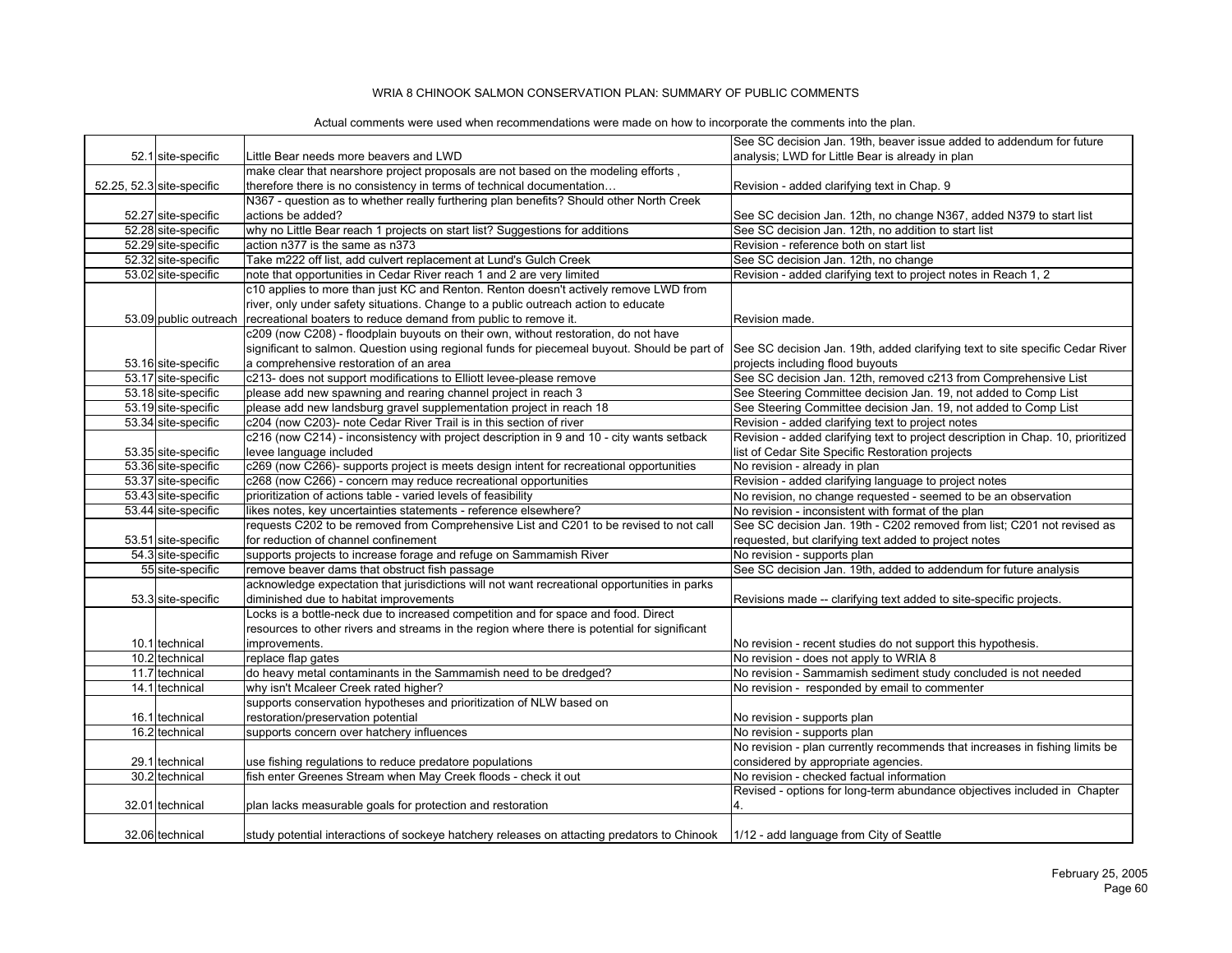|                           |                                                                                                                                       | See SC decision Jan. 19th, beaver issue added to addendum for future                                                        |
|---------------------------|---------------------------------------------------------------------------------------------------------------------------------------|-----------------------------------------------------------------------------------------------------------------------------|
| 52.1 site-specific        | Little Bear needs more beavers and LWD                                                                                                | analysis; LWD for Little Bear is already in plan                                                                            |
|                           | make clear that nearshore project proposals are not based on the modeling efforts,                                                    |                                                                                                                             |
| 52.25, 52.3 site-specific | therefore there is no consistency in terms of technical documentation                                                                 | Revision - added clarifying text in Chap. 9                                                                                 |
|                           | N367 - question as to whether really furthering plan benefits? Should other North Creek                                               |                                                                                                                             |
| 52.27 site-specific       | actions be added?                                                                                                                     |                                                                                                                             |
| 52.28 site-specific       | why no Little Bear reach 1 projects on start list? Suggestions for additions                                                          | See SC decision Jan. 12th, no change N367, added N379 to start list<br>See SC decision Jan. 12th, no addition to start list |
| 52.29 site-specific       | action n377 is the same as n373                                                                                                       | Revision - reference both on start list                                                                                     |
| 52.32 site-specific       | Take m222 off list, add culvert replacement at Lund's Gulch Creek                                                                     |                                                                                                                             |
|                           |                                                                                                                                       | See SC decision Jan. 12th, no change                                                                                        |
| 53.02 site-specific       | note that opportunities in Cedar River reach 1 and 2 are very limited                                                                 | Revision - added clarifying text to project notes in Reach 1, 2                                                             |
|                           | c10 applies to more than just KC and Renton. Renton doesn't actively remove LWD from                                                  |                                                                                                                             |
|                           | river, only under safety situations. Change to a public outreach action to educate                                                    |                                                                                                                             |
| 53.09 public outreach     | recreational boaters to reduce demand from public to remove it.                                                                       | Revision made.                                                                                                              |
|                           | c209 (now C208) - floodplain buyouts on their own, without restoration, do not have                                                   |                                                                                                                             |
|                           | significant to salmon. Question using regional funds for piecemeal buyout. Should be part of                                          | See SC decision Jan. 19th, added clarifying text to site specific Cedar River                                               |
| 53.16 site-specific       | a comprehensive restoration of an area                                                                                                | projects including flood buyouts                                                                                            |
| 53.17 site-specific       | c213- does not support modifications to Elliott levee-please remove                                                                   | See SC decision Jan. 12th, removed c213 from Comprehensive List                                                             |
| 53.18 site-specific       | please add new spawning and rearing channel project in reach 3                                                                        | See Steering Committee decision Jan. 19, not added to Comp List                                                             |
| 53.19 site-specific       | please add new landsburg gravel supplementation project in reach 18                                                                   | See Steering Committee decision Jan. 19, not added to Comp List                                                             |
| 53.34 site-specific       | c204 (now C203)- note Cedar River Trail is in this section of river                                                                   | Revision - added clarifying text to project notes                                                                           |
|                           | c216 (now C214) - inconsistency with project description in 9 and 10 - city wants setback                                             | Revision - added clarifying text to project description in Chap. 10, prioritized                                            |
| 53.35 site-specific       | levee language included                                                                                                               | list of Cedar Site Specific Restoration projects                                                                            |
| 53.36 site-specific       | c269 (now C266)- supports project is meets design intent for recreational opportunities                                               | No revision - already in plan                                                                                               |
| 53.37 site-specific       | c268 (now C266) - concern may reduce recreational opportunities                                                                       | Revision - added clarifying language to project notes                                                                       |
| 53.43 site-specific       | prioritization of actions table - varied levels of feasibility                                                                        | No revision, no change requested - seemed to be an observation                                                              |
| 53.44 site-specific       | likes notes, key uncertainties statements - reference elsewhere?                                                                      | No revision - inconsistent with format of the plan                                                                          |
|                           | requests C202 to be removed from Comprehensive List and C201 to be revised to not call                                                | See SC decision Jan. 19th - C202 removed from list; C201 not revised as                                                     |
| 53.51 site-specific       | for reduction of channel confinement                                                                                                  | requested, but clarifying text added to project notes                                                                       |
| 54.3 site-specific        | supports projects to increase forage and refuge on Sammamish River                                                                    | No revision - supports plan                                                                                                 |
| 55 site-specific          | remove beaver dams that obstruct fish passage                                                                                         | See SC decision Jan. 19th, added to addendum for future analysis                                                            |
|                           | acknowledge expectation that jurisdictions will not want recreational opportunities in parks                                          |                                                                                                                             |
| 53.3 site-specific        | diminished due to habitat improvements                                                                                                | Revisions made -- clarifying text added to site-specific projects.                                                          |
|                           | Locks is a bottle-neck due to increased competition and for space and food. Direct                                                    |                                                                                                                             |
|                           | resources to other rivers and streams in the region where there is potential for significant                                          |                                                                                                                             |
| 10.1 technical            | improvements.                                                                                                                         | No revision - recent studies do not support this hypothesis.                                                                |
| 10.2 technical            | replace flap gates                                                                                                                    | No revision - does not apply to WRIA 8                                                                                      |
| 11.7 technical            | do heavy metal contaminants in the Sammamish need to be dredged?                                                                      | No revision - Sammamish sediment study concluded is not needed                                                              |
| 14.1 technical            | why isn't Mcaleer Creek rated higher?                                                                                                 | No revision - responded by email to commenter                                                                               |
|                           | supports conservation hypotheses and prioritization of NLW based on                                                                   |                                                                                                                             |
| 16.1 technical            | restoration/preservation potential                                                                                                    | No revision - supports plan                                                                                                 |
| 16.2 technical            | supports concern over hatchery influences                                                                                             | No revision - supports plan                                                                                                 |
|                           |                                                                                                                                       | No revision - plan currently recommends that increases in fishing limits be                                                 |
| 29.1 technical            | use fishing regulations to reduce predatore populations                                                                               | considered by appropriate agencies.                                                                                         |
| 30.2 technical            | fish enter Greenes Stream when May Creek floods - check it out                                                                        | No revision - checked factual information                                                                                   |
|                           |                                                                                                                                       | Revised - options for long-term abundance objectives included in Chapter                                                    |
| 32.01 technical           | plan lacks measurable goals for protection and restoration                                                                            |                                                                                                                             |
|                           |                                                                                                                                       |                                                                                                                             |
|                           |                                                                                                                                       |                                                                                                                             |
| 32.06 technical           | study potential interactions of sockeye hatchery releases on attacting predators to Chinook  1/12 - add language from City of Seattle |                                                                                                                             |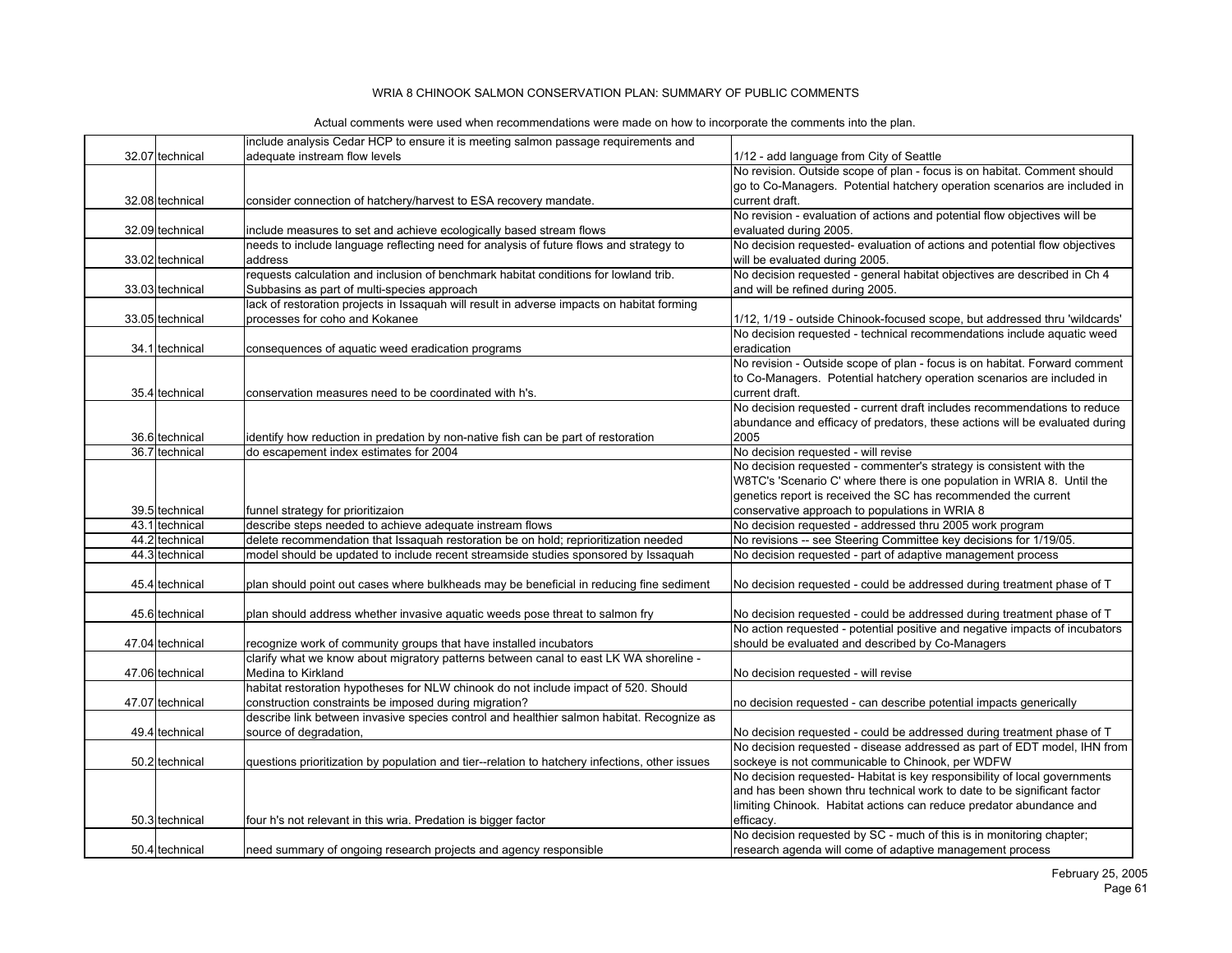| 32.07 technical<br>adequate instream flow levels<br>1/12 - add language from City of Seattle<br>No revision. Outside scope of plan - focus is on habitat. Comment should<br>go to Co-Managers. Potential hatchery operation scenarios are included in<br>32.08 technical<br>consider connection of hatchery/harvest to ESA recovery mandate.<br>current draft.<br>No revision - evaluation of actions and potential flow objectives will be<br>32.09 technical<br>include measures to set and achieve ecologically based stream flows<br>evaluated during 2005.<br>needs to include language reflecting need for analysis of future flows and strategy to<br>No decision requested- evaluation of actions and potential flow objectives<br>address<br>will be evaluated during 2005.<br>33.02 technical<br>No decision requested - general habitat objectives are described in Ch 4<br>requests calculation and inclusion of benchmark habitat conditions for lowland trib.<br>and will be refined during 2005.<br>33.03 technical<br>Subbasins as part of multi-species approach<br>lack of restoration projects in Issaquah will result in adverse impacts on habitat forming<br>processes for coho and Kokanee<br>33.05 technical<br>1/12, 1/19 - outside Chinook-focused scope, but addressed thru 'wildcards'<br>No decision requested - technical recommendations include aquatic weed<br>34.1 technical<br>eradication<br>consequences of aquatic weed eradication programs<br>No revision - Outside scope of plan - focus is on habitat. Forward comment<br>to Co-Managers. Potential hatchery operation scenarios are included in<br>current draft.<br>35.4 technical<br>conservation measures need to be coordinated with h's.<br>No decision requested - current draft includes recommendations to reduce<br>abundance and efficacy of predators, these actions will be evaluated during<br>2005<br>36.6 technical<br>identify how reduction in predation by non-native fish can be part of restoration<br>36.7 technical<br>do escapement index estimates for 2004<br>No decision requested - will revise<br>No decision requested - commenter's strategy is consistent with the<br>W8TC's 'Scenario C' where there is one population in WRIA 8. Until the<br>genetics report is received the SC has recommended the current<br>conservative approach to populations in WRIA 8<br>39.5 technical<br>funnel strategy for prioritizaion<br>43.1 technical<br>describe steps needed to achieve adequate instream flows<br>No decision requested - addressed thru 2005 work program<br>delete recommendation that Issaquah restoration be on hold; reprioritization needed<br>44.2 technical<br>No revisions -- see Steering Committee key decisions for 1/19/05.<br>44.3 technical<br>model should be updated to include recent streamside studies sponsored by Issaquah<br>No decision requested - part of adaptive management process<br>plan should point out cases where bulkheads may be beneficial in reducing fine sediment<br>No decision requested - could be addressed during treatment phase of T<br>45.4 technical<br>plan should address whether invasive aquatic weeds pose threat to salmon fry<br>No decision requested - could be addressed during treatment phase of T<br>45.6 technical<br>No action requested - potential positive and negative impacts of incubators<br>should be evaluated and described by Co-Managers<br>47.04 technical<br>recognize work of community groups that have installed incubators<br>clarify what we know about migratory patterns between canal to east LK WA shoreline -<br>Medina to Kirkland<br>No decision requested - will revise<br>47.06 technical<br>habitat restoration hypotheses for NLW chinook do not include impact of 520. Should<br>construction constraints be imposed during migration?<br>47.07 technical<br>no decision requested - can describe potential impacts generically<br>describe link between invasive species control and healthier salmon habitat. Recognize as<br>49.4 technical<br>source of degradation,<br>No decision requested - could be addressed during treatment phase of T<br>No decision requested - disease addressed as part of EDT model, IHN from<br>questions prioritization by population and tier--relation to hatchery infections, other issues<br>sockeye is not communicable to Chinook, per WDFW<br>50.2 technical<br>No decision requested- Habitat is key responsibility of local governments<br>and has been shown thru technical work to date to be significant factor<br>limiting Chinook. Habitat actions can reduce predator abundance and<br>four h's not relevant in this wria. Predation is bigger factor<br>efficacy.<br>50.3 technical<br>No decision requested by SC - much of this is in monitoring chapter;<br>research agenda will come of adaptive management process<br>50.4 technical<br>need summary of ongoing research projects and agency responsible |  | include analysis Cedar HCP to ensure it is meeting salmon passage requirements and |  |
|---------------------------------------------------------------------------------------------------------------------------------------------------------------------------------------------------------------------------------------------------------------------------------------------------------------------------------------------------------------------------------------------------------------------------------------------------------------------------------------------------------------------------------------------------------------------------------------------------------------------------------------------------------------------------------------------------------------------------------------------------------------------------------------------------------------------------------------------------------------------------------------------------------------------------------------------------------------------------------------------------------------------------------------------------------------------------------------------------------------------------------------------------------------------------------------------------------------------------------------------------------------------------------------------------------------------------------------------------------------------------------------------------------------------------------------------------------------------------------------------------------------------------------------------------------------------------------------------------------------------------------------------------------------------------------------------------------------------------------------------------------------------------------------------------------------------------------------------------------------------------------------------------------------------------------------------------------------------------------------------------------------------------------------------------------------------------------------------------------------------------------------------------------------------------------------------------------------------------------------------------------------------------------------------------------------------------------------------------------------------------------------------------------------------------------------------------------------------------------------------------------------------------------------------------------------------------------------------------------------------------------------------------------------------------------------------------------------------------------------------------------------------------------------------------------------------------------------------------------------------------------------------------------------------------------------------------------------------------------------------------------------------------------------------------------------------------------------------------------------------------------------------------------------------------------------------------------------------------------------------------------------------------------------------------------------------------------------------------------------------------------------------------------------------------------------------------------------------------------------------------------------------------------------------------------------------------------------------------------------------------------------------------------------------------------------------------------------------------------------------------------------------------------------------------------------------------------------------------------------------------------------------------------------------------------------------------------------------------------------------------------------------------------------------------------------------------------------------------------------------------------------------------------------------------------------------------------------------------------------------------------------------------------------------------------------------------------------------------------------------------------------------------------------------------------------------------------------------------------------------------------------------------------------------------------------------------------------------------------------------------------------------------------------------------------------------------------------------------------------------------------------------------------------------------------------------------------------------------------------------------------------------------------------------------------------------------------------------------------------------------|--|------------------------------------------------------------------------------------|--|
|                                                                                                                                                                                                                                                                                                                                                                                                                                                                                                                                                                                                                                                                                                                                                                                                                                                                                                                                                                                                                                                                                                                                                                                                                                                                                                                                                                                                                                                                                                                                                                                                                                                                                                                                                                                                                                                                                                                                                                                                                                                                                                                                                                                                                                                                                                                                                                                                                                                                                                                                                                                                                                                                                                                                                                                                                                                                                                                                                                                                                                                                                                                                                                                                                                                                                                                                                                                                                                                                                                                                                                                                                                                                                                                                                                                                                                                                                                                                                                                                                                                                                                                                                                                                                                                                                                                                                                                                                                                                                                                                                                                                                                                                                                                                                                                                                                                                                                                                                                                                   |  |                                                                                    |  |
|                                                                                                                                                                                                                                                                                                                                                                                                                                                                                                                                                                                                                                                                                                                                                                                                                                                                                                                                                                                                                                                                                                                                                                                                                                                                                                                                                                                                                                                                                                                                                                                                                                                                                                                                                                                                                                                                                                                                                                                                                                                                                                                                                                                                                                                                                                                                                                                                                                                                                                                                                                                                                                                                                                                                                                                                                                                                                                                                                                                                                                                                                                                                                                                                                                                                                                                                                                                                                                                                                                                                                                                                                                                                                                                                                                                                                                                                                                                                                                                                                                                                                                                                                                                                                                                                                                                                                                                                                                                                                                                                                                                                                                                                                                                                                                                                                                                                                                                                                                                                   |  |                                                                                    |  |
|                                                                                                                                                                                                                                                                                                                                                                                                                                                                                                                                                                                                                                                                                                                                                                                                                                                                                                                                                                                                                                                                                                                                                                                                                                                                                                                                                                                                                                                                                                                                                                                                                                                                                                                                                                                                                                                                                                                                                                                                                                                                                                                                                                                                                                                                                                                                                                                                                                                                                                                                                                                                                                                                                                                                                                                                                                                                                                                                                                                                                                                                                                                                                                                                                                                                                                                                                                                                                                                                                                                                                                                                                                                                                                                                                                                                                                                                                                                                                                                                                                                                                                                                                                                                                                                                                                                                                                                                                                                                                                                                                                                                                                                                                                                                                                                                                                                                                                                                                                                                   |  |                                                                                    |  |
|                                                                                                                                                                                                                                                                                                                                                                                                                                                                                                                                                                                                                                                                                                                                                                                                                                                                                                                                                                                                                                                                                                                                                                                                                                                                                                                                                                                                                                                                                                                                                                                                                                                                                                                                                                                                                                                                                                                                                                                                                                                                                                                                                                                                                                                                                                                                                                                                                                                                                                                                                                                                                                                                                                                                                                                                                                                                                                                                                                                                                                                                                                                                                                                                                                                                                                                                                                                                                                                                                                                                                                                                                                                                                                                                                                                                                                                                                                                                                                                                                                                                                                                                                                                                                                                                                                                                                                                                                                                                                                                                                                                                                                                                                                                                                                                                                                                                                                                                                                                                   |  |                                                                                    |  |
|                                                                                                                                                                                                                                                                                                                                                                                                                                                                                                                                                                                                                                                                                                                                                                                                                                                                                                                                                                                                                                                                                                                                                                                                                                                                                                                                                                                                                                                                                                                                                                                                                                                                                                                                                                                                                                                                                                                                                                                                                                                                                                                                                                                                                                                                                                                                                                                                                                                                                                                                                                                                                                                                                                                                                                                                                                                                                                                                                                                                                                                                                                                                                                                                                                                                                                                                                                                                                                                                                                                                                                                                                                                                                                                                                                                                                                                                                                                                                                                                                                                                                                                                                                                                                                                                                                                                                                                                                                                                                                                                                                                                                                                                                                                                                                                                                                                                                                                                                                                                   |  |                                                                                    |  |
|                                                                                                                                                                                                                                                                                                                                                                                                                                                                                                                                                                                                                                                                                                                                                                                                                                                                                                                                                                                                                                                                                                                                                                                                                                                                                                                                                                                                                                                                                                                                                                                                                                                                                                                                                                                                                                                                                                                                                                                                                                                                                                                                                                                                                                                                                                                                                                                                                                                                                                                                                                                                                                                                                                                                                                                                                                                                                                                                                                                                                                                                                                                                                                                                                                                                                                                                                                                                                                                                                                                                                                                                                                                                                                                                                                                                                                                                                                                                                                                                                                                                                                                                                                                                                                                                                                                                                                                                                                                                                                                                                                                                                                                                                                                                                                                                                                                                                                                                                                                                   |  |                                                                                    |  |
|                                                                                                                                                                                                                                                                                                                                                                                                                                                                                                                                                                                                                                                                                                                                                                                                                                                                                                                                                                                                                                                                                                                                                                                                                                                                                                                                                                                                                                                                                                                                                                                                                                                                                                                                                                                                                                                                                                                                                                                                                                                                                                                                                                                                                                                                                                                                                                                                                                                                                                                                                                                                                                                                                                                                                                                                                                                                                                                                                                                                                                                                                                                                                                                                                                                                                                                                                                                                                                                                                                                                                                                                                                                                                                                                                                                                                                                                                                                                                                                                                                                                                                                                                                                                                                                                                                                                                                                                                                                                                                                                                                                                                                                                                                                                                                                                                                                                                                                                                                                                   |  |                                                                                    |  |
|                                                                                                                                                                                                                                                                                                                                                                                                                                                                                                                                                                                                                                                                                                                                                                                                                                                                                                                                                                                                                                                                                                                                                                                                                                                                                                                                                                                                                                                                                                                                                                                                                                                                                                                                                                                                                                                                                                                                                                                                                                                                                                                                                                                                                                                                                                                                                                                                                                                                                                                                                                                                                                                                                                                                                                                                                                                                                                                                                                                                                                                                                                                                                                                                                                                                                                                                                                                                                                                                                                                                                                                                                                                                                                                                                                                                                                                                                                                                                                                                                                                                                                                                                                                                                                                                                                                                                                                                                                                                                                                                                                                                                                                                                                                                                                                                                                                                                                                                                                                                   |  |                                                                                    |  |
|                                                                                                                                                                                                                                                                                                                                                                                                                                                                                                                                                                                                                                                                                                                                                                                                                                                                                                                                                                                                                                                                                                                                                                                                                                                                                                                                                                                                                                                                                                                                                                                                                                                                                                                                                                                                                                                                                                                                                                                                                                                                                                                                                                                                                                                                                                                                                                                                                                                                                                                                                                                                                                                                                                                                                                                                                                                                                                                                                                                                                                                                                                                                                                                                                                                                                                                                                                                                                                                                                                                                                                                                                                                                                                                                                                                                                                                                                                                                                                                                                                                                                                                                                                                                                                                                                                                                                                                                                                                                                                                                                                                                                                                                                                                                                                                                                                                                                                                                                                                                   |  |                                                                                    |  |
|                                                                                                                                                                                                                                                                                                                                                                                                                                                                                                                                                                                                                                                                                                                                                                                                                                                                                                                                                                                                                                                                                                                                                                                                                                                                                                                                                                                                                                                                                                                                                                                                                                                                                                                                                                                                                                                                                                                                                                                                                                                                                                                                                                                                                                                                                                                                                                                                                                                                                                                                                                                                                                                                                                                                                                                                                                                                                                                                                                                                                                                                                                                                                                                                                                                                                                                                                                                                                                                                                                                                                                                                                                                                                                                                                                                                                                                                                                                                                                                                                                                                                                                                                                                                                                                                                                                                                                                                                                                                                                                                                                                                                                                                                                                                                                                                                                                                                                                                                                                                   |  |                                                                                    |  |
|                                                                                                                                                                                                                                                                                                                                                                                                                                                                                                                                                                                                                                                                                                                                                                                                                                                                                                                                                                                                                                                                                                                                                                                                                                                                                                                                                                                                                                                                                                                                                                                                                                                                                                                                                                                                                                                                                                                                                                                                                                                                                                                                                                                                                                                                                                                                                                                                                                                                                                                                                                                                                                                                                                                                                                                                                                                                                                                                                                                                                                                                                                                                                                                                                                                                                                                                                                                                                                                                                                                                                                                                                                                                                                                                                                                                                                                                                                                                                                                                                                                                                                                                                                                                                                                                                                                                                                                                                                                                                                                                                                                                                                                                                                                                                                                                                                                                                                                                                                                                   |  |                                                                                    |  |
|                                                                                                                                                                                                                                                                                                                                                                                                                                                                                                                                                                                                                                                                                                                                                                                                                                                                                                                                                                                                                                                                                                                                                                                                                                                                                                                                                                                                                                                                                                                                                                                                                                                                                                                                                                                                                                                                                                                                                                                                                                                                                                                                                                                                                                                                                                                                                                                                                                                                                                                                                                                                                                                                                                                                                                                                                                                                                                                                                                                                                                                                                                                                                                                                                                                                                                                                                                                                                                                                                                                                                                                                                                                                                                                                                                                                                                                                                                                                                                                                                                                                                                                                                                                                                                                                                                                                                                                                                                                                                                                                                                                                                                                                                                                                                                                                                                                                                                                                                                                                   |  |                                                                                    |  |
|                                                                                                                                                                                                                                                                                                                                                                                                                                                                                                                                                                                                                                                                                                                                                                                                                                                                                                                                                                                                                                                                                                                                                                                                                                                                                                                                                                                                                                                                                                                                                                                                                                                                                                                                                                                                                                                                                                                                                                                                                                                                                                                                                                                                                                                                                                                                                                                                                                                                                                                                                                                                                                                                                                                                                                                                                                                                                                                                                                                                                                                                                                                                                                                                                                                                                                                                                                                                                                                                                                                                                                                                                                                                                                                                                                                                                                                                                                                                                                                                                                                                                                                                                                                                                                                                                                                                                                                                                                                                                                                                                                                                                                                                                                                                                                                                                                                                                                                                                                                                   |  |                                                                                    |  |
|                                                                                                                                                                                                                                                                                                                                                                                                                                                                                                                                                                                                                                                                                                                                                                                                                                                                                                                                                                                                                                                                                                                                                                                                                                                                                                                                                                                                                                                                                                                                                                                                                                                                                                                                                                                                                                                                                                                                                                                                                                                                                                                                                                                                                                                                                                                                                                                                                                                                                                                                                                                                                                                                                                                                                                                                                                                                                                                                                                                                                                                                                                                                                                                                                                                                                                                                                                                                                                                                                                                                                                                                                                                                                                                                                                                                                                                                                                                                                                                                                                                                                                                                                                                                                                                                                                                                                                                                                                                                                                                                                                                                                                                                                                                                                                                                                                                                                                                                                                                                   |  |                                                                                    |  |
|                                                                                                                                                                                                                                                                                                                                                                                                                                                                                                                                                                                                                                                                                                                                                                                                                                                                                                                                                                                                                                                                                                                                                                                                                                                                                                                                                                                                                                                                                                                                                                                                                                                                                                                                                                                                                                                                                                                                                                                                                                                                                                                                                                                                                                                                                                                                                                                                                                                                                                                                                                                                                                                                                                                                                                                                                                                                                                                                                                                                                                                                                                                                                                                                                                                                                                                                                                                                                                                                                                                                                                                                                                                                                                                                                                                                                                                                                                                                                                                                                                                                                                                                                                                                                                                                                                                                                                                                                                                                                                                                                                                                                                                                                                                                                                                                                                                                                                                                                                                                   |  |                                                                                    |  |
|                                                                                                                                                                                                                                                                                                                                                                                                                                                                                                                                                                                                                                                                                                                                                                                                                                                                                                                                                                                                                                                                                                                                                                                                                                                                                                                                                                                                                                                                                                                                                                                                                                                                                                                                                                                                                                                                                                                                                                                                                                                                                                                                                                                                                                                                                                                                                                                                                                                                                                                                                                                                                                                                                                                                                                                                                                                                                                                                                                                                                                                                                                                                                                                                                                                                                                                                                                                                                                                                                                                                                                                                                                                                                                                                                                                                                                                                                                                                                                                                                                                                                                                                                                                                                                                                                                                                                                                                                                                                                                                                                                                                                                                                                                                                                                                                                                                                                                                                                                                                   |  |                                                                                    |  |
|                                                                                                                                                                                                                                                                                                                                                                                                                                                                                                                                                                                                                                                                                                                                                                                                                                                                                                                                                                                                                                                                                                                                                                                                                                                                                                                                                                                                                                                                                                                                                                                                                                                                                                                                                                                                                                                                                                                                                                                                                                                                                                                                                                                                                                                                                                                                                                                                                                                                                                                                                                                                                                                                                                                                                                                                                                                                                                                                                                                                                                                                                                                                                                                                                                                                                                                                                                                                                                                                                                                                                                                                                                                                                                                                                                                                                                                                                                                                                                                                                                                                                                                                                                                                                                                                                                                                                                                                                                                                                                                                                                                                                                                                                                                                                                                                                                                                                                                                                                                                   |  |                                                                                    |  |
|                                                                                                                                                                                                                                                                                                                                                                                                                                                                                                                                                                                                                                                                                                                                                                                                                                                                                                                                                                                                                                                                                                                                                                                                                                                                                                                                                                                                                                                                                                                                                                                                                                                                                                                                                                                                                                                                                                                                                                                                                                                                                                                                                                                                                                                                                                                                                                                                                                                                                                                                                                                                                                                                                                                                                                                                                                                                                                                                                                                                                                                                                                                                                                                                                                                                                                                                                                                                                                                                                                                                                                                                                                                                                                                                                                                                                                                                                                                                                                                                                                                                                                                                                                                                                                                                                                                                                                                                                                                                                                                                                                                                                                                                                                                                                                                                                                                                                                                                                                                                   |  |                                                                                    |  |
|                                                                                                                                                                                                                                                                                                                                                                                                                                                                                                                                                                                                                                                                                                                                                                                                                                                                                                                                                                                                                                                                                                                                                                                                                                                                                                                                                                                                                                                                                                                                                                                                                                                                                                                                                                                                                                                                                                                                                                                                                                                                                                                                                                                                                                                                                                                                                                                                                                                                                                                                                                                                                                                                                                                                                                                                                                                                                                                                                                                                                                                                                                                                                                                                                                                                                                                                                                                                                                                                                                                                                                                                                                                                                                                                                                                                                                                                                                                                                                                                                                                                                                                                                                                                                                                                                                                                                                                                                                                                                                                                                                                                                                                                                                                                                                                                                                                                                                                                                                                                   |  |                                                                                    |  |
|                                                                                                                                                                                                                                                                                                                                                                                                                                                                                                                                                                                                                                                                                                                                                                                                                                                                                                                                                                                                                                                                                                                                                                                                                                                                                                                                                                                                                                                                                                                                                                                                                                                                                                                                                                                                                                                                                                                                                                                                                                                                                                                                                                                                                                                                                                                                                                                                                                                                                                                                                                                                                                                                                                                                                                                                                                                                                                                                                                                                                                                                                                                                                                                                                                                                                                                                                                                                                                                                                                                                                                                                                                                                                                                                                                                                                                                                                                                                                                                                                                                                                                                                                                                                                                                                                                                                                                                                                                                                                                                                                                                                                                                                                                                                                                                                                                                                                                                                                                                                   |  |                                                                                    |  |
|                                                                                                                                                                                                                                                                                                                                                                                                                                                                                                                                                                                                                                                                                                                                                                                                                                                                                                                                                                                                                                                                                                                                                                                                                                                                                                                                                                                                                                                                                                                                                                                                                                                                                                                                                                                                                                                                                                                                                                                                                                                                                                                                                                                                                                                                                                                                                                                                                                                                                                                                                                                                                                                                                                                                                                                                                                                                                                                                                                                                                                                                                                                                                                                                                                                                                                                                                                                                                                                                                                                                                                                                                                                                                                                                                                                                                                                                                                                                                                                                                                                                                                                                                                                                                                                                                                                                                                                                                                                                                                                                                                                                                                                                                                                                                                                                                                                                                                                                                                                                   |  |                                                                                    |  |
|                                                                                                                                                                                                                                                                                                                                                                                                                                                                                                                                                                                                                                                                                                                                                                                                                                                                                                                                                                                                                                                                                                                                                                                                                                                                                                                                                                                                                                                                                                                                                                                                                                                                                                                                                                                                                                                                                                                                                                                                                                                                                                                                                                                                                                                                                                                                                                                                                                                                                                                                                                                                                                                                                                                                                                                                                                                                                                                                                                                                                                                                                                                                                                                                                                                                                                                                                                                                                                                                                                                                                                                                                                                                                                                                                                                                                                                                                                                                                                                                                                                                                                                                                                                                                                                                                                                                                                                                                                                                                                                                                                                                                                                                                                                                                                                                                                                                                                                                                                                                   |  |                                                                                    |  |
|                                                                                                                                                                                                                                                                                                                                                                                                                                                                                                                                                                                                                                                                                                                                                                                                                                                                                                                                                                                                                                                                                                                                                                                                                                                                                                                                                                                                                                                                                                                                                                                                                                                                                                                                                                                                                                                                                                                                                                                                                                                                                                                                                                                                                                                                                                                                                                                                                                                                                                                                                                                                                                                                                                                                                                                                                                                                                                                                                                                                                                                                                                                                                                                                                                                                                                                                                                                                                                                                                                                                                                                                                                                                                                                                                                                                                                                                                                                                                                                                                                                                                                                                                                                                                                                                                                                                                                                                                                                                                                                                                                                                                                                                                                                                                                                                                                                                                                                                                                                                   |  |                                                                                    |  |
|                                                                                                                                                                                                                                                                                                                                                                                                                                                                                                                                                                                                                                                                                                                                                                                                                                                                                                                                                                                                                                                                                                                                                                                                                                                                                                                                                                                                                                                                                                                                                                                                                                                                                                                                                                                                                                                                                                                                                                                                                                                                                                                                                                                                                                                                                                                                                                                                                                                                                                                                                                                                                                                                                                                                                                                                                                                                                                                                                                                                                                                                                                                                                                                                                                                                                                                                                                                                                                                                                                                                                                                                                                                                                                                                                                                                                                                                                                                                                                                                                                                                                                                                                                                                                                                                                                                                                                                                                                                                                                                                                                                                                                                                                                                                                                                                                                                                                                                                                                                                   |  |                                                                                    |  |
|                                                                                                                                                                                                                                                                                                                                                                                                                                                                                                                                                                                                                                                                                                                                                                                                                                                                                                                                                                                                                                                                                                                                                                                                                                                                                                                                                                                                                                                                                                                                                                                                                                                                                                                                                                                                                                                                                                                                                                                                                                                                                                                                                                                                                                                                                                                                                                                                                                                                                                                                                                                                                                                                                                                                                                                                                                                                                                                                                                                                                                                                                                                                                                                                                                                                                                                                                                                                                                                                                                                                                                                                                                                                                                                                                                                                                                                                                                                                                                                                                                                                                                                                                                                                                                                                                                                                                                                                                                                                                                                                                                                                                                                                                                                                                                                                                                                                                                                                                                                                   |  |                                                                                    |  |
|                                                                                                                                                                                                                                                                                                                                                                                                                                                                                                                                                                                                                                                                                                                                                                                                                                                                                                                                                                                                                                                                                                                                                                                                                                                                                                                                                                                                                                                                                                                                                                                                                                                                                                                                                                                                                                                                                                                                                                                                                                                                                                                                                                                                                                                                                                                                                                                                                                                                                                                                                                                                                                                                                                                                                                                                                                                                                                                                                                                                                                                                                                                                                                                                                                                                                                                                                                                                                                                                                                                                                                                                                                                                                                                                                                                                                                                                                                                                                                                                                                                                                                                                                                                                                                                                                                                                                                                                                                                                                                                                                                                                                                                                                                                                                                                                                                                                                                                                                                                                   |  |                                                                                    |  |
|                                                                                                                                                                                                                                                                                                                                                                                                                                                                                                                                                                                                                                                                                                                                                                                                                                                                                                                                                                                                                                                                                                                                                                                                                                                                                                                                                                                                                                                                                                                                                                                                                                                                                                                                                                                                                                                                                                                                                                                                                                                                                                                                                                                                                                                                                                                                                                                                                                                                                                                                                                                                                                                                                                                                                                                                                                                                                                                                                                                                                                                                                                                                                                                                                                                                                                                                                                                                                                                                                                                                                                                                                                                                                                                                                                                                                                                                                                                                                                                                                                                                                                                                                                                                                                                                                                                                                                                                                                                                                                                                                                                                                                                                                                                                                                                                                                                                                                                                                                                                   |  |                                                                                    |  |
|                                                                                                                                                                                                                                                                                                                                                                                                                                                                                                                                                                                                                                                                                                                                                                                                                                                                                                                                                                                                                                                                                                                                                                                                                                                                                                                                                                                                                                                                                                                                                                                                                                                                                                                                                                                                                                                                                                                                                                                                                                                                                                                                                                                                                                                                                                                                                                                                                                                                                                                                                                                                                                                                                                                                                                                                                                                                                                                                                                                                                                                                                                                                                                                                                                                                                                                                                                                                                                                                                                                                                                                                                                                                                                                                                                                                                                                                                                                                                                                                                                                                                                                                                                                                                                                                                                                                                                                                                                                                                                                                                                                                                                                                                                                                                                                                                                                                                                                                                                                                   |  |                                                                                    |  |
|                                                                                                                                                                                                                                                                                                                                                                                                                                                                                                                                                                                                                                                                                                                                                                                                                                                                                                                                                                                                                                                                                                                                                                                                                                                                                                                                                                                                                                                                                                                                                                                                                                                                                                                                                                                                                                                                                                                                                                                                                                                                                                                                                                                                                                                                                                                                                                                                                                                                                                                                                                                                                                                                                                                                                                                                                                                                                                                                                                                                                                                                                                                                                                                                                                                                                                                                                                                                                                                                                                                                                                                                                                                                                                                                                                                                                                                                                                                                                                                                                                                                                                                                                                                                                                                                                                                                                                                                                                                                                                                                                                                                                                                                                                                                                                                                                                                                                                                                                                                                   |  |                                                                                    |  |
|                                                                                                                                                                                                                                                                                                                                                                                                                                                                                                                                                                                                                                                                                                                                                                                                                                                                                                                                                                                                                                                                                                                                                                                                                                                                                                                                                                                                                                                                                                                                                                                                                                                                                                                                                                                                                                                                                                                                                                                                                                                                                                                                                                                                                                                                                                                                                                                                                                                                                                                                                                                                                                                                                                                                                                                                                                                                                                                                                                                                                                                                                                                                                                                                                                                                                                                                                                                                                                                                                                                                                                                                                                                                                                                                                                                                                                                                                                                                                                                                                                                                                                                                                                                                                                                                                                                                                                                                                                                                                                                                                                                                                                                                                                                                                                                                                                                                                                                                                                                                   |  |                                                                                    |  |
|                                                                                                                                                                                                                                                                                                                                                                                                                                                                                                                                                                                                                                                                                                                                                                                                                                                                                                                                                                                                                                                                                                                                                                                                                                                                                                                                                                                                                                                                                                                                                                                                                                                                                                                                                                                                                                                                                                                                                                                                                                                                                                                                                                                                                                                                                                                                                                                                                                                                                                                                                                                                                                                                                                                                                                                                                                                                                                                                                                                                                                                                                                                                                                                                                                                                                                                                                                                                                                                                                                                                                                                                                                                                                                                                                                                                                                                                                                                                                                                                                                                                                                                                                                                                                                                                                                                                                                                                                                                                                                                                                                                                                                                                                                                                                                                                                                                                                                                                                                                                   |  |                                                                                    |  |
|                                                                                                                                                                                                                                                                                                                                                                                                                                                                                                                                                                                                                                                                                                                                                                                                                                                                                                                                                                                                                                                                                                                                                                                                                                                                                                                                                                                                                                                                                                                                                                                                                                                                                                                                                                                                                                                                                                                                                                                                                                                                                                                                                                                                                                                                                                                                                                                                                                                                                                                                                                                                                                                                                                                                                                                                                                                                                                                                                                                                                                                                                                                                                                                                                                                                                                                                                                                                                                                                                                                                                                                                                                                                                                                                                                                                                                                                                                                                                                                                                                                                                                                                                                                                                                                                                                                                                                                                                                                                                                                                                                                                                                                                                                                                                                                                                                                                                                                                                                                                   |  |                                                                                    |  |
|                                                                                                                                                                                                                                                                                                                                                                                                                                                                                                                                                                                                                                                                                                                                                                                                                                                                                                                                                                                                                                                                                                                                                                                                                                                                                                                                                                                                                                                                                                                                                                                                                                                                                                                                                                                                                                                                                                                                                                                                                                                                                                                                                                                                                                                                                                                                                                                                                                                                                                                                                                                                                                                                                                                                                                                                                                                                                                                                                                                                                                                                                                                                                                                                                                                                                                                                                                                                                                                                                                                                                                                                                                                                                                                                                                                                                                                                                                                                                                                                                                                                                                                                                                                                                                                                                                                                                                                                                                                                                                                                                                                                                                                                                                                                                                                                                                                                                                                                                                                                   |  |                                                                                    |  |
|                                                                                                                                                                                                                                                                                                                                                                                                                                                                                                                                                                                                                                                                                                                                                                                                                                                                                                                                                                                                                                                                                                                                                                                                                                                                                                                                                                                                                                                                                                                                                                                                                                                                                                                                                                                                                                                                                                                                                                                                                                                                                                                                                                                                                                                                                                                                                                                                                                                                                                                                                                                                                                                                                                                                                                                                                                                                                                                                                                                                                                                                                                                                                                                                                                                                                                                                                                                                                                                                                                                                                                                                                                                                                                                                                                                                                                                                                                                                                                                                                                                                                                                                                                                                                                                                                                                                                                                                                                                                                                                                                                                                                                                                                                                                                                                                                                                                                                                                                                                                   |  |                                                                                    |  |
|                                                                                                                                                                                                                                                                                                                                                                                                                                                                                                                                                                                                                                                                                                                                                                                                                                                                                                                                                                                                                                                                                                                                                                                                                                                                                                                                                                                                                                                                                                                                                                                                                                                                                                                                                                                                                                                                                                                                                                                                                                                                                                                                                                                                                                                                                                                                                                                                                                                                                                                                                                                                                                                                                                                                                                                                                                                                                                                                                                                                                                                                                                                                                                                                                                                                                                                                                                                                                                                                                                                                                                                                                                                                                                                                                                                                                                                                                                                                                                                                                                                                                                                                                                                                                                                                                                                                                                                                                                                                                                                                                                                                                                                                                                                                                                                                                                                                                                                                                                                                   |  |                                                                                    |  |
|                                                                                                                                                                                                                                                                                                                                                                                                                                                                                                                                                                                                                                                                                                                                                                                                                                                                                                                                                                                                                                                                                                                                                                                                                                                                                                                                                                                                                                                                                                                                                                                                                                                                                                                                                                                                                                                                                                                                                                                                                                                                                                                                                                                                                                                                                                                                                                                                                                                                                                                                                                                                                                                                                                                                                                                                                                                                                                                                                                                                                                                                                                                                                                                                                                                                                                                                                                                                                                                                                                                                                                                                                                                                                                                                                                                                                                                                                                                                                                                                                                                                                                                                                                                                                                                                                                                                                                                                                                                                                                                                                                                                                                                                                                                                                                                                                                                                                                                                                                                                   |  |                                                                                    |  |
|                                                                                                                                                                                                                                                                                                                                                                                                                                                                                                                                                                                                                                                                                                                                                                                                                                                                                                                                                                                                                                                                                                                                                                                                                                                                                                                                                                                                                                                                                                                                                                                                                                                                                                                                                                                                                                                                                                                                                                                                                                                                                                                                                                                                                                                                                                                                                                                                                                                                                                                                                                                                                                                                                                                                                                                                                                                                                                                                                                                                                                                                                                                                                                                                                                                                                                                                                                                                                                                                                                                                                                                                                                                                                                                                                                                                                                                                                                                                                                                                                                                                                                                                                                                                                                                                                                                                                                                                                                                                                                                                                                                                                                                                                                                                                                                                                                                                                                                                                                                                   |  |                                                                                    |  |
|                                                                                                                                                                                                                                                                                                                                                                                                                                                                                                                                                                                                                                                                                                                                                                                                                                                                                                                                                                                                                                                                                                                                                                                                                                                                                                                                                                                                                                                                                                                                                                                                                                                                                                                                                                                                                                                                                                                                                                                                                                                                                                                                                                                                                                                                                                                                                                                                                                                                                                                                                                                                                                                                                                                                                                                                                                                                                                                                                                                                                                                                                                                                                                                                                                                                                                                                                                                                                                                                                                                                                                                                                                                                                                                                                                                                                                                                                                                                                                                                                                                                                                                                                                                                                                                                                                                                                                                                                                                                                                                                                                                                                                                                                                                                                                                                                                                                                                                                                                                                   |  |                                                                                    |  |
|                                                                                                                                                                                                                                                                                                                                                                                                                                                                                                                                                                                                                                                                                                                                                                                                                                                                                                                                                                                                                                                                                                                                                                                                                                                                                                                                                                                                                                                                                                                                                                                                                                                                                                                                                                                                                                                                                                                                                                                                                                                                                                                                                                                                                                                                                                                                                                                                                                                                                                                                                                                                                                                                                                                                                                                                                                                                                                                                                                                                                                                                                                                                                                                                                                                                                                                                                                                                                                                                                                                                                                                                                                                                                                                                                                                                                                                                                                                                                                                                                                                                                                                                                                                                                                                                                                                                                                                                                                                                                                                                                                                                                                                                                                                                                                                                                                                                                                                                                                                                   |  |                                                                                    |  |
|                                                                                                                                                                                                                                                                                                                                                                                                                                                                                                                                                                                                                                                                                                                                                                                                                                                                                                                                                                                                                                                                                                                                                                                                                                                                                                                                                                                                                                                                                                                                                                                                                                                                                                                                                                                                                                                                                                                                                                                                                                                                                                                                                                                                                                                                                                                                                                                                                                                                                                                                                                                                                                                                                                                                                                                                                                                                                                                                                                                                                                                                                                                                                                                                                                                                                                                                                                                                                                                                                                                                                                                                                                                                                                                                                                                                                                                                                                                                                                                                                                                                                                                                                                                                                                                                                                                                                                                                                                                                                                                                                                                                                                                                                                                                                                                                                                                                                                                                                                                                   |  |                                                                                    |  |
|                                                                                                                                                                                                                                                                                                                                                                                                                                                                                                                                                                                                                                                                                                                                                                                                                                                                                                                                                                                                                                                                                                                                                                                                                                                                                                                                                                                                                                                                                                                                                                                                                                                                                                                                                                                                                                                                                                                                                                                                                                                                                                                                                                                                                                                                                                                                                                                                                                                                                                                                                                                                                                                                                                                                                                                                                                                                                                                                                                                                                                                                                                                                                                                                                                                                                                                                                                                                                                                                                                                                                                                                                                                                                                                                                                                                                                                                                                                                                                                                                                                                                                                                                                                                                                                                                                                                                                                                                                                                                                                                                                                                                                                                                                                                                                                                                                                                                                                                                                                                   |  |                                                                                    |  |
|                                                                                                                                                                                                                                                                                                                                                                                                                                                                                                                                                                                                                                                                                                                                                                                                                                                                                                                                                                                                                                                                                                                                                                                                                                                                                                                                                                                                                                                                                                                                                                                                                                                                                                                                                                                                                                                                                                                                                                                                                                                                                                                                                                                                                                                                                                                                                                                                                                                                                                                                                                                                                                                                                                                                                                                                                                                                                                                                                                                                                                                                                                                                                                                                                                                                                                                                                                                                                                                                                                                                                                                                                                                                                                                                                                                                                                                                                                                                                                                                                                                                                                                                                                                                                                                                                                                                                                                                                                                                                                                                                                                                                                                                                                                                                                                                                                                                                                                                                                                                   |  |                                                                                    |  |
|                                                                                                                                                                                                                                                                                                                                                                                                                                                                                                                                                                                                                                                                                                                                                                                                                                                                                                                                                                                                                                                                                                                                                                                                                                                                                                                                                                                                                                                                                                                                                                                                                                                                                                                                                                                                                                                                                                                                                                                                                                                                                                                                                                                                                                                                                                                                                                                                                                                                                                                                                                                                                                                                                                                                                                                                                                                                                                                                                                                                                                                                                                                                                                                                                                                                                                                                                                                                                                                                                                                                                                                                                                                                                                                                                                                                                                                                                                                                                                                                                                                                                                                                                                                                                                                                                                                                                                                                                                                                                                                                                                                                                                                                                                                                                                                                                                                                                                                                                                                                   |  |                                                                                    |  |
|                                                                                                                                                                                                                                                                                                                                                                                                                                                                                                                                                                                                                                                                                                                                                                                                                                                                                                                                                                                                                                                                                                                                                                                                                                                                                                                                                                                                                                                                                                                                                                                                                                                                                                                                                                                                                                                                                                                                                                                                                                                                                                                                                                                                                                                                                                                                                                                                                                                                                                                                                                                                                                                                                                                                                                                                                                                                                                                                                                                                                                                                                                                                                                                                                                                                                                                                                                                                                                                                                                                                                                                                                                                                                                                                                                                                                                                                                                                                                                                                                                                                                                                                                                                                                                                                                                                                                                                                                                                                                                                                                                                                                                                                                                                                                                                                                                                                                                                                                                                                   |  |                                                                                    |  |
|                                                                                                                                                                                                                                                                                                                                                                                                                                                                                                                                                                                                                                                                                                                                                                                                                                                                                                                                                                                                                                                                                                                                                                                                                                                                                                                                                                                                                                                                                                                                                                                                                                                                                                                                                                                                                                                                                                                                                                                                                                                                                                                                                                                                                                                                                                                                                                                                                                                                                                                                                                                                                                                                                                                                                                                                                                                                                                                                                                                                                                                                                                                                                                                                                                                                                                                                                                                                                                                                                                                                                                                                                                                                                                                                                                                                                                                                                                                                                                                                                                                                                                                                                                                                                                                                                                                                                                                                                                                                                                                                                                                                                                                                                                                                                                                                                                                                                                                                                                                                   |  |                                                                                    |  |
|                                                                                                                                                                                                                                                                                                                                                                                                                                                                                                                                                                                                                                                                                                                                                                                                                                                                                                                                                                                                                                                                                                                                                                                                                                                                                                                                                                                                                                                                                                                                                                                                                                                                                                                                                                                                                                                                                                                                                                                                                                                                                                                                                                                                                                                                                                                                                                                                                                                                                                                                                                                                                                                                                                                                                                                                                                                                                                                                                                                                                                                                                                                                                                                                                                                                                                                                                                                                                                                                                                                                                                                                                                                                                                                                                                                                                                                                                                                                                                                                                                                                                                                                                                                                                                                                                                                                                                                                                                                                                                                                                                                                                                                                                                                                                                                                                                                                                                                                                                                                   |  |                                                                                    |  |
|                                                                                                                                                                                                                                                                                                                                                                                                                                                                                                                                                                                                                                                                                                                                                                                                                                                                                                                                                                                                                                                                                                                                                                                                                                                                                                                                                                                                                                                                                                                                                                                                                                                                                                                                                                                                                                                                                                                                                                                                                                                                                                                                                                                                                                                                                                                                                                                                                                                                                                                                                                                                                                                                                                                                                                                                                                                                                                                                                                                                                                                                                                                                                                                                                                                                                                                                                                                                                                                                                                                                                                                                                                                                                                                                                                                                                                                                                                                                                                                                                                                                                                                                                                                                                                                                                                                                                                                                                                                                                                                                                                                                                                                                                                                                                                                                                                                                                                                                                                                                   |  |                                                                                    |  |
|                                                                                                                                                                                                                                                                                                                                                                                                                                                                                                                                                                                                                                                                                                                                                                                                                                                                                                                                                                                                                                                                                                                                                                                                                                                                                                                                                                                                                                                                                                                                                                                                                                                                                                                                                                                                                                                                                                                                                                                                                                                                                                                                                                                                                                                                                                                                                                                                                                                                                                                                                                                                                                                                                                                                                                                                                                                                                                                                                                                                                                                                                                                                                                                                                                                                                                                                                                                                                                                                                                                                                                                                                                                                                                                                                                                                                                                                                                                                                                                                                                                                                                                                                                                                                                                                                                                                                                                                                                                                                                                                                                                                                                                                                                                                                                                                                                                                                                                                                                                                   |  |                                                                                    |  |